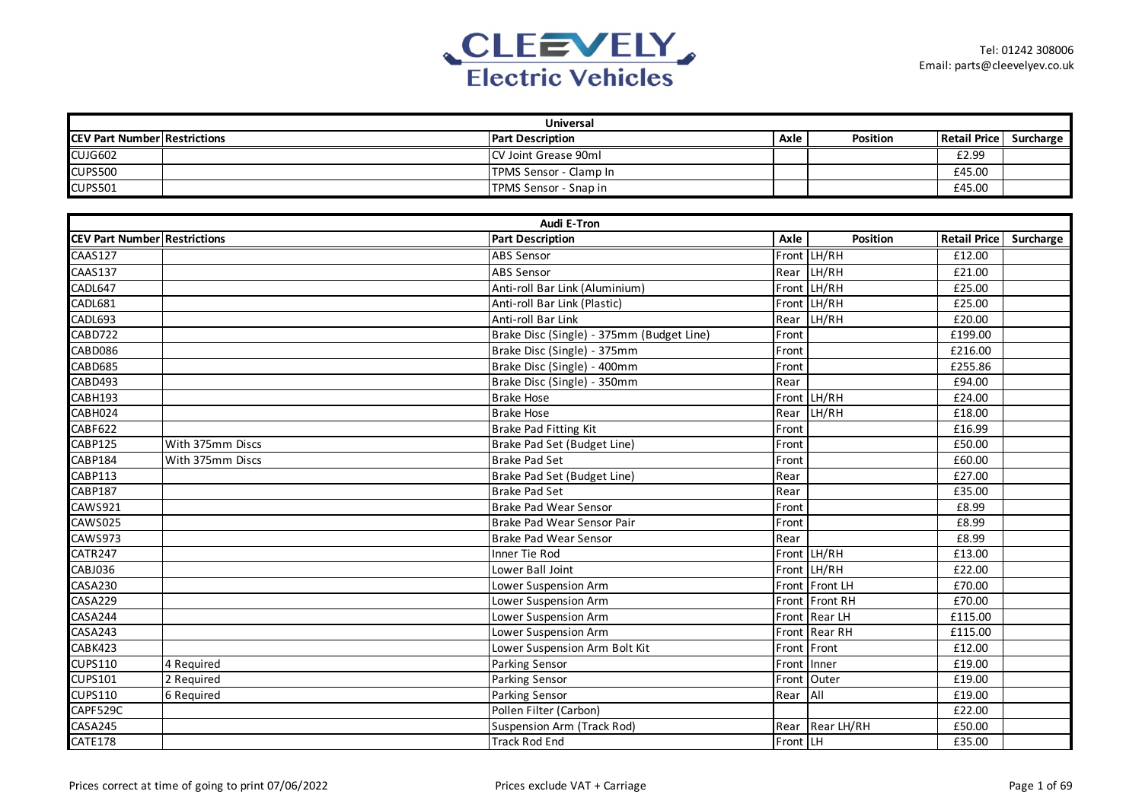

| <b>Universal</b>                    |                  |                                           |             |                 |                        |  |  |  |
|-------------------------------------|------------------|-------------------------------------------|-------------|-----------------|------------------------|--|--|--|
| <b>CEV Part Number Restrictions</b> |                  | <b>Part Description</b>                   | Axle        | <b>Position</b> | Retail Price Surcharge |  |  |  |
| CUJG602                             |                  | CV Joint Grease 90ml                      |             |                 | £2.99                  |  |  |  |
| <b>CUPS500</b>                      |                  | TPMS Sensor - Clamp In                    |             |                 | £45.00                 |  |  |  |
| <b>CUPS501</b>                      |                  | TPMS Sensor - Snap in                     |             |                 | £45.00                 |  |  |  |
|                                     |                  |                                           |             |                 |                        |  |  |  |
|                                     |                  | <b>Audi E-Tron</b>                        |             |                 |                        |  |  |  |
| <b>CEV Part Number Restrictions</b> |                  | <b>Part Description</b>                   | Axle        | Position        | Retail Price Surcharge |  |  |  |
| <b>CAAS127</b>                      |                  | ABS Sensor                                |             | Front LH/RH     | £12.00                 |  |  |  |
| CAAS137                             |                  | <b>ABS Sensor</b>                         |             | Rear LH/RH      | £21.00                 |  |  |  |
| CADL647                             |                  | Anti-roll Bar Link (Aluminium)            |             | Front LH/RH     | £25.00                 |  |  |  |
| CADL681                             |                  | Anti-roll Bar Link (Plastic)              |             | Front LH/RH     | £25.00                 |  |  |  |
| CADL693                             |                  | Anti-roll Bar Link                        |             | Rear LH/RH      | £20.00                 |  |  |  |
| CABD722                             |                  | Brake Disc (Single) - 375mm (Budget Line) | Front       |                 | £199.00                |  |  |  |
| CABD086                             |                  | Brake Disc (Single) - 375mm               | Front       |                 | £216.00                |  |  |  |
| CABD685                             |                  | Brake Disc (Single) - 400mm               | Front       |                 | £255.86                |  |  |  |
| CABD493                             |                  | Brake Disc (Single) - 350mm               | Rear        |                 | £94.00                 |  |  |  |
| CABH193                             |                  | <b>Brake Hose</b>                         |             | Front LH/RH     | £24.00                 |  |  |  |
| CABH024                             |                  | <b>Brake Hose</b>                         |             | Rear LH/RH      | £18.00                 |  |  |  |
| CABF622                             |                  | Brake Pad Fitting Kit                     | Front       |                 | £16.99                 |  |  |  |
| CABP125                             | With 375mm Discs | Brake Pad Set (Budget Line)               | Front       |                 | £50.00                 |  |  |  |
| CABP184                             | With 375mm Discs | <b>Brake Pad Set</b>                      | Front       |                 | £60.00                 |  |  |  |
| CABP113                             |                  | Brake Pad Set (Budget Line)               | Rear        |                 | £27.00                 |  |  |  |
| <b>CABP187</b>                      |                  | <b>Brake Pad Set</b>                      | Rear        |                 | £35.00                 |  |  |  |
| <b>CAWS921</b>                      |                  | <b>Brake Pad Wear Sensor</b>              | Front       |                 | £8.99                  |  |  |  |
| <b>CAWS025</b>                      |                  | Brake Pad Wear Sensor Pair                | Front       |                 | £8.99                  |  |  |  |
| <b>CAWS973</b>                      |                  | <b>Brake Pad Wear Sensor</b>              | Rear        |                 | £8.99                  |  |  |  |
| CATR247                             |                  | Inner Tie Rod                             |             | Front LH/RH     | £13.00                 |  |  |  |
| <b>CABJ036</b>                      |                  | Lower Ball Joint                          |             | Front LH/RH     | £22.00                 |  |  |  |
| <b>CASA230</b>                      |                  | Lower Suspension Arm                      |             | Front Front LH  | £70.00                 |  |  |  |
| CASA229                             |                  | Lower Suspension Arm                      |             | Front Front RH  | £70.00                 |  |  |  |
| CASA244                             |                  | Lower Suspension Arm                      |             | Front Rear LH   | £115.00                |  |  |  |
| CASA243                             |                  | Lower Suspension Arm                      |             | Front Rear RH   | £115.00                |  |  |  |
| CABK423                             |                  | Lower Suspension Arm Bolt Kit             | Front Front |                 | £12.00                 |  |  |  |
| <b>CUPS110</b>                      | 4 Required       | Parking Sensor                            | Front       | Inner           | £19.00                 |  |  |  |
| <b>CUPS101</b>                      | 2 Required       | Parking Sensor                            |             | Front Outer     | £19.00                 |  |  |  |
| <b>CUPS110</b>                      | 6 Required       | Parking Sensor                            | Rear        | All             | £19.00                 |  |  |  |
| CAPF529C                            |                  | Pollen Filter (Carbon)                    |             |                 | £22.00                 |  |  |  |
| CASA245                             |                  | <b>Suspension Arm (Track Rod)</b>         |             | Rear Rear LH/RH | £50.00                 |  |  |  |
| CATE178                             |                  | <b>Track Rod End</b>                      | Front LH    |                 | £35.00                 |  |  |  |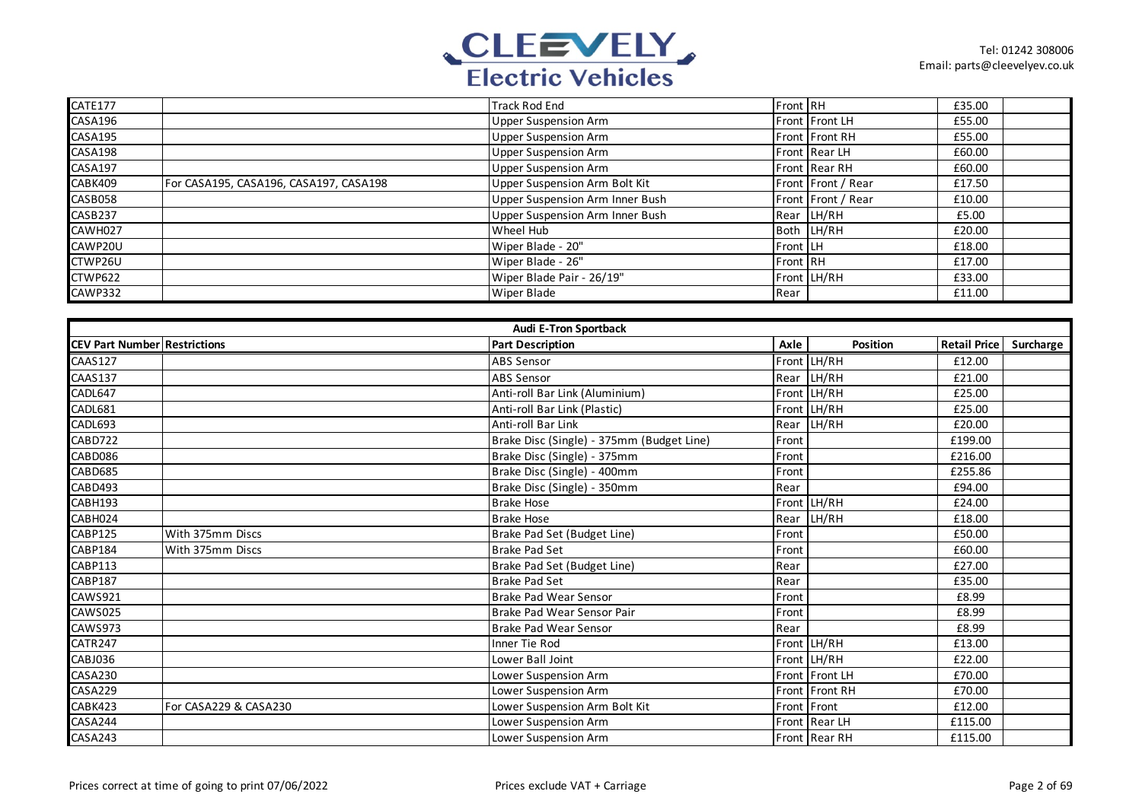

| CATE177 |                                        | <b>Track Rod End</b>            | Front RH        |                    | £35.00 |  |
|---------|----------------------------------------|---------------------------------|-----------------|--------------------|--------|--|
| CASA196 |                                        | <b>Upper Suspension Arm</b>     |                 | Front Front LH     | £55.00 |  |
| CASA195 |                                        | <b>Upper Suspension Arm</b>     |                 | Front Front RH     | £55.00 |  |
| CASA198 |                                        | <b>Upper Suspension Arm</b>     |                 | Front Rear LH      | £60.00 |  |
| CASA197 |                                        | <b>Upper Suspension Arm</b>     |                 | Front Rear RH      | £60.00 |  |
| CABK409 | For CASA195, CASA196, CASA197, CASA198 | Upper Suspension Arm Bolt Kit   |                 | Front Front / Rear | £17.50 |  |
| CASB058 |                                        | Upper Suspension Arm Inner Bush |                 | Front Front / Rear | £10.00 |  |
| CASB237 |                                        | Upper Suspension Arm Inner Bush |                 | Rear LH/RH         | £5.00  |  |
| CAWH027 |                                        | Wheel Hub                       |                 | Both LH/RH         | £20.00 |  |
| CAWP20U |                                        | Wiper Blade - 20"               | Front LLH       |                    | £18.00 |  |
| CTWP26U |                                        | Wiper Blade - 26"               | <b>Front RH</b> |                    | £17.00 |  |
| CTWP622 |                                        | Wiper Blade Pair - 26/19"       |                 | Front LH/RH        | £33.00 |  |
| CAWP332 |                                        | <b>Wiper Blade</b>              | Rear            |                    | £11.00 |  |

|                                     | <b>Audi E-Tron Sportback</b> |                                           |       |                 |                     |           |  |  |  |
|-------------------------------------|------------------------------|-------------------------------------------|-------|-----------------|---------------------|-----------|--|--|--|
| <b>CEV Part Number Restrictions</b> |                              | <b>Part Description</b>                   | Axle  | <b>Position</b> | <b>Retail Price</b> | Surcharge |  |  |  |
| CAAS127                             |                              | <b>ABS</b> Sensor                         |       | Front LH/RH     | £12.00              |           |  |  |  |
| <b>CAAS137</b>                      |                              | <b>ABS Sensor</b>                         |       | Rear LH/RH      | £21.00              |           |  |  |  |
| CADL647                             |                              | Anti-roll Bar Link (Aluminium)            |       | Front LH/RH     | £25.00              |           |  |  |  |
| CADL681                             |                              | Anti-roll Bar Link (Plastic)              |       | Front LH/RH     | £25.00              |           |  |  |  |
| CADL693                             |                              | Anti-roll Bar Link                        |       | Rear LH/RH      | £20.00              |           |  |  |  |
| CABD722                             |                              | Brake Disc (Single) - 375mm (Budget Line) | Front |                 | £199.00             |           |  |  |  |
| CABD086                             |                              | Brake Disc (Single) - 375mm               | Front |                 | £216.00             |           |  |  |  |
| CABD685                             |                              | Brake Disc (Single) - 400mm               | Front |                 | £255.86             |           |  |  |  |
| CABD493                             |                              | Brake Disc (Single) - 350mm               | Rear  |                 | £94.00              |           |  |  |  |
| CABH193                             |                              | <b>Brake Hose</b>                         |       | Front LH/RH     | £24.00              |           |  |  |  |
| CABH024                             |                              | <b>Brake Hose</b>                         |       | Rear LH/RH      | £18.00              |           |  |  |  |
| CABP125                             | With 375mm Discs             | Brake Pad Set (Budget Line)               | Front |                 | £50.00              |           |  |  |  |
| CABP184                             | With 375mm Discs             | <b>Brake Pad Set</b>                      | Front |                 | £60.00              |           |  |  |  |
| CABP113                             |                              | Brake Pad Set (Budget Line)               | Rear  |                 | £27.00              |           |  |  |  |
| <b>CABP187</b>                      |                              | <b>Brake Pad Set</b>                      | Rear  |                 | £35.00              |           |  |  |  |
| CAWS921                             |                              | <b>Brake Pad Wear Sensor</b>              | Front |                 | £8.99               |           |  |  |  |
| CAWS025                             |                              | Brake Pad Wear Sensor Pair                | Front |                 | £8.99               |           |  |  |  |
| CAWS973                             |                              | <b>Brake Pad Wear Sensor</b>              | Rear  |                 | £8.99               |           |  |  |  |
| CATR247                             |                              | Inner Tie Rod                             |       | Front LH/RH     | £13.00              |           |  |  |  |
| CABJ036                             |                              | Lower Ball Joint                          |       | Front LH/RH     | £22.00              |           |  |  |  |
| <b>CASA230</b>                      |                              | Lower Suspension Arm                      |       | Front Front LH  | £70.00              |           |  |  |  |
| CASA229                             |                              | Lower Suspension Arm                      |       | Front Front RH  | £70.00              |           |  |  |  |
| CABK423                             | For CASA229 & CASA230        | Lower Suspension Arm Bolt Kit             |       | Front Front     | £12.00              |           |  |  |  |
| CASA244                             |                              | Lower Suspension Arm                      |       | Front Rear LH   | £115.00             |           |  |  |  |
| CASA243                             |                              | Lower Suspension Arm                      |       | Front Rear RH   | £115.00             |           |  |  |  |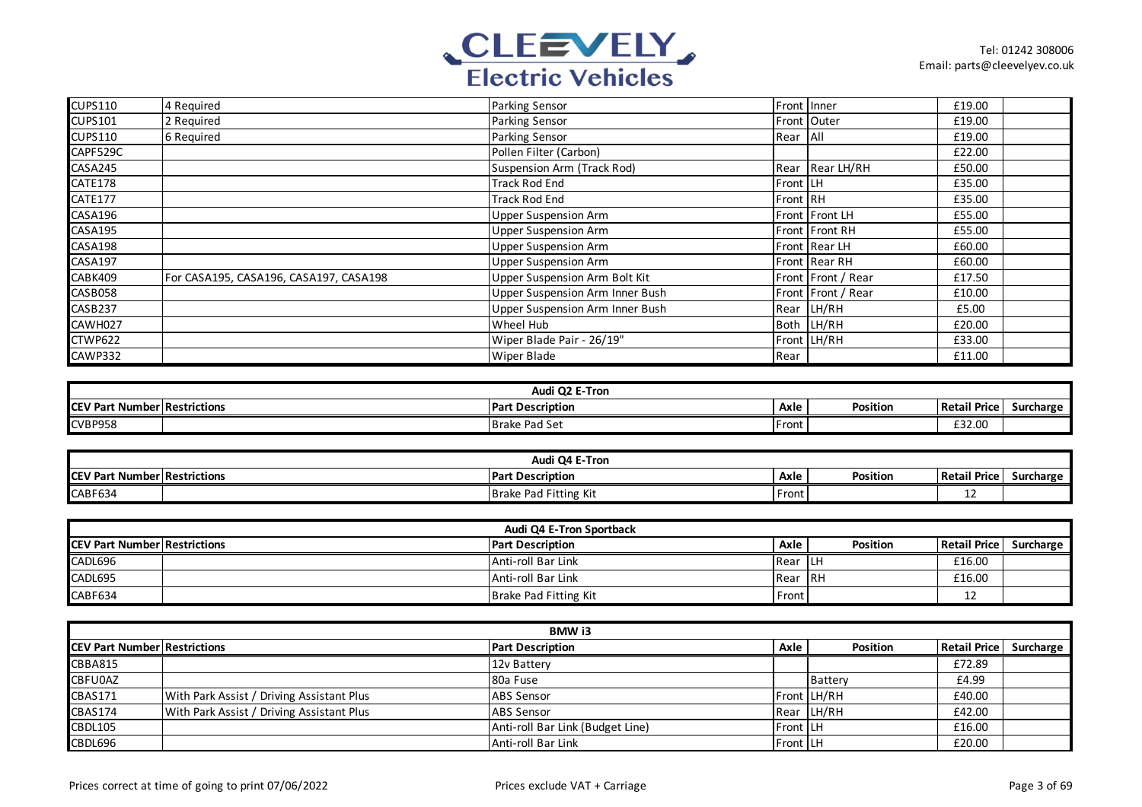

| <b>CUPS110</b> | 4 Required                             | <b>Parking Sensor</b>             | Front Inner |                    | £19.00 |  |
|----------------|----------------------------------------|-----------------------------------|-------------|--------------------|--------|--|
| <b>CUPS101</b> | 2 Required                             | Parking Sensor                    |             | Front Outer        | £19.00 |  |
| <b>CUPS110</b> | 6 Required                             | Parking Sensor                    | Rear All    |                    | £19.00 |  |
| CAPF529C       |                                        | Pollen Filter (Carbon)            |             |                    | £22.00 |  |
| CASA245        |                                        | <b>Suspension Arm (Track Rod)</b> |             | Rear Rear LH/RH    | £50.00 |  |
| CATE178        |                                        | <b>Track Rod End</b>              | Front LH    |                    | £35.00 |  |
| CATE177        |                                        | <b>Track Rod End</b>              | Front RH    |                    | £35.00 |  |
| CASA196        |                                        | <b>Upper Suspension Arm</b>       |             | Front Front LH     | £55.00 |  |
| <b>CASA195</b> |                                        | <b>Upper Suspension Arm</b>       |             | Front Front RH     | £55.00 |  |
| CASA198        |                                        | <b>Upper Suspension Arm</b>       |             | Front Rear LH      | £60.00 |  |
| CASA197        |                                        | <b>Upper Suspension Arm</b>       |             | Front Rear RH      | £60.00 |  |
| CABK409        | For CASA195, CASA196, CASA197, CASA198 | Upper Suspension Arm Bolt Kit     |             | Front Front / Rear | £17.50 |  |
| CASB058        |                                        | Upper Suspension Arm Inner Bush   |             | Front Front / Rear | £10.00 |  |
| CASB237        |                                        | Upper Suspension Arm Inner Bush   |             | Rear LH/RH         | £5.00  |  |
| CAWH027        |                                        | Wheel Hub                         |             | Both LH/RH         | £20.00 |  |
| CTWP622        |                                        | Wiper Blade Pair - 26/19"         |             | Front LH/RH        | £33.00 |  |
| CAWP332        |                                        | <b>Wiper Blade</b>                | Rear        |                    | £11.00 |  |

| Audi Q2 E-Tron  |                       |                         |       |          |                     |                  |  |
|-----------------|-----------------------|-------------------------|-------|----------|---------------------|------------------|--|
| <b>ICEV Pa.</b> | * Number Restrictions | <b>Part Description</b> | Axle  | Position | <b>Retail Price</b> | <b>Surcharge</b> |  |
| <b>CVBP958</b>  |                       | <b>Brake Pad Set</b>    | Front |          | £32.00              |                  |  |

| Audi Q4 E-Tron                      |  |                                   |       |          |                     |           |  |
|-------------------------------------|--|-----------------------------------|-------|----------|---------------------|-----------|--|
| <b>CEV Part Number Restrictions</b> |  | <b>IPart Description</b>          | Axle  | Position | <b>Retail Price</b> | Surcharge |  |
| CABF634                             |  | Pad Fitting Kit<br><b>Brake</b> F | Front |          |                     |           |  |

| Audi Q4 E-Tron Sportback            |  |                         |                  |          |                     |           |  |  |
|-------------------------------------|--|-------------------------|------------------|----------|---------------------|-----------|--|--|
| <b>CEV Part Number Restrictions</b> |  | <b>Part Description</b> | Axle             | Position | <b>Retail Price</b> | Surcharge |  |  |
| CADL696                             |  | Anti-roll Bar Link      | <b>IRear ILH</b> |          | £16.00              |           |  |  |
| CADL695                             |  | Anti-roll Bar Link      | Rear IRH         |          | £16.00              |           |  |  |
| CABF634                             |  | Brake Pad Fitting Kit   | Front            |          |                     |           |  |  |

| <b>BMW i3</b>                        |                                           |                                  |                 |                 |                     |           |  |  |
|--------------------------------------|-------------------------------------------|----------------------------------|-----------------|-----------------|---------------------|-----------|--|--|
| <b>ICEV Part Number Restrictions</b> |                                           | <b>Part Description</b>          | Axle            | <b>Position</b> | <b>Retail Price</b> | Surcharge |  |  |
| <b>CBBA815</b>                       |                                           | 12v Battery                      |                 |                 | £72.89              |           |  |  |
| <b>CBFU0AZ</b>                       |                                           | 80a Fuse                         |                 | Battery         | £4.99               |           |  |  |
| <b>CBAS171</b>                       | With Park Assist / Driving Assistant Plus | <b>ABS Sensor</b>                |                 | Front LH/RH     | £40.00              |           |  |  |
| CBAS174                              | With Park Assist / Driving Assistant Plus | <b>ABS Sensor</b>                |                 | Rear LH/RH      | £42.00              |           |  |  |
| <b>CBDL105</b>                       |                                           | Anti-roll Bar Link (Budget Line) | <b>Front LH</b> |                 | £16.00              |           |  |  |
| CBDL696                              |                                           | Anti-roll Bar Link               | <b>Front LH</b> |                 | £20.00              |           |  |  |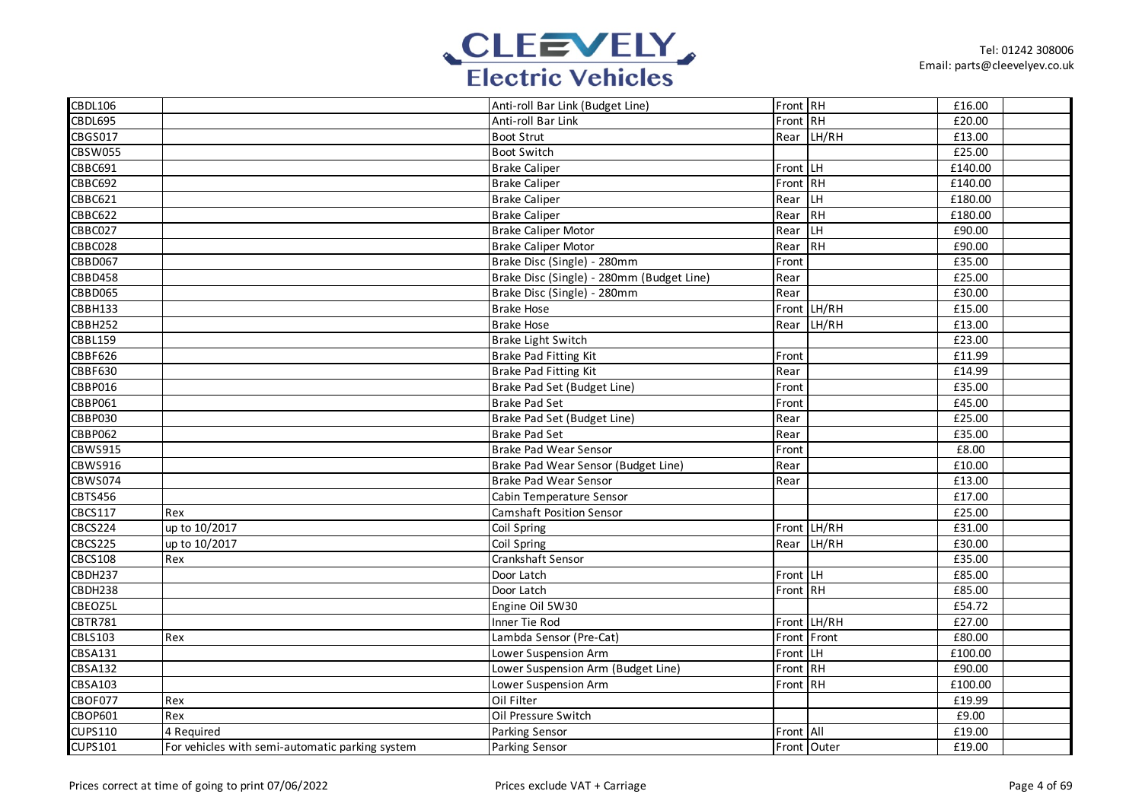

| <b>CBDL106</b> |                                                 | Anti-roll Bar Link (Budget Line)          | Front RH  |             | £16.00  |  |
|----------------|-------------------------------------------------|-------------------------------------------|-----------|-------------|---------|--|
| CBDL695        |                                                 | Anti-roll Bar Link                        | Front RH  |             | £20.00  |  |
| <b>CBGS017</b> |                                                 | <b>Boot Strut</b>                         |           | Rear LH/RH  | £13.00  |  |
| <b>CBSW055</b> |                                                 | <b>Boot Switch</b>                        |           |             | £25.00  |  |
| CBBC691        |                                                 | <b>Brake Caliper</b>                      | Front LH  |             | £140.00 |  |
| CBBC692        |                                                 | <b>Brake Caliper</b>                      | Front RH  |             | £140.00 |  |
| CBBC621        |                                                 | <b>Brake Caliper</b>                      | Rear LH   |             | £180.00 |  |
| <b>CBBC622</b> |                                                 | <b>Brake Caliper</b>                      | Rear RH   |             | £180.00 |  |
| CBBC027        |                                                 | <b>Brake Caliper Motor</b>                | Rear LH   |             | £90.00  |  |
| CBBC028        |                                                 | <b>Brake Caliper Motor</b>                | Rear RH   |             | £90.00  |  |
| <b>CBBD067</b> |                                                 | Brake Disc (Single) - 280mm               | Front     |             | £35.00  |  |
| <b>CBBD458</b> |                                                 | Brake Disc (Single) - 280mm (Budget Line) | Rear      |             | £25.00  |  |
| CBBD065        |                                                 | Brake Disc (Single) - 280mm               | Rear      |             | £30.00  |  |
| CBBH133        |                                                 | <b>Brake Hose</b>                         |           | Front LH/RH | £15.00  |  |
| CBBH252        |                                                 | <b>Brake Hose</b>                         |           | Rear LH/RH  | £13.00  |  |
| <b>CBBL159</b> |                                                 | Brake Light Switch                        |           |             | £23.00  |  |
| <b>CBBF626</b> |                                                 | <b>Brake Pad Fitting Kit</b>              | Front     |             | £11.99  |  |
| <b>CBBF630</b> |                                                 | Brake Pad Fitting Kit                     | Rear      |             | £14.99  |  |
| CBBP016        |                                                 | Brake Pad Set (Budget Line)               | Front     |             | £35.00  |  |
| CBBP061        |                                                 | <b>Brake Pad Set</b>                      | Front     |             | £45.00  |  |
| <b>CBBP030</b> |                                                 | Brake Pad Set (Budget Line)               | Rear      |             | £25.00  |  |
| <b>CBBP062</b> |                                                 | <b>Brake Pad Set</b>                      | Rear      |             | £35.00  |  |
| CBWS915        |                                                 | <b>Brake Pad Wear Sensor</b>              | Front     |             | £8.00   |  |
| <b>CBWS916</b> |                                                 | Brake Pad Wear Sensor (Budget Line)       | Rear      |             | £10.00  |  |
| <b>CBWS074</b> |                                                 | <b>Brake Pad Wear Sensor</b>              | Rear      |             | £13.00  |  |
| <b>CBTS456</b> |                                                 | Cabin Temperature Sensor                  |           |             | £17.00  |  |
| <b>CBCS117</b> | Rex                                             | <b>Camshaft Position Sensor</b>           |           |             | £25.00  |  |
| CBCS224        | up to 10/2017                                   | Coil Spring                               |           | Front LH/RH | £31.00  |  |
| <b>CBCS225</b> | up to 10/2017                                   | Coil Spring                               |           | Rear LH/RH  | £30.00  |  |
| <b>CBCS108</b> | Rex                                             | Crankshaft Sensor                         |           |             | £35.00  |  |
| CBDH237        |                                                 | Door Latch                                | Front LH  |             | £85.00  |  |
| CBDH238        |                                                 | Door Latch                                | Front RH  |             | £85.00  |  |
| CBEOZ5L        |                                                 | Engine Oil 5W30                           |           |             | £54.72  |  |
| <b>CBTR781</b> |                                                 | Inner Tie Rod                             |           | Front LH/RH | £27.00  |  |
| <b>CBLS103</b> | Rex                                             | Lambda Sensor (Pre-Cat)                   |           | Front Front | £80.00  |  |
| <b>CBSA131</b> |                                                 | Lower Suspension Arm                      | Front LH  |             | £100.00 |  |
| <b>CBSA132</b> |                                                 | Lower Suspension Arm (Budget Line)        | Front RH  |             | £90.00  |  |
| <b>CBSA103</b> |                                                 | Lower Suspension Arm                      | Front RH  |             | £100.00 |  |
| CBOF077        | Rex                                             | Oil Filter                                |           |             | £19.99  |  |
| CBOP601        | Rex                                             | Oil Pressure Switch                       |           |             | £9.00   |  |
| <b>CUPS110</b> | 4 Required                                      | Parking Sensor                            | Front All |             | £19.00  |  |
| <b>CUPS101</b> | For vehicles with semi-automatic parking system | Parking Sensor                            |           | Front Outer | £19.00  |  |
|                |                                                 |                                           |           |             |         |  |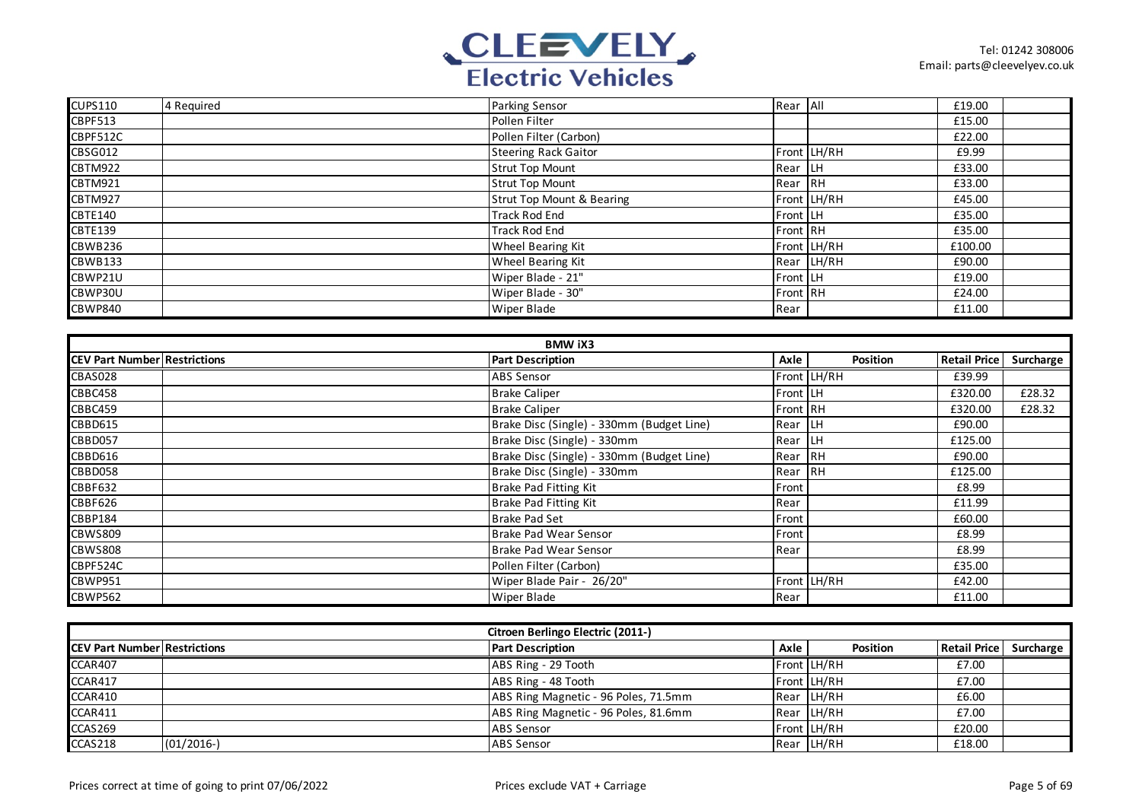

| <b>CUPS110</b> | 4 Required | Parking Sensor              | Rear All         |             | £19.00  |  |
|----------------|------------|-----------------------------|------------------|-------------|---------|--|
| <b>CBPF513</b> |            | Pollen Filter               |                  |             | £15.00  |  |
| CBPF512C       |            | Pollen Filter (Carbon)      |                  |             | £22.00  |  |
| CBSG012        |            | <b>Steering Rack Gaitor</b> |                  | Front LH/RH | £9.99   |  |
| CBTM922        |            | <b>Strut Top Mount</b>      | Rear LH          |             | £33.00  |  |
| CBTM921        |            | <b>Strut Top Mount</b>      | Rear RH          |             | £33.00  |  |
| <b>CBTM927</b> |            | Strut Top Mount & Bearing   |                  | Front LH/RH | £45.00  |  |
| CBTE140        |            | <b>Track Rod End</b>        | <b>Front LH</b>  |             | £35.00  |  |
| <b>CBTE139</b> |            | <b>Track Rod End</b>        | Front RH         |             | £35.00  |  |
| CBWB236        |            | Wheel Bearing Kit           |                  | Front LH/RH | £100.00 |  |
| <b>CBWB133</b> |            | Wheel Bearing Kit           |                  | Rear LH/RH  | £90.00  |  |
| CBWP21U        |            | Wiper Blade - 21"           | <b>Front LH</b>  |             | £19.00  |  |
| CBWP30U        |            | Wiper Blade - 30"           | <b>IFront RH</b> |             | £24.00  |  |
| CBWP840        |            | <b>Wiper Blade</b>          | Rear             |             | £11.00  |  |

| <b>BMW iX3</b>                      |                                           |          |             |                     |           |  |  |  |
|-------------------------------------|-------------------------------------------|----------|-------------|---------------------|-----------|--|--|--|
| <b>CEV Part Number Restrictions</b> | <b>Part Description</b>                   | Axle     | Position    | <b>Retail Price</b> | Surcharge |  |  |  |
| CBAS028                             | <b>ABS Sensor</b>                         |          | Front LH/RH | £39.99              |           |  |  |  |
| CBBC458                             | <b>Brake Caliper</b>                      | Front LH |             | £320.00             | £28.32    |  |  |  |
| CBBC459                             | <b>Brake Caliper</b>                      | Front RH |             | £320.00             | £28.32    |  |  |  |
| <b>CBBD615</b>                      | Brake Disc (Single) - 330mm (Budget Line) | Rear LH  |             | £90.00              |           |  |  |  |
| CBBD057                             | Brake Disc (Single) - 330mm               | Rear LH  |             | £125.00             |           |  |  |  |
| <b>CBBD616</b>                      | Brake Disc (Single) - 330mm (Budget Line) | Rear RH  |             | £90.00              |           |  |  |  |
| CBBD058                             | Brake Disc (Single) - 330mm               | Rear RH  |             | £125.00             |           |  |  |  |
| <b>CBBF632</b>                      | Brake Pad Fitting Kit                     | Front    |             | £8.99               |           |  |  |  |
| <b>CBBF626</b>                      | Brake Pad Fitting Kit                     | Rear     |             | £11.99              |           |  |  |  |
| <b>CBBP184</b>                      | Brake Pad Set                             | Front    |             | £60.00              |           |  |  |  |
| <b>CBWS809</b>                      | Brake Pad Wear Sensor                     | Front    |             | £8.99               |           |  |  |  |
| <b>CBWS808</b>                      | Brake Pad Wear Sensor                     | Rear     |             | £8.99               |           |  |  |  |
| CBPF524C                            | Pollen Filter (Carbon)                    |          |             | £35.00              |           |  |  |  |
| <b>CBWP951</b>                      | Wiper Blade Pair - 26/20"                 |          | Front LH/RH | £42.00              |           |  |  |  |
| <b>CBWP562</b>                      | Wiper Blade                               | Rear     |             | £11.00              |           |  |  |  |

| Citroen Berlingo Electric (2011-)   |              |                                      |      |                 |                     |           |  |  |
|-------------------------------------|--------------|--------------------------------------|------|-----------------|---------------------|-----------|--|--|
| <b>CEV Part Number Restrictions</b> |              | <b>Part Description</b>              | Axle | <b>Position</b> | <b>Retail Price</b> | Surcharge |  |  |
| <b>CCAR407</b>                      |              | ABS Ring - 29 Tooth                  |      | Front LH/RH     | £7.00               |           |  |  |
| CCAR417                             |              | ABS Ring - 48 Tooth                  |      | Front LH/RH     | £7.00               |           |  |  |
| CCAR410                             |              | ABS Ring Magnetic - 96 Poles, 71.5mm |      | Rear LH/RH      | £6.00               |           |  |  |
| CCAR411                             |              | ABS Ring Magnetic - 96 Poles, 81.6mm |      | Rear LH/RH      | £7.00               |           |  |  |
| CCAS269                             |              | <b>ABS Sensor</b>                    |      | Front LH/RH     | £20.00              |           |  |  |
| CCAS218                             | $(01/2016-)$ | <b>ABS Sensor</b>                    |      | Rear LH/RH      | £18.00              |           |  |  |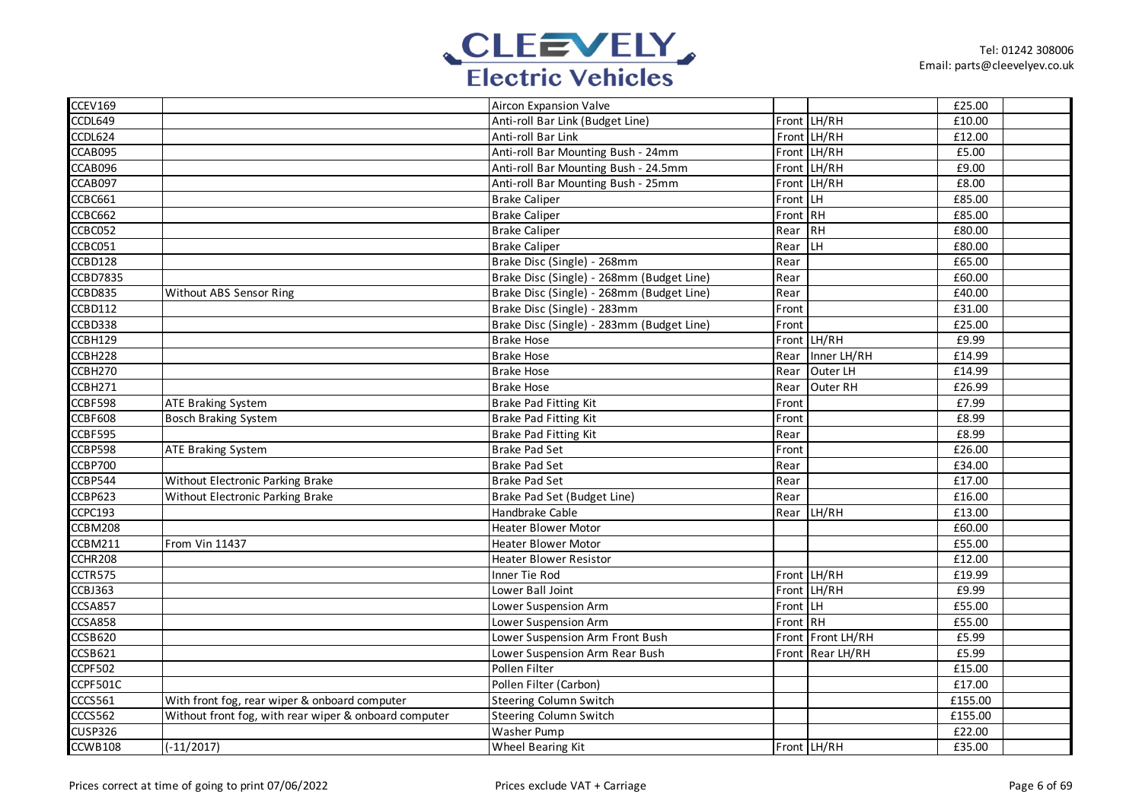

| CCEV169        |                                                       | Aircon Expansion Valve                    |          |                   | £25.00              |  |
|----------------|-------------------------------------------------------|-------------------------------------------|----------|-------------------|---------------------|--|
| CCDL649        |                                                       | Anti-roll Bar Link (Budget Line)          |          | Front LH/RH       | £10.00              |  |
| CCDL624        |                                                       | Anti-roll Bar Link                        |          | Front LH/RH       | £12.00              |  |
| CCAB095        |                                                       | Anti-roll Bar Mounting Bush - 24mm        |          | Front LH/RH       | £5.00               |  |
| CCAB096        |                                                       | Anti-roll Bar Mounting Bush - 24.5mm      |          | Front LH/RH       | £9.00               |  |
| CCAB097        |                                                       | Anti-roll Bar Mounting Bush - 25mm        |          | Front LH/RH       | £8.00               |  |
| CCBC661        |                                                       | <b>Brake Caliper</b>                      | Front LH |                   | £85.00              |  |
| CCBC662        |                                                       | <b>Brake Caliper</b>                      | Front RH |                   | £85.00              |  |
| CCBC052        |                                                       | <b>Brake Caliper</b>                      | Rear RH  |                   | £80.00              |  |
| CCBC051        |                                                       | <b>Brake Caliper</b>                      | Rear     | <b>LH</b>         | £80.00              |  |
| CCBD128        |                                                       | Brake Disc (Single) - 268mm               | Rear     |                   | £65.00              |  |
| CCBD7835       |                                                       | Brake Disc (Single) - 268mm (Budget Line) | Rear     |                   | £60.00              |  |
| CCBD835        | Without ABS Sensor Ring                               | Brake Disc (Single) - 268mm (Budget Line) | Rear     |                   | £40.00              |  |
| CCBD112        |                                                       | Brake Disc (Single) - 283mm               | Front    |                   | £31.00              |  |
| CCBD338        |                                                       | Brake Disc (Single) - 283mm (Budget Line) | Front    |                   | £25.00              |  |
| CCBH129        |                                                       | <b>Brake Hose</b>                         |          | Front LH/RH       | £9.99               |  |
| CCBH228        |                                                       | <b>Brake Hose</b>                         | Rear     | Inner LH/RH       | $\overline{£}14.99$ |  |
| CCBH270        |                                                       | <b>Brake Hose</b>                         | Rear     | Outer LH          | £14.99              |  |
| CCBH271        |                                                       | <b>Brake Hose</b>                         | Rear     | Outer RH          | £26.99              |  |
| CCBF598        | <b>ATE Braking System</b>                             | <b>Brake Pad Fitting Kit</b>              | Front    |                   | £7.99               |  |
| <b>CCBF608</b> | <b>Bosch Braking System</b>                           | Brake Pad Fitting Kit                     | Front    |                   | £8.99               |  |
| CCBF595        |                                                       | <b>Brake Pad Fitting Kit</b>              | Rear     |                   | £8.99               |  |
| CCBP598        | <b>ATE Braking System</b>                             | <b>Brake Pad Set</b>                      | Front    |                   | £26.00              |  |
| CCBP700        |                                                       | <b>Brake Pad Set</b>                      | Rear     |                   | £34.00              |  |
| CCBP544        | Without Electronic Parking Brake                      | <b>Brake Pad Set</b>                      | Rear     |                   | £17.00              |  |
| CCBP623        | Without Electronic Parking Brake                      | Brake Pad Set (Budget Line)               | Rear     |                   | $\overline{£16.00}$ |  |
| CCPC193        |                                                       | Handbrake Cable                           | Rear     | LH/RH             | £13.00              |  |
| CCBM208        |                                                       | <b>Heater Blower Motor</b>                |          |                   | £60.00              |  |
| CCBM211        | From Vin 11437                                        | <b>Heater Blower Motor</b>                |          |                   | £55.00              |  |
| CCHR208        |                                                       | <b>Heater Blower Resistor</b>             |          |                   | £12.00              |  |
| CCTR575        |                                                       | Inner Tie Rod                             |          | Front LH/RH       | £19.99              |  |
| CCBJ363        |                                                       | Lower Ball Joint                          |          | Front LH/RH       | £9.99               |  |
| CCSA857        |                                                       | Lower Suspension Arm                      | Front LH |                   | £55.00              |  |
| <b>CCSA858</b> |                                                       | Lower Suspension Arm                      | Front RH |                   | £55.00              |  |
| CCSB620        |                                                       | Lower Suspension Arm Front Bush           |          | Front Front LH/RH | £5.99               |  |
| CCSB621        |                                                       | Lower Suspension Arm Rear Bush            |          | Front Rear LH/RH  | £5.99               |  |
| CCPF502        |                                                       | Pollen Filter                             |          |                   | £15.00              |  |
| CCPF501C       |                                                       | Pollen Filter (Carbon)                    |          |                   | £17.00              |  |
| CCCS561        | With front fog, rear wiper & onboard computer         | <b>Steering Column Switch</b>             |          |                   | £155.00             |  |
| CCCS562        | Without front fog, with rear wiper & onboard computer | <b>Steering Column Switch</b>             |          |                   | £155.00             |  |
| <b>CUSP326</b> |                                                       | Washer Pump                               |          |                   | £22.00              |  |
| CCWB108        | $(-11/2017)$                                          | Wheel Bearing Kit                         |          | Front LH/RH       | £35.00              |  |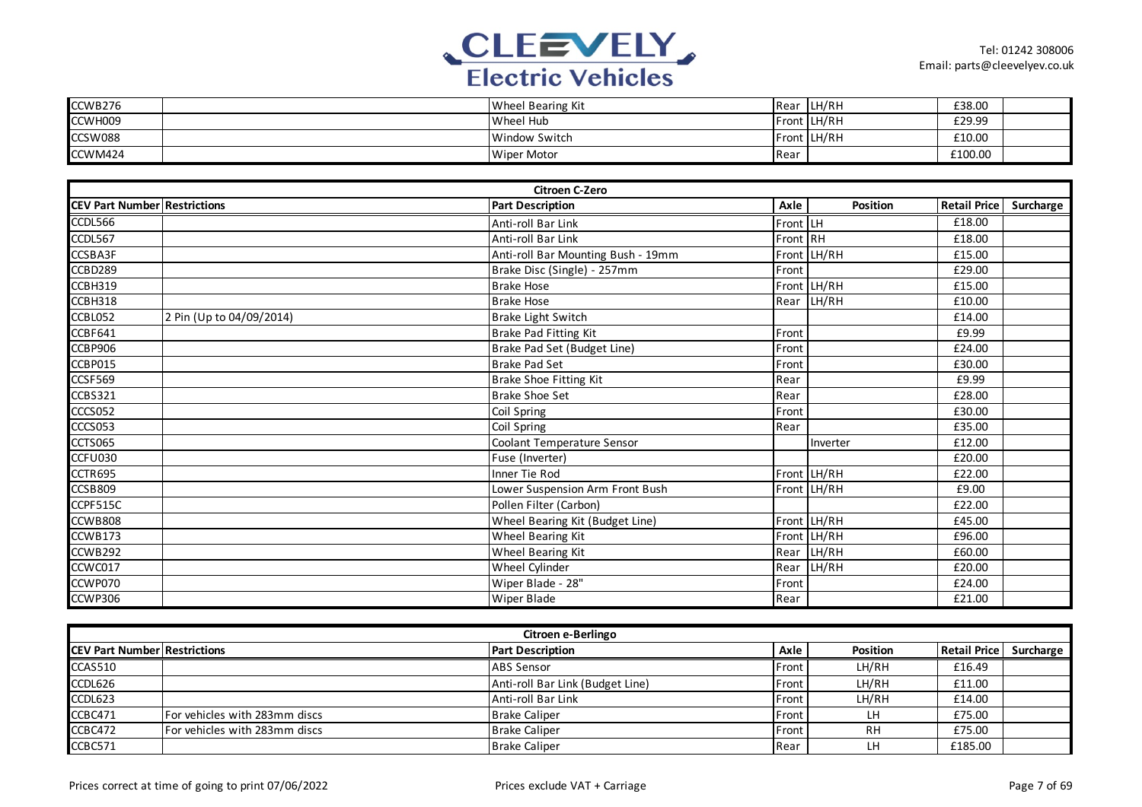

| CCWB276 | Wheel Bearing Kit  |      | Rear LH/RH  | £38.00  |  |
|---------|--------------------|------|-------------|---------|--|
| CCWH009 | Wheel Hub          |      | Front LH/RH | £29.99  |  |
| CCSW088 | Window Switch      |      | Front LH/RH | £10.00  |  |
| CCWM424 | <b>Wiper Motor</b> | Rear |             | £100.00 |  |

|                                     |                          | <b>Citroen C-Zero</b>              |          |             |                     |           |
|-------------------------------------|--------------------------|------------------------------------|----------|-------------|---------------------|-----------|
| <b>CEV Part Number Restrictions</b> |                          | <b>Part Description</b>            | Axle     | Position    | <b>Retail Price</b> | Surcharge |
| CCDL566                             |                          | Anti-roll Bar Link                 | Front LH |             | £18.00              |           |
| CCDL567                             |                          | Anti-roll Bar Link                 | Front RH |             | £18.00              |           |
| CCSBA3F                             |                          | Anti-roll Bar Mounting Bush - 19mm |          | Front LH/RH | £15.00              |           |
| CCBD289                             |                          | Brake Disc (Single) - 257mm        | Front    |             | £29.00              |           |
| CCBH319                             |                          | <b>Brake Hose</b>                  |          | Front LH/RH | £15.00              |           |
| CCBH318                             |                          | <b>Brake Hose</b>                  |          | Rear LH/RH  | £10.00              |           |
| CCBL052                             | 2 Pin (Up to 04/09/2014) | Brake Light Switch                 |          |             | £14.00              |           |
| CCBF641                             |                          | <b>Brake Pad Fitting Kit</b>       | Front    |             | £9.99               |           |
| CCBP906                             |                          | Brake Pad Set (Budget Line)        | Front    |             | £24.00              |           |
| CCBP015                             |                          | <b>Brake Pad Set</b>               | Front    |             | £30.00              |           |
| CCSF569                             |                          | <b>Brake Shoe Fitting Kit</b>      | Rear     |             | £9.99               |           |
| <b>CCBS321</b>                      |                          | <b>Brake Shoe Set</b>              | Rear     |             | £28.00              |           |
| CCCS052                             |                          | Coil Spring                        | Front    |             | £30.00              |           |
| CCCS053                             |                          | Coil Spring                        | Rear     |             | £35.00              |           |
| CCTS065                             |                          | Coolant Temperature Sensor         |          | Inverter    | £12.00              |           |
| <b>CCFU030</b>                      |                          | Fuse (Inverter)                    |          |             | £20.00              |           |
| CCTR695                             |                          | Inner Tie Rod                      |          | Front LH/RH | £22.00              |           |
| <b>CCSB809</b>                      |                          | Lower Suspension Arm Front Bush    |          | Front LH/RH | £9.00               |           |
| CCPF515C                            |                          | Pollen Filter (Carbon)             |          |             | £22.00              |           |
| CCWB808                             |                          | Wheel Bearing Kit (Budget Line)    |          | Front LH/RH | £45.00              |           |
| CCWB173                             |                          | Wheel Bearing Kit                  |          | Front LH/RH | £96.00              |           |
| CCWB292                             |                          | Wheel Bearing Kit                  |          | Rear LH/RH  | £60.00              |           |
| CCWC017                             |                          | Wheel Cylinder                     | Rear     | LH/RH       | £20.00              |           |
| CCWP070                             |                          | Wiper Blade - 28"                  | Front    |             | £24.00              |           |
| CCWP306                             |                          | <b>Wiper Blade</b>                 | Rear     |             | £21.00              |           |

| Citroen e-Berlingo                   |                               |                                  |         |                 |                     |           |  |  |
|--------------------------------------|-------------------------------|----------------------------------|---------|-----------------|---------------------|-----------|--|--|
| <b>ICEV Part Number Restrictions</b> |                               | <b>Part Description</b>          | Axle    | <b>Position</b> | <b>Retail Price</b> | Surcharge |  |  |
| <b>CCAS510</b>                       |                               | <b>ABS</b> Sensor                | l Front | LH/RH           | £16.49              |           |  |  |
| CCDL626                              |                               | Anti-roll Bar Link (Budget Line) | Front   | LH/RH           | £11.00              |           |  |  |
| CCDL623                              |                               | Anti-roll Bar Link               | Front   | LH/RH           | £14.00              |           |  |  |
| CCBC471                              | For vehicles with 283mm discs | <b>Brake Caliper</b>             | Front   | LH              | £75.00              |           |  |  |
| CCBC472                              | For vehicles with 283mm discs | <b>Brake Caliper</b>             | Front   | RH              | £75.00              |           |  |  |
| CCBC571                              |                               | <b>Brake Caliper</b>             | Rear    | LH              | £185.00             |           |  |  |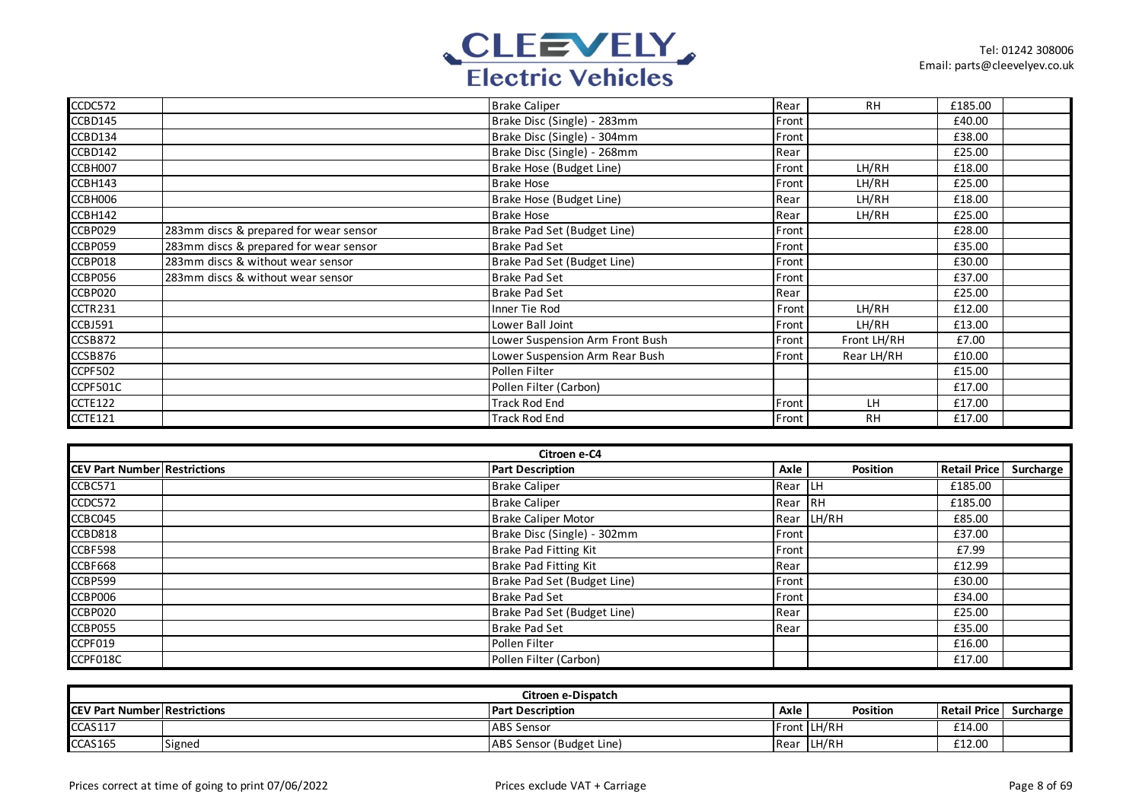

| CCDC572  |                                        | <b>Brake Caliper</b>            | Rear  | <b>RH</b>   | £185.00 |  |
|----------|----------------------------------------|---------------------------------|-------|-------------|---------|--|
| CCBD145  |                                        | Brake Disc (Single) - 283mm     | Front |             | £40.00  |  |
| CCBD134  |                                        | Brake Disc (Single) - 304mm     | Front |             | £38.00  |  |
| CCBD142  |                                        | Brake Disc (Single) - 268mm     | Rear  |             | £25.00  |  |
| CCBH007  |                                        | Brake Hose (Budget Line)        | Front | LH/RH       | £18.00  |  |
| CCBH143  |                                        | <b>Brake Hose</b>               | Front | LH/RH       | £25.00  |  |
| CCBH006  |                                        | Brake Hose (Budget Line)        | Rear  | LH/RH       | £18.00  |  |
| CCBH142  |                                        | <b>Brake Hose</b>               | Rear  | LH/RH       | £25.00  |  |
| CCBP029  | 283mm discs & prepared for wear sensor | Brake Pad Set (Budget Line)     | Front |             | £28.00  |  |
| CCBP059  | 283mm discs & prepared for wear sensor | <b>Brake Pad Set</b>            | Front |             | £35.00  |  |
| CCBP018  | 283mm discs & without wear sensor      | Brake Pad Set (Budget Line)     | Front |             | £30.00  |  |
| CCBP056  | 283mm discs & without wear sensor      | <b>Brake Pad Set</b>            | Front |             | £37.00  |  |
| CCBP020  |                                        | <b>Brake Pad Set</b>            | Rear  |             | £25.00  |  |
| CCTR231  |                                        | Inner Tie Rod                   | Front | LH/RH       | £12.00  |  |
| CCBJ591  |                                        | Lower Ball Joint                | Front | LH/RH       | £13.00  |  |
| CCSB872  |                                        | Lower Suspension Arm Front Bush | Front | Front LH/RH | £7.00   |  |
| CCSB876  |                                        | Lower Suspension Arm Rear Bush  | Front | Rear LH/RH  | £10.00  |  |
| CCPF502  |                                        | Pollen Filter                   |       |             | £15.00  |  |
| CCPF501C |                                        | Pollen Filter (Carbon)          |       |             | £17.00  |  |
| CCTE122  |                                        | <b>Track Rod End</b>            | Front | LH.         | £17.00  |  |
| CCTE121  |                                        | <b>Track Rod End</b>            | Front | <b>RH</b>   | £17.00  |  |

| Citroen e-C4                        |                             |             |            |                        |  |  |  |  |
|-------------------------------------|-----------------------------|-------------|------------|------------------------|--|--|--|--|
| <b>CEV Part Number Restrictions</b> | <b>Part Description</b>     | Axle        | Position   | Retail Price Surcharge |  |  |  |  |
| CCBC571                             | <b>Brake Caliper</b>        | <b>Rear</b> | ILН        | £185.00                |  |  |  |  |
| CCDC572                             | <b>Brake Caliper</b>        | Rear        | <b>IRH</b> | £185.00                |  |  |  |  |
| CCBC045                             | <b>Brake Caliper Motor</b>  |             | Rear LH/RH | £85.00                 |  |  |  |  |
| CCBD818                             | Brake Disc (Single) - 302mm | Front       |            | £37.00                 |  |  |  |  |
| CCBF598                             | Brake Pad Fitting Kit       | Front       |            | £7.99                  |  |  |  |  |
| CCBF668                             | Brake Pad Fitting Kit       | Rear        |            | £12.99                 |  |  |  |  |
| CCBP599                             | Brake Pad Set (Budget Line) | Front       |            | £30.00                 |  |  |  |  |
| CCBP006                             | <b>Brake Pad Set</b>        | Front       |            | £34.00                 |  |  |  |  |
| CCBP020                             | Brake Pad Set (Budget Line) | Rear        |            | £25.00                 |  |  |  |  |
| CCBP055                             | <b>Brake Pad Set</b>        | Rear        |            | £35.00                 |  |  |  |  |
| CCPF019                             | Pollen Filter               |             |            | £16.00                 |  |  |  |  |
| CCPF018C                            | Pollen Filter (Carbon)      |             |            | £17.00                 |  |  |  |  |

| Citroen e-Dispatch                  |        |                          |      |             |              |           |  |
|-------------------------------------|--------|--------------------------|------|-------------|--------------|-----------|--|
| <b>CEV Part Number Restrictions</b> |        | <b>Part Description</b>  | Axle | Position    | Retail Price | Surcharge |  |
| CCAS117                             |        | ABS Sensor               |      | Front LH/RH | £14.00       |           |  |
| CCAS165                             | Signed | ABS Sensor (Budget Line) | Rear | llH/RH      | £12.00       |           |  |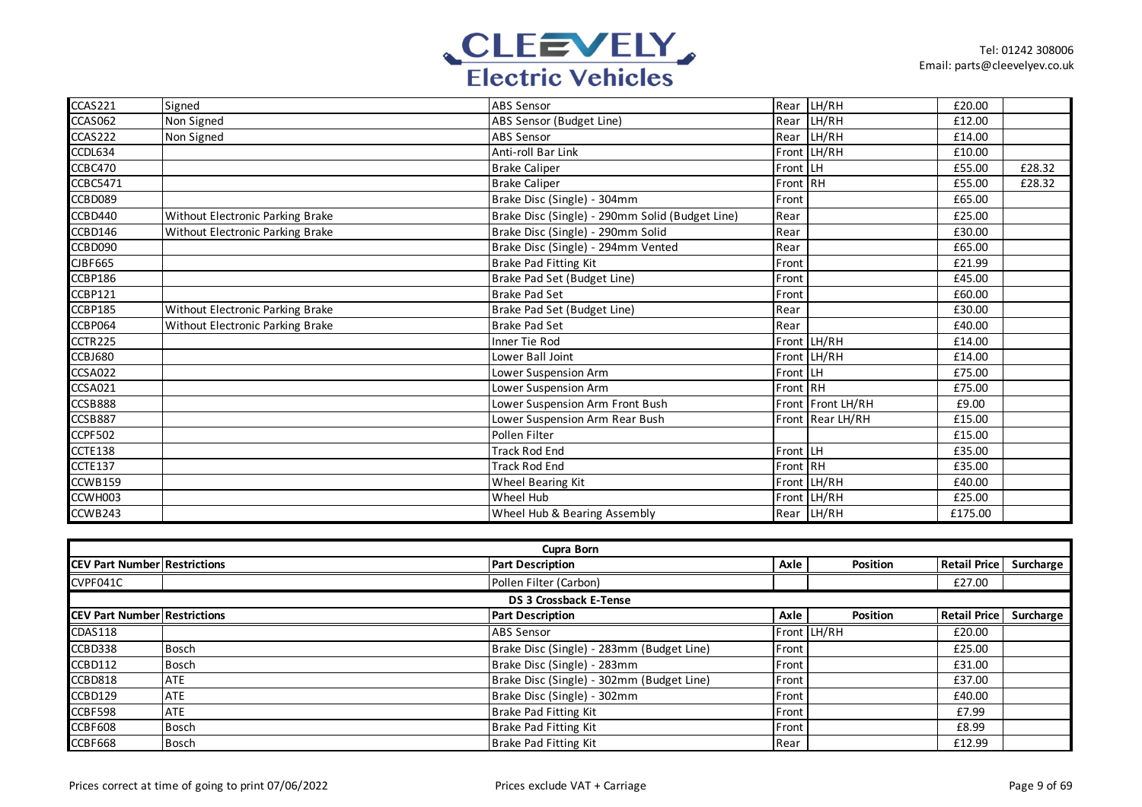

| CCAS221        | Signed                           | <b>ABS Sensor</b>                               | Rear     | LH/RH             | £20.00  |        |
|----------------|----------------------------------|-------------------------------------------------|----------|-------------------|---------|--------|
| CCAS062        | Non Signed                       | ABS Sensor (Budget Line)                        | Rear     | LH/RH             | £12.00  |        |
| CCAS222        | Non Signed                       | <b>ABS Sensor</b>                               | Rear     | LH/RH             | £14.00  |        |
| CCDL634        |                                  | Anti-roll Bar Link                              |          | Front LH/RH       | £10.00  |        |
| CCBC470        |                                  | <b>Brake Caliper</b>                            | Front LH |                   | £55.00  | £28.32 |
| CCBC5471       |                                  | <b>Brake Caliper</b>                            | Front RH |                   | £55.00  | £28.32 |
| CCBD089        |                                  | Brake Disc (Single) - 304mm                     | Front    |                   | £65.00  |        |
| CCBD440        | Without Electronic Parking Brake | Brake Disc (Single) - 290mm Solid (Budget Line) | Rear     |                   | £25.00  |        |
| CCBD146        | Without Electronic Parking Brake | Brake Disc (Single) - 290mm Solid               | Rear     |                   | £30.00  |        |
| CCBD090        |                                  | Brake Disc (Single) - 294mm Vented              | Rear     |                   | £65.00  |        |
| <b>CJBF665</b> |                                  | <b>Brake Pad Fitting Kit</b>                    | Front    |                   | £21.99  |        |
| CCBP186        |                                  | Brake Pad Set (Budget Line)                     | Front    |                   | £45.00  |        |
| CCBP121        |                                  | <b>Brake Pad Set</b>                            | Front    |                   | £60.00  |        |
| CCBP185        | Without Electronic Parking Brake | Brake Pad Set (Budget Line)                     | Rear     |                   | £30.00  |        |
| CCBP064        | Without Electronic Parking Brake | <b>Brake Pad Set</b>                            | Rear     |                   | £40.00  |        |
| CCTR225        |                                  | Inner Tie Rod                                   |          | Front LH/RH       | £14.00  |        |
| CCBJ680        |                                  | Lower Ball Joint                                |          | Front LH/RH       | £14.00  |        |
| <b>CCSA022</b> |                                  | Lower Suspension Arm                            | Front LH |                   | £75.00  |        |
| <b>CCSA021</b> |                                  | Lower Suspension Arm                            | Front RH |                   | £75.00  |        |
| CCSB888        |                                  | Lower Suspension Arm Front Bush                 |          | Front Front LH/RH | £9.00   |        |
| CCSB887        |                                  | Lower Suspension Arm Rear Bush                  |          | Front Rear LH/RH  | £15.00  |        |
| <b>CCPF502</b> |                                  | Pollen Filter                                   |          |                   | £15.00  |        |
| CCTE138        |                                  | <b>Track Rod End</b>                            | Front LH |                   | £35.00  |        |
| CCTE137        |                                  | <b>Track Rod End</b>                            | Front RH |                   | £35.00  |        |
| CCWB159        |                                  | Wheel Bearing Kit                               |          | Front LH/RH       | £40.00  |        |
| CCWH003        |                                  | Wheel Hub                                       |          | Front LH/RH       | £25.00  |        |
| CCWB243        |                                  | Wheel Hub & Bearing Assembly                    |          | Rear LH/RH        | £175.00 |        |

| <b>Cupra Born</b>                   |              |                                           |       |                 |                        |  |  |  |
|-------------------------------------|--------------|-------------------------------------------|-------|-----------------|------------------------|--|--|--|
| <b>CEV Part Number Restrictions</b> |              | <b>Part Description</b>                   | Axle  | <b>Position</b> | Retail Price Surcharge |  |  |  |
| CVPF041C                            |              | Pollen Filter (Carbon)                    |       |                 | £27.00                 |  |  |  |
|                                     |              | <b>DS 3 Crossback E-Tense</b>             |       |                 |                        |  |  |  |
| <b>CEV Part Number Restrictions</b> |              | <b>Part Description</b>                   | Axle  | <b>Position</b> | Retail Price Surcharge |  |  |  |
| CDAS118                             |              | <b>ABS Sensor</b>                         |       | Front LH/RH     | £20.00                 |  |  |  |
| CCBD338                             | Bosch        | Brake Disc (Single) - 283mm (Budget Line) | Front |                 | £25.00                 |  |  |  |
| CCBD112                             | <b>Bosch</b> | Brake Disc (Single) - 283mm               | Front |                 | £31.00                 |  |  |  |
| CCBD818                             | ATE          | Brake Disc (Single) - 302mm (Budget Line) | Front |                 | £37.00                 |  |  |  |
| CCBD129                             | <b>ATE</b>   | Brake Disc (Single) - 302mm               | Front |                 | £40.00                 |  |  |  |
| CCBF598                             | <b>ATE</b>   | Brake Pad Fitting Kit                     | Front |                 | £7.99                  |  |  |  |
| CCBF608                             | Bosch        | Brake Pad Fitting Kit                     | Front |                 | £8.99                  |  |  |  |
| CCBF668                             | Bosch        | Brake Pad Fitting Kit                     | Rear  |                 | £12.99                 |  |  |  |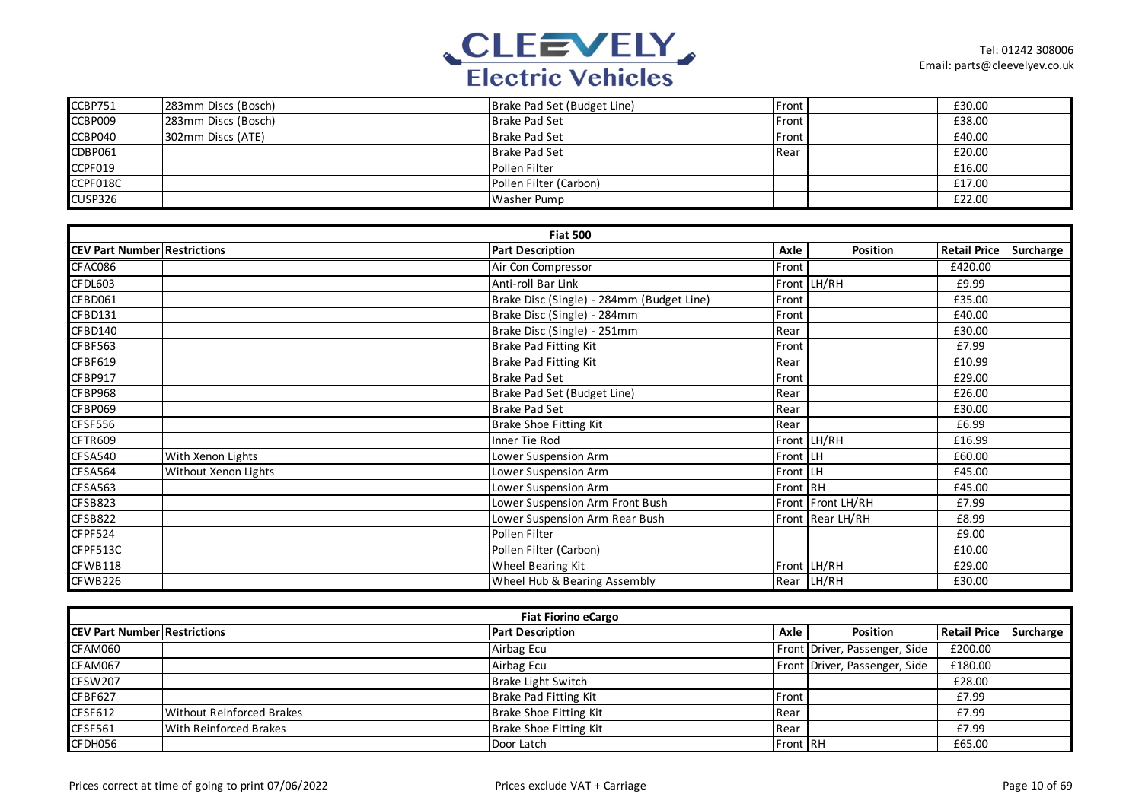

| CCBP751  | 283mm Discs (Bosch) | Brake Pad Set (Budget Line) | Front | £30.00 |  |
|----------|---------------------|-----------------------------|-------|--------|--|
| CCBP009  | 283mm Discs (Bosch) | <b>Brake Pad Set</b>        | Front | £38.00 |  |
| CCBP040  | 302mm Discs (ATE)   | Brake Pad Set               | Front | £40.00 |  |
| CDBP061  |                     | Brake Pad Set               | Rear  | £20.00 |  |
| CCPF019  |                     | Pollen Filter               |       | £16.00 |  |
| CCPF018C |                     | Pollen Filter (Carbon)      |       | £17.00 |  |
| CUSP326  |                     | <b>Washer Pump</b>          |       | £22.00 |  |

|                                     |                      | <b>Fiat 500</b>                           |          |                   |                     |           |
|-------------------------------------|----------------------|-------------------------------------------|----------|-------------------|---------------------|-----------|
| <b>CEV Part Number Restrictions</b> |                      | <b>Part Description</b>                   | Axle     | Position          | <b>Retail Price</b> | Surcharge |
| CFAC086                             |                      | Air Con Compressor                        | Front    |                   | £420.00             |           |
| CFDL603                             |                      | Anti-roll Bar Link                        |          | Front LH/RH       | £9.99               |           |
| CFBD061                             |                      | Brake Disc (Single) - 284mm (Budget Line) | Front    |                   | £35.00              |           |
| CFBD131                             |                      | Brake Disc (Single) - 284mm               | Front    |                   | £40.00              |           |
| CFBD140                             |                      | Brake Disc (Single) - 251mm               | Rear     |                   | £30.00              |           |
| <b>CFBF563</b>                      |                      | Brake Pad Fitting Kit                     | Front    |                   | £7.99               |           |
| CFBF619                             |                      | <b>Brake Pad Fitting Kit</b>              | Rear     |                   | £10.99              |           |
| CFBP917                             |                      | <b>Brake Pad Set</b>                      | Front    |                   | £29.00              |           |
| CFBP968                             |                      | Brake Pad Set (Budget Line)               | Rear     |                   | £26.00              |           |
| CFBP069                             |                      | <b>Brake Pad Set</b>                      | Rear     |                   | £30.00              |           |
| CFSF556                             |                      | Brake Shoe Fitting Kit                    | Rear     |                   | £6.99               |           |
| CFTR609                             |                      | Inner Tie Rod                             |          | Front LH/RH       | £16.99              |           |
| CFSA540                             | With Xenon Lights    | Lower Suspension Arm                      | Front LH |                   | £60.00              |           |
| CFSA564                             | Without Xenon Lights | Lower Suspension Arm                      | Front LH |                   | £45.00              |           |
| CFSA563                             |                      | Lower Suspension Arm                      | Front RH |                   | £45.00              |           |
| CFSB823                             |                      | Lower Suspension Arm Front Bush           |          | Front Front LH/RH | £7.99               |           |
| <b>CFSB822</b>                      |                      | Lower Suspension Arm Rear Bush            |          | Front Rear LH/RH  | £8.99               |           |
| CFPF524                             |                      | Pollen Filter                             |          |                   | £9.00               |           |
| CFPF513C                            |                      | Pollen Filter (Carbon)                    |          |                   | £10.00              |           |
| CFWB118                             |                      | Wheel Bearing Kit                         |          | Front LH/RH       | £29.00              |           |
| CFWB226                             |                      | Wheel Hub & Bearing Assembly              |          | Rear LH/RH        | £30.00              |           |

| <b>Fiat Fiorino eCargo</b>           |                                  |                         |          |                               |                       |           |  |  |
|--------------------------------------|----------------------------------|-------------------------|----------|-------------------------------|-----------------------|-----------|--|--|
| <b>ICEV Part Number Restrictions</b> |                                  | <b>Part Description</b> | Axle     | <b>Position</b>               | <b>Retail Price I</b> | Surcharge |  |  |
| CFAM060                              |                                  | Airbag Ecu              |          | Front Driver, Passenger, Side | £200.00               |           |  |  |
| CFAM067                              |                                  | Airbag Ecu              |          | Front Driver, Passenger, Side | £180.00               |           |  |  |
| CFSW207                              |                                  | Brake Light Switch      |          |                               | £28.00                |           |  |  |
| CFBF627                              |                                  | Brake Pad Fitting Kit   | Front    |                               | £7.99                 |           |  |  |
| CFSF612                              | <b>Without Reinforced Brakes</b> | Brake Shoe Fitting Kit  | Rear     |                               | £7.99                 |           |  |  |
| <b>CFSF561</b>                       | <b>With Reinforced Brakes</b>    | Brake Shoe Fitting Kit  | Rear     |                               | £7.99                 |           |  |  |
| CFDH056                              |                                  | Door Latch              | Front RH |                               | £65.00                |           |  |  |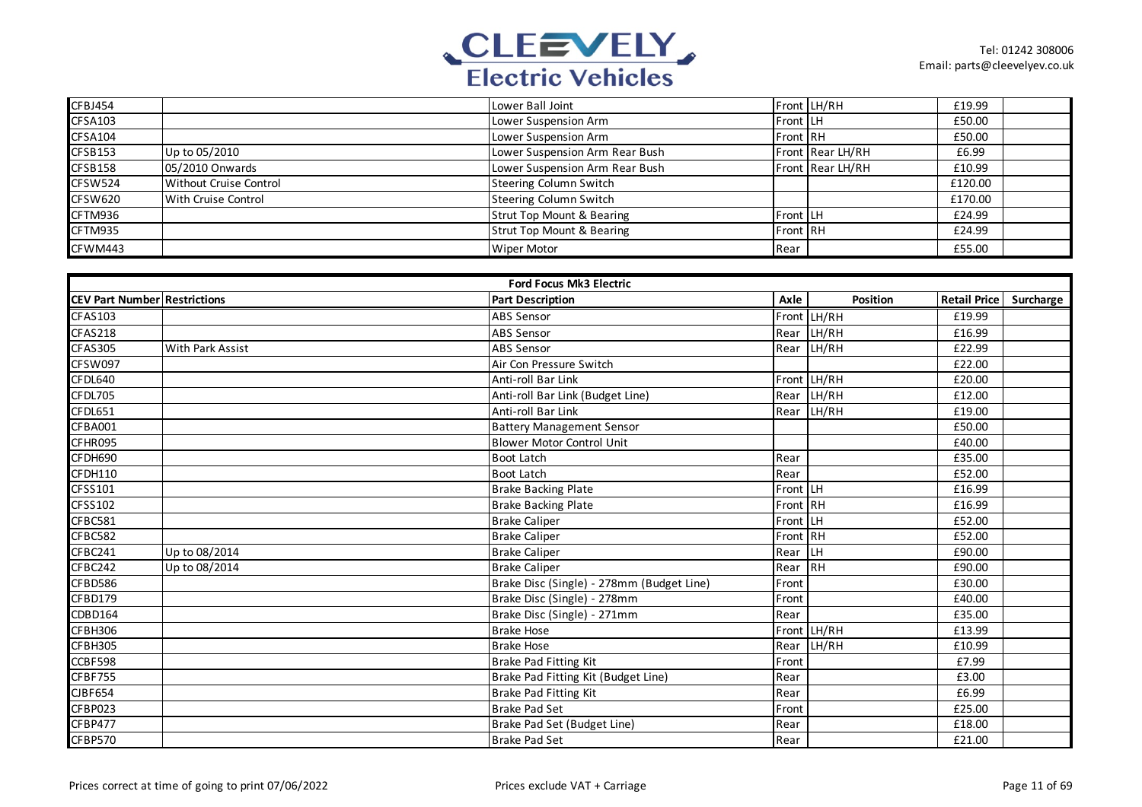

| CFBJ454        |                               | Lower Ball Joint                     |          | Front LH/RH      | £19.99  |  |
|----------------|-------------------------------|--------------------------------------|----------|------------------|---------|--|
| <b>CFSA103</b> |                               | Lower Suspension Arm                 | Front LH |                  | £50.00  |  |
| CFSA104        |                               | Lower Suspension Arm                 | Front RH |                  | £50.00  |  |
| CFSB153        | Up to 05/2010                 | Lower Suspension Arm Rear Bush       |          | Front Rear LH/RH | £6.99   |  |
| CFSB158        | 05/2010 Onwards               | Lower Suspension Arm Rear Bush       |          | Front Rear LH/RH | £10.99  |  |
| CFSW524        | <b>Without Cruise Control</b> | <b>Steering Column Switch</b>        |          |                  | £120.00 |  |
| CFSW620        | With Cruise Control           | <b>Steering Column Switch</b>        |          |                  | £170.00 |  |
| CFTM936        |                               | <b>Strut Top Mount &amp; Bearing</b> | Front LH |                  | £24.99  |  |
| CFTM935        |                               | <b>Strut Top Mount &amp; Bearing</b> | Front RH |                  | £24.99  |  |
| CFWM443        |                               | Wiper Motor                          | Rear     |                  | £55.00  |  |

|                                     | <b>Ford Focus Mk3 Electric</b> |                                           |                 |                 |                     |           |  |  |  |
|-------------------------------------|--------------------------------|-------------------------------------------|-----------------|-----------------|---------------------|-----------|--|--|--|
| <b>CEV Part Number Restrictions</b> |                                | <b>Part Description</b>                   | Axle            | <b>Position</b> | <b>Retail Price</b> | Surcharge |  |  |  |
| <b>CFAS103</b>                      |                                | <b>ABS Sensor</b>                         |                 | Front LH/RH     | £19.99              |           |  |  |  |
| CFAS218                             |                                | ABS Sensor                                |                 | Rear LH/RH      | £16.99              |           |  |  |  |
| <b>CFAS305</b>                      | <b>With Park Assist</b>        | <b>ABS Sensor</b>                         |                 | Rear LH/RH      | £22.99              |           |  |  |  |
| CFSW097                             |                                | Air Con Pressure Switch                   |                 |                 | £22.00              |           |  |  |  |
| CFDL640                             |                                | Anti-roll Bar Link                        |                 | Front LH/RH     | £20.00              |           |  |  |  |
| CFDL705                             |                                | Anti-roll Bar Link (Budget Line)          |                 | Rear LH/RH      | £12.00              |           |  |  |  |
| CFDL651                             |                                | Anti-roll Bar Link                        |                 | Rear LH/RH      | £19.00              |           |  |  |  |
| CFBA001                             |                                | <b>Battery Management Sensor</b>          |                 |                 | £50.00              |           |  |  |  |
| CFHR095                             |                                | <b>Blower Motor Control Unit</b>          |                 |                 | £40.00              |           |  |  |  |
| CFDH690                             |                                | <b>Boot Latch</b>                         | Rear            |                 | £35.00              |           |  |  |  |
| CFDH110                             |                                | <b>Boot Latch</b>                         | Rear            |                 | £52.00              |           |  |  |  |
| CFSS101                             |                                | <b>Brake Backing Plate</b>                | <b>Front LH</b> |                 | £16.99              |           |  |  |  |
| CFSS102                             |                                | <b>Brake Backing Plate</b>                | Front RH        |                 | £16.99              |           |  |  |  |
| CFBC581                             |                                | <b>Brake Caliper</b>                      | Front LH        |                 | £52.00              |           |  |  |  |
| CFBC582                             |                                | <b>Brake Caliper</b>                      | Front RH        |                 | £52.00              |           |  |  |  |
| CFBC241                             | Up to 08/2014                  | <b>Brake Caliper</b>                      | Rear LH         |                 | £90.00              |           |  |  |  |
| CFBC242                             | Up to 08/2014                  | <b>Brake Caliper</b>                      | Rear RH         |                 | £90.00              |           |  |  |  |
| CFBD586                             |                                | Brake Disc (Single) - 278mm (Budget Line) | Front           |                 | £30.00              |           |  |  |  |
| CFBD179                             |                                | Brake Disc (Single) - 278mm               | Front           |                 | £40.00              |           |  |  |  |
| CDBD164                             |                                | Brake Disc (Single) - 271mm               | Rear            |                 | £35.00              |           |  |  |  |
| CFBH306                             |                                | <b>Brake Hose</b>                         |                 | Front LH/RH     | £13.99              |           |  |  |  |
| CFBH305                             |                                | <b>Brake Hose</b>                         |                 | Rear LH/RH      | £10.99              |           |  |  |  |
| CCBF598                             |                                | <b>Brake Pad Fitting Kit</b>              | Front           |                 | £7.99               |           |  |  |  |
| <b>CFBF755</b>                      |                                | Brake Pad Fitting Kit (Budget Line)       | Rear            |                 | £3.00               |           |  |  |  |
| <b>CJBF654</b>                      |                                | Brake Pad Fitting Kit                     | Rear            |                 | £6.99               |           |  |  |  |
| CFBP023                             |                                | <b>Brake Pad Set</b>                      | Front           |                 | £25.00              |           |  |  |  |
| CFBP477                             |                                | Brake Pad Set (Budget Line)               | Rear            |                 | £18.00              |           |  |  |  |
| CFBP570                             |                                | <b>Brake Pad Set</b>                      | Rear            |                 | £21.00              |           |  |  |  |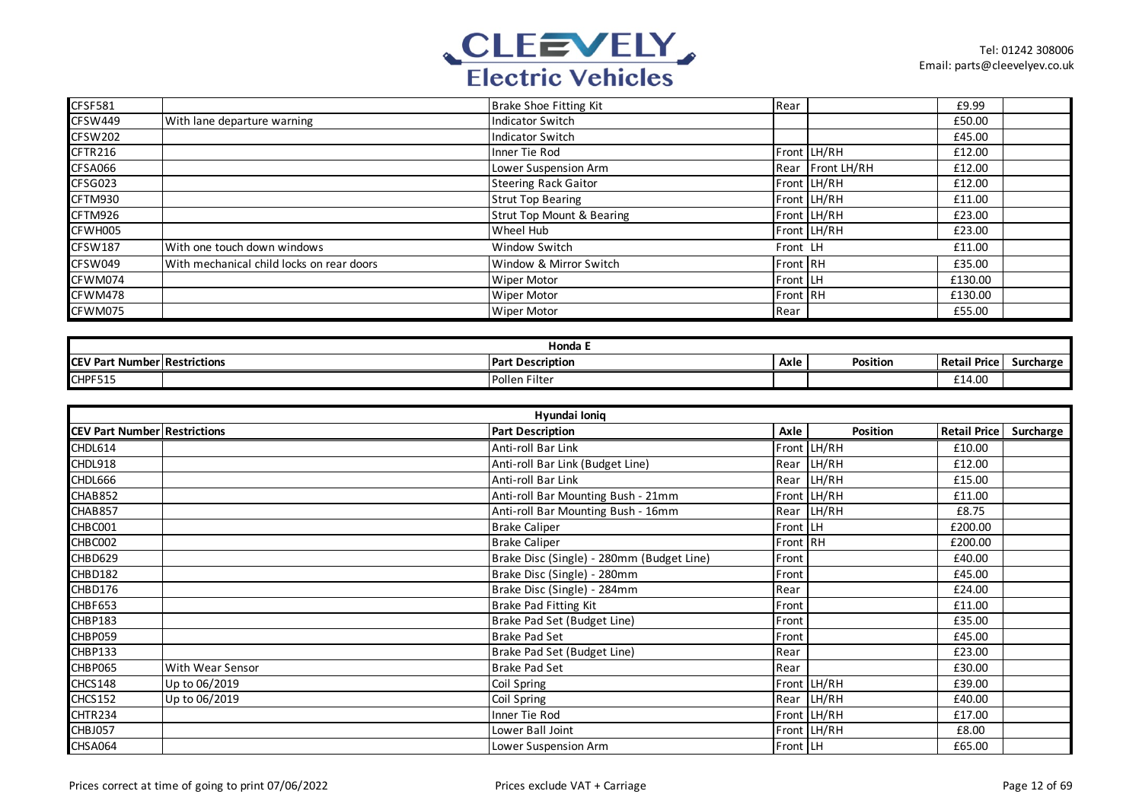

| <b>CFSF581</b> |                                           | Brake Shoe Fitting Kit               | Rear             | £9.99   |  |
|----------------|-------------------------------------------|--------------------------------------|------------------|---------|--|
| CFSW449        | With lane departure warning               | <b>Indicator Switch</b>              |                  | £50.00  |  |
| CFSW202        |                                           | <b>Indicator Switch</b>              |                  | £45.00  |  |
| CFTR216        |                                           | Inner Tie Rod                        | Front LH/RH      | £12.00  |  |
| CFSA066        |                                           | Lower Suspension Arm                 | Rear Front LH/RH | £12.00  |  |
| CFSG023        |                                           | <b>Steering Rack Gaitor</b>          | Front LH/RH      | £12.00  |  |
| CFTM930        |                                           | <b>Strut Top Bearing</b>             | Front LH/RH      | £11.00  |  |
| CFTM926        |                                           | <b>Strut Top Mount &amp; Bearing</b> | Front LH/RH      | £23.00  |  |
| CFWH005        |                                           | Wheel Hub                            | Front LH/RH      | £23.00  |  |
| <b>CFSW187</b> | With one touch down windows               | Window Switch                        | Front LH         | £11.00  |  |
| CFSW049        | With mechanical child locks on rear doors | Window & Mirror Switch               | Front RH         | £35.00  |  |
| CFWM074        |                                           | Wiper Motor                          | Front LH         | £130.00 |  |
| CFWM478        |                                           | Wiper Motor                          | Front RH         | £130.00 |  |
| CFWM075        |                                           | <b>Wiper Motor</b>                   | Rear             | £55.00  |  |

| Honda                               |  |                         |      |           |                     |           |  |  |
|-------------------------------------|--|-------------------------|------|-----------|---------------------|-----------|--|--|
| <b>CEV Part Number Restrictions</b> |  | <b>Part Description</b> | Axle | Position. | ਾਂ Price ।<br>Retai | Surcharge |  |  |
| CHPF515                             |  | Pollen Filter           |      |           | £14.00              |           |  |  |

| Hyundai Ionig                       |                  |                                           |               |             |                     |           |  |  |
|-------------------------------------|------------------|-------------------------------------------|---------------|-------------|---------------------|-----------|--|--|
| <b>CEV Part Number Restrictions</b> |                  | <b>Part Description</b>                   | Axle          | Position    | <b>Retail Price</b> | Surcharge |  |  |
| CHDL614                             |                  | Anti-roll Bar Link                        |               | Front LH/RH | £10.00              |           |  |  |
| CHDL918                             |                  | Anti-roll Bar Link (Budget Line)          |               | Rear LH/RH  | £12.00              |           |  |  |
| CHDL666                             |                  | Anti-roll Bar Link                        |               | Rear LH/RH  | £15.00              |           |  |  |
| CHAB852                             |                  | Anti-roll Bar Mounting Bush - 21mm        |               | Front LH/RH | £11.00              |           |  |  |
| CHAB857                             |                  | Anti-roll Bar Mounting Bush - 16mm        |               | Rear LH/RH  | £8.75               |           |  |  |
| CHBC001                             |                  | <b>Brake Caliper</b>                      | Front LH      |             | £200.00             |           |  |  |
| CHBC002                             |                  | <b>Brake Caliper</b>                      | Front RH      |             | £200.00             |           |  |  |
| CHBD629                             |                  | Brake Disc (Single) - 280mm (Budget Line) | Front         |             | £40.00              |           |  |  |
| CHBD182                             |                  | Brake Disc (Single) - 280mm               | Front         |             | £45.00              |           |  |  |
| CHBD176                             |                  | Brake Disc (Single) - 284mm               | Rear          |             | £24.00              |           |  |  |
| CHBF653                             |                  | Brake Pad Fitting Kit                     | Front         |             | £11.00              |           |  |  |
| CHBP183                             |                  | Brake Pad Set (Budget Line)               | Front         |             | £35.00              |           |  |  |
| CHBP059                             |                  | <b>Brake Pad Set</b>                      | <b>IFront</b> |             | £45.00              |           |  |  |
| CHBP133                             |                  | Brake Pad Set (Budget Line)               | Rear          |             | £23.00              |           |  |  |
| CHBP065                             | With Wear Sensor | <b>Brake Pad Set</b>                      | Rear          |             | £30.00              |           |  |  |
| CHCS148                             | Up to 06/2019    | Coil Spring                               |               | Front LH/RH | £39.00              |           |  |  |
| <b>CHCS152</b>                      | Up to 06/2019    | Coil Spring                               |               | Rear LH/RH  | £40.00              |           |  |  |
| CHTR234                             |                  | Inner Tie Rod                             |               | Front LH/RH | £17.00              |           |  |  |
| CHBJ057                             |                  | Lower Ball Joint                          |               | Front LH/RH | £8.00               |           |  |  |
| CHSA064                             |                  | Lower Suspension Arm                      | Front LH      |             | £65.00              |           |  |  |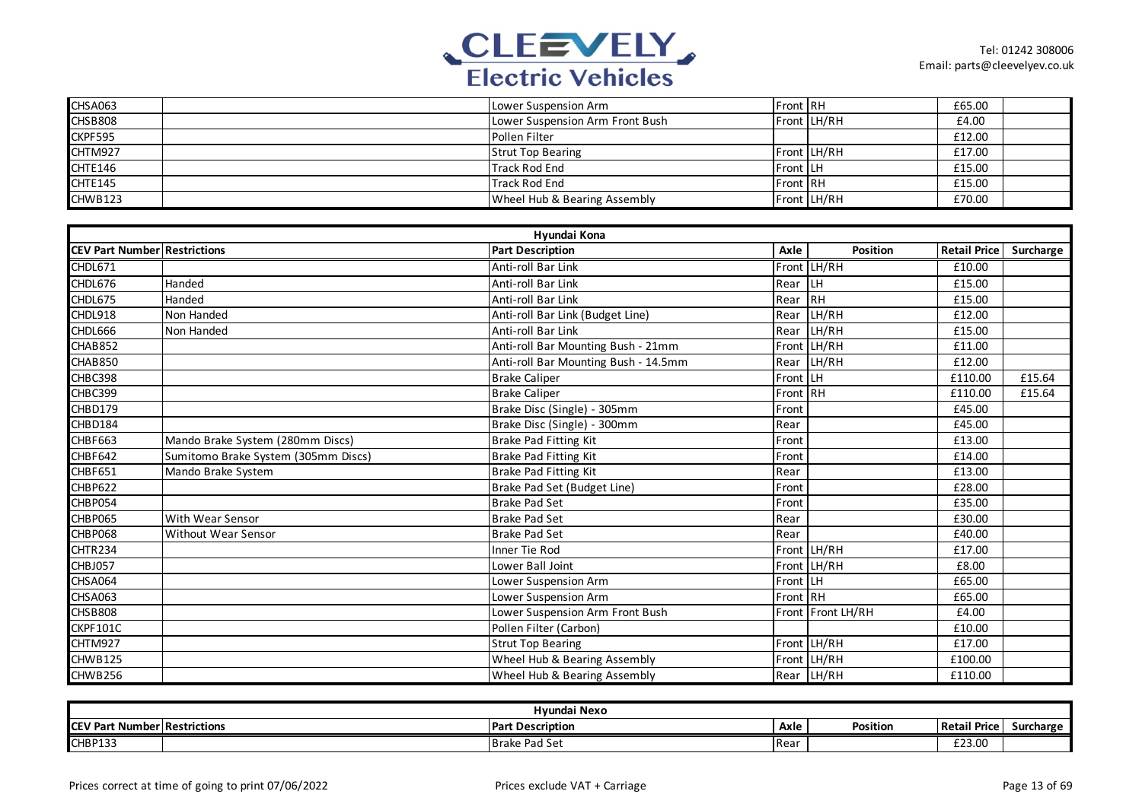

| CHSA063 | Lower Suspension Arm            | <b>Front IRH</b> |             | £65.00 |  |
|---------|---------------------------------|------------------|-------------|--------|--|
| CHSB808 | Lower Suspension Arm Front Bush |                  | Front LH/RH | £4.00  |  |
| CKPF595 | Pollen Filter                   |                  |             | £12.00 |  |
| CHTM927 | <b>Strut Top Bearing</b>        |                  | Front LH/RH | £17.00 |  |
| CHTE146 | Track Rod End                   | <b>Front LH</b>  |             | £15.00 |  |
| CHTE145 | Track Rod End                   | <b>Front IRH</b> |             | £15.00 |  |
| CHWB123 | Wheel Hub & Bearing Assembly    |                  | Front LH/RH | £70.00 |  |

|                                     |                                     | Hyundai Kona                         |          |                   |                     |           |
|-------------------------------------|-------------------------------------|--------------------------------------|----------|-------------------|---------------------|-----------|
| <b>CEV Part Number Restrictions</b> |                                     | <b>Part Description</b>              | Axle     | Position          | <b>Retail Price</b> | Surcharge |
| CHDL671                             |                                     | Anti-roll Bar Link                   |          | Front LH/RH       | £10.00              |           |
| CHDL676                             | Handed                              | Anti-roll Bar Link                   | Rear LH  |                   | £15.00              |           |
| CHDL675                             | Handed                              | Anti-roll Bar Link                   | Rear RH  |                   | £15.00              |           |
| CHDL918                             | Non Handed                          | Anti-roll Bar Link (Budget Line)     | Rear     | LH/RH             | £12.00              |           |
| CHDL666                             | Non Handed                          | Anti-roll Bar Link                   |          | Rear LH/RH        | £15.00              |           |
| CHAB852                             |                                     | Anti-roll Bar Mounting Bush - 21mm   |          | Front LH/RH       | £11.00              |           |
| CHAB850                             |                                     | Anti-roll Bar Mounting Bush - 14.5mm |          | Rear LH/RH        | £12.00              |           |
| CHBC398                             |                                     | <b>Brake Caliper</b>                 | Front LH |                   | £110.00             | £15.64    |
| CHBC399                             |                                     | <b>Brake Caliper</b>                 | Front RH |                   | £110.00             | £15.64    |
| CHBD179                             |                                     | Brake Disc (Single) - 305mm          | Front    |                   | £45.00              |           |
| CHBD184                             |                                     | Brake Disc (Single) - 300mm          | Rear     |                   | £45.00              |           |
| CHBF663                             | Mando Brake System (280mm Discs)    | <b>Brake Pad Fitting Kit</b>         | Front    |                   | £13.00              |           |
| CHBF642                             | Sumitomo Brake System (305mm Discs) | <b>Brake Pad Fitting Kit</b>         | Front    |                   | £14.00              |           |
| CHBF651                             | Mando Brake System                  | Brake Pad Fitting Kit                | Rear     |                   | £13.00              |           |
| CHBP622                             |                                     | Brake Pad Set (Budget Line)          | Front    |                   | £28.00              |           |
| CHBP054                             |                                     | <b>Brake Pad Set</b>                 | Front    |                   | £35.00              |           |
| CHBP065                             | <b>With Wear Sensor</b>             | <b>Brake Pad Set</b>                 | Rear     |                   | £30.00              |           |
| CHBP068                             | <b>Without Wear Sensor</b>          | <b>Brake Pad Set</b>                 | Rear     |                   | £40.00              |           |
| CHTR234                             |                                     | Inner Tie Rod                        |          | Front LH/RH       | £17.00              |           |
| CHBJ057                             |                                     | Lower Ball Joint                     |          | Front LH/RH       | £8.00               |           |
| CHSA064                             |                                     | Lower Suspension Arm                 | Front LH |                   | £65.00              |           |
| CHSA063                             |                                     | Lower Suspension Arm                 | Front RH |                   | £65.00              |           |
| CHSB808                             |                                     | Lower Suspension Arm Front Bush      |          | Front Front LH/RH | £4.00               |           |
| CKPF101C                            |                                     | Pollen Filter (Carbon)               |          |                   | £10.00              |           |
| CHTM927                             |                                     | <b>Strut Top Bearing</b>             |          | Front LH/RH       | £17.00              |           |
| CHWB125                             |                                     | Wheel Hub & Bearing Assembly         |          | Front LH/RH       | £100.00             |           |
| CHWB256                             |                                     | Wheel Hub & Bearing Assembly         |          | Rear LH/RH        | £110.00             |           |

| Hyundai Nexo    |                       |                          |             |          |                     |           |  |
|-----------------|-----------------------|--------------------------|-------------|----------|---------------------|-----------|--|
| <b>CEV Part</b> | t Number Restrictions | <b>IPart Description</b> | Axle        | Position | <b>Retail Price</b> | Surcharge |  |
| CHBP133         |                       | <b>Brake Pad Set</b>     | <b>IRea</b> |          | £23.00              |           |  |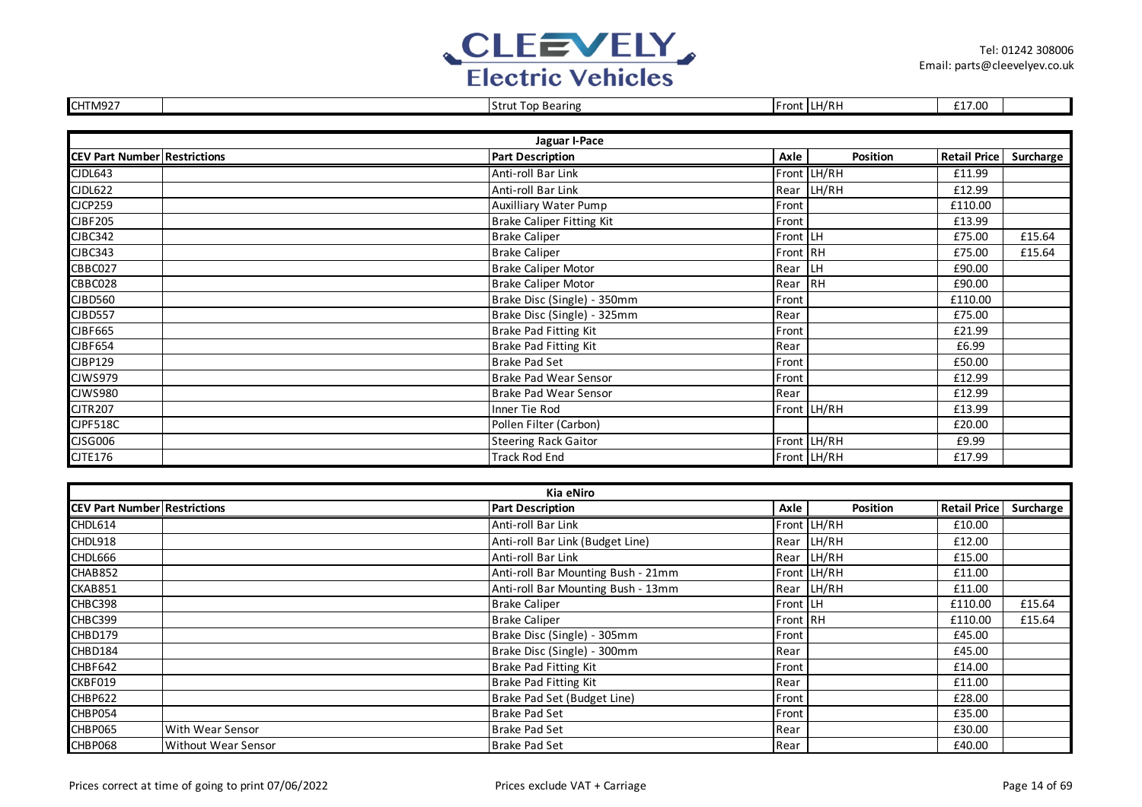

| CHTM927                             |  | <b>Strut Top Bearing</b>         |          | Front LH/RH | £17.00              |           |  |  |
|-------------------------------------|--|----------------------------------|----------|-------------|---------------------|-----------|--|--|
|                                     |  |                                  |          |             |                     |           |  |  |
| Jaguar I-Pace                       |  |                                  |          |             |                     |           |  |  |
| <b>CEV Part Number Restrictions</b> |  | <b>Part Description</b>          | Axle     | Position    | <b>Retail Price</b> | Surcharge |  |  |
| CJDL643                             |  | Anti-roll Bar Link               |          | Front LH/RH | £11.99              |           |  |  |
| CJDL622                             |  | Anti-roll Bar Link               |          | Rear LH/RH  | £12.99              |           |  |  |
| CJCP259                             |  | <b>Auxilliary Water Pump</b>     | Front    |             | £110.00             |           |  |  |
| CJBF205                             |  | <b>Brake Caliper Fitting Kit</b> | Front    |             | £13.99              |           |  |  |
| CJBC342                             |  | <b>Brake Caliper</b>             | Front LH |             | £75.00              | £15.64    |  |  |
| CJBC343                             |  | <b>Brake Caliper</b>             | Front RH |             | £75.00              | £15.64    |  |  |
| CBBC027                             |  | <b>Brake Caliper Motor</b>       | Rear LH  |             | £90.00              |           |  |  |
| CBBC028                             |  | <b>Brake Caliper Motor</b>       | Rear RH  |             | £90.00              |           |  |  |
| CJBD560                             |  | Brake Disc (Single) - 350mm      | Front    |             | £110.00             |           |  |  |
| CJBD557                             |  | Brake Disc (Single) - 325mm      | Rear     |             | £75.00              |           |  |  |
| CJBF665                             |  | <b>Brake Pad Fitting Kit</b>     | Front    |             | £21.99              |           |  |  |
| CJBF654                             |  | <b>Brake Pad Fitting Kit</b>     | Rear     |             | £6.99               |           |  |  |
| CJBP129                             |  | <b>Brake Pad Set</b>             | Front    |             | £50.00              |           |  |  |
| <b>CJWS979</b>                      |  | Brake Pad Wear Sensor            | Front    |             | £12.99              |           |  |  |
| CJWS980                             |  | Brake Pad Wear Sensor            | Rear     |             | £12.99              |           |  |  |
| <b>CJTR207</b>                      |  | Inner Tie Rod                    |          | Front LH/RH | £13.99              |           |  |  |
| <b>CJPF518C</b>                     |  | Pollen Filter (Carbon)           |          |             | £20.00              |           |  |  |
| CJSG006                             |  | <b>Steering Rack Gaitor</b>      |          | Front LH/RH | £9.99               |           |  |  |
| <b>CJTE176</b>                      |  | <b>Track Rod End</b>             |          | Front LH/RH | £17.99              |           |  |  |

| Kia eNiro                           |                            |                                    |          |                 |                        |        |  |  |  |
|-------------------------------------|----------------------------|------------------------------------|----------|-----------------|------------------------|--------|--|--|--|
| <b>CEV Part Number Restrictions</b> |                            | <b>Part Description</b>            | Axle     | <b>Position</b> | Retail Price Surcharge |        |  |  |  |
| CHDL614                             |                            | Anti-roll Bar Link                 |          | Front LH/RH     | £10.00                 |        |  |  |  |
| CHDL918                             |                            | Anti-roll Bar Link (Budget Line)   |          | Rear LH/RH      | £12.00                 |        |  |  |  |
| CHDL666                             |                            | Anti-roll Bar Link                 |          | Rear LH/RH      | £15.00                 |        |  |  |  |
| CHAB852                             |                            | Anti-roll Bar Mounting Bush - 21mm |          | Front LH/RH     | £11.00                 |        |  |  |  |
| CKAB851                             |                            | Anti-roll Bar Mounting Bush - 13mm |          | Rear LH/RH      | £11.00                 |        |  |  |  |
| CHBC398                             |                            | <b>Brake Caliper</b>               | Front LH |                 | £110.00                | £15.64 |  |  |  |
| CHBC399                             |                            | <b>Brake Caliper</b>               | Front RH |                 | £110.00                | £15.64 |  |  |  |
| CHBD179                             |                            | Brake Disc (Single) - 305mm        | Front    |                 | £45.00                 |        |  |  |  |
| CHBD184                             |                            | Brake Disc (Single) - 300mm        | Rear     |                 | £45.00                 |        |  |  |  |
| CHBF642                             |                            | Brake Pad Fitting Kit              | Front    |                 | £14.00                 |        |  |  |  |
| CKBF019                             |                            | Brake Pad Fitting Kit              | Rear     |                 | £11.00                 |        |  |  |  |
| CHBP622                             |                            | Brake Pad Set (Budget Line)        | Front    |                 | £28.00                 |        |  |  |  |
| CHBP054                             |                            | Brake Pad Set                      | Front    |                 | £35.00                 |        |  |  |  |
| CHBP065                             | With Wear Sensor           | <b>Brake Pad Set</b>               | Rear     |                 | £30.00                 |        |  |  |  |
| CHBP068                             | <b>Without Wear Sensor</b> | <b>Brake Pad Set</b>               | Rear     |                 | £40.00                 |        |  |  |  |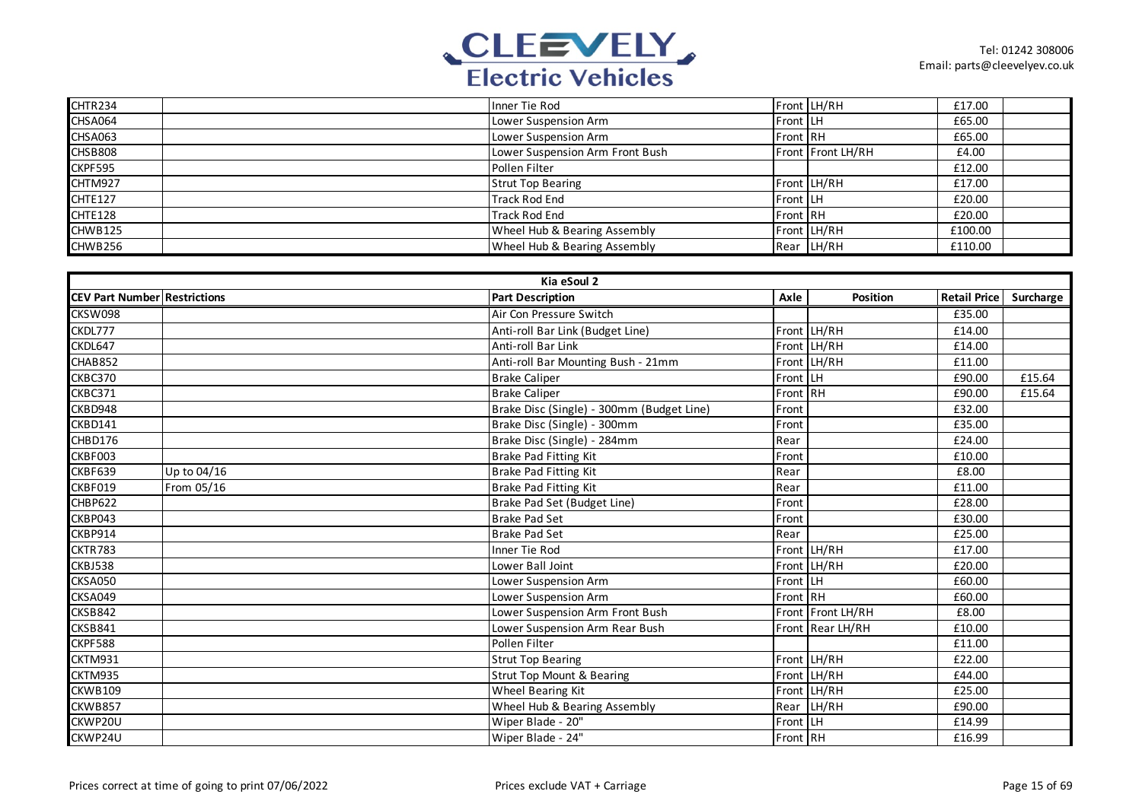

| CHTR234        |                                 |          |                   |         |  |
|----------------|---------------------------------|----------|-------------------|---------|--|
|                | Inner Tie Rod                   |          | Front LH/RH       | £17.00  |  |
| CHSA064        | Lower Suspension Arm            | Front LH |                   | £65.00  |  |
| CHSA063        | Lower Suspension Arm            | Front RH |                   | £65.00  |  |
| <b>CHSB808</b> | Lower Suspension Arm Front Bush |          | Front Front LH/RH | £4.00   |  |
| CKPF595        | Pollen Filter                   |          |                   | £12.00  |  |
| CHTM927        | <b>Strut Top Bearing</b>        |          | Front LH/RH       | £17.00  |  |
| CHTE127        | <b>Track Rod End</b>            | Front LH |                   | £20.00  |  |
| CHTE128        | <b>Track Rod End</b>            | Front RH |                   | £20.00  |  |
| CHWB125        | Wheel Hub & Bearing Assembly    |          | Front LH/RH       | £100.00 |  |
| CHWB256        | Wheel Hub & Bearing Assembly    |          | Rear LH/RH        | £110.00 |  |

|                                     |             | Kia eSoul 2                               |          |                   |                          |        |
|-------------------------------------|-------------|-------------------------------------------|----------|-------------------|--------------------------|--------|
| <b>CEV Part Number Restrictions</b> |             | <b>Part Description</b>                   | Axle     | <b>Position</b>   | Retail Price   Surcharge |        |
| CKSW098                             |             | Air Con Pressure Switch                   |          |                   | £35.00                   |        |
| CKDL777                             |             | Anti-roll Bar Link (Budget Line)          |          | Front LH/RH       | £14.00                   |        |
| CKDL647                             |             | Anti-roll Bar Link                        |          | Front LH/RH       | £14.00                   |        |
| CHAB852                             |             | Anti-roll Bar Mounting Bush - 21mm        |          | Front LH/RH       | £11.00                   |        |
| CKBC370                             |             | <b>Brake Caliper</b>                      | Front LH |                   | £90.00                   | £15.64 |
| CKBC371                             |             | <b>Brake Caliper</b>                      | Front RH |                   | £90.00                   | £15.64 |
| CKBD948                             |             | Brake Disc (Single) - 300mm (Budget Line) | Front    |                   | £32.00                   |        |
| CKBD141                             |             | Brake Disc (Single) - 300mm               | Front    |                   | £35.00                   |        |
| CHBD176                             |             | Brake Disc (Single) - 284mm               | Rear     |                   | £24.00                   |        |
| CKBF003                             |             | Brake Pad Fitting Kit                     | Front    |                   | £10.00                   |        |
| CKBF639                             | Up to 04/16 | Brake Pad Fitting Kit                     | Rear     |                   | £8.00                    |        |
| CKBF019                             | From 05/16  | <b>Brake Pad Fitting Kit</b>              | Rear     |                   | £11.00                   |        |
| CHBP622                             |             | Brake Pad Set (Budget Line)               | Front    |                   | £28.00                   |        |
| CKBP043                             |             | <b>Brake Pad Set</b>                      | Front    |                   | £30.00                   |        |
| CKBP914                             |             | <b>Brake Pad Set</b>                      | Rear     |                   | £25.00                   |        |
| CKTR783                             |             | Inner Tie Rod                             |          | Front LH/RH       | £17.00                   |        |
| CKBJ538                             |             | Lower Ball Joint                          |          | Front LH/RH       | £20.00                   |        |
| CKSA050                             |             | Lower Suspension Arm                      | Front LH |                   | £60.00                   |        |
| CKSA049                             |             | Lower Suspension Arm                      | Front RH |                   | £60.00                   |        |
| CKSB842                             |             | Lower Suspension Arm Front Bush           |          | Front Front LH/RH | £8.00                    |        |
| CKSB841                             |             | Lower Suspension Arm Rear Bush            |          | Front Rear LH/RH  | £10.00                   |        |
| CKPF588                             |             | Pollen Filter                             |          |                   | £11.00                   |        |
| CKTM931                             |             | <b>Strut Top Bearing</b>                  |          | Front LH/RH       | £22.00                   |        |
| CKTM935                             |             | <b>Strut Top Mount &amp; Bearing</b>      |          | Front LH/RH       | £44.00                   |        |
| <b>CKWB109</b>                      |             | <b>Wheel Bearing Kit</b>                  |          | Front LH/RH       | £25.00                   |        |
| CKWB857                             |             | Wheel Hub & Bearing Assembly              | Rear     | LH/RH             | £90.00                   |        |
| CKWP20U                             |             | Wiper Blade - 20"                         | Front LH |                   | £14.99                   |        |
| CKWP24U                             |             | Wiper Blade - 24"                         | Front RH |                   | £16.99                   |        |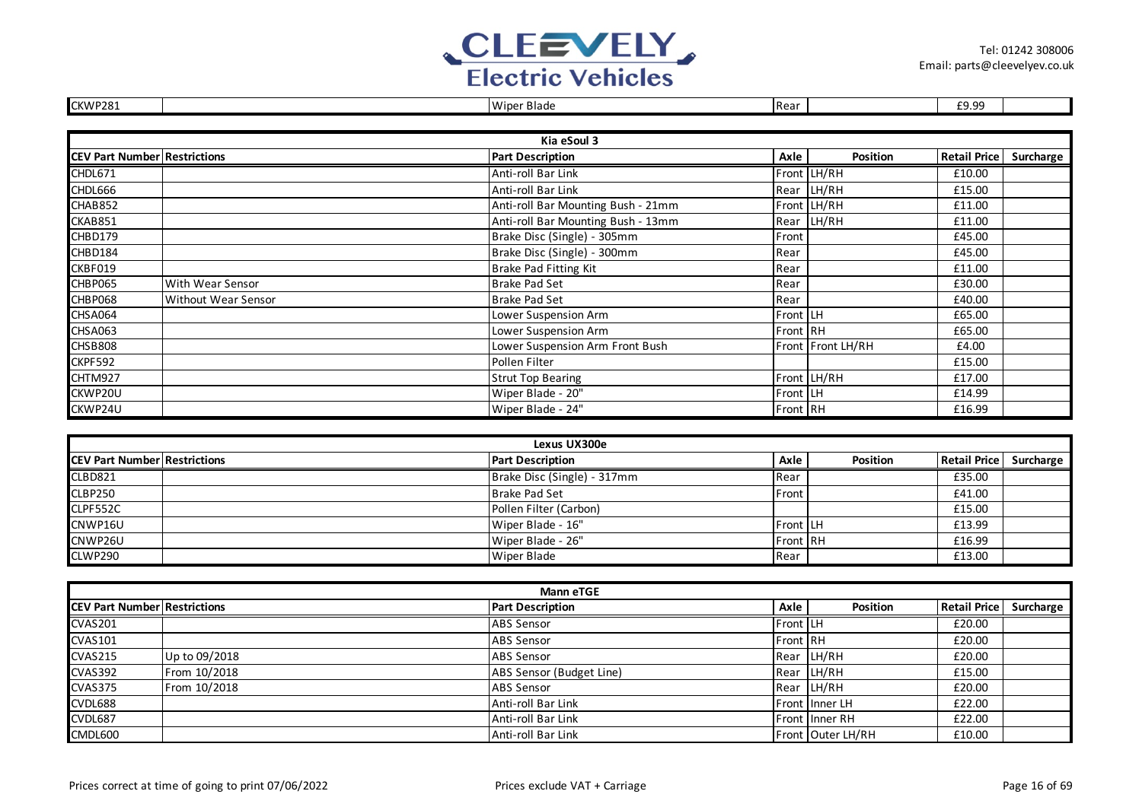

| CKWP281                             |                            | Wiper Blade                        | Rear     |                   | £9.99               |           |
|-------------------------------------|----------------------------|------------------------------------|----------|-------------------|---------------------|-----------|
|                                     |                            |                                    |          |                   |                     |           |
|                                     |                            | Kia eSoul 3                        |          |                   |                     |           |
| <b>CEV Part Number Restrictions</b> |                            | <b>Part Description</b>            | Axle     | <b>Position</b>   | <b>Retail Price</b> | Surcharge |
| CHDL671                             |                            | Anti-roll Bar Link                 |          | Front LH/RH       | £10.00              |           |
| CHDL666                             |                            | Anti-roll Bar Link                 |          | Rear LH/RH        | £15.00              |           |
| CHAB852                             |                            | Anti-roll Bar Mounting Bush - 21mm |          | Front LH/RH       | £11.00              |           |
| CKAB851                             |                            | Anti-roll Bar Mounting Bush - 13mm |          | Rear LH/RH        | £11.00              |           |
| CHBD179                             |                            | Brake Disc (Single) - 305mm        | Front    |                   | £45.00              |           |
| CHBD184                             |                            | Brake Disc (Single) - 300mm        | Rear     |                   | £45.00              |           |
| CKBF019                             |                            | Brake Pad Fitting Kit              | Rear     |                   | £11.00              |           |
| CHBP065                             | With Wear Sensor           | <b>Brake Pad Set</b>               | Rear     |                   | £30.00              |           |
| CHBP068                             | <b>Without Wear Sensor</b> | <b>Brake Pad Set</b>               | Rear     |                   | £40.00              |           |
| CHSA064                             |                            | Lower Suspension Arm               | Front LH |                   | £65.00              |           |
| CHSA063                             |                            | Lower Suspension Arm               | Front RH |                   | £65.00              |           |
| <b>CHSB808</b>                      |                            | Lower Suspension Arm Front Bush    |          | Front Front LH/RH | £4.00               |           |
| CKPF592                             |                            | Pollen Filter                      |          |                   | £15.00              |           |
| CHTM927                             |                            | <b>Strut Top Bearing</b>           |          | Front LH/RH       | £17.00              |           |
| CKWP20U                             |                            | Wiper Blade - 20"                  | Front LH |                   | £14.99              |           |
| CKWP24U                             |                            | Wiper Blade - 24"                  | Front RH |                   | £16.99              |           |

| Lexus UX300e                         |  |                             |                 |                 |                          |  |  |  |
|--------------------------------------|--|-----------------------------|-----------------|-----------------|--------------------------|--|--|--|
| <b>ICEV Part Number Restrictions</b> |  | <b>Part Description</b>     | Axle            | <b>Position</b> | Retail Price   Surcharge |  |  |  |
| <b>CLBD821</b>                       |  | Brake Disc (Single) - 317mm | Rear            |                 | £35.00                   |  |  |  |
| <b>CLBP250</b>                       |  | <b>Brake Pad Set</b>        | Front I         |                 | £41.00                   |  |  |  |
| CLPF552C                             |  | Pollen Filter (Carbon)      |                 |                 | £15.00                   |  |  |  |
| CNWP16U                              |  | Wiper Blade - 16"           | <b>Front LH</b> |                 | £13.99                   |  |  |  |
| CNWP26U                              |  | Wiper Blade - 26"           | <b>Front RH</b> |                 | £16.99                   |  |  |  |
| CLWP290                              |  | <b>Wiper Blade</b>          | Rear            |                 | £13.00                   |  |  |  |

| <b>Mann eTGE</b>                    |               |                          |          |                       |              |           |  |  |
|-------------------------------------|---------------|--------------------------|----------|-----------------------|--------------|-----------|--|--|
| <b>CEV Part Number Restrictions</b> |               | <b>Part Description</b>  | Axle     | <b>Position</b>       | Retail Price | Surcharge |  |  |
| <b>CVAS201</b>                      |               | <b>ABS Sensor</b>        | Front LH |                       | £20.00       |           |  |  |
| <b>CVAS101</b>                      |               | <b>ABS Sensor</b>        | Front RH |                       | £20.00       |           |  |  |
| <b>CVAS215</b>                      | Up to 09/2018 | <b>ABS Sensor</b>        |          | Rear LH/RH            | £20.00       |           |  |  |
| <b>CVAS392</b>                      | From 10/2018  | ABS Sensor (Budget Line) |          | Rear LH/RH            | £15.00       |           |  |  |
| <b>CVAS375</b>                      | From 10/2018  | <b>ABS Sensor</b>        |          | Rear LH/RH            | £20.00       |           |  |  |
| CVDL688                             |               | Anti-roll Bar Link       |          | Front Inner LH        | £22.00       |           |  |  |
| <b>CVDL687</b>                      |               | Anti-roll Bar Link       |          | <b>Front Inner RH</b> | £22.00       |           |  |  |
| CMDL600                             |               | Anti-roll Bar Link       |          | Front Outer LH/RH     | £10.00       |           |  |  |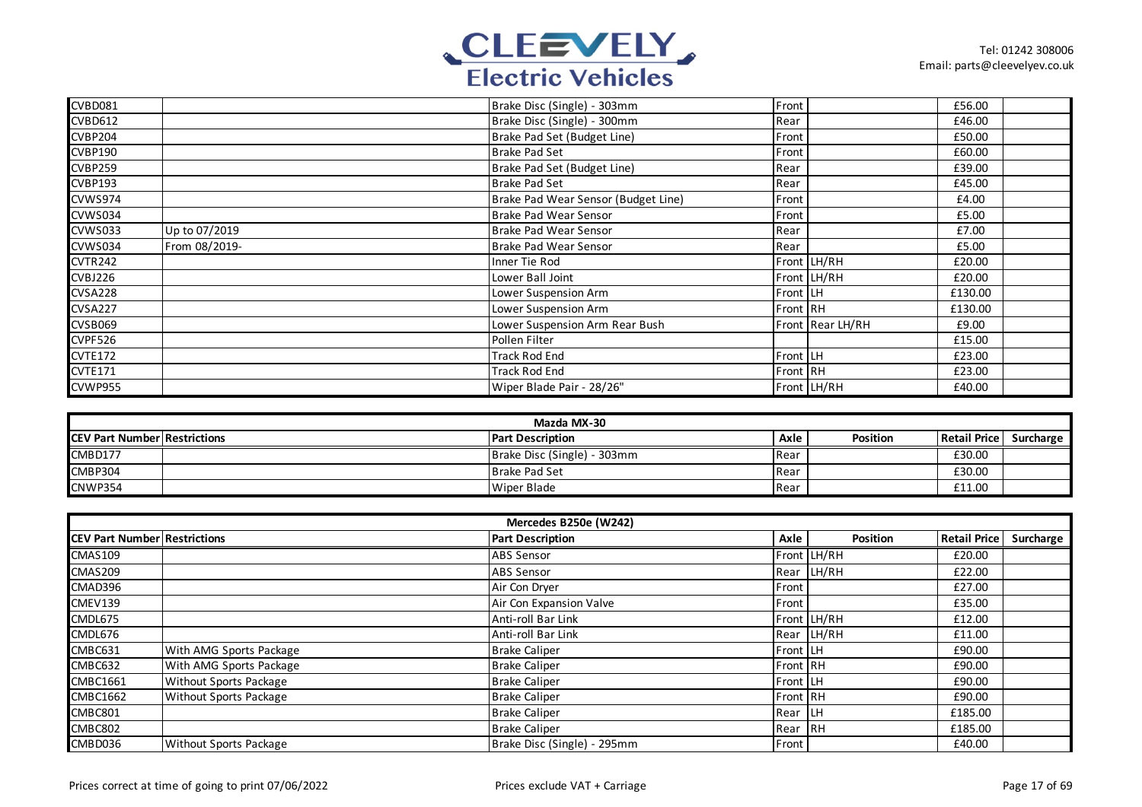

| CVBD081        |               | Brake Disc (Single) - 303mm         | Front    |                  | £56.00  |  |
|----------------|---------------|-------------------------------------|----------|------------------|---------|--|
| <b>CVBD612</b> |               | Brake Disc (Single) - 300mm         | Rear     |                  | £46.00  |  |
| <b>CVBP204</b> |               | Brake Pad Set (Budget Line)         | Front    |                  | £50.00  |  |
| <b>CVBP190</b> |               | <b>Brake Pad Set</b>                | Front    |                  | £60.00  |  |
| <b>CVBP259</b> |               | Brake Pad Set (Budget Line)         | Rear     |                  | £39.00  |  |
| <b>CVBP193</b> |               | <b>Brake Pad Set</b>                | Rear     |                  | £45.00  |  |
| CVWS974        |               | Brake Pad Wear Sensor (Budget Line) | Front    |                  | £4.00   |  |
| CVWS034        |               | Brake Pad Wear Sensor               | Front    |                  | £5.00   |  |
| CVWS033        | Up to 07/2019 | <b>Brake Pad Wear Sensor</b>        | Rear     |                  | £7.00   |  |
| CVWS034        | From 08/2019- | <b>Brake Pad Wear Sensor</b>        | Rear     |                  | £5.00   |  |
| CVTR242        |               | Inner Tie Rod                       |          | Front LH/RH      | £20.00  |  |
| CVBJ226        |               | Lower Ball Joint                    |          | Front LH/RH      | £20.00  |  |
| <b>CVSA228</b> |               | Lower Suspension Arm                | Front LH |                  | £130.00 |  |
| <b>CVSA227</b> |               | Lower Suspension Arm                | Front RH |                  | £130.00 |  |
| CVSB069        |               | Lower Suspension Arm Rear Bush      |          | Front Rear LH/RH | £9.00   |  |
| CVPF526        |               | Pollen Filter                       |          |                  | £15.00  |  |
| <b>CVTE172</b> |               | <b>Track Rod End</b>                | Front LH |                  | £23.00  |  |
| <b>CVTE171</b> |               | <b>Track Rod End</b>                | Front RH |                  | £23.00  |  |
| CVWP955        |               | Wiper Blade Pair - 28/26"           |          | Front LH/RH      | £40.00  |  |

| Mazda MX-30                          |  |                             |      |          |                     |           |  |  |
|--------------------------------------|--|-----------------------------|------|----------|---------------------|-----------|--|--|
| <b>ICEV Part Number Restrictions</b> |  | <b>Part Description</b>     | Axle | Position | <b>Retail Price</b> | Surcharge |  |  |
| CMBD177                              |  | Brake Disc (Single) - 303mm | Rear |          | £30.00              |           |  |  |
| CMBP304                              |  | Brake Pad Set               | Rear |          | £30.00              |           |  |  |
| CNWP354                              |  | Wiper Blade                 | Rear |          | £11.00              |           |  |  |

|                                     | Mercedes B250e (W242)         |                             |              |                 |                     |           |  |  |  |
|-------------------------------------|-------------------------------|-----------------------------|--------------|-----------------|---------------------|-----------|--|--|--|
| <b>CEV Part Number Restrictions</b> |                               | <b>Part Description</b>     | Axle         | <b>Position</b> | <b>Retail Price</b> | Surcharge |  |  |  |
| CMAS109                             |                               | <b>ABS Sensor</b>           |              | Front LH/RH     | £20.00              |           |  |  |  |
| CMAS209                             |                               | <b>ABS Sensor</b>           |              | Rear LH/RH      | £22.00              |           |  |  |  |
| CMAD396                             |                               | Air Con Dryer               | <b>Front</b> |                 | £27.00              |           |  |  |  |
| CMEV139                             |                               | Air Con Expansion Valve     | Front        |                 | £35.00              |           |  |  |  |
| CMDL675                             |                               | Anti-roll Bar Link          |              | Front LH/RH     | £12.00              |           |  |  |  |
| CMDL676                             |                               | Anti-roll Bar Link          |              | Rear LH/RH      | £11.00              |           |  |  |  |
| CMBC631                             | With AMG Sports Package       | <b>Brake Caliper</b>        | Front LH     |                 | £90.00              |           |  |  |  |
| CMBC632                             | With AMG Sports Package       | <b>Brake Caliper</b>        | Front RH     |                 | £90.00              |           |  |  |  |
| <b>CMBC1661</b>                     | Without Sports Package        | <b>Brake Caliper</b>        | Front LH     |                 | £90.00              |           |  |  |  |
| <b>CMBC1662</b>                     | Without Sports Package        | <b>Brake Caliper</b>        | Front RH     |                 | £90.00              |           |  |  |  |
| CMBC801                             |                               | <b>Brake Caliper</b>        | Rear LH      |                 | £185.00             |           |  |  |  |
| CMBC802                             |                               | <b>Brake Caliper</b>        | Rear RH      |                 | £185.00             |           |  |  |  |
| CMBD036                             | <b>Without Sports Package</b> | Brake Disc (Single) - 295mm | <b>Front</b> |                 | £40.00              |           |  |  |  |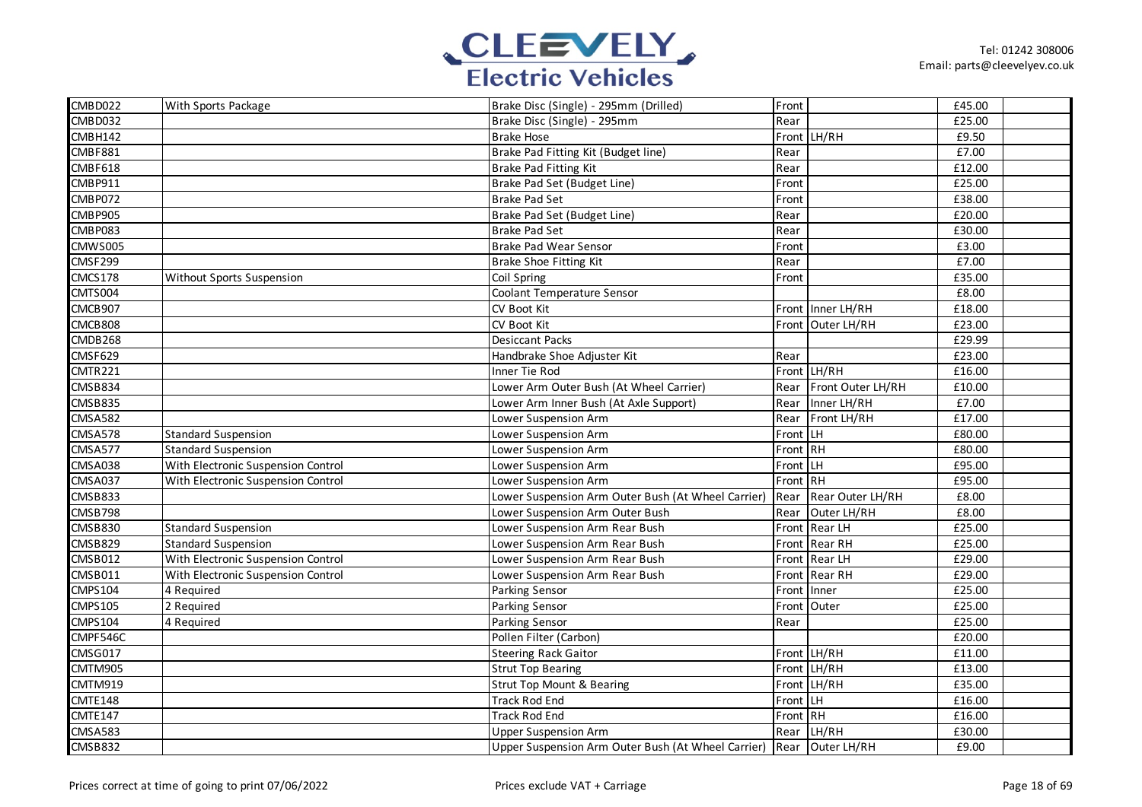

| CMBD022        | With Sports Package                | Brake Disc (Single) - 295mm (Drilled)                               | Front    |                   | £45.00 |  |
|----------------|------------------------------------|---------------------------------------------------------------------|----------|-------------------|--------|--|
| CMBD032        |                                    | Brake Disc (Single) - 295mm                                         | Rear     |                   | £25.00 |  |
| CMBH142        |                                    | <b>Brake Hose</b>                                                   |          | Front LH/RH       | £9.50  |  |
| CMBF881        |                                    | Brake Pad Fitting Kit (Budget line)                                 | Rear     |                   | £7.00  |  |
| CMBF618        |                                    | Brake Pad Fitting Kit                                               | Rear     |                   | £12.00 |  |
| CMBP911        |                                    | Brake Pad Set (Budget Line)                                         | Front    |                   | £25.00 |  |
| CMBP072        |                                    | <b>Brake Pad Set</b>                                                | Front    |                   | £38.00 |  |
| CMBP905        |                                    | Brake Pad Set (Budget Line)                                         | Rear     |                   | £20.00 |  |
| CMBP083        |                                    | <b>Brake Pad Set</b>                                                | Rear     |                   | £30.00 |  |
| CMWS005        |                                    | Brake Pad Wear Sensor                                               | Front    |                   | £3.00  |  |
| CMSF299        |                                    | Brake Shoe Fitting Kit                                              | Rear     |                   | £7.00  |  |
| CMCS178        | Without Sports Suspension          | Coil Spring                                                         | Front    |                   | £35.00 |  |
| CMTS004        |                                    | Coolant Temperature Sensor                                          |          |                   | £8.00  |  |
| CMCB907        |                                    | CV Boot Kit                                                         |          | Front Inner LH/RH | £18.00 |  |
| CMCB808        |                                    | CV Boot Kit                                                         | Front    | Outer LH/RH       | £23.00 |  |
| CMDB268        |                                    | <b>Desiccant Packs</b>                                              |          |                   | £29.99 |  |
| <b>CMSF629</b> |                                    | Handbrake Shoe Adjuster Kit                                         | Rear     |                   | £23.00 |  |
| CMTR221        |                                    | Inner Tie Rod                                                       |          | Front LH/RH       | £16.00 |  |
| CMSB834        |                                    | Lower Arm Outer Bush (At Wheel Carrier)                             | Rear     | Front Outer LH/RH | £10.00 |  |
| CMSB835        |                                    | Lower Arm Inner Bush (At Axle Support)                              | Rear     | Inner LH/RH       | £7.00  |  |
| <b>CMSA582</b> |                                    | Lower Suspension Arm                                                | Rear     | Front LH/RH       | £17.00 |  |
| <b>CMSA578</b> | <b>Standard Suspension</b>         | Lower Suspension Arm                                                | Front    | LH.               | £80.00 |  |
| CMSA577        | <b>Standard Suspension</b>         | Lower Suspension Arm                                                | Front RH |                   | £80.00 |  |
| <b>CMSA038</b> | With Electronic Suspension Control | Lower Suspension Arm                                                | Front LH |                   | £95.00 |  |
| CMSA037        | With Electronic Suspension Control | Lower Suspension Arm                                                | Front RH |                   | £95.00 |  |
| CMSB833        |                                    | Lower Suspension Arm Outer Bush (At Wheel Carrier)                  | Rear     | Rear Outer LH/RH  | £8.00  |  |
| CMSB798        |                                    | Lower Suspension Arm Outer Bush                                     | Rear     | Outer LH/RH       | £8.00  |  |
| <b>CMSB830</b> | <b>Standard Suspension</b>         | Lower Suspension Arm Rear Bush                                      |          | Front Rear LH     | £25.00 |  |
| CMSB829        | Standard Suspension                | Lower Suspension Arm Rear Bush                                      |          | Front Rear RH     | £25.00 |  |
| CMSB012        | With Electronic Suspension Control | Lower Suspension Arm Rear Bush                                      | Front    | <b>Rear LH</b>    | £29.00 |  |
| CMSB011        | With Electronic Suspension Control | Lower Suspension Arm Rear Bush                                      | Front    | <b>Rear RH</b>    | £29.00 |  |
| <b>CMPS104</b> | 4 Required                         | Parking Sensor                                                      | Front    | Inner             | £25.00 |  |
| <b>CMPS105</b> | 2 Required                         | Parking Sensor                                                      | Front    | Outer             | £25.00 |  |
| <b>CMPS104</b> | 4 Required                         | Parking Sensor                                                      | Rear     |                   | £25.00 |  |
| CMPF546C       |                                    | Pollen Filter (Carbon)                                              |          |                   | £20.00 |  |
| CMSG017        |                                    | <b>Steering Rack Gaitor</b>                                         |          | Front LH/RH       | £11.00 |  |
| CMTM905        |                                    | <b>Strut Top Bearing</b>                                            |          | Front LH/RH       | £13.00 |  |
| CMTM919        |                                    | <b>Strut Top Mount &amp; Bearing</b>                                |          | Front LH/RH       | £35.00 |  |
| CMTE148        |                                    | <b>Track Rod End</b>                                                | Front    | LH                | £16.00 |  |
| CMTE147        |                                    | <b>Track Rod End</b>                                                | Front RH |                   | £16.00 |  |
| CMSA583        |                                    | <b>Upper Suspension Arm</b>                                         | Rear     | LH/RH             | £30.00 |  |
| <b>CMSB832</b> |                                    | Upper Suspension Arm Outer Bush (At Wheel Carrier) Rear Outer LH/RH |          |                   | £9.00  |  |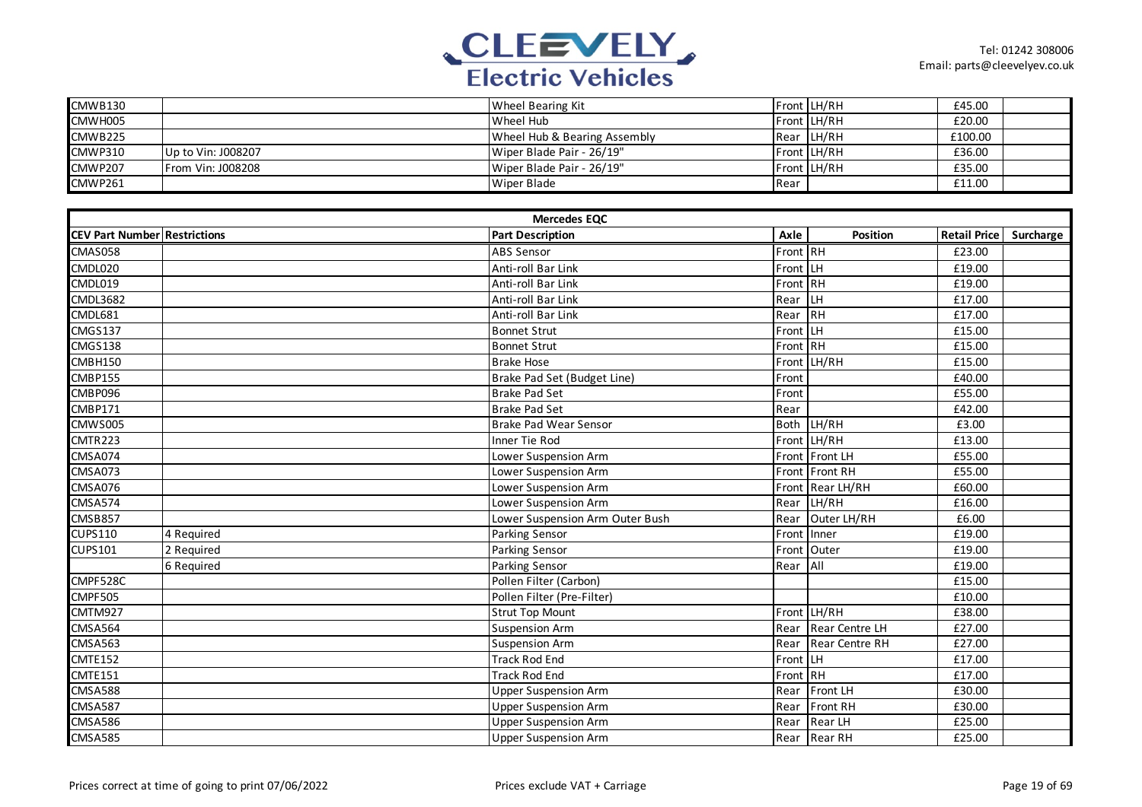

| CMWB130        |                          | Wheel Bearing Kit            |      | Front LH/RH | £45.00  |  |
|----------------|--------------------------|------------------------------|------|-------------|---------|--|
| CMWH005        |                          | Wheel Hub                    |      | Front LH/RH | £20.00  |  |
| CMWB225        |                          | Wheel Hub & Bearing Assembly |      | Rear LH/RH  | £100.00 |  |
| <b>CMWP310</b> | Up to Vin: J008207       | Wiper Blade Pair - 26/19"    |      | Front LH/RH | £36.00  |  |
| <b>CMWP207</b> | <b>From Vin: J008208</b> | Wiper Blade Pair - 26/19"    |      | Front LH/RH | £35.00  |  |
| CMWP261        |                          | Wiper Blade                  | Rear |             | £11.00  |  |

|                                     | <b>Mercedes EQC</b> |                                 |             |                       |                        |  |  |  |  |
|-------------------------------------|---------------------|---------------------------------|-------------|-----------------------|------------------------|--|--|--|--|
| <b>CEV Part Number Restrictions</b> |                     | <b>Part Description</b>         | Axle        | <b>Position</b>       | Retail Price Surcharge |  |  |  |  |
| <b>CMAS058</b>                      |                     | <b>ABS Sensor</b>               | Front RH    |                       | £23.00                 |  |  |  |  |
| CMDL020                             |                     | Anti-roll Bar Link              | Front LH    |                       | £19.00                 |  |  |  |  |
| CMDL019                             |                     | Anti-roll Bar Link              | Front       | RH                    | £19.00                 |  |  |  |  |
| <b>CMDL3682</b>                     |                     | Anti-roll Bar Link              | Rear        | LH                    | £17.00                 |  |  |  |  |
| CMDL681                             |                     | Anti-roll Bar Link              | Rear        | <b>RH</b>             | £17.00                 |  |  |  |  |
| CMGS137                             |                     | <b>Bonnet Strut</b>             | Front       | <b>LH</b>             | £15.00                 |  |  |  |  |
| CMGS138                             |                     | <b>Bonnet Strut</b>             | Front RH    |                       | £15.00                 |  |  |  |  |
| CMBH150                             |                     | <b>Brake Hose</b>               | Front       | LH/RH                 | £15.00                 |  |  |  |  |
| <b>CMBP155</b>                      |                     | Brake Pad Set (Budget Line)     | Front       |                       | £40.00                 |  |  |  |  |
| CMBP096                             |                     | <b>Brake Pad Set</b>            | Front       |                       | £55.00                 |  |  |  |  |
| <b>CMBP171</b>                      |                     | <b>Brake Pad Set</b>            | Rear        |                       | £42.00                 |  |  |  |  |
| CMWS005                             |                     | <b>Brake Pad Wear Sensor</b>    | <b>Both</b> | LH/RH                 | £3.00                  |  |  |  |  |
| CMTR223                             |                     | Inner Tie Rod                   | Front       | LH/RH                 | £13.00                 |  |  |  |  |
| CMSA074                             |                     | Lower Suspension Arm            | Front       | Front LH              | £55.00                 |  |  |  |  |
| CMSA073                             |                     | Lower Suspension Arm            | Front       | <b>Front RH</b>       | £55.00                 |  |  |  |  |
| <b>CMSA076</b>                      |                     | Lower Suspension Arm            |             | Front Rear LH/RH      | £60.00                 |  |  |  |  |
| CMSA574                             |                     | Lower Suspension Arm            | Rear        | LH/RH                 | £16.00                 |  |  |  |  |
| CMSB857                             |                     | Lower Suspension Arm Outer Bush | Rear        | Outer LH/RH           | £6.00                  |  |  |  |  |
| <b>CUPS110</b>                      | 4 Required          | <b>Parking Sensor</b>           | Front       | Inner                 | £19.00                 |  |  |  |  |
| <b>CUPS101</b>                      | 2 Required          | <b>Parking Sensor</b>           | Front       | Outer                 | £19.00                 |  |  |  |  |
|                                     | 6 Required          | Parking Sensor                  | Rear        | All                   | £19.00                 |  |  |  |  |
| CMPF528C                            |                     | Pollen Filter (Carbon)          |             |                       | £15.00                 |  |  |  |  |
| <b>CMPF505</b>                      |                     | Pollen Filter (Pre-Filter)      |             |                       | £10.00                 |  |  |  |  |
| CMTM927                             |                     | <b>Strut Top Mount</b>          |             | Front LH/RH           | £38.00                 |  |  |  |  |
| CMSA564                             |                     | <b>Suspension Arm</b>           | Rear        | <b>Rear Centre LH</b> | £27.00                 |  |  |  |  |
| CMSA563                             |                     | <b>Suspension Arm</b>           | Rear        | <b>Rear Centre RH</b> | £27.00                 |  |  |  |  |
| <b>CMTE152</b>                      |                     | <b>Track Rod End</b>            | Front LH    |                       | £17.00                 |  |  |  |  |
| CMTE151                             |                     | <b>Track Rod End</b>            | Front       | RH                    | £17.00                 |  |  |  |  |
| <b>CMSA588</b>                      |                     | <b>Upper Suspension Arm</b>     | Rear        | Front LH              | £30.00                 |  |  |  |  |
| CMSA587                             |                     | <b>Upper Suspension Arm</b>     | Rear        | Front RH              | £30.00                 |  |  |  |  |
| <b>CMSA586</b>                      |                     | <b>Upper Suspension Arm</b>     | Rear        | Rear LH               | £25.00                 |  |  |  |  |
| CMS4585                             |                     | <b>Upper Suspension Arm</b>     |             | Rear Rear RH          | £25.00                 |  |  |  |  |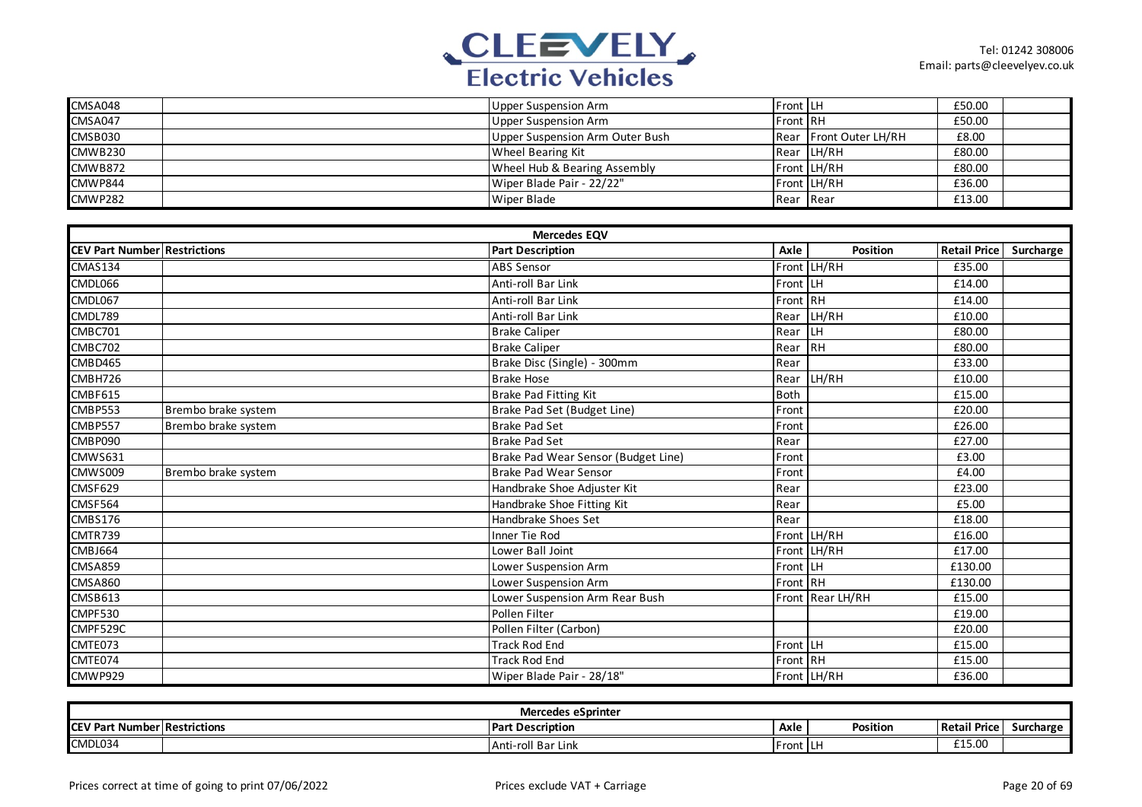

| CMSA048 | Upper Suspension Arm            | <b>Front LH</b> |                        | £50.00 |  |
|---------|---------------------------------|-----------------|------------------------|--------|--|
| CMSA047 | Upper Suspension Arm            | <b>Front RH</b> |                        | £50.00 |  |
| CMSB030 | Upper Suspension Arm Outer Bush |                 | Rear Front Outer LH/RH | £8.00  |  |
| CMWB230 | <b>Wheel Bearing Kit</b>        |                 | Rear LH/RH             | £80.00 |  |
| CMWB872 | Wheel Hub & Bearing Assembly    |                 | Front LH/RH            | £80.00 |  |
| CMWP844 | Wiper Blade Pair - 22/22"       |                 | Front LH/RH            | £36.00 |  |
| CMWP282 | <b>Wiper Blade</b>              | Rear Rear       |                        | £13.00 |  |

|                                     |                     | <b>Mercedes EQV</b>                 |             |                  |                     |           |
|-------------------------------------|---------------------|-------------------------------------|-------------|------------------|---------------------|-----------|
| <b>CEV Part Number Restrictions</b> |                     | <b>Part Description</b>             | Axle        | Position         | <b>Retail Price</b> | Surcharge |
| CMAS134                             |                     | <b>ABS Sensor</b>                   |             | Front LH/RH      | £35.00              |           |
| CMDL066                             |                     | Anti-roll Bar Link                  | Front LH    |                  | £14.00              |           |
| CMDL067                             |                     | Anti-roll Bar Link                  | Front RH    |                  | £14.00              |           |
| CMDL789                             |                     | Anti-roll Bar Link                  | Rear        | LH/RH            | £10.00              |           |
| CMBC701                             |                     | <b>Brake Caliper</b>                | Rear LH     |                  | £80.00              |           |
| CMBC702                             |                     | <b>Brake Caliper</b>                | Rear RH     |                  | £80.00              |           |
| CMBD465                             |                     | Brake Disc (Single) - 300mm         | Rear        |                  | £33.00              |           |
| CMBH726                             |                     | <b>Brake Hose</b>                   |             | Rear LH/RH       | £10.00              |           |
| CMBF615                             |                     | Brake Pad Fitting Kit               | <b>Both</b> |                  | £15.00              |           |
| CMBP553                             | Brembo brake system | Brake Pad Set (Budget Line)         | Front       |                  | £20.00              |           |
| <b>CMBP557</b>                      | Brembo brake system | <b>Brake Pad Set</b>                | Front       |                  | £26.00              |           |
| CMBP090                             |                     | <b>Brake Pad Set</b>                | Rear        |                  | £27.00              |           |
| <b>CMWS631</b>                      |                     | Brake Pad Wear Sensor (Budget Line) | Front       |                  | £3.00               |           |
| CMWS009                             | Brembo brake system | <b>Brake Pad Wear Sensor</b>        | Front       |                  | £4.00               |           |
| CMSF629                             |                     | Handbrake Shoe Adjuster Kit         | Rear        |                  | £23.00              |           |
| CMSF564                             |                     | Handbrake Shoe Fitting Kit          | Rear        |                  | £5.00               |           |
| <b>CMBS176</b>                      |                     | Handbrake Shoes Set                 | Rear        |                  | £18.00              |           |
| CMTR739                             |                     | Inner Tie Rod                       |             | Front LH/RH      | £16.00              |           |
| CMBJ664                             |                     | Lower Ball Joint                    |             | Front LH/RH      | £17.00              |           |
| CMSA859                             |                     | Lower Suspension Arm                | Front LH    |                  | £130.00             |           |
| <b>CMSA860</b>                      |                     | Lower Suspension Arm                | Front RH    |                  | £130.00             |           |
| CMSB613                             |                     | Lower Suspension Arm Rear Bush      |             | Front Rear LH/RH | £15.00              |           |
| CMPF530                             |                     | Pollen Filter                       |             |                  | £19.00              |           |
| CMPF529C                            |                     | Pollen Filter (Carbon)              |             |                  | £20.00              |           |
| CMTE073                             |                     | <b>Track Rod End</b>                | Front LH    |                  | £15.00              |           |
| CMTE074                             |                     | <b>Track Rod End</b>                | Front RH    |                  | £15.00              |           |
| CMWP929                             |                     | Wiper Blade Pair - 28/18"           |             | Front LH/RH      | £36.00              |           |

| <b>Mercedes eSprinter</b> |                       |                                |            |               |                     |           |  |  |
|---------------------------|-----------------------|--------------------------------|------------|---------------|---------------------|-----------|--|--|
| <b>ICEV Part</b>          | t Number Restrictions | <b>IPart Description</b>       | Axle       | .<br>Position | <b>Retail Price</b> | Surcharge |  |  |
| CMDL034                   |                       | I Bar Link<br>IAnti-i<br>-roi. | ™ront I LI |               | £15.00              |           |  |  |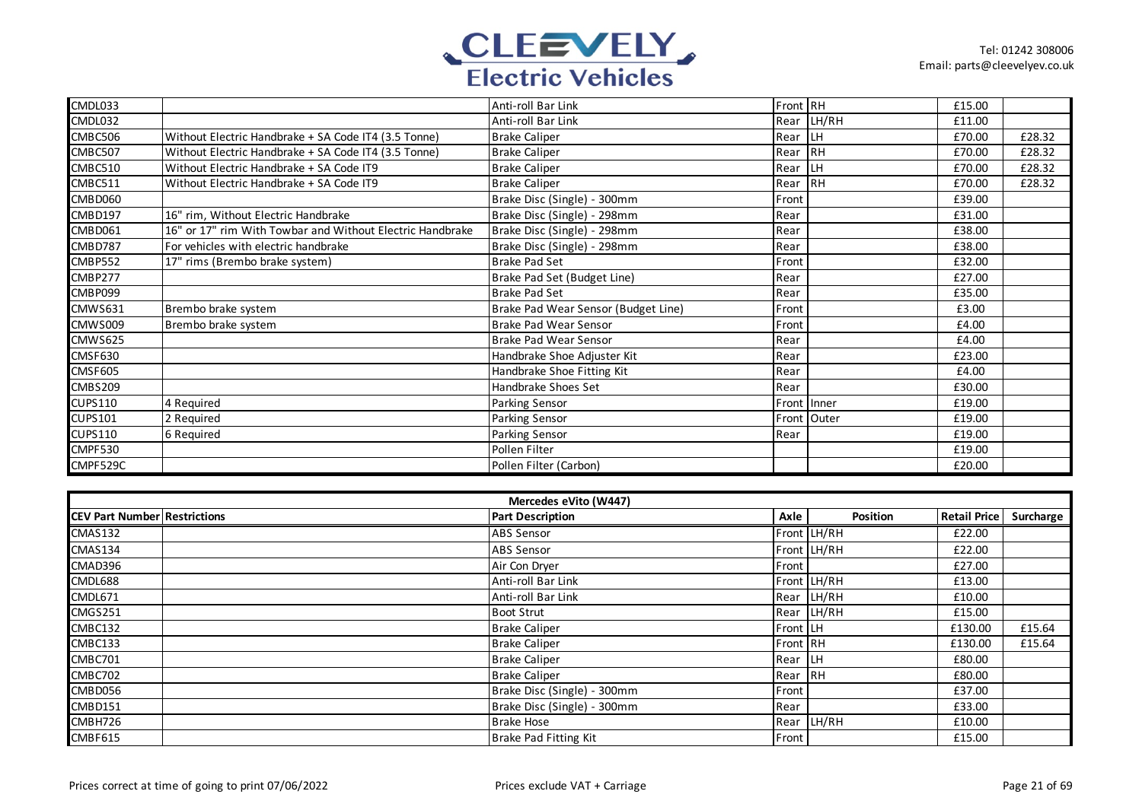

| CMDL033        |                                                           | Anti-roll Bar Link                  | Front RH |             | £15.00 |        |
|----------------|-----------------------------------------------------------|-------------------------------------|----------|-------------|--------|--------|
| CMDL032        |                                                           | Anti-roll Bar Link                  | Rear     | LH/RH       | £11.00 |        |
| CMBC506        | Without Electric Handbrake + SA Code IT4 (3.5 Tonne)      | <b>Brake Caliper</b>                | Rear     | LH          | £70.00 | £28.32 |
| CMBC507        | Without Electric Handbrake + SA Code IT4 (3.5 Tonne)      | <b>Brake Caliper</b>                | Rear     | IRH         | £70.00 | £28.32 |
| CMBC510        | Without Electric Handbrake + SA Code IT9                  | <b>Brake Caliper</b>                | Rear     | LH.         | £70.00 | £28.32 |
| CMBC511        | Without Electric Handbrake + SA Code IT9                  | <b>Brake Caliper</b>                | Rear     | <b>IRH</b>  | £70.00 | £28.32 |
| CMBD060        |                                                           | Brake Disc (Single) - 300mm         | Front    |             | £39.00 |        |
| CMBD197        | 16" rim, Without Electric Handbrake                       | Brake Disc (Single) - 298mm         | Rear     |             | £31.00 |        |
| CMBD061        | 16" or 17" rim With Towbar and Without Electric Handbrake | Brake Disc (Single) - 298mm         | Rear     |             | £38.00 |        |
| CMBD787        | For vehicles with electric handbrake                      | Brake Disc (Single) - 298mm         | Rear     |             | £38.00 |        |
| CMBP552        | 17" rims (Brembo brake system)                            | <b>Brake Pad Set</b>                | Front    |             | £32.00 |        |
| CMBP277        |                                                           | Brake Pad Set (Budget Line)         | Rear     |             | £27.00 |        |
| CMBP099        |                                                           | <b>Brake Pad Set</b>                | Rear     |             | £35.00 |        |
| CMWS631        | Brembo brake system                                       | Brake Pad Wear Sensor (Budget Line) | Front    |             | £3.00  |        |
| CMWS009        | Brembo brake system                                       | Brake Pad Wear Sensor               | Front    |             | £4.00  |        |
| <b>CMWS625</b> |                                                           | Brake Pad Wear Sensor               | Rear     |             | £4.00  |        |
| CMSF630        |                                                           | Handbrake Shoe Adjuster Kit         | Rear     |             | £23.00 |        |
| CMSF605        |                                                           | Handbrake Shoe Fitting Kit          | Rear     |             | £4.00  |        |
| CMBS209        |                                                           | Handbrake Shoes Set                 | Rear     |             | £30.00 |        |
| <b>CUPS110</b> | 4 Required                                                | <b>Parking Sensor</b>               |          | Front Inner | £19.00 |        |
| <b>CUPS101</b> | 2 Required                                                | <b>Parking Sensor</b>               |          | Front Outer | £19.00 |        |
| <b>CUPS110</b> | 6 Required                                                | Parking Sensor                      | Rear     |             | £19.00 |        |
| CMPF530        |                                                           | Pollen Filter                       |          |             | £19.00 |        |
| CMPF529C       |                                                           | Pollen Filter (Carbon)              |          |             | £20.00 |        |

|                                     | Mercedes eVito (W447) |                             |              |             |              |           |  |
|-------------------------------------|-----------------------|-----------------------------|--------------|-------------|--------------|-----------|--|
| <b>CEV Part Number Restrictions</b> |                       | <b>Part Description</b>     | Axle         | Position    | Retail Price | Surcharge |  |
| CMAS132                             |                       | <b>ABS Sensor</b>           |              | Front LH/RH | £22.00       |           |  |
| CMAS134                             |                       | <b>ABS Sensor</b>           |              | Front LH/RH | £22.00       |           |  |
| CMAD396                             |                       | Air Con Dryer               | Front        |             | £27.00       |           |  |
| CMDL688                             |                       | Anti-roll Bar Link          |              | Front LH/RH | £13.00       |           |  |
| CMDL671                             |                       | Anti-roll Bar Link          |              | Rear LH/RH  | £10.00       |           |  |
| CMGS251                             |                       | <b>Boot Strut</b>           |              | Rear LH/RH  | £15.00       |           |  |
| CMBC132                             |                       | <b>Brake Caliper</b>        | Front LH     |             | £130.00      | £15.64    |  |
| CMBC133                             |                       | <b>Brake Caliper</b>        | Front RH     |             | £130.00      | £15.64    |  |
| CMBC701                             |                       | <b>Brake Caliper</b>        | Rear LH      |             | £80.00       |           |  |
| CMBC702                             |                       | <b>Brake Caliper</b>        | Rear RH      |             | £80.00       |           |  |
| CMBD056                             |                       | Brake Disc (Single) - 300mm | Front        |             | £37.00       |           |  |
| CMBD151                             |                       | Brake Disc (Single) - 300mm | Rear         |             | £33.00       |           |  |
| CMBH726                             |                       | <b>Brake Hose</b>           |              | Rear LH/RH  | £10.00       |           |  |
| CMBF615                             |                       | Brake Pad Fitting Kit       | <b>Front</b> |             | £15.00       |           |  |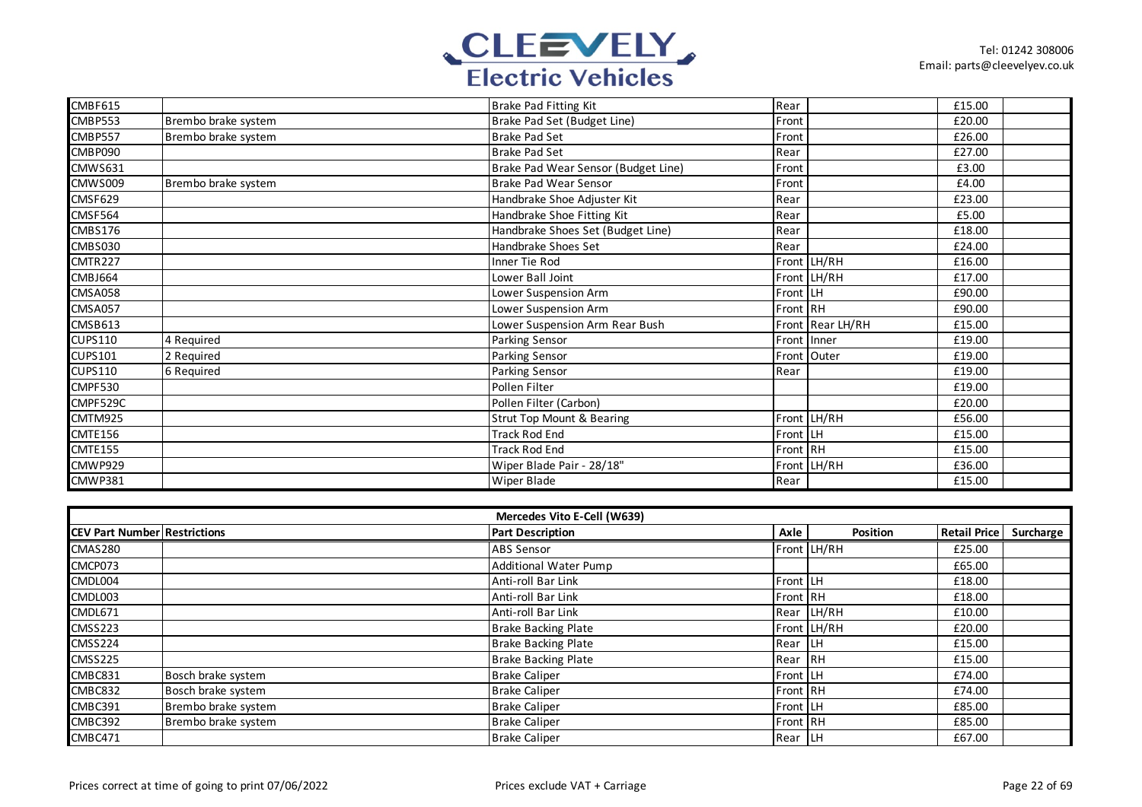

| CMBF615        |                     | Brake Pad Fitting Kit                | Rear             | £15.00 |  |
|----------------|---------------------|--------------------------------------|------------------|--------|--|
| CMBP553        | Brembo brake system | Brake Pad Set (Budget Line)          | Front            | £20.00 |  |
|                |                     |                                      |                  |        |  |
| CMBP557        | Brembo brake system | <b>Brake Pad Set</b>                 | Front            | £26.00 |  |
| CMBP090        |                     | <b>Brake Pad Set</b>                 | Rear             | £27.00 |  |
| <b>CMWS631</b> |                     | Brake Pad Wear Sensor (Budget Line)  | Front            | £3.00  |  |
| CMWS009        | Brembo brake system | Brake Pad Wear Sensor                | Front            | £4.00  |  |
| CMSF629        |                     | Handbrake Shoe Adjuster Kit          | Rear             | £23.00 |  |
| CMSF564        |                     | Handbrake Shoe Fitting Kit           | Rear             | £5.00  |  |
| CMBS176        |                     | Handbrake Shoes Set (Budget Line)    | Rear             | £18.00 |  |
| CMBS030        |                     | Handbrake Shoes Set                  | Rear             | £24.00 |  |
| CMTR227        |                     | Inner Tie Rod                        | Front LH/RH      | £16.00 |  |
| CMBJ664        |                     | Lower Ball Joint                     | Front LH/RH      | £17.00 |  |
| CMSA058        |                     | Lower Suspension Arm                 | Front LH         | £90.00 |  |
| CMSA057        |                     | Lower Suspension Arm                 | Front RH         | £90.00 |  |
| CMSB613        |                     | Lower Suspension Arm Rear Bush       | Front Rear LH/RH | £15.00 |  |
| <b>CUPS110</b> | 4 Required          | Parking Sensor                       | Front Inner      | £19.00 |  |
| <b>CUPS101</b> | 2 Required          | Parking Sensor                       | Front Outer      | £19.00 |  |
| <b>CUPS110</b> | 6 Required          | Parking Sensor                       | Rear             | £19.00 |  |
| CMPF530        |                     | Pollen Filter                        |                  | £19.00 |  |
| CMPF529C       |                     | Pollen Filter (Carbon)               |                  | £20.00 |  |
| CMTM925        |                     | <b>Strut Top Mount &amp; Bearing</b> | Front LH/RH      | £56.00 |  |
| CMTE156        |                     | <b>Track Rod End</b>                 | Front LH         | £15.00 |  |
| <b>CMTE155</b> |                     | <b>Track Rod End</b>                 | Front RH         | £15.00 |  |
| CMWP929        |                     | Wiper Blade Pair - 28/18"            | Front LH/RH      | £36.00 |  |
| CMWP381        |                     | Wiper Blade                          | Rear             | £15.00 |  |

|                                     | Mercedes Vito E-Cell (W639) |                              |          |             |                     |           |  |
|-------------------------------------|-----------------------------|------------------------------|----------|-------------|---------------------|-----------|--|
| <b>CEV Part Number Restrictions</b> |                             | <b>Part Description</b>      | Axle     | Position    | <b>Retail Price</b> | Surcharge |  |
| CMAS280                             |                             | <b>ABS Sensor</b>            |          | Front LH/RH | £25.00              |           |  |
| CMCP073                             |                             | <b>Additional Water Pump</b> |          |             | £65.00              |           |  |
| CMDL004                             |                             | Anti-roll Bar Link           | Front LH |             | £18.00              |           |  |
| CMDL003                             |                             | Anti-roll Bar Link           | Front RH |             | £18.00              |           |  |
| CMDL671                             |                             | Anti-roll Bar Link           |          | Rear LH/RH  | £10.00              |           |  |
| <b>CMSS223</b>                      |                             | <b>Brake Backing Plate</b>   |          | Front LH/RH | £20.00              |           |  |
| <b>CMSS224</b>                      |                             | <b>Brake Backing Plate</b>   | Rear LH  |             | £15.00              |           |  |
| <b>CMSS225</b>                      |                             | <b>Brake Backing Plate</b>   | Rear RH  |             | £15.00              |           |  |
| CMBC831                             | Bosch brake system          | <b>Brake Caliper</b>         | Front LH |             | £74.00              |           |  |
| CMBC832                             | Bosch brake system          | <b>Brake Caliper</b>         | Front RH |             | £74.00              |           |  |
| CMBC391                             | Brembo brake system         | <b>Brake Caliper</b>         | Front LH |             | £85.00              |           |  |
| CMBC392                             | Brembo brake system         | <b>Brake Caliper</b>         | Front RH |             | £85.00              |           |  |
| CMBC471                             |                             | <b>Brake Caliper</b>         | Rear LH  |             | £67.00              |           |  |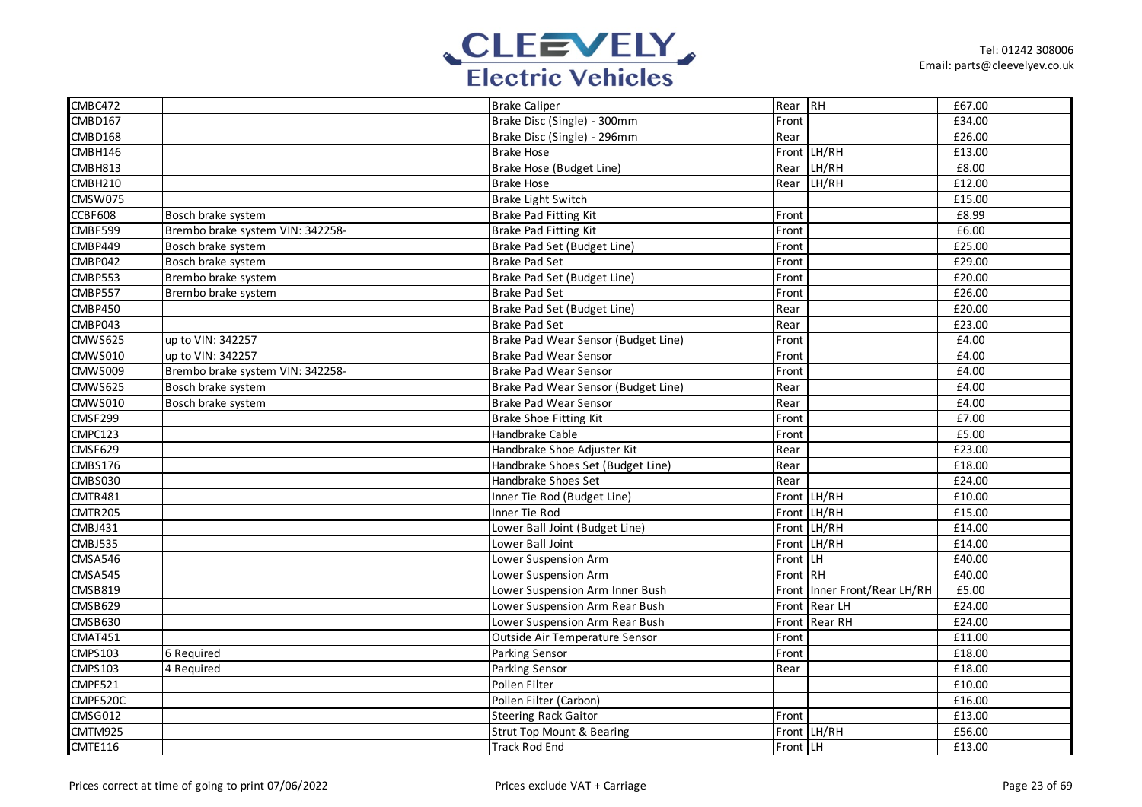

| CMBC472        |                                  | <b>Brake Caliper</b>                 | Rear RH  |                        | £67.00 |  |
|----------------|----------------------------------|--------------------------------------|----------|------------------------|--------|--|
| CMBD167        |                                  | Brake Disc (Single) - 300mm          | Front    |                        | £34.00 |  |
| CMBD168        |                                  | Brake Disc (Single) - 296mm          | Rear     |                        | £26.00 |  |
| CMBH146        |                                  | <b>Brake Hose</b>                    |          | Front LH/RH            | £13.00 |  |
| CMBH813        |                                  | Brake Hose (Budget Line)             | Rear     | LH/RH                  | £8.00  |  |
| CMBH210        |                                  | <b>Brake Hose</b>                    | Rear     | LH/RH                  | £12.00 |  |
| CMSW075        |                                  | <b>Brake Light Switch</b>            |          |                        | £15.00 |  |
| CCBF608        | Bosch brake system               | <b>Brake Pad Fitting Kit</b>         | Front    |                        | £8.99  |  |
| CMBF599        | Brembo brake system VIN: 342258- | Brake Pad Fitting Kit                | Front    |                        | £6.00  |  |
| CMBP449        | Bosch brake system               | Brake Pad Set (Budget Line)          | Front    |                        | £25.00 |  |
| CMBP042        | Bosch brake system               | <b>Brake Pad Set</b>                 | Front    |                        | £29.00 |  |
| CMBP553        | Brembo brake system              | Brake Pad Set (Budget Line)          | Front    |                        | £20.00 |  |
| <b>CMBP557</b> | Brembo brake system              | <b>Brake Pad Set</b>                 | Front    |                        | £26.00 |  |
| <b>CMBP450</b> |                                  | Brake Pad Set (Budget Line)          | Rear     |                        | £20.00 |  |
| CMBP043        |                                  | <b>Brake Pad Set</b>                 | Rear     |                        | £23.00 |  |
| <b>CMWS625</b> | up to VIN: 342257                | Brake Pad Wear Sensor (Budget Line)  | Front    |                        | £4.00  |  |
| <b>CMWS010</b> | up to VIN: 342257                | <b>Brake Pad Wear Sensor</b>         | Front    |                        | £4.00  |  |
| <b>CMWS009</b> | Brembo brake system VIN: 342258- | <b>Brake Pad Wear Sensor</b>         | Front    |                        | £4.00  |  |
| <b>CMWS625</b> | Bosch brake system               | Brake Pad Wear Sensor (Budget Line)  | Rear     |                        | £4.00  |  |
| <b>CMWS010</b> | Bosch brake system               | <b>Brake Pad Wear Sensor</b>         | Rear     |                        | £4.00  |  |
| <b>CMSF299</b> |                                  | <b>Brake Shoe Fitting Kit</b>        | Front    |                        | £7.00  |  |
| CMPC123        |                                  | Handbrake Cable                      | Front    |                        | £5.00  |  |
| CMSF629        |                                  | Handbrake Shoe Adjuster Kit          | Rear     |                        | £23.00 |  |
| <b>CMBS176</b> |                                  | Handbrake Shoes Set (Budget Line)    | Rear     |                        | £18.00 |  |
| <b>CMBS030</b> |                                  | Handbrake Shoes Set                  | Rear     |                        | £24.00 |  |
| CMTR481        |                                  | Inner Tie Rod (Budget Line)          |          | Front LH/RH            | £10.00 |  |
| <b>CMTR205</b> |                                  | Inner Tie Rod                        |          | Front LH/RH            | £15.00 |  |
| CMBJ431        |                                  | Lower Ball Joint (Budget Line)       |          | Front LH/RH            | £14.00 |  |
| <b>CMBJ535</b> |                                  | Lower Ball Joint                     |          | Front LH/RH            | £14.00 |  |
| <b>CMSA546</b> |                                  | Lower Suspension Arm                 | Front    | Iгн                    | £40.00 |  |
| CMSA545        |                                  | Lower Suspension Arm                 | Front RH |                        | £40.00 |  |
| <b>CMSB819</b> |                                  | Lower Suspension Arm Inner Bush      | Front    | Inner Front/Rear LH/RH | £5.00  |  |
| CMSB629        |                                  | Lower Suspension Arm Rear Bush       |          | Front Rear LH          | £24.00 |  |
| <b>CMSB630</b> |                                  | Lower Suspension Arm Rear Bush       |          | Front Rear RH          | £24.00 |  |
| CMAT451        |                                  | Outside Air Temperature Sensor       | Front    |                        | £11.00 |  |
| <b>CMPS103</b> | 6 Required                       | Parking Sensor                       | Front    |                        | £18.00 |  |
| <b>CMPS103</b> | 4 Required                       | Parking Sensor                       | Rear     |                        | £18.00 |  |
| CMPF521        |                                  | Pollen Filter                        |          |                        | £10.00 |  |
| CMPF520C       |                                  | Pollen Filter (Carbon)               |          |                        | £16.00 |  |
| <b>CMSG012</b> |                                  | <b>Steering Rack Gaitor</b>          | Front    |                        | £13.00 |  |
| CMTM925        |                                  | <b>Strut Top Mount &amp; Bearing</b> |          | Front LH/RH            | £56.00 |  |
| CMTE116        |                                  | <b>Track Rod End</b>                 | Front LH |                        | £13.00 |  |
|                |                                  |                                      |          |                        |        |  |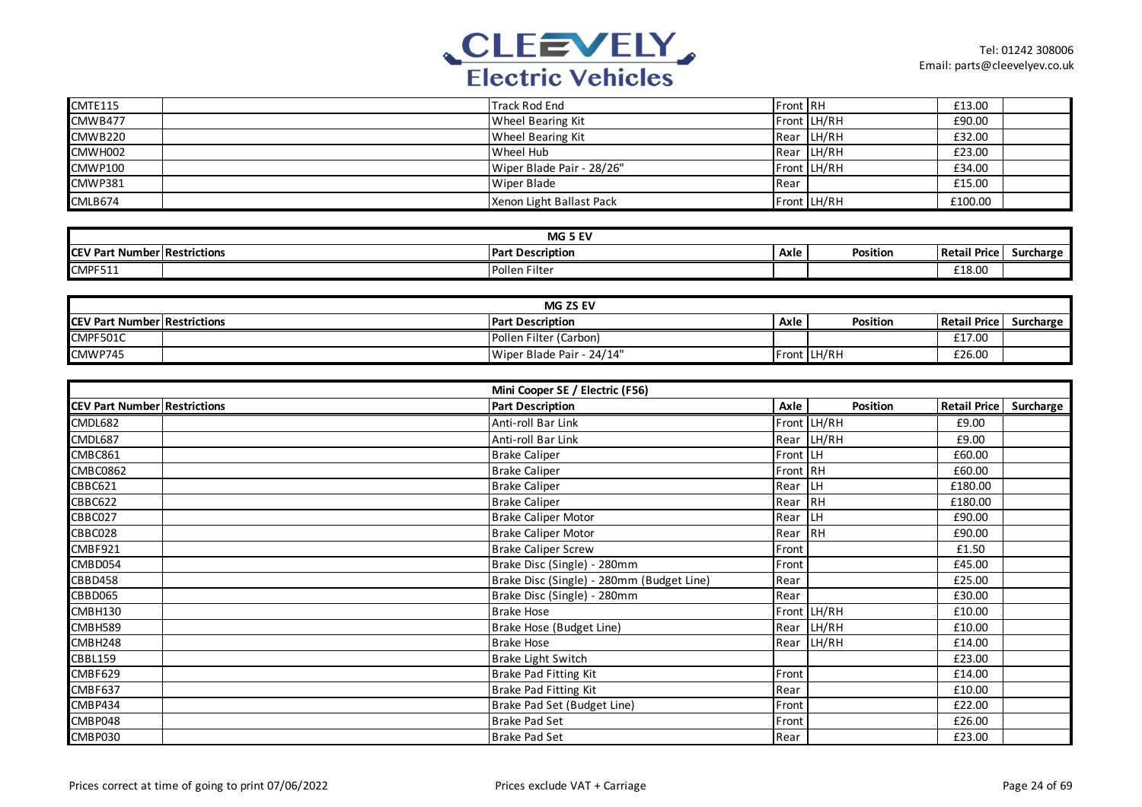

| <b>CMTE115</b>                      | <b>Track Rod End</b>    | Front RH                                          |             | £13.00              |           |
|-------------------------------------|-------------------------|---------------------------------------------------|-------------|---------------------|-----------|
| CMWB477                             |                         | Wheel Bearing Kit                                 | Front LH/RH | £90.00              |           |
| <b>CMWB220</b>                      |                         | Wheel Bearing Kit                                 | Rear LH/RH  | £32.00              |           |
| CMWH002                             | Wheel Hub               | Rear                                              | LH/RH       | £23.00              |           |
| <b>CMWP100</b>                      |                         | Wiper Blade Pair - 28/26"                         | Front LH/RH | £34.00              |           |
| <b>CMWP381</b>                      | Wiper Blade             | Rear                                              |             | £15.00              |           |
| CMLB674                             |                         | Xenon Light Ballast Pack                          | Front LH/RH | £100.00             |           |
|                                     |                         |                                                   |             |                     |           |
|                                     |                         | MG 5 EV                                           |             |                     |           |
| <b>CEV Part Number Restrictions</b> | <b>Part Description</b> | Axle                                              | Position    | <b>Retail Price</b> | Surcharge |
| CMPF511                             | Pollen Filter           |                                                   |             | £18.00              |           |
|                                     |                         |                                                   |             |                     |           |
|                                     |                         | MG ZS EV                                          |             |                     |           |
| <b>CEV Part Number Restrictions</b> | <b>Part Description</b> | Axle                                              | Position    | <b>Retail Price</b> | Surcharge |
| CMPF501C                            |                         | Pollen Filter (Carbon)                            |             | £17.00              |           |
| CMWP745                             |                         | Wiper Blade Pair - 24/14"                         | Front LH/RH | £26.00              |           |
|                                     |                         |                                                   |             |                     |           |
|                                     |                         | Mini Cooper SE / Electric (F56)                   |             |                     |           |
|                                     |                         |                                                   |             |                     |           |
| <b>CEV Part Number Restrictions</b> | <b>Part Description</b> | Axle                                              | Position    | <b>Retail Price</b> | Surcharge |
| CMDL682                             | Anti-roll Bar Link      |                                                   | Front LH/RH | £9.00               |           |
| CMDL687                             | Anti-roll Bar Link      |                                                   | Rear LH/RH  | £9.00               |           |
| CMBC861                             | <b>Brake Caliper</b>    | Front LH                                          |             | £60.00              |           |
| <b>CMBC0862</b>                     | <b>Brake Caliper</b>    | Front RH                                          |             | £60.00              |           |
| CBBC621                             | <b>Brake Caliper</b>    | Rear                                              | <b>LH</b>   | £180.00             |           |
| <b>CBBC622</b>                      | <b>Brake Caliper</b>    | Rear RH                                           |             | £180.00             |           |
| CBBC027                             |                         | <b>Brake Caliper Motor</b><br>Rear                | <b>LH</b>   | £90.00              |           |
| CBBC028                             |                         | <b>Brake Caliper Motor</b><br>Rear                | RH          | £90.00              |           |
| CMBF921                             |                         | <b>Brake Caliper Screw</b><br>Front               |             | £1.50               |           |
| CMBD054                             |                         | Brake Disc (Single) - 280mm<br>Front              |             | £45.00              |           |
| <b>CBBD458</b>                      |                         | Brake Disc (Single) - 280mm (Budget Line)<br>Rear |             | £25.00              |           |
| CBBD065                             |                         | Brake Disc (Single) - 280mm<br>Rear               |             | £30.00              |           |
| CMBH130                             | <b>Brake Hose</b>       |                                                   | Front LH/RH | $\overline{f10.00}$ |           |
| CMBH589                             |                         | Brake Hose (Budget Line)                          | Rear LH/RH  | £10.00              |           |
| CMBH248                             | <b>Brake Hose</b>       | Rear                                              | LH/RH       | £14.00              |           |
| <b>CBBL159</b>                      |                         | <b>Brake Light Switch</b>                         |             | £23.00              |           |
| CMBF629                             |                         | Brake Pad Fitting Kit<br>Front                    |             | £14.00              |           |
| CMBF637                             |                         | <b>Brake Pad Fitting Kit</b><br>Rear              |             | £10.00              |           |
| CMBP434                             |                         | Brake Pad Set (Budget Line)<br>Front              |             | £22.00              |           |
| CMBP048                             | Brake Pad Set           | Front                                             |             | £26.00              |           |
| CMBP030                             | <b>Brake Pad Set</b>    | Rear                                              |             | £23.00              |           |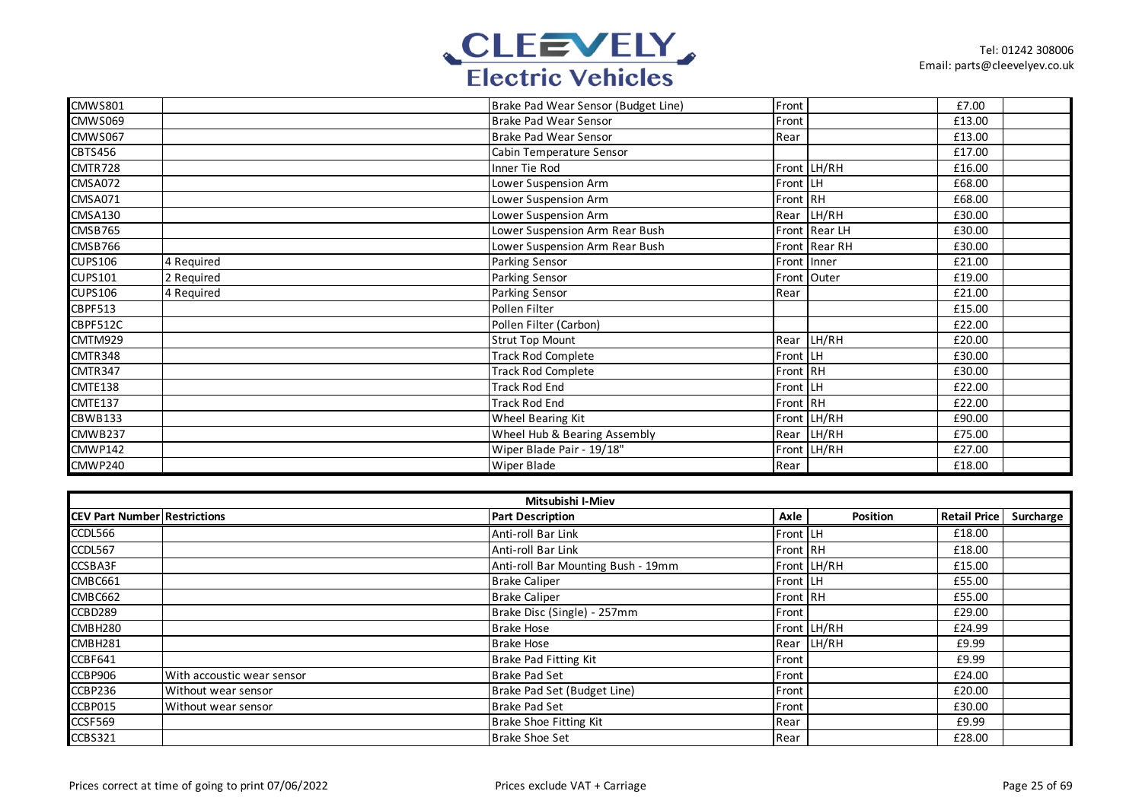

| <b>CMWS801</b> |            | Brake Pad Wear Sensor (Budget Line) | Front    |               | £7.00  |  |
|----------------|------------|-------------------------------------|----------|---------------|--------|--|
| CMWS069        |            | <b>Brake Pad Wear Sensor</b>        | Front    |               | £13.00 |  |
| CMWS067        |            | <b>Brake Pad Wear Sensor</b>        | Rear     |               | £13.00 |  |
| <b>CBTS456</b> |            | Cabin Temperature Sensor            |          |               | £17.00 |  |
| CMTR728        |            | Inner Tie Rod                       |          | Front LH/RH   | £16.00 |  |
| CMSA072        |            | Lower Suspension Arm                | Front LH |               | £68.00 |  |
| <b>CMSA071</b> |            | Lower Suspension Arm                | Front RH |               | £68.00 |  |
| CMSA130        |            | Lower Suspension Arm                |          | Rear LH/RH    | £30.00 |  |
| CMSB765        |            | Lower Suspension Arm Rear Bush      |          | Front Rear LH | £30.00 |  |
| CMSB766        |            | Lower Suspension Arm Rear Bush      |          | Front Rear RH | £30.00 |  |
| <b>CUPS106</b> | 4 Required | <b>Parking Sensor</b>               |          | Front Inner   | £21.00 |  |
| <b>CUPS101</b> | 2 Required | Parking Sensor                      |          | Front Outer   | £19.00 |  |
| <b>CUPS106</b> | 4 Required | Parking Sensor                      | Rear     |               | £21.00 |  |
| CBPF513        |            | Pollen Filter                       |          |               | £15.00 |  |
| CBPF512C       |            | Pollen Filter (Carbon)              |          |               | £22.00 |  |
| CMTM929        |            | <b>Strut Top Mount</b>              |          | Rear LH/RH    | £20.00 |  |
| CMTR348        |            | <b>Track Rod Complete</b>           | Front LH |               | £30.00 |  |
| CMTR347        |            | <b>Track Rod Complete</b>           | Front RH |               | £30.00 |  |
| CMTE138        |            | <b>Track Rod End</b>                | Front LH |               | £22.00 |  |
| <b>CMTE137</b> |            | <b>Track Rod End</b>                | Front RH |               | £22.00 |  |
| CBWB133        |            | Wheel Bearing Kit                   |          | Front LH/RH   | £90.00 |  |
| CMWB237        |            | Wheel Hub & Bearing Assembly        | Rear     | LH/RH         | £75.00 |  |
| CMWP142        |            | Wiper Blade Pair - 19/18"           |          | Front LH/RH   | £27.00 |  |
| CMWP240        |            | Wiper Blade                         | Rear     |               | £18.00 |  |

| Mitsubishi I-Miev                   |                            |                                    |                 |             |                     |           |  |
|-------------------------------------|----------------------------|------------------------------------|-----------------|-------------|---------------------|-----------|--|
| <b>CEV Part Number Restrictions</b> |                            | <b>Part Description</b>            | Axle            | Position    | <b>Retail Price</b> | Surcharge |  |
| CCDL566                             |                            | Anti-roll Bar Link                 | <b>Front LH</b> |             | £18.00              |           |  |
| CCDL567                             |                            | Anti-roll Bar Link                 | Front RH        |             | £18.00              |           |  |
| CCSBA3F                             |                            | Anti-roll Bar Mounting Bush - 19mm |                 | Front LH/RH | £15.00              |           |  |
| CMBC661                             |                            | <b>Brake Caliper</b>               | Front LH        |             | £55.00              |           |  |
| CMBC662                             |                            | <b>Brake Caliper</b>               | Front RH        |             | £55.00              |           |  |
| CCBD289                             |                            | Brake Disc (Single) - 257mm        | Front           |             | £29.00              |           |  |
| CMBH280                             |                            | <b>Brake Hose</b>                  |                 | Front LH/RH | £24.99              |           |  |
| CMBH281                             |                            | <b>Brake Hose</b>                  |                 | Rear LH/RH  | £9.99               |           |  |
| CCBF641                             |                            | Brake Pad Fitting Kit              | Front           |             | £9.99               |           |  |
| CCBP906                             | With accoustic wear sensor | <b>Brake Pad Set</b>               | Front           |             | £24.00              |           |  |
| CCBP236                             | Without wear sensor        | Brake Pad Set (Budget Line)        | Front           |             | £20.00              |           |  |
| CCBP015                             | Without wear sensor        | <b>Brake Pad Set</b>               | Front           |             | £30.00              |           |  |
| CCSF569                             |                            | Brake Shoe Fitting Kit             | Rear            |             | £9.99               |           |  |
| CCBS321                             |                            | <b>Brake Shoe Set</b>              | Rear            |             | £28.00              |           |  |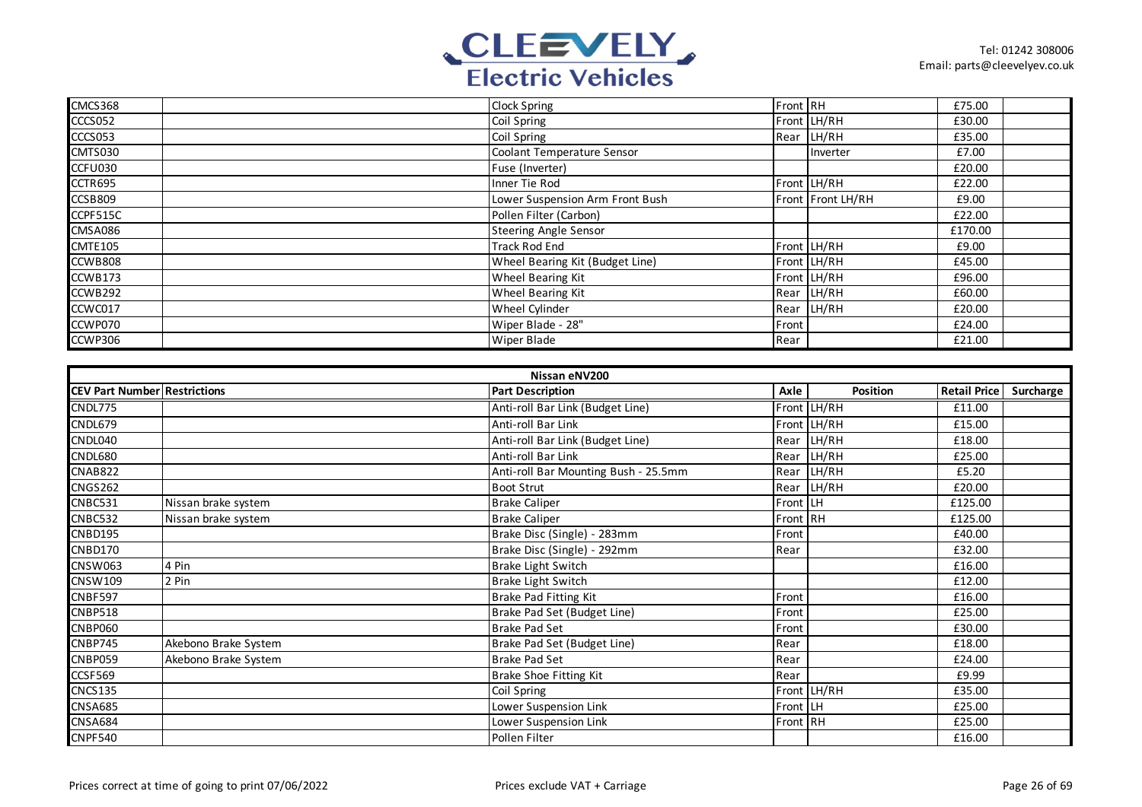

| CMCS368  | <b>Clock Spring</b>             | Front RH |                   | £75.00  |  |
|----------|---------------------------------|----------|-------------------|---------|--|
| CCCS052  | Coil Spring                     |          | Front LH/RH       | £30.00  |  |
| CCCS053  | Coil Spring                     |          | Rear LH/RH        | £35.00  |  |
| CMTS030  | Coolant Temperature Sensor      |          | Inverter          | £7.00   |  |
| CCFU030  | Fuse (Inverter)                 |          |                   | £20.00  |  |
| CCTR695  | Inner Tie Rod                   |          | Front LH/RH       | £22.00  |  |
| CCSB809  | Lower Suspension Arm Front Bush |          | Front Front LH/RH | £9.00   |  |
| CCPF515C | Pollen Filter (Carbon)          |          |                   | £22.00  |  |
| CMSA086  | <b>Steering Angle Sensor</b>    |          |                   | £170.00 |  |
| CMTE105  | <b>Track Rod End</b>            |          | Front LH/RH       | £9.00   |  |
| CCWB808  | Wheel Bearing Kit (Budget Line) |          | Front LH/RH       | £45.00  |  |
| CCWB173  | Wheel Bearing Kit               |          | Front LH/RH       | £96.00  |  |
| CCWB292  | Wheel Bearing Kit               |          | Rear LH/RH        | £60.00  |  |
| CCWC017  | Wheel Cylinder                  |          | Rear LH/RH        | £20.00  |  |
| CCWP070  | Wiper Blade - 28"               | Front    |                   | £24.00  |  |
| CCWP306  | <b>Wiper Blade</b>              | Rear     |                   | £21.00  |  |

| Nissan eNV200                       |                      |                                      |          |             |                     |           |  |
|-------------------------------------|----------------------|--------------------------------------|----------|-------------|---------------------|-----------|--|
| <b>CEV Part Number Restrictions</b> |                      | <b>Part Description</b>              | Axle     | Position    | <b>Retail Price</b> | Surcharge |  |
| CNDL775                             |                      | Anti-roll Bar Link (Budget Line)     |          | Front LH/RH | £11.00              |           |  |
| CNDL679                             |                      | Anti-roll Bar Link                   |          | Front LH/RH | £15.00              |           |  |
| CNDL040                             |                      | Anti-roll Bar Link (Budget Line)     | Rear     | LH/RH       | £18.00              |           |  |
| <b>CNDL680</b>                      |                      | Anti-roll Bar Link                   |          | Rear LH/RH  | £25.00              |           |  |
| <b>CNAB822</b>                      |                      | Anti-roll Bar Mounting Bush - 25.5mm | Rear     | LH/RH       | £5.20               |           |  |
| <b>CNGS262</b>                      |                      | <b>Boot Strut</b>                    |          | Rear LH/RH  | £20.00              |           |  |
| CNBC531                             | Nissan brake system  | <b>Brake Caliper</b>                 | Front LH |             | £125.00             |           |  |
| <b>CNBC532</b>                      | Nissan brake system  | <b>Brake Caliper</b>                 | Front RH |             | £125.00             |           |  |
| <b>CNBD195</b>                      |                      | Brake Disc (Single) - 283mm          | Front    |             | £40.00              |           |  |
| CNBD170                             |                      | Brake Disc (Single) - 292mm          | Rear     |             | £32.00              |           |  |
| <b>CNSW063</b>                      | 4 Pin                | Brake Light Switch                   |          |             | £16.00              |           |  |
| <b>CNSW109</b>                      | 2 Pin                | <b>Brake Light Switch</b>            |          |             | £12.00              |           |  |
| <b>CNBF597</b>                      |                      | Brake Pad Fitting Kit                | Front    |             | £16.00              |           |  |
| <b>CNBP518</b>                      |                      | Brake Pad Set (Budget Line)          | Front    |             | £25.00              |           |  |
| CNBP060                             |                      | <b>Brake Pad Set</b>                 | Front    |             | £30.00              |           |  |
| <b>CNBP745</b>                      | Akebono Brake System | Brake Pad Set (Budget Line)          | Rear     |             | £18.00              |           |  |
| <b>CNBP059</b>                      | Akebono Brake System | <b>Brake Pad Set</b>                 | Rear     |             | £24.00              |           |  |
| CCSF569                             |                      | Brake Shoe Fitting Kit               | Rear     |             | £9.99               |           |  |
| <b>CNCS135</b>                      |                      | Coil Spring                          |          | Front LH/RH | £35.00              |           |  |
| <b>CNSA685</b>                      |                      | Lower Suspension Link                | Front LH |             | £25.00              |           |  |
| CNSA684                             |                      | Lower Suspension Link                | Front RH |             | £25.00              |           |  |
| <b>CNPF540</b>                      |                      | Pollen Filter                        |          |             | £16.00              |           |  |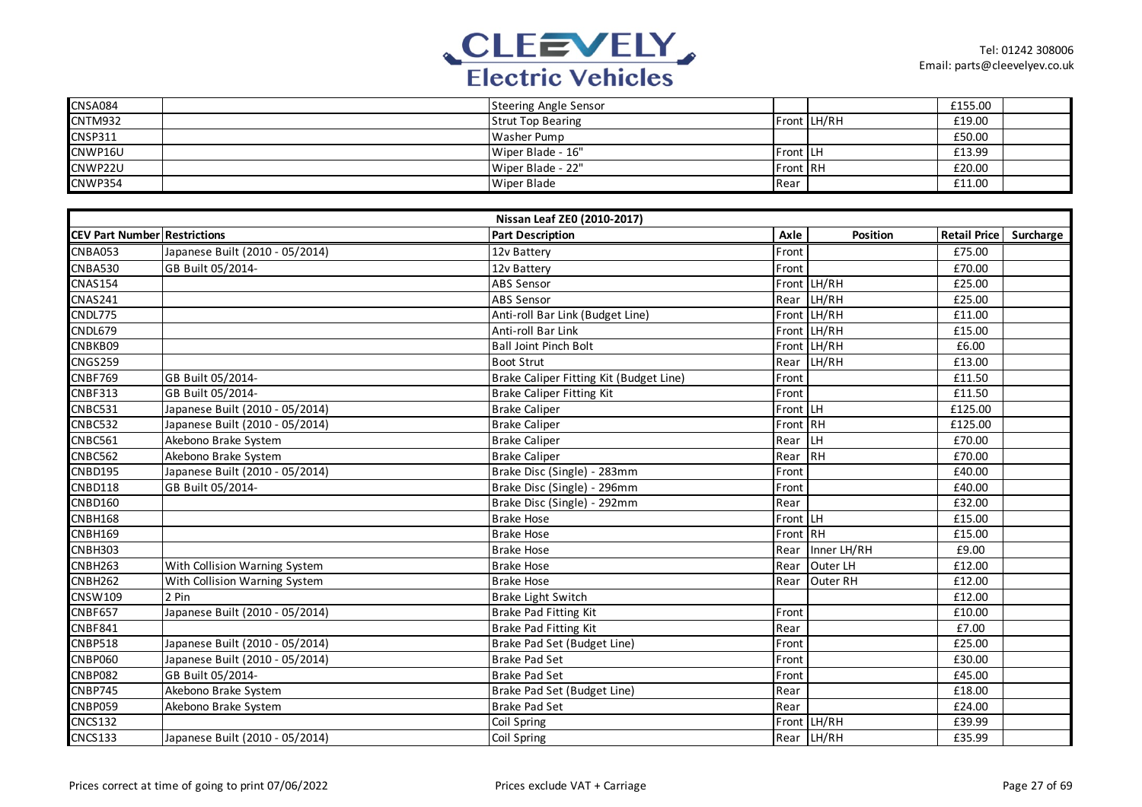

| <b>CNSA084</b> | Steering Angle Sensor    |          |             | £155.00 |  |
|----------------|--------------------------|----------|-------------|---------|--|
| <b>CNTM932</b> | <b>Strut Top Bearing</b> |          | Front LH/RH | £19.00  |  |
| <b>CNSP311</b> | Washer Pump              |          |             | £50.00  |  |
| CNWP16U        | Wiper Blade - 16"        | Front LH |             | £13.99  |  |
| CNWP22U        | Wiper Blade - 22"        | Front RH |             | £20.00  |  |
| <b>CNWP354</b> | Wiper Blade              | Rear     |             | £11.00  |  |

| Nissan Leaf ZEO (2010-2017)         |                                 |                                         |          |             |                     |           |  |
|-------------------------------------|---------------------------------|-----------------------------------------|----------|-------------|---------------------|-----------|--|
| <b>CEV Part Number Restrictions</b> |                                 | <b>Part Description</b>                 | Axle     | Position    | <b>Retail Price</b> | Surcharge |  |
| CNBA053                             | Japanese Built (2010 - 05/2014) | 12v Battery                             | Front    |             | £75.00              |           |  |
| <b>CNBA530</b>                      | GB Built 05/2014-               | 12v Battery                             | Front    |             | £70.00              |           |  |
| <b>CNAS154</b>                      |                                 | <b>ABS Sensor</b>                       |          | Front LH/RH | £25.00              |           |  |
| <b>CNAS241</b>                      |                                 | <b>ABS Sensor</b>                       | Rear     | LH/RH       | £25.00              |           |  |
| CNDL775                             |                                 | Anti-roll Bar Link (Budget Line)        |          | Front LH/RH | £11.00              |           |  |
| CNDL679                             |                                 | Anti-roll Bar Link                      |          | Front LH/RH | £15.00              |           |  |
| CNBKB09                             |                                 | <b>Ball Joint Pinch Bolt</b>            |          | Front LH/RH | £6.00               |           |  |
| <b>CNGS259</b>                      |                                 | <b>Boot Strut</b>                       | Rear     | LH/RH       | £13.00              |           |  |
| <b>CNBF769</b>                      | GB Built 05/2014-               | Brake Caliper Fitting Kit (Budget Line) | Front    |             | £11.50              |           |  |
| <b>CNBF313</b>                      | GB Built 05/2014-               | <b>Brake Caliper Fitting Kit</b>        | Front    |             | £11.50              |           |  |
| CNBC531                             | Japanese Built (2010 - 05/2014) | <b>Brake Caliper</b>                    | Front LH |             | £125.00             |           |  |
| CNBC532                             | Japanese Built (2010 - 05/2014) | <b>Brake Caliper</b>                    | Front RH |             | £125.00             |           |  |
| <b>CNBC561</b>                      | Akebono Brake System            | <b>Brake Caliper</b>                    | Rear     | LH          | £70.00              |           |  |
| <b>CNBC562</b>                      | Akebono Brake System            | <b>Brake Caliper</b>                    | Rear     | <b>RH</b>   | £70.00              |           |  |
| <b>CNBD195</b>                      | Japanese Built (2010 - 05/2014) | Brake Disc (Single) - 283mm             | Front    |             | £40.00              |           |  |
| <b>CNBD118</b>                      | GB Built 05/2014-               | Brake Disc (Single) - 296mm             | Front    |             | £40.00              |           |  |
| <b>CNBD160</b>                      |                                 | Brake Disc (Single) - 292mm             | Rear     |             | £32.00              |           |  |
| <b>CNBH168</b>                      |                                 | <b>Brake Hose</b>                       | Front LH |             | £15.00              |           |  |
| <b>CNBH169</b>                      |                                 | <b>Brake Hose</b>                       | Front RH |             | £15.00              |           |  |
| CNBH303                             |                                 | <b>Brake Hose</b>                       | Rear     | Inner LH/RH | £9.00               |           |  |
| CNBH263                             | With Collision Warning System   | <b>Brake Hose</b>                       | Rear     | Outer LH    | £12.00              |           |  |
| <b>CNBH262</b>                      | With Collision Warning System   | <b>Brake Hose</b>                       | Rear     | Outer RH    | £12.00              |           |  |
| CNSW109                             | 2 Pin                           | <b>Brake Light Switch</b>               |          |             | £12.00              |           |  |
| <b>CNBF657</b>                      | Japanese Built (2010 - 05/2014) | <b>Brake Pad Fitting Kit</b>            | Front    |             | £10.00              |           |  |
| CNBF841                             |                                 | Brake Pad Fitting Kit                   | Rear     |             | £7.00               |           |  |
| <b>CNBP518</b>                      | Japanese Built (2010 - 05/2014) | Brake Pad Set (Budget Line)             | Front    |             | £25.00              |           |  |
| <b>CNBP060</b>                      | Japanese Built (2010 - 05/2014) | <b>Brake Pad Set</b>                    | Front    |             | £30.00              |           |  |
| <b>CNBP082</b>                      | GB Built 05/2014-               | <b>Brake Pad Set</b>                    | Front    |             | £45.00              |           |  |
| <b>CNBP745</b>                      | Akebono Brake System            | Brake Pad Set (Budget Line)             | Rear     |             | £18.00              |           |  |
| <b>CNBP059</b>                      | Akebono Brake System            | <b>Brake Pad Set</b>                    | Rear     |             | £24.00              |           |  |
| <b>CNCS132</b>                      |                                 | Coil Spring                             | Front    | LH/RH       | £39.99              |           |  |
| <b>CNCS133</b>                      | Japanese Built (2010 - 05/2014) | Coil Spring                             |          | Rear LH/RH  | £35.99              |           |  |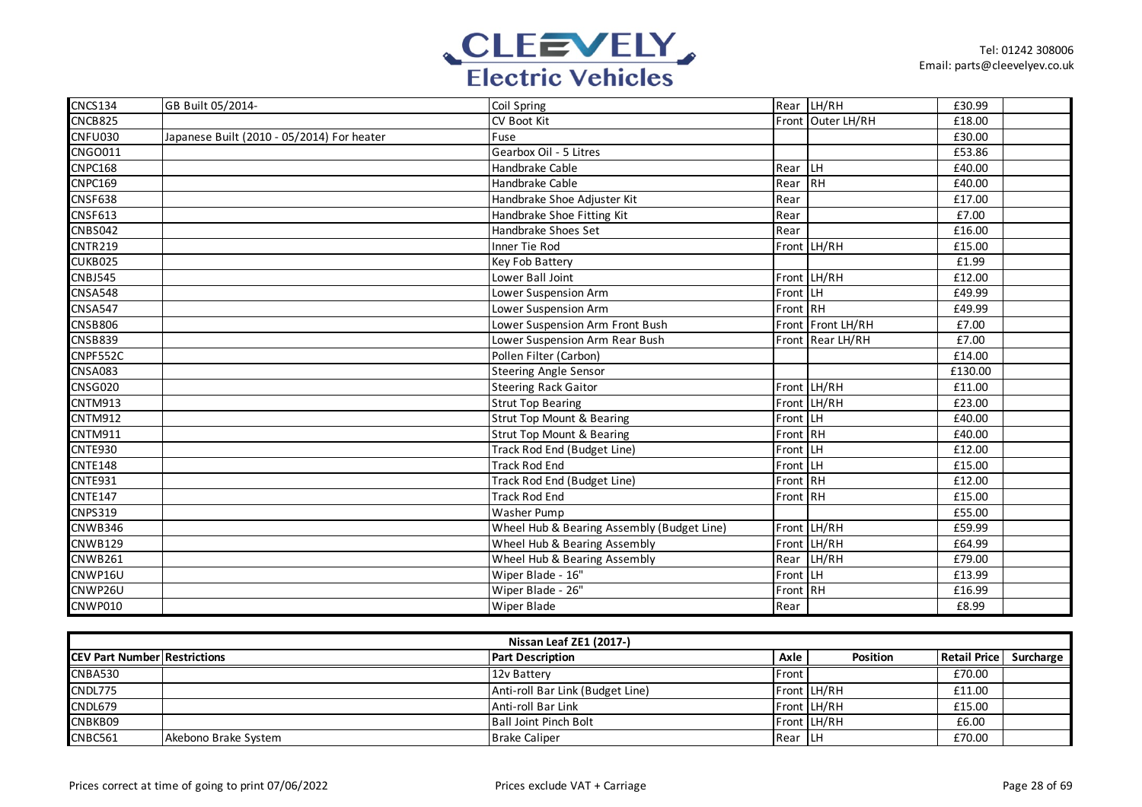

| <b>CNCS134</b> | GB Built 05/2014-                          | Coil Spring                                |          | Rear LH/RH        | £30.99  |  |
|----------------|--------------------------------------------|--------------------------------------------|----------|-------------------|---------|--|
| CNCB825        |                                            | CV Boot Kit                                |          | Front Outer LH/RH | £18.00  |  |
| <b>CNFU030</b> | Japanese Built (2010 - 05/2014) For heater | Fuse                                       |          |                   | £30.00  |  |
| <b>CNGO011</b> |                                            | Gearbox Oil - 5 Litres                     |          |                   | £53.86  |  |
| <b>CNPC168</b> |                                            | Handbrake Cable                            | Rear LH  |                   | £40.00  |  |
| <b>CNPC169</b> |                                            | Handbrake Cable                            | Rear RH  |                   | £40.00  |  |
| <b>CNSF638</b> |                                            | Handbrake Shoe Adjuster Kit                | Rear     |                   | £17.00  |  |
| <b>CNSF613</b> |                                            | Handbrake Shoe Fitting Kit                 | Rear     |                   | £7.00   |  |
| <b>CNBS042</b> |                                            | Handbrake Shoes Set                        | Rear     |                   | £16.00  |  |
| <b>CNTR219</b> |                                            | Inner Tie Rod                              |          | Front LH/RH       | £15.00  |  |
| CUKB025        |                                            | Key Fob Battery                            |          |                   | £1.99   |  |
| <b>CNBJ545</b> |                                            | Lower Ball Joint                           |          | Front LH/RH       | £12.00  |  |
| <b>CNSA548</b> |                                            | Lower Suspension Arm                       | Front LH |                   | £49.99  |  |
| <b>CNSA547</b> |                                            | Lower Suspension Arm                       | Front RH |                   | £49.99  |  |
| <b>CNSB806</b> |                                            | Lower Suspension Arm Front Bush            |          | Front Front LH/RH | £7.00   |  |
| <b>CNSB839</b> |                                            | Lower Suspension Arm Rear Bush             |          | Front Rear LH/RH  | £7.00   |  |
| CNPF552C       |                                            | Pollen Filter (Carbon)                     |          |                   | £14.00  |  |
| <b>CNSA083</b> |                                            | <b>Steering Angle Sensor</b>               |          |                   | £130.00 |  |
| CNSG020        |                                            | <b>Steering Rack Gaitor</b>                |          | Front LH/RH       | £11.00  |  |
| <b>CNTM913</b> |                                            | <b>Strut Top Bearing</b>                   |          | Front LH/RH       | £23.00  |  |
| <b>CNTM912</b> |                                            | <b>Strut Top Mount &amp; Bearing</b>       | Front LH |                   | £40.00  |  |
| CNTM911        |                                            | <b>Strut Top Mount &amp; Bearing</b>       | Front RH |                   | £40.00  |  |
| CNTE930        |                                            | Track Rod End (Budget Line)                | Front LH |                   | £12.00  |  |
| <b>CNTE148</b> |                                            | <b>Track Rod End</b>                       | Front LH |                   | £15.00  |  |
| <b>CNTE931</b> |                                            | Track Rod End (Budget Line)                | Front RH |                   | £12.00  |  |
| <b>CNTE147</b> |                                            | <b>Track Rod End</b>                       | Front RH |                   | £15.00  |  |
| <b>CNPS319</b> |                                            | <b>Washer Pump</b>                         |          |                   | £55.00  |  |
| CNWB346        |                                            | Wheel Hub & Bearing Assembly (Budget Line) |          | Front LH/RH       | £59.99  |  |
| <b>CNWB129</b> |                                            | Wheel Hub & Bearing Assembly               |          | Front LH/RH       | £64.99  |  |
| <b>CNWB261</b> |                                            | Wheel Hub & Bearing Assembly               |          | Rear LH/RH        | £79.00  |  |
| CNWP16U        |                                            | Wiper Blade - 16"                          | Front LH |                   | £13.99  |  |
| CNWP26U        |                                            | Wiper Blade - 26"                          | Front RH |                   | £16.99  |  |
| <b>CNWP010</b> |                                            | <b>Wiper Blade</b>                         | Rear     |                   | £8.99   |  |

| <b>Nissan Leaf ZE1 (2017-)</b>      |                      |                                  |          |                 |              |           |  |  |
|-------------------------------------|----------------------|----------------------------------|----------|-----------------|--------------|-----------|--|--|
| <b>CEV Part Number Restrictions</b> |                      | <b>Part Description</b>          | Axle     | <b>Position</b> | Retail Price | Surcharge |  |  |
| <b>CNBA530</b>                      |                      | 12v Battery                      | Front    |                 | £70.00       |           |  |  |
| CNDL775                             |                      | Anti-roll Bar Link (Budget Line) |          | Front LH/RH     | £11.00       |           |  |  |
| CNDL679                             |                      | Anti-roll Bar Link               |          | Front LH/RH     | £15.00       |           |  |  |
| CNBKB09                             |                      | <b>Ball Joint Pinch Bolt</b>     |          | Front LH/RH     | £6.00        |           |  |  |
| CNBC561                             | Akebono Brake System | <b>Brake Caliper</b>             | Rear ILH |                 | £70.00       |           |  |  |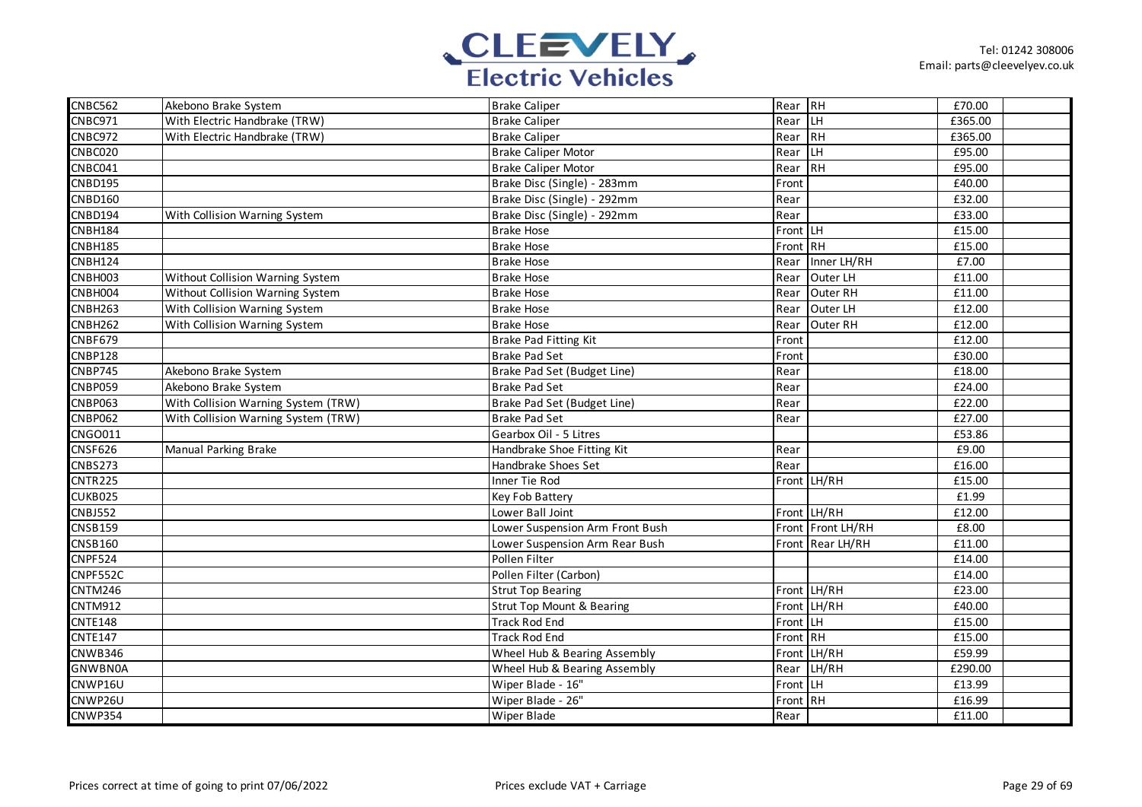

| <b>CNBC562</b>               | Akebono Brake System                | <b>Brake Caliper</b>                 | Rear RH  |                   | £70.00  |  |
|------------------------------|-------------------------------------|--------------------------------------|----------|-------------------|---------|--|
| CNBC971                      | With Electric Handbrake (TRW)       | <b>Brake Caliper</b>                 | Rear LH  |                   | £365.00 |  |
| CNBC972                      | With Electric Handbrake (TRW)       | <b>Brake Caliper</b>                 | Rear RH  |                   | £365.00 |  |
| CNBC020                      |                                     | <b>Brake Caliper Motor</b>           | Rear     | H                 | £95.00  |  |
| CNBC041                      |                                     | <b>Brake Caliper Motor</b>           | Rear RH  |                   | £95.00  |  |
| <b>CNBD195</b>               |                                     | Brake Disc (Single) - 283mm          | Front    |                   | £40.00  |  |
| <b>CNBD160</b>               |                                     | Brake Disc (Single) - 292mm          | Rear     |                   | £32.00  |  |
| <b>CNBD194</b>               | With Collision Warning System       | Brake Disc (Single) - 292mm          | Rear     |                   | £33.00  |  |
| <b>CNBH184</b>               |                                     | <b>Brake Hose</b>                    | Front LH |                   | £15.00  |  |
| <b>CNBH185</b>               |                                     | <b>Brake Hose</b>                    | Front RH |                   | £15.00  |  |
| CNBH124                      |                                     | <b>Brake Hose</b>                    | Rear     | Inner LH/RH       | £7.00   |  |
| CNBH003                      | Without Collision Warning System    | <b>Brake Hose</b>                    | Rear     | Outer LH          | £11.00  |  |
| CNBH004                      | Without Collision Warning System    | <b>Brake Hose</b>                    | Rear     | Outer RH          | £11.00  |  |
| CNBH263                      | With Collision Warning System       | <b>Brake Hose</b>                    | Rear     | Outer LH          | £12.00  |  |
| <b>CNBH262</b>               | With Collision Warning System       | <b>Brake Hose</b>                    | Rear     | Outer RH          | £12.00  |  |
| CNBF679                      |                                     | Brake Pad Fitting Kit                | Front    |                   | £12.00  |  |
| <b>CNBP128</b>               |                                     | <b>Brake Pad Set</b>                 | Front    |                   | £30.00  |  |
| CNBP745                      | Akebono Brake System                | Brake Pad Set (Budget Line)          | Rear     |                   | £18.00  |  |
| <b>CNBP059</b>               | Akebono Brake System                | <b>Brake Pad Set</b>                 | Rear     |                   | £24.00  |  |
| CNBP063                      | With Collision Warning System (TRW) | Brake Pad Set (Budget Line)          | Rear     |                   | £22.00  |  |
| <b>CNBP062</b>               | With Collision Warning System (TRW) | <b>Brake Pad Set</b>                 | Rear     |                   | £27.00  |  |
| CNGO011                      |                                     | Gearbox Oil - 5 Litres               |          |                   | £53.86  |  |
| <b>CNSF626</b>               | Manual Parking Brake                | Handbrake Shoe Fitting Kit           | Rear     |                   | £9.00   |  |
| <b>CNBS273</b>               |                                     | Handbrake Shoes Set                  | Rear     |                   | £16.00  |  |
| CNTR225                      |                                     | Inner Tie Rod                        |          | Front LH/RH       | £15.00  |  |
| CUKB025                      |                                     | Key Fob Battery                      |          |                   | £1.99   |  |
| <b>CNBJ552</b>               |                                     | Lower Ball Joint                     |          | Front LH/RH       | £12.00  |  |
| <b>CNSB159</b>               |                                     | Lower Suspension Arm Front Bush      |          | Front Front LH/RH | £8.00   |  |
| <b>CNSB160</b>               |                                     | Lower Suspension Arm Rear Bush       |          | Front Rear LH/RH  | £11.00  |  |
| <b>CNPF524</b>               |                                     | Pollen Filter                        |          |                   | £14.00  |  |
| CNPF552C                     |                                     | Pollen Filter (Carbon)               |          |                   | £14.00  |  |
| $\overline{\text{CNTM2}}$ 46 |                                     | <b>Strut Top Bearing</b>             |          | Front LH/RH       | £23.00  |  |
| <b>CNTM912</b>               |                                     | <b>Strut Top Mount &amp; Bearing</b> |          | Front LH/RH       | £40.00  |  |
| <b>CNTE148</b>               |                                     | <b>Track Rod End</b>                 | Front LH |                   | £15.00  |  |
| <b>CNTE147</b>               |                                     | <b>Track Rod End</b>                 | Front RH |                   | £15.00  |  |
| CNWB346                      |                                     | Wheel Hub & Bearing Assembly         |          | Front LH/RH       | £59.99  |  |
| <b>GNWBN0A</b>               |                                     | Wheel Hub & Bearing Assembly         |          | Rear LH/RH        | £290.00 |  |
| CNWP16U                      |                                     | Wiper Blade - 16"                    | Front LH |                   | £13.99  |  |
| CNWP26U                      |                                     | Wiper Blade - 26"                    | Front RH |                   | £16.99  |  |
| <b>CNWP354</b>               |                                     | Wiper Blade                          | Rear     |                   | £11.00  |  |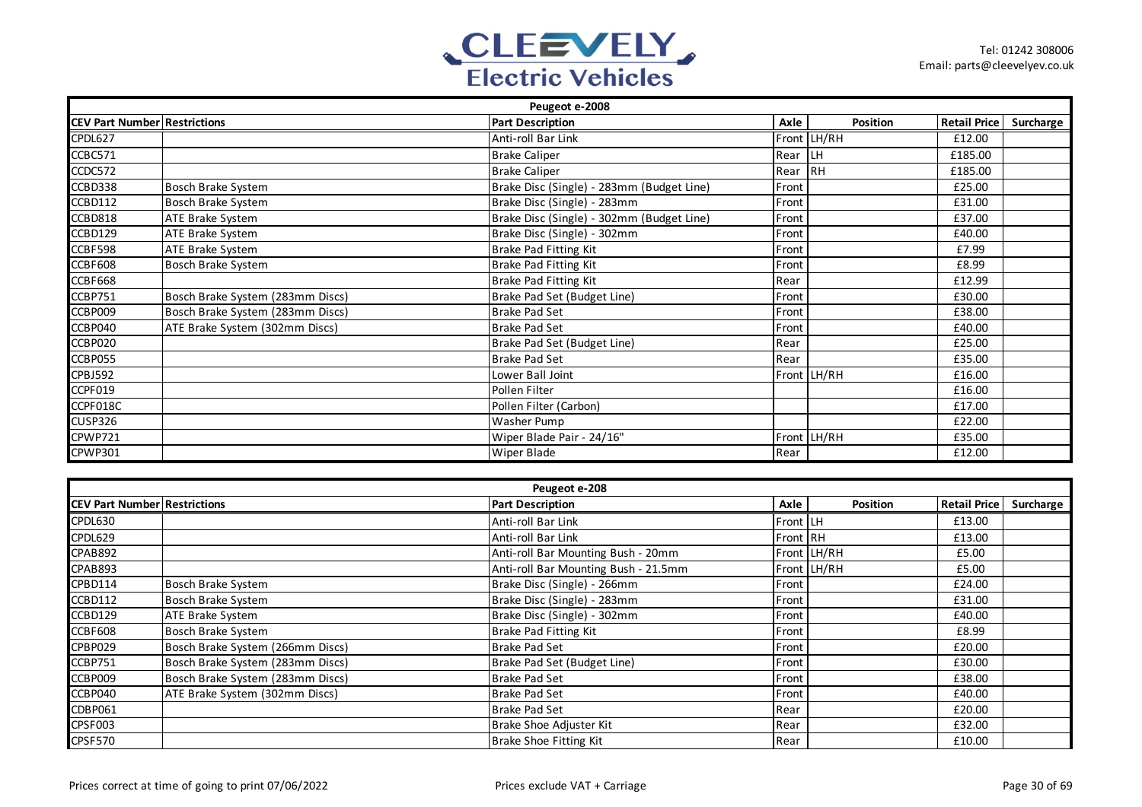

|                                     | Peugeot e-2008                   |                                           |       |             |                     |           |  |  |  |
|-------------------------------------|----------------------------------|-------------------------------------------|-------|-------------|---------------------|-----------|--|--|--|
| <b>CEV Part Number Restrictions</b> |                                  | <b>Part Description</b>                   | Axle  | Position    | <b>Retail Price</b> | Surcharge |  |  |  |
| CPDL627                             |                                  | Anti-roll Bar Link                        |       | Front LH/RH | £12.00              |           |  |  |  |
| CCBC571                             |                                  | <b>Brake Caliper</b>                      | Rear  | ILН         | £185.00             |           |  |  |  |
| CCDC572                             |                                  | <b>Brake Caliper</b>                      | Rear  | <b>IRH</b>  | £185.00             |           |  |  |  |
| CCBD338                             | Bosch Brake System               | Brake Disc (Single) - 283mm (Budget Line) | Front |             | £25.00              |           |  |  |  |
| CCBD112                             | Bosch Brake System               | Brake Disc (Single) - 283mm               | Front |             | £31.00              |           |  |  |  |
| CCBD818                             | ATE Brake System                 | Brake Disc (Single) - 302mm (Budget Line) | Front |             | £37.00              |           |  |  |  |
| CCBD129                             | ATE Brake System                 | Brake Disc (Single) - 302mm               | Front |             | £40.00              |           |  |  |  |
| CCBF598                             | ATE Brake System                 | Brake Pad Fitting Kit                     | Front |             | £7.99               |           |  |  |  |
| CCBF608                             | Bosch Brake System               | <b>Brake Pad Fitting Kit</b>              | Front |             | £8.99               |           |  |  |  |
| CCBF668                             |                                  | <b>Brake Pad Fitting Kit</b>              | Rear  |             | £12.99              |           |  |  |  |
| CCBP751                             | Bosch Brake System (283mm Discs) | Brake Pad Set (Budget Line)               | Front |             | £30.00              |           |  |  |  |
| CCBP009                             | Bosch Brake System (283mm Discs) | <b>Brake Pad Set</b>                      | Front |             | £38.00              |           |  |  |  |
| CCBP040                             | ATE Brake System (302mm Discs)   | <b>Brake Pad Set</b>                      | Front |             | £40.00              |           |  |  |  |
| CCBP020                             |                                  | Brake Pad Set (Budget Line)               | Rear  |             | £25.00              |           |  |  |  |
| CCBP055                             |                                  | <b>Brake Pad Set</b>                      | Rear  |             | £35.00              |           |  |  |  |
| CPBJ592                             |                                  | Lower Ball Joint                          |       | Front LH/RH | £16.00              |           |  |  |  |
| CCPF019                             |                                  | Pollen Filter                             |       |             | £16.00              |           |  |  |  |
| CCPF018C                            |                                  | Pollen Filter (Carbon)                    |       |             | £17.00              |           |  |  |  |
| <b>CUSP326</b>                      |                                  | Washer Pump                               |       |             | £22.00              |           |  |  |  |
| CPWP721                             |                                  | Wiper Blade Pair - 24/16"                 |       | Front LH/RH | £35.00              |           |  |  |  |
| CPWP301                             |                                  | Wiper Blade                               | Rear  |             | £12.00              |           |  |  |  |

| Peugeot e-208                       |                                  |                                      |          |             |                     |           |  |  |
|-------------------------------------|----------------------------------|--------------------------------------|----------|-------------|---------------------|-----------|--|--|
| <b>CEV Part Number Restrictions</b> |                                  | <b>Part Description</b>              | Axle     | Position    | <b>Retail Price</b> | Surcharge |  |  |
| CPDL630                             |                                  | Anti-roll Bar Link                   | Front LH |             | £13.00              |           |  |  |
| CPDL629                             |                                  | Anti-roll Bar Link                   | Front RH |             | £13.00              |           |  |  |
| CPAB892                             |                                  | Anti-roll Bar Mounting Bush - 20mm   |          | Front LH/RH | £5.00               |           |  |  |
| CPAB893                             |                                  | Anti-roll Bar Mounting Bush - 21.5mm |          | Front LH/RH | £5.00               |           |  |  |
| CPBD114                             | Bosch Brake System               | Brake Disc (Single) - 266mm          | Front    |             | £24.00              |           |  |  |
| CCBD112                             | Bosch Brake System               | Brake Disc (Single) - 283mm          | Front    |             | £31.00              |           |  |  |
| CCBD129                             | <b>ATE Brake System</b>          | Brake Disc (Single) - 302mm          | Front    |             | £40.00              |           |  |  |
| CCBF608                             | Bosch Brake System               | Brake Pad Fitting Kit                | Front    |             | £8.99               |           |  |  |
| CPBP029                             | Bosch Brake System (266mm Discs) | <b>Brake Pad Set</b>                 | Front    |             | £20.00              |           |  |  |
| CCBP751                             | Bosch Brake System (283mm Discs) | Brake Pad Set (Budget Line)          | Front    |             | £30.00              |           |  |  |
| CCBP009                             | Bosch Brake System (283mm Discs) | <b>Brake Pad Set</b>                 | Front    |             | £38.00              |           |  |  |
| CCBP040                             | ATE Brake System (302mm Discs)   | <b>Brake Pad Set</b>                 | Front    |             | £40.00              |           |  |  |
| CDBP061                             |                                  | <b>Brake Pad Set</b>                 | Rear     |             | £20.00              |           |  |  |
| CPSF003                             |                                  | Brake Shoe Adjuster Kit              | Rear     |             | £32.00              |           |  |  |
| CPSF570                             |                                  | Brake Shoe Fitting Kit               | Rear     |             | £10.00              |           |  |  |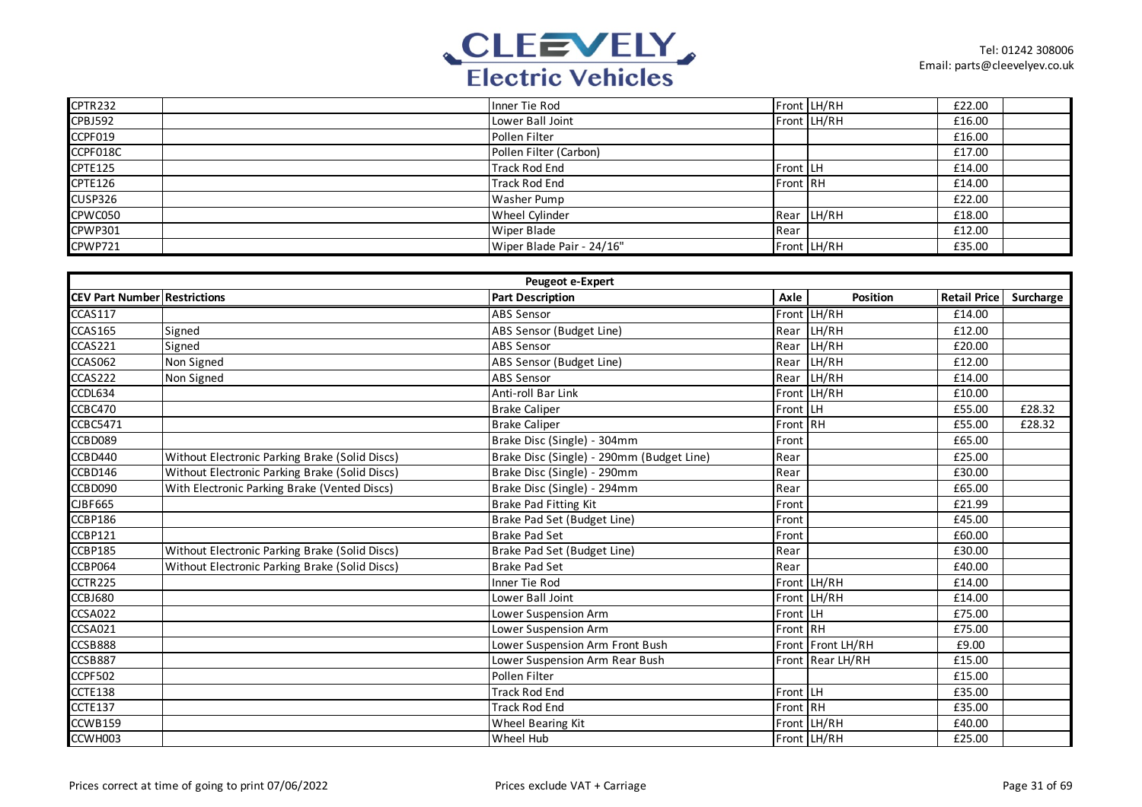

| CPTR232        | Inner Tie Rod             |          | Front LH/RH | £22.00 |  |
|----------------|---------------------------|----------|-------------|--------|--|
| <b>CPBJ592</b> | Lower Ball Joint          |          | Front LH/RH | £16.00 |  |
| CCPF019        | Pollen Filter             |          |             | £16.00 |  |
| CCPF018C       | Pollen Filter (Carbon)    |          |             | £17.00 |  |
| <b>CPTE125</b> | <b>Track Rod End</b>      | Front LH |             | £14.00 |  |
| CPTE126        | <b>Track Rod End</b>      | Front RH |             | £14.00 |  |
| <b>CUSP326</b> | Washer Pump               |          |             | £22.00 |  |
| CPWC050        | Wheel Cylinder            |          | Rear LH/RH  | £18.00 |  |
| <b>CPWP301</b> | Wiper Blade               | Rear     |             | £12.00 |  |
| CPWP721        | Wiper Blade Pair - 24/16" |          | Front LH/RH | £35.00 |  |

|                                     |                                                | <b>Peugeot e-Expert</b>                   |          |                   |                     |           |
|-------------------------------------|------------------------------------------------|-------------------------------------------|----------|-------------------|---------------------|-----------|
| <b>CEV Part Number Restrictions</b> |                                                | <b>Part Description</b>                   | Axle     | Position          | <b>Retail Price</b> | Surcharge |
| <b>CCAS117</b>                      |                                                | <b>ABS Sensor</b>                         |          | Front LH/RH       | £14.00              |           |
| <b>CCAS165</b>                      | Signed                                         | ABS Sensor (Budget Line)                  |          | Rear LH/RH        | £12.00              |           |
| CCAS221                             | Signed                                         | <b>ABS Sensor</b>                         |          | Rear LH/RH        | £20.00              |           |
| CCAS062                             | Non Signed                                     | ABS Sensor (Budget Line)                  | Rear     | LH/RH             | £12.00              |           |
| CCAS222                             | Non Signed                                     | <b>ABS Sensor</b>                         | Rear     | LH/RH             | £14.00              |           |
| CCDL634                             |                                                | Anti-roll Bar Link                        |          | Front LH/RH       | £10.00              |           |
| CCBC470                             |                                                | <b>Brake Caliper</b>                      | Front LH |                   | £55.00              | £28.32    |
| <b>CCBC5471</b>                     |                                                | <b>Brake Caliper</b>                      | Front RH |                   | £55.00              | £28.32    |
| CCBD089                             |                                                | Brake Disc (Single) - 304mm               | Front    |                   | £65.00              |           |
| CCBD440                             | Without Electronic Parking Brake (Solid Discs) | Brake Disc (Single) - 290mm (Budget Line) | Rear     |                   | £25.00              |           |
| CCBD146                             | Without Electronic Parking Brake (Solid Discs) | Brake Disc (Single) - 290mm               | Rear     |                   | £30.00              |           |
| CCBD090                             | With Electronic Parking Brake (Vented Discs)   | Brake Disc (Single) - 294mm               | Rear     |                   | £65.00              |           |
| <b>CJBF665</b>                      |                                                | Brake Pad Fitting Kit                     | Front    |                   | £21.99              |           |
| CCBP186                             |                                                | Brake Pad Set (Budget Line)               | Front    |                   | £45.00              |           |
| CCBP121                             |                                                | <b>Brake Pad Set</b>                      | Front    |                   | £60.00              |           |
| CCBP185                             | Without Electronic Parking Brake (Solid Discs) | Brake Pad Set (Budget Line)               | Rear     |                   | £30.00              |           |
| CCBP064                             | Without Electronic Parking Brake (Solid Discs) | <b>Brake Pad Set</b>                      | Rear     |                   | £40.00              |           |
| CCTR225                             |                                                | Inner Tie Rod                             |          | Front LH/RH       | £14.00              |           |
| CCBJ680                             |                                                | Lower Ball Joint                          |          | Front LH/RH       | £14.00              |           |
| CCSA022                             |                                                | Lower Suspension Arm                      | Front LH |                   | £75.00              |           |
| CCSA021                             |                                                | Lower Suspension Arm                      | Front RH |                   | £75.00              |           |
| CCSB888                             |                                                | Lower Suspension Arm Front Bush           |          | Front Front LH/RH | £9.00               |           |
| CCSB887                             |                                                | Lower Suspension Arm Rear Bush            |          | Front Rear LH/RH  | £15.00              |           |
| <b>CCPF502</b>                      |                                                | Pollen Filter                             |          |                   | £15.00              |           |
| CCTE138                             |                                                | <b>Track Rod End</b>                      | Front LH |                   | £35.00              |           |
| CCTE137                             |                                                | <b>Track Rod End</b>                      | Front RH |                   | £35.00              |           |
| CCWB159                             |                                                | Wheel Bearing Kit                         |          | Front LH/RH       | £40.00              |           |
| CCWH003                             |                                                | Wheel Hub                                 |          | Front LH/RH       | £25.00              |           |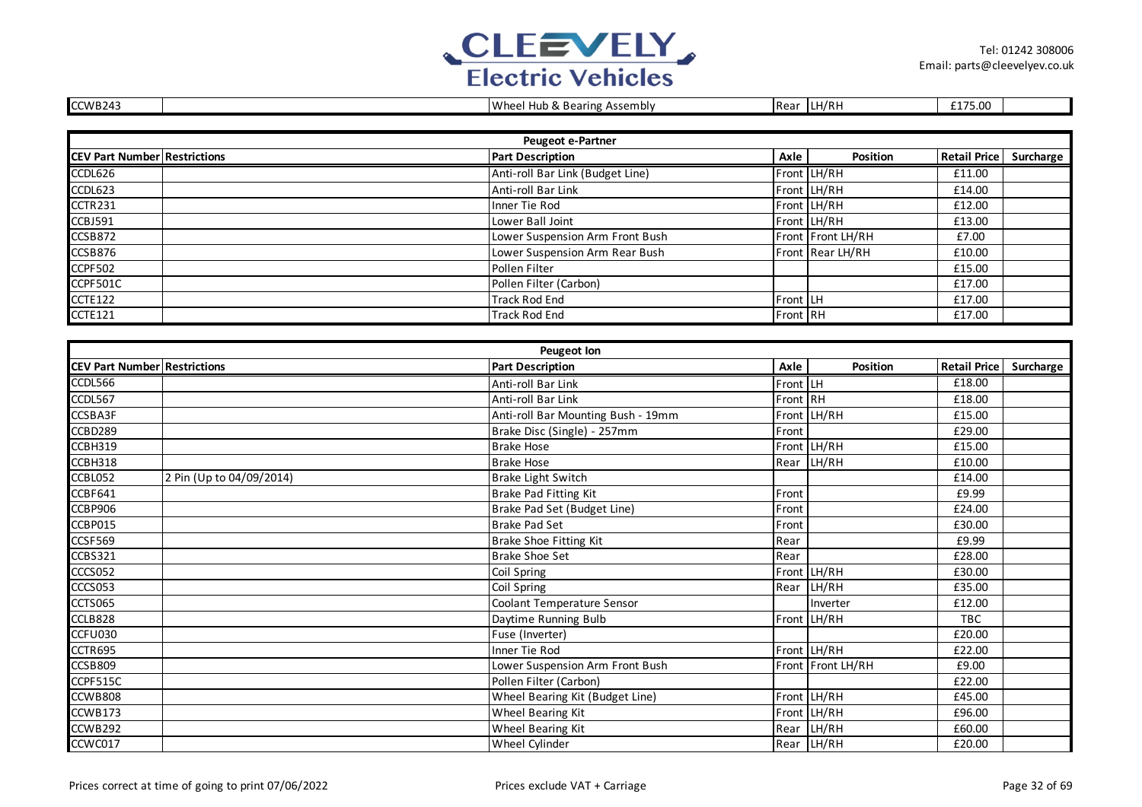

| CCWB243                             |                          | Wheel Hub & Bearing Assembly       |          | Rear LH/RH        | £175.00             |           |
|-------------------------------------|--------------------------|------------------------------------|----------|-------------------|---------------------|-----------|
|                                     |                          |                                    |          |                   |                     |           |
|                                     |                          | Peugeot e-Partner                  |          |                   |                     |           |
| <b>CEV Part Number Restrictions</b> |                          | <b>Part Description</b>            | Axle     | <b>Position</b>   | <b>Retail Price</b> | Surcharge |
| CCDL626                             |                          | Anti-roll Bar Link (Budget Line)   |          | Front LH/RH       | £11.00              |           |
| CCDL623                             |                          | Anti-roll Bar Link                 |          | Front LH/RH       | £14.00              |           |
| CCTR231                             |                          | Inner Tie Rod                      |          | Front LH/RH       | £12.00              |           |
| CCBJ591                             |                          | Lower Ball Joint                   |          | Front LH/RH       | £13.00              |           |
| CCSB872                             |                          | Lower Suspension Arm Front Bush    |          | Front Front LH/RH | £7.00               |           |
| CCSB876                             |                          | Lower Suspension Arm Rear Bush     |          | Front Rear LH/RH  | £10.00              |           |
| CCPF502                             |                          | Pollen Filter                      |          |                   | £15.00              |           |
| CCPF501C                            |                          | Pollen Filter (Carbon)             |          |                   | £17.00              |           |
| <b>CCTE122</b>                      |                          | <b>Track Rod End</b>               | Front LH |                   | £17.00              |           |
| <b>CCTE121</b>                      |                          | <b>Track Rod End</b>               | Front RH |                   | £17.00              |           |
|                                     |                          |                                    |          |                   |                     |           |
|                                     |                          | <b>Peugeot lon</b>                 |          |                   |                     |           |
| <b>CEV Part Number Restrictions</b> |                          | <b>Part Description</b>            | Axle     | <b>Position</b>   | <b>Retail Price</b> | Surcharge |
| CCDL566                             |                          | Anti-roll Bar Link                 | Front LH |                   | £18.00              |           |
| CCDL567                             |                          | Anti-roll Bar Link                 | Front RH |                   | £18.00              |           |
| CCSBA3F                             |                          | Anti-roll Bar Mounting Bush - 19mm |          | Front LH/RH       | £15.00              |           |
| CCBD289                             |                          | Brake Disc (Single) - 257mm        | Front    |                   | £29.00              |           |
| CCBH319                             |                          | <b>Brake Hose</b>                  |          | Front LH/RH       | £15.00              |           |
| CCBH318                             |                          | <b>Brake Hose</b>                  |          | Rear LH/RH        | £10.00              |           |
| CCBL052                             | 2 Pin (Up to 04/09/2014) | Brake Light Switch                 |          |                   | £14.00              |           |
| CCBF641                             |                          | Brake Pad Fitting Kit              | Front    |                   | £9.99               |           |
| CCBP906                             |                          | Brake Pad Set (Budget Line)        | Front    |                   | £24.00              |           |
| CCBP015                             |                          | <b>Brake Pad Set</b>               | Front    |                   | £30.00              |           |
| CCSF569                             |                          | <b>Brake Shoe Fitting Kit</b>      | Rear     |                   | £9.99               |           |
| <b>CCBS321</b>                      |                          | <b>Brake Shoe Set</b>              | Rear     |                   | £28.00              |           |
| CCCS052                             |                          | Coil Spring                        |          | Front LH/RH       | £30.00              |           |
| CCCS053                             |                          | Coil Spring                        | Rear     | LH/RH             | £35.00              |           |
| CCTS065                             |                          | Coolant Temperature Sensor         |          | Inverter          | £12.00              |           |
| CCLB828                             |                          | Daytime Running Bulb               |          | Front LH/RH       | <b>TBC</b>          |           |
| CCFU030                             |                          | Fuse (Inverter)                    |          |                   | £20.00              |           |
| CCTR695                             |                          | Inner Tie Rod                      |          | Front LH/RH       | £22.00              |           |
| CCSB809                             |                          | Lower Suspension Arm Front Bush    |          | Front Front LH/RH | £9.00               |           |
| CCPF515C                            |                          | Pollen Filter (Carbon)             |          |                   | £22.00              |           |
| CCWB808                             |                          | Wheel Bearing Kit (Budget Line)    |          | Front LH/RH       | £45.00              |           |
| CCWB173                             |                          | Wheel Bearing Kit                  |          | Front LH/RH       | £96.00              |           |
| CCWB292                             |                          | Wheel Bearing Kit                  |          | Rear LH/RH        | £60.00              |           |
| CCWC017                             |                          | Wheel Cylinder                     |          | Rear LH/RH        | £20.00              |           |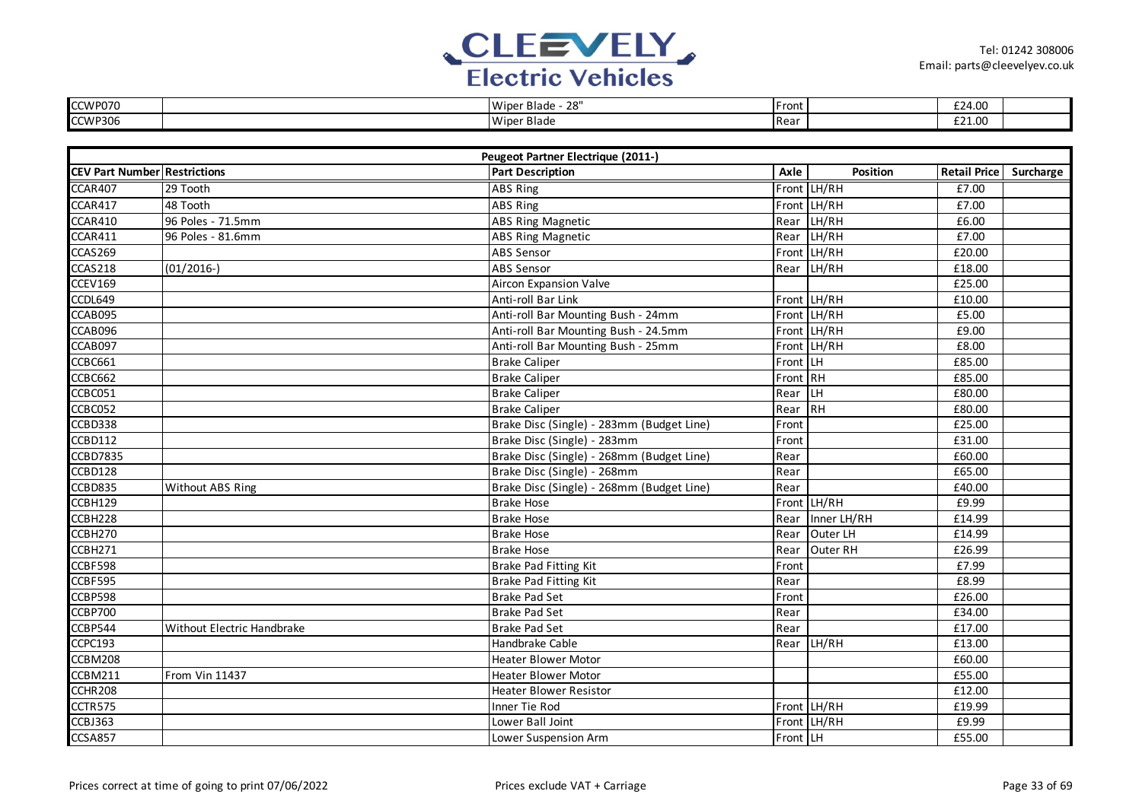

| CCWP070 | יסר<br>Wiper<br>* Blade<br>20 | Front | £24.00                            |  |
|---------|-------------------------------|-------|-----------------------------------|--|
| CCWP306 | Wiper Blade                   | Rear  | $\sim$<br>$\cap$<br><b>LZI.UU</b> |  |

|                                     | Peugeot Partner Electrique (2011-) |                                           |          |             |                        |  |  |  |
|-------------------------------------|------------------------------------|-------------------------------------------|----------|-------------|------------------------|--|--|--|
| <b>CEV Part Number Restrictions</b> |                                    | <b>Part Description</b>                   | Axle     | Position    | Retail Price Surcharge |  |  |  |
| CCAR407                             | 29 Tooth                           | ABS Ring                                  |          | Front LH/RH | £7.00                  |  |  |  |
| CCAR417                             | $\overline{48}$ Tooth              | ABS Ring                                  |          | Front LH/RH | £7.00                  |  |  |  |
| CCAR410                             | 96 Poles - 71.5mm                  | <b>ABS Ring Magnetic</b>                  | Rear     | LH/RH       | £6.00                  |  |  |  |
| CCAR411                             | 96 Poles - 81.6mm                  | <b>ABS Ring Magnetic</b>                  |          | Rear LH/RH  | £7.00                  |  |  |  |
| CCAS269                             |                                    | <b>ABS Sensor</b>                         |          | Front LH/RH | £20.00                 |  |  |  |
| CCAS218                             | $(01/2016-)$                       | <b>ABS Sensor</b>                         |          | Rear LH/RH  | £18.00                 |  |  |  |
| CCEV169                             |                                    | <b>Aircon Expansion Valve</b>             |          |             | £25.00                 |  |  |  |
| CCDL649                             |                                    | Anti-roll Bar Link                        |          | Front LH/RH | £10.00                 |  |  |  |
| CCAB095                             |                                    | Anti-roll Bar Mounting Bush - 24mm        |          | Front LH/RH | £5.00                  |  |  |  |
| CCAB096                             |                                    | Anti-roll Bar Mounting Bush - 24.5mm      |          | Front LH/RH | £9.00                  |  |  |  |
| CCAB097                             |                                    | Anti-roll Bar Mounting Bush - 25mm        |          | Front LH/RH | £8.00                  |  |  |  |
| CCBC661                             |                                    | <b>Brake Caliper</b>                      | Front LH |             | £85.00                 |  |  |  |
| CCBC662                             |                                    | <b>Brake Caliper</b>                      | Front RH |             | £85.00                 |  |  |  |
| CCBC051                             |                                    | <b>Brake Caliper</b>                      | Rear LH  |             | £80.00                 |  |  |  |
| CCBC052                             |                                    | <b>Brake Caliper</b>                      | Rear RH  |             | £80.00                 |  |  |  |
| CCBD338                             |                                    | Brake Disc (Single) - 283mm (Budget Line) | Front    |             | £25.00                 |  |  |  |
| <b>CCBD112</b>                      |                                    | Brake Disc (Single) - 283mm               | Front    |             | £31.00                 |  |  |  |
| <b>CCBD7835</b>                     |                                    | Brake Disc (Single) - 268mm (Budget Line) | Rear     |             | £60.00                 |  |  |  |
| CCBD128                             |                                    | Brake Disc (Single) - 268mm               | Rear     |             | £65.00                 |  |  |  |
| CCBD835                             | Without ABS Ring                   | Brake Disc (Single) - 268mm (Budget Line) | Rear     |             | £40.00                 |  |  |  |
| CCBH129                             |                                    | <b>Brake Hose</b>                         |          | Front LH/RH | £9.99                  |  |  |  |
| CCBH228                             |                                    | <b>Brake Hose</b>                         | Rear     | Inner LH/RH | £14.99                 |  |  |  |
| CCBH270                             |                                    | <b>Brake Hose</b>                         | Rear     | Outer LH    | £14.99                 |  |  |  |
| CCBH271                             |                                    | <b>Brake Hose</b>                         | Rear     | Outer RH    | £26.99                 |  |  |  |
| CCBF598                             |                                    | Brake Pad Fitting Kit                     | Front    |             | £7.99                  |  |  |  |
| CCBF595                             |                                    | <b>Brake Pad Fitting Kit</b>              | Rear     |             | £8.99                  |  |  |  |
| CCBP598                             |                                    | <b>Brake Pad Set</b>                      | Front    |             | £26.00                 |  |  |  |
| <b>CCBP700</b>                      |                                    | <b>Brake Pad Set</b>                      | Rear     |             | £34.00                 |  |  |  |
| CCBP544                             | Without Electric Handbrake         | <b>Brake Pad Set</b>                      | Rear     |             | £17.00                 |  |  |  |
| CCPC193                             |                                    | Handbrake Cable                           | Rear     | LH/RH       | £13.00                 |  |  |  |
| CCBM208                             |                                    | <b>Heater Blower Motor</b>                |          |             | £60.00                 |  |  |  |
| CCBM211                             | <b>From Vin 11437</b>              | <b>Heater Blower Motor</b>                |          |             | £55.00                 |  |  |  |
| CCHR208                             |                                    | <b>Heater Blower Resistor</b>             |          |             | £12.00                 |  |  |  |
| CCTR575                             |                                    | Inner Tie Rod                             |          | Front LH/RH | £19.99                 |  |  |  |
| CCBJ363                             |                                    | Lower Ball Joint                          |          | Front LH/RH | £9.99                  |  |  |  |
| CCSA857                             |                                    | Lower Suspension Arm                      | Front LH |             | £55.00                 |  |  |  |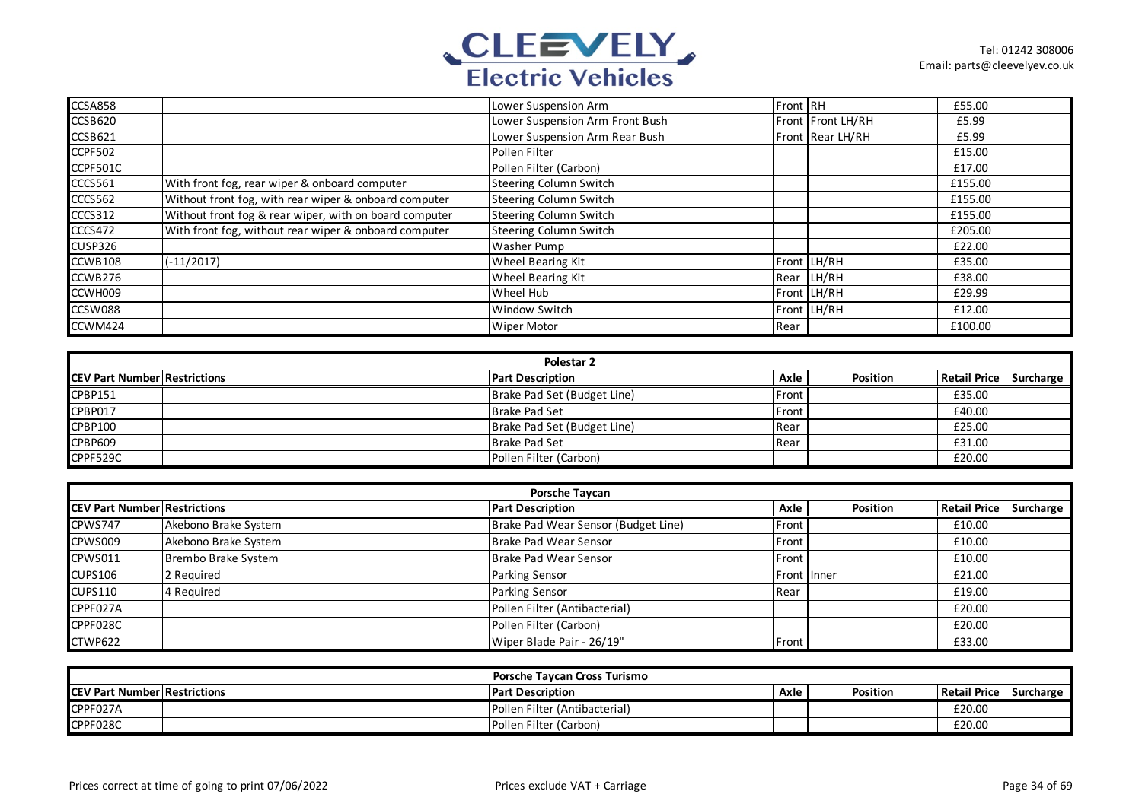

| CCSA858        |                                                        | Lower Suspension Arm            | Front RH |                   | £55.00  |  |
|----------------|--------------------------------------------------------|---------------------------------|----------|-------------------|---------|--|
| CCSB620        |                                                        | Lower Suspension Arm Front Bush |          | Front Front LH/RH | £5.99   |  |
| CCSB621        |                                                        | Lower Suspension Arm Rear Bush  |          | Front Rear LH/RH  | £5.99   |  |
| <b>CCPF502</b> |                                                        | Pollen Filter                   |          |                   | £15.00  |  |
| CCPF501C       |                                                        | Pollen Filter (Carbon)          |          |                   | £17.00  |  |
| CCCS561        | With front fog, rear wiper & onboard computer          | <b>Steering Column Switch</b>   |          |                   | £155.00 |  |
| CCCS562        | Without front fog, with rear wiper & onboard computer  | <b>Steering Column Switch</b>   |          |                   | £155.00 |  |
| CCCS312        | Without front fog & rear wiper, with on board computer | <b>Steering Column Switch</b>   |          |                   | £155.00 |  |
| CCCS472        | With front fog, without rear wiper & onboard computer  | <b>Steering Column Switch</b>   |          |                   | £205.00 |  |
| <b>CUSP326</b> |                                                        | Washer Pump                     |          |                   | £22.00  |  |
| CCWB108        | $(-11/2017)$                                           | <b>Wheel Bearing Kit</b>        |          | Front LH/RH       | £35.00  |  |
| CCWB276        |                                                        | Wheel Bearing Kit               |          | Rear LH/RH        | £38.00  |  |
| CCWH009        |                                                        | Wheel Hub                       |          | Front LH/RH       | £29.99  |  |
| CCSW088        |                                                        | Window Switch                   |          | Front LH/RH       | £12.00  |  |
| CCWM424        |                                                        | Wiper Motor                     | Rear     |                   | £100.00 |  |

| Polestar 2                           |  |                             |               |                 |                |           |  |  |
|--------------------------------------|--|-----------------------------|---------------|-----------------|----------------|-----------|--|--|
| <b>ICEV Part Number Restrictions</b> |  | <b>Part Description</b>     | Axle          | <b>Position</b> | Retail Price I | Surcharge |  |  |
| <b>CPBP151</b>                       |  | Brake Pad Set (Budget Line) | <b>IFront</b> |                 | £35.00         |           |  |  |
| CPBP017                              |  | Brake Pad Set               | Front         |                 | £40.00         |           |  |  |
| CPBP100                              |  | Brake Pad Set (Budget Line) | <b>I</b> Rear |                 | £25.00         |           |  |  |
| <b>CPBP609</b>                       |  | Brake Pad Set               | Rear          |                 | £31.00         |           |  |  |
| CPPF529C                             |  | Pollen Filter (Carbon)      |               |                 | £20.00         |           |  |  |

| Porsche Taycan                      |                      |                                     |                    |          |                     |           |  |  |
|-------------------------------------|----------------------|-------------------------------------|--------------------|----------|---------------------|-----------|--|--|
| <b>CEV Part Number Restrictions</b> |                      | <b>Part Description</b>             | Axle               | Position | <b>Retail Price</b> | Surcharge |  |  |
| CPWS747                             | Akebono Brake System | Brake Pad Wear Sensor (Budget Line) | <b>IFront</b>      |          | £10.00              |           |  |  |
| CPWS009                             | Akebono Brake System | Brake Pad Wear Sensor               | Front              |          | £10.00              |           |  |  |
| CPWS011                             | Brembo Brake System  | Brake Pad Wear Sensor               | Front              |          | £10.00              |           |  |  |
| <b>CUPS106</b>                      | 2 Required           | Parking Sensor                      | <b>Front Inner</b> |          | £21.00              |           |  |  |
| <b>CUPS110</b>                      | 4 Required           | Parking Sensor                      | Rear               |          | £19.00              |           |  |  |
| CPPF027A                            |                      | Pollen Filter (Antibacterial)       |                    |          | £20.00              |           |  |  |
| CPPF028C                            |                      | Pollen Filter (Carbon)              |                    |          | £20.00              |           |  |  |
| CTWP622                             |                      | Wiper Blade Pair - 26/19"           | Front              |          | £33.00              |           |  |  |

| <b>Porsche Tavcan Cross Turismo</b>  |  |                               |      |          |              |           |  |
|--------------------------------------|--|-------------------------------|------|----------|--------------|-----------|--|
| <b>ICEV Part Number Restrictions</b> |  | <b>Part Description</b>       | Axle | Position | Retail Price | Surcharge |  |
| CPPF027A                             |  | Pollen Filter (Antibacterial) |      |          | £20.00       |           |  |
| CPPF028C                             |  | Pollen Filter (Carbon)        |      |          | £20.00       |           |  |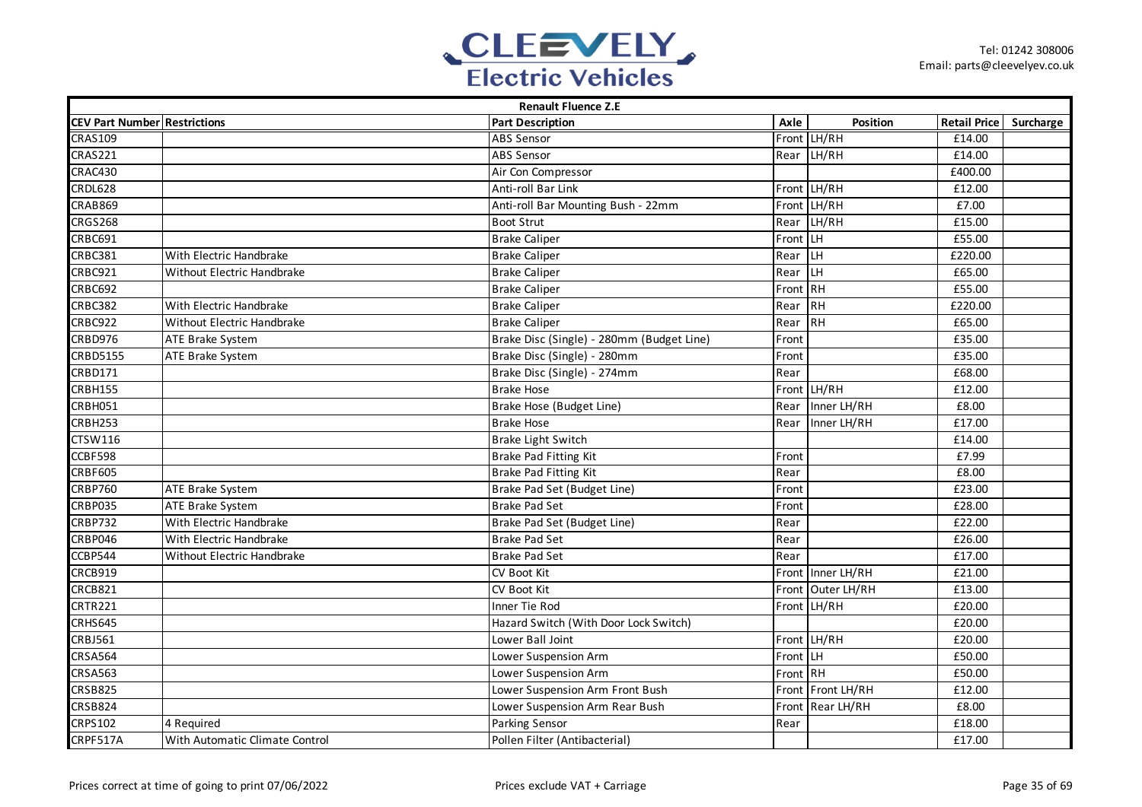

| <b>Renault Fluence Z.E</b>          |                                   |                                           |          |                   |                        |  |  |  |
|-------------------------------------|-----------------------------------|-------------------------------------------|----------|-------------------|------------------------|--|--|--|
| <b>CEV Part Number Restrictions</b> |                                   | <b>Part Description</b>                   | Axle     | Position          | Retail Price Surcharge |  |  |  |
| <b>CRAS109</b>                      |                                   | <b>ABS Sensor</b>                         |          | Front LH/RH       | £14.00                 |  |  |  |
| <b>CRAS221</b>                      |                                   | <b>ABS Sensor</b>                         |          | Rear LH/RH        | £14.00                 |  |  |  |
| CRAC430                             |                                   | Air Con Compressor                        |          |                   | £400.00                |  |  |  |
| <b>CRDL628</b>                      |                                   | Anti-roll Bar Link                        |          | Front LH/RH       | £12.00                 |  |  |  |
| <b>CRAB869</b>                      |                                   | Anti-roll Bar Mounting Bush - 22mm        |          | Front LH/RH       | £7.00                  |  |  |  |
| <b>CRGS268</b>                      |                                   | <b>Boot Strut</b>                         | Rear     | LH/RH             | £15.00                 |  |  |  |
| CRBC691                             |                                   | <b>Brake Caliper</b>                      | Front LH |                   | £55.00                 |  |  |  |
| CRBC381                             | With Electric Handbrake           | <b>Brake Caliper</b>                      | Rear     | <b>LH</b>         | £220.00                |  |  |  |
| CRBC921                             | <b>Without Electric Handbrake</b> | <b>Brake Caliper</b>                      | Rear     | <b>LH</b>         | £65.00                 |  |  |  |
| <b>CRBC692</b>                      |                                   | <b>Brake Caliper</b>                      | Front RH |                   | £55.00                 |  |  |  |
| CRBC382                             | With Electric Handbrake           | <b>Brake Caliper</b>                      | Rear     | <b>RH</b>         | £220.00                |  |  |  |
| CRBC922                             | Without Electric Handbrake        | <b>Brake Caliper</b>                      | Rear     | RH                | £65.00                 |  |  |  |
| CRBD976                             | ATE Brake System                  | Brake Disc (Single) - 280mm (Budget Line) | Front    |                   | £35.00                 |  |  |  |
| <b>CRBD5155</b>                     | ATE Brake System                  | Brake Disc (Single) - 280mm               | Front    |                   | £35.00                 |  |  |  |
| <b>CRBD171</b>                      |                                   | Brake Disc (Single) - 274mm               | Rear     |                   | £68.00                 |  |  |  |
| CRBH155                             |                                   | <b>Brake Hose</b>                         |          | Front LH/RH       | £12.00                 |  |  |  |
| CRBH051                             |                                   | Brake Hose (Budget Line)                  | Rear     | Inner LH/RH       | £8.00                  |  |  |  |
| CRBH253                             |                                   | <b>Brake Hose</b>                         | Rear     | Inner LH/RH       | £17.00                 |  |  |  |
| <b>CTSW116</b>                      |                                   | Brake Light Switch                        |          |                   | £14.00                 |  |  |  |
| CCBF598                             |                                   | Brake Pad Fitting Kit                     | Front    |                   | £7.99                  |  |  |  |
| <b>CRBF605</b>                      |                                   | Brake Pad Fitting Kit                     | Rear     |                   | £8.00                  |  |  |  |
| <b>CRBP760</b>                      | ATE Brake System                  | Brake Pad Set (Budget Line)               | Front    |                   | £23.00                 |  |  |  |
| CRBP035                             | <b>ATE Brake System</b>           | <b>Brake Pad Set</b>                      | Front    |                   | £28.00                 |  |  |  |
| <b>CRBP732</b>                      | With Electric Handbrake           | Brake Pad Set (Budget Line)               | Rear     |                   | £22.00                 |  |  |  |
| CRBP046                             | With Electric Handbrake           | <b>Brake Pad Set</b>                      | Rear     |                   | £26.00                 |  |  |  |
| CCBP544                             | Without Electric Handbrake        | <b>Brake Pad Set</b>                      | Rear     |                   | £17.00                 |  |  |  |
| CRCB919                             |                                   | CV Boot Kit                               |          | Front Inner LH/RH | £21.00                 |  |  |  |
| CRCB821                             |                                   | <b>CV Boot Kit</b>                        |          | Front Outer LH/RH | £13.00                 |  |  |  |
| CRTR221                             |                                   | Inner Tie Rod                             |          | Front LH/RH       | £20.00                 |  |  |  |
| CRHS645                             |                                   | Hazard Switch (With Door Lock Switch)     |          |                   | £20.00                 |  |  |  |
| <b>CRBJ561</b>                      |                                   | Lower Ball Joint                          |          | Front LH/RH       | £20.00                 |  |  |  |
| <b>CRSA564</b>                      |                                   | Lower Suspension Arm                      | Front LH |                   | £50.00                 |  |  |  |
| <b>CRSA563</b>                      |                                   | Lower Suspension Arm                      | Front RH |                   | £50.00                 |  |  |  |
| <b>CRSB825</b>                      |                                   | Lower Suspension Arm Front Bush           |          | Front Front LH/RH | £12.00                 |  |  |  |
| <b>CRSB824</b>                      |                                   | Lower Suspension Arm Rear Bush            |          | Front Rear LH/RH  | £8.00                  |  |  |  |
| <b>CRPS102</b>                      | 4 Required                        | Parking Sensor                            | Rear     |                   | £18.00                 |  |  |  |
| CRPF517A                            | With Automatic Climate Control    | Pollen Filter (Antibacterial)             |          |                   | £17.00                 |  |  |  |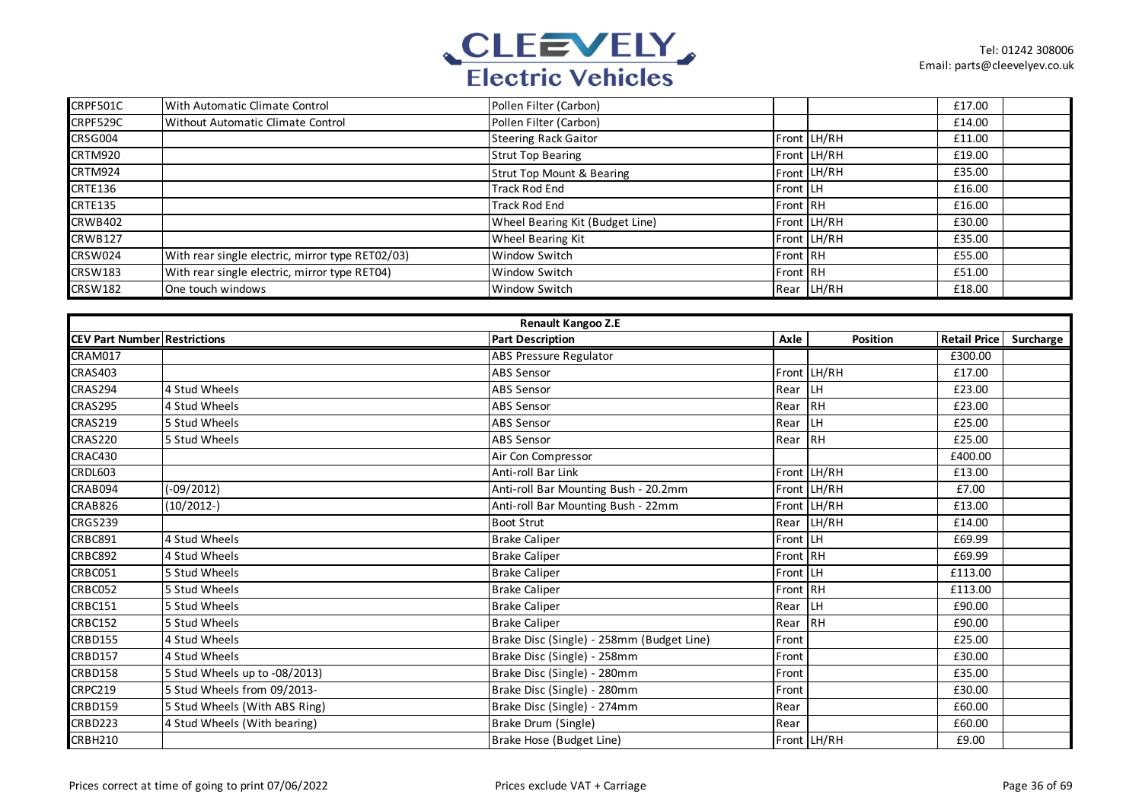

| CRPF501C       | With Automatic Climate Control                   | Pollen Filter (Carbon)               |          |             | £17.00 |  |
|----------------|--------------------------------------------------|--------------------------------------|----------|-------------|--------|--|
| CRPF529C       | Without Automatic Climate Control                | Pollen Filter (Carbon)               |          |             | £14.00 |  |
| CRSG004        |                                                  | <b>Steering Rack Gaitor</b>          |          | Front LH/RH | £11.00 |  |
| CRTM920        |                                                  | <b>Strut Top Bearing</b>             |          | Front LH/RH | £19.00 |  |
| CRTM924        |                                                  | <b>Strut Top Mount &amp; Bearing</b> |          | Front LH/RH | £35.00 |  |
| <b>CRTE136</b> |                                                  | <b>Track Rod End</b>                 | Front LH |             | £16.00 |  |
| <b>CRTE135</b> |                                                  | Track Rod End                        | Front RH |             | £16.00 |  |
| CRWB402        |                                                  | Wheel Bearing Kit (Budget Line)      |          | Front LH/RH | £30.00 |  |
| <b>CRWB127</b> |                                                  | <b>Wheel Bearing Kit</b>             |          | Front LH/RH | £35.00 |  |
| CRSW024        | With rear single electric, mirror type RET02/03) | Window Switch                        | Front RH |             | £55.00 |  |
| <b>CRSW183</b> | With rear single electric, mirror type RET04)    | Window Switch                        | Front RH |             | £51.00 |  |
| <b>CRSW182</b> | One touch windows                                | Window Switch                        |          | Rear LH/RH  | £18.00 |  |

|                                     | <b>Renault Kangoo Z.E</b>     |                                           |          |             |                     |           |  |  |  |  |
|-------------------------------------|-------------------------------|-------------------------------------------|----------|-------------|---------------------|-----------|--|--|--|--|
| <b>CEV Part Number Restrictions</b> |                               | <b>Part Description</b>                   | Axle     | Position    | <b>Retail Price</b> | Surcharge |  |  |  |  |
| CRAM017                             |                               | <b>ABS Pressure Regulator</b>             |          |             | £300.00             |           |  |  |  |  |
| <b>CRAS403</b>                      |                               | <b>ABS Sensor</b>                         |          | Front LH/RH | £17.00              |           |  |  |  |  |
| CRAS294                             | 4 Stud Wheels                 | <b>ABS Sensor</b>                         | Rear     | l LH        | £23.00              |           |  |  |  |  |
| <b>CRAS295</b>                      | 4 Stud Wheels                 | <b>ABS Sensor</b>                         | Rear     | <b>IRH</b>  | £23.00              |           |  |  |  |  |
| <b>CRAS219</b>                      | 5 Stud Wheels                 | <b>ABS Sensor</b>                         | Rear     | LH          | £25.00              |           |  |  |  |  |
| <b>CRAS220</b>                      | 5 Stud Wheels                 | <b>ABS Sensor</b>                         | Rear RH  |             | £25.00              |           |  |  |  |  |
| CRAC430                             |                               | Air Con Compressor                        |          |             | £400.00             |           |  |  |  |  |
| <b>CRDL603</b>                      |                               | Anti-roll Bar Link                        |          | Front LH/RH | £13.00              |           |  |  |  |  |
| CRAB094                             | $(-09/2012)$                  | Anti-roll Bar Mounting Bush - 20.2mm      |          | Front LH/RH | £7.00               |           |  |  |  |  |
| CRAB826                             | $(10/2012-)$                  | Anti-roll Bar Mounting Bush - 22mm        |          | Front LH/RH | £13.00              |           |  |  |  |  |
| <b>CRGS239</b>                      |                               | <b>Boot Strut</b>                         |          | Rear LH/RH  | £14.00              |           |  |  |  |  |
| CRBC891                             | 4 Stud Wheels                 | <b>Brake Caliper</b>                      | Front LH |             | £69.99              |           |  |  |  |  |
| CRBC892                             | 4 Stud Wheels                 | <b>Brake Caliper</b>                      | Front RH |             | £69.99              |           |  |  |  |  |
| CRBC051                             | 5 Stud Wheels                 | <b>Brake Caliper</b>                      | Front LH |             | £113.00             |           |  |  |  |  |
| CRBC052                             | 5 Stud Wheels                 | <b>Brake Caliper</b>                      | Front RH |             | £113.00             |           |  |  |  |  |
| <b>CRBC151</b>                      | 5 Stud Wheels                 | <b>Brake Caliper</b>                      | Rear     | <b>LH</b>   | £90.00              |           |  |  |  |  |
| <b>CRBC152</b>                      | 5 Stud Wheels                 | <b>Brake Caliper</b>                      | Rear     | <b>IRH</b>  | £90.00              |           |  |  |  |  |
| <b>CRBD155</b>                      | 4 Stud Wheels                 | Brake Disc (Single) - 258mm (Budget Line) | Front    |             | £25.00              |           |  |  |  |  |
| <b>CRBD157</b>                      | 4 Stud Wheels                 | Brake Disc (Single) - 258mm               | Front    |             | £30.00              |           |  |  |  |  |
| CRBD158                             | 5 Stud Wheels up to -08/2013) | Brake Disc (Single) - 280mm               | Front    |             | £35.00              |           |  |  |  |  |
| <b>CRPC219</b>                      | 5 Stud Wheels from 09/2013-   | Brake Disc (Single) - 280mm               | Front    |             | £30.00              |           |  |  |  |  |
| CRBD159                             | 5 Stud Wheels (With ABS Ring) | Brake Disc (Single) - 274mm               | Rear     |             | £60.00              |           |  |  |  |  |
| <b>CRBD223</b>                      | 4 Stud Wheels (With bearing)  | Brake Drum (Single)                       | Rear     |             | £60.00              |           |  |  |  |  |
| <b>CRBH210</b>                      |                               | Brake Hose (Budget Line)                  |          | Front LH/RH | £9.00               |           |  |  |  |  |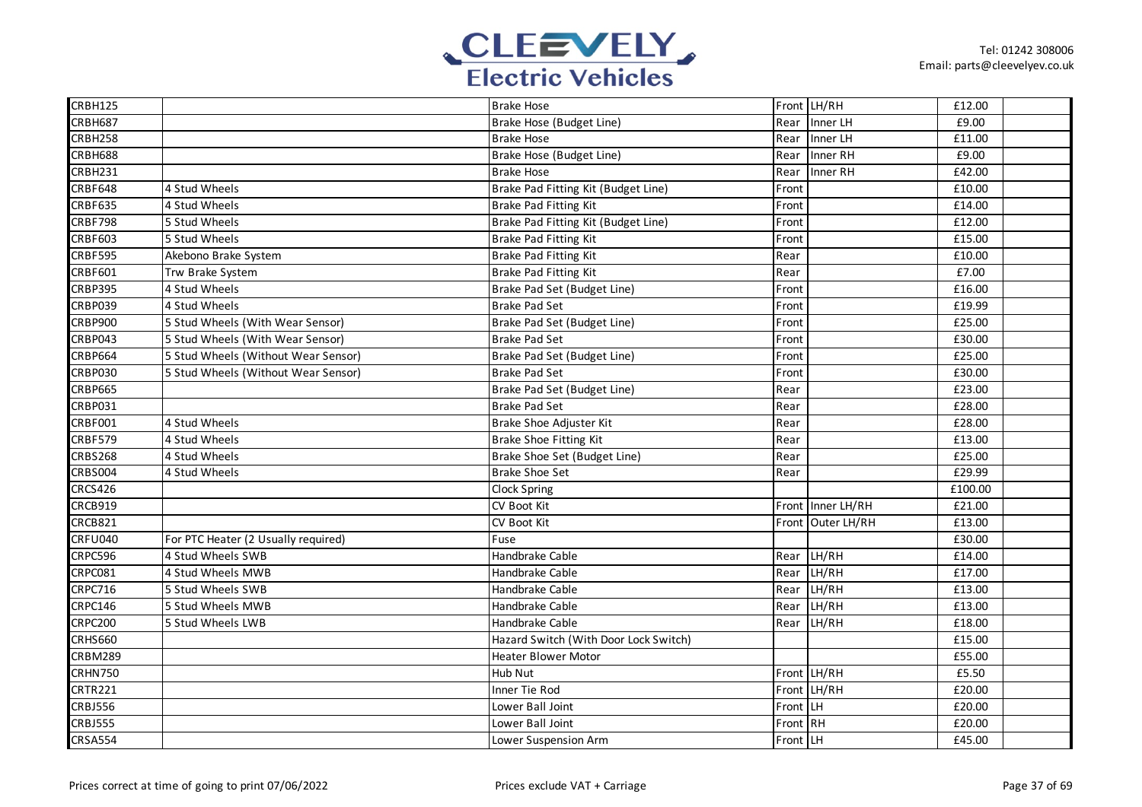

| <b>CRBH125</b> |                                     | <b>Brake Hose</b>                     |          | Front LH/RH       | £12.00  |  |
|----------------|-------------------------------------|---------------------------------------|----------|-------------------|---------|--|
| <b>CRBH687</b> |                                     | Brake Hose (Budget Line)              | Rear     | Inner LH          | £9.00   |  |
| <b>CRBH258</b> |                                     | Brake Hose                            | Rear     | Inner LH          | £11.00  |  |
| <b>CRBH688</b> |                                     | Brake Hose (Budget Line)              | Rear     | Inner RH          | £9.00   |  |
| <b>CRBH231</b> |                                     | Brake Hose                            | Rear     | Inner RH          | £42.00  |  |
| <b>CRBF648</b> | 4 Stud Wheels                       | Brake Pad Fitting Kit (Budget Line)   | Front    |                   | £10.00  |  |
| <b>CRBF635</b> | 4 Stud Wheels                       | Brake Pad Fitting Kit                 | Front    |                   | £14.00  |  |
| <b>CRBF798</b> | 5 Stud Wheels                       | Brake Pad Fitting Kit (Budget Line)   | Front    |                   | £12.00  |  |
| <b>CRBF603</b> | 5 Stud Wheels                       | Brake Pad Fitting Kit                 | Front    |                   | £15.00  |  |
| CRBF595        | Akebono Brake System                | Brake Pad Fitting Kit                 | Rear     |                   | £10.00  |  |
| <b>CRBF601</b> | Trw Brake System                    | Brake Pad Fitting Kit                 | Rear     |                   | £7.00   |  |
| <b>CRBP395</b> | 4 Stud Wheels                       | Brake Pad Set (Budget Line)           | Front    |                   | £16.00  |  |
| CRBP039        | 4 Stud Wheels                       | <b>Brake Pad Set</b>                  | Front    |                   | £19.99  |  |
| CRBP900        | 5 Stud Wheels (With Wear Sensor)    | Brake Pad Set (Budget Line)           | Front    |                   | £25.00  |  |
| CRBP043        | 5 Stud Wheels (With Wear Sensor)    | <b>Brake Pad Set</b>                  | Front    |                   | £30.00  |  |
| <b>CRBP664</b> | 5 Stud Wheels (Without Wear Sensor) | Brake Pad Set (Budget Line)           | Front    |                   | £25.00  |  |
| <b>CRBP030</b> | 5 Stud Wheels (Without Wear Sensor) | <b>Brake Pad Set</b>                  | Front    |                   | £30.00  |  |
| <b>CRBP665</b> |                                     | Brake Pad Set (Budget Line)           | Rear     |                   | £23.00  |  |
| CRBP031        |                                     | <b>Brake Pad Set</b>                  | Rear     |                   | £28.00  |  |
| CRBF001        | 4 Stud Wheels                       | Brake Shoe Adjuster Kit               | Rear     |                   | £28.00  |  |
| CRBF579        | 4 Stud Wheels                       | Brake Shoe Fitting Kit                | Rear     |                   | £13.00  |  |
| <b>CRBS268</b> | 4 Stud Wheels                       | Brake Shoe Set (Budget Line)          | Rear     |                   | £25.00  |  |
| CRBS004        | 4 Stud Wheels                       | <b>Brake Shoe Set</b>                 | Rear     |                   | £29.99  |  |
| <b>CRCS426</b> |                                     | Clock Spring                          |          |                   | £100.00 |  |
| CRCB919        |                                     | CV Boot Kit                           |          | Front Inner LH/RH | £21.00  |  |
| CRCB821        |                                     | CV Boot Kit                           |          | Front Outer LH/RH | £13.00  |  |
| <b>CRFU040</b> | For PTC Heater (2 Usually required) | Fuse                                  |          |                   | £30.00  |  |
| <b>CRPC596</b> | 4 Stud Wheels SWB                   | Handbrake Cable                       | Rear     | LH/RH             | £14.00  |  |
| CRPC081        | 4 Stud Wheels MWB                   | Handbrake Cable                       | Rear     | LH/RH             | £17.00  |  |
| <b>CRPC716</b> | 5 Stud Wheels SWB                   | Handbrake Cable                       | Rear     | LH/RH             | £13.00  |  |
| <b>CRPC146</b> | 5 Stud Wheels MWB                   | Handbrake Cable                       | Rear     | LH/RH             | £13.00  |  |
| <b>CRPC200</b> | 5 Stud Wheels LWB                   | Handbrake Cable                       | Rear     | LH/RH             | £18.00  |  |
| <b>CRHS660</b> |                                     | Hazard Switch (With Door Lock Switch) |          |                   | £15.00  |  |
| <b>CRBM289</b> |                                     | <b>Heater Blower Motor</b>            |          |                   | £55.00  |  |
| <b>CRHN750</b> |                                     | Hub Nut                               |          | Front LH/RH       | £5.50   |  |
| <b>CRTR221</b> |                                     | Inner Tie Rod                         |          | Front LH/RH       | £20.00  |  |
| <b>CRBJ556</b> |                                     | Lower Ball Joint                      | Front LH |                   | £20.00  |  |
| <b>CRBJ555</b> |                                     | Lower Ball Joint                      | Front RH |                   | £20.00  |  |
| <b>CRSA554</b> |                                     | Lower Suspension Arm                  | Front LH |                   | £45.00  |  |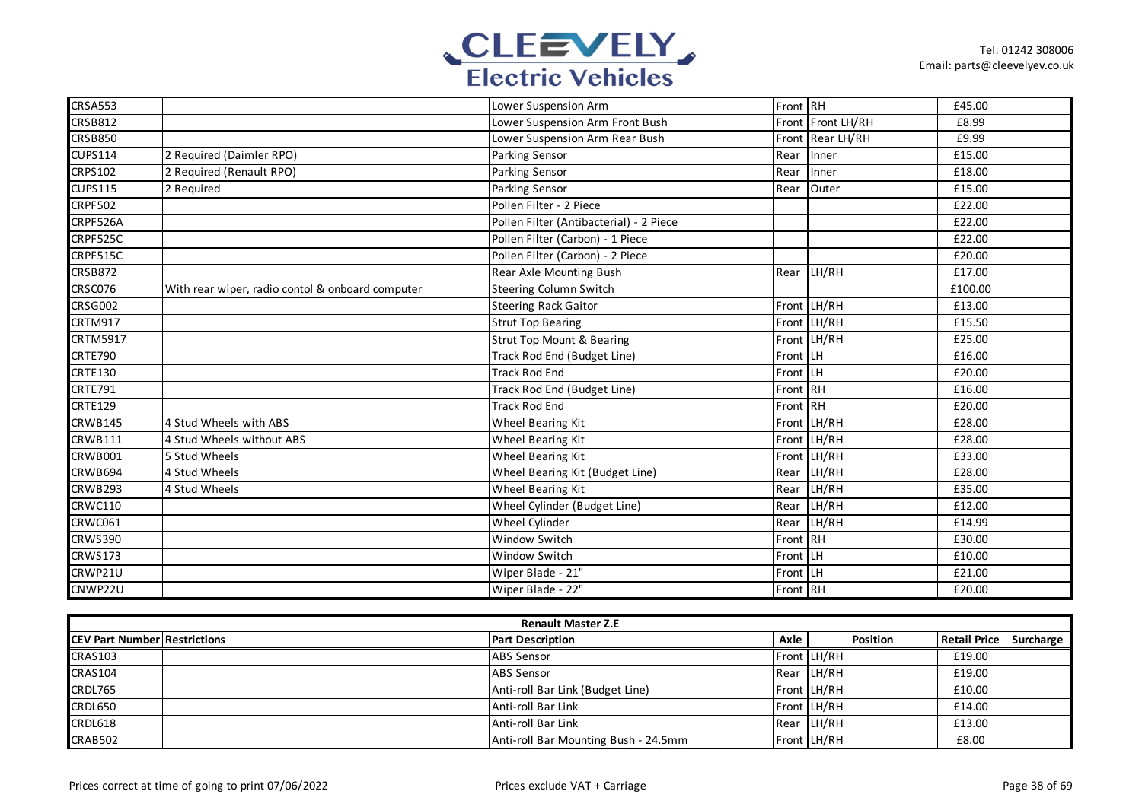

| <b>CRSA553</b>  |                                                  | Lower Suspension Arm                    | Front RH |                   | £45.00  |  |
|-----------------|--------------------------------------------------|-----------------------------------------|----------|-------------------|---------|--|
| <b>CRSB812</b>  |                                                  | Lower Suspension Arm Front Bush         |          | Front Front LH/RH | £8.99   |  |
| <b>CRSB850</b>  |                                                  | Lower Suspension Arm Rear Bush          |          | Front Rear LH/RH  | £9.99   |  |
| <b>CUPS114</b>  | 2 Required (Daimler RPO)                         | Parking Sensor                          |          | Rear Inner        | £15.00  |  |
| <b>CRPS102</b>  | 2 Required (Renault RPO)                         | <b>Parking Sensor</b>                   |          | Rear Inner        | £18.00  |  |
| <b>CUPS115</b>  | 2 Required                                       | <b>Parking Sensor</b>                   |          | Rear Outer        | £15.00  |  |
| <b>CRPF502</b>  |                                                  | Pollen Filter - 2 Piece                 |          |                   | £22.00  |  |
| CRPF526A        |                                                  | Pollen Filter (Antibacterial) - 2 Piece |          |                   | £22.00  |  |
| CRPF525C        |                                                  | Pollen Filter (Carbon) - 1 Piece        |          |                   | £22.00  |  |
| CRPF515C        |                                                  | Pollen Filter (Carbon) - 2 Piece        |          |                   | £20.00  |  |
| <b>CRSB872</b>  |                                                  | Rear Axle Mounting Bush                 |          | Rear LH/RH        | £17.00  |  |
| CRSC076         | With rear wiper, radio contol & onboard computer | <b>Steering Column Switch</b>           |          |                   | £100.00 |  |
| <b>CRSG002</b>  |                                                  | <b>Steering Rack Gaitor</b>             |          | Front LH/RH       | £13.00  |  |
| CRTM917         |                                                  | <b>Strut Top Bearing</b>                |          | Front LH/RH       | £15.50  |  |
| <b>CRTM5917</b> |                                                  | <b>Strut Top Mount &amp; Bearing</b>    |          | Front LH/RH       | £25.00  |  |
| CRTE790         |                                                  | Track Rod End (Budget Line)             | Front LH |                   | £16.00  |  |
| <b>CRTE130</b>  |                                                  | <b>Track Rod End</b>                    | Front LH |                   | £20.00  |  |
| <b>CRTE791</b>  |                                                  | Track Rod End (Budget Line)             | Front RH |                   | £16.00  |  |
| <b>CRTE129</b>  |                                                  | <b>Track Rod End</b>                    | Front RH |                   | £20.00  |  |
| <b>CRWB145</b>  | 4 Stud Wheels with ABS                           | Wheel Bearing Kit                       |          | Front LH/RH       | £28.00  |  |
| <b>CRWB111</b>  | 4 Stud Wheels without ABS                        | Wheel Bearing Kit                       |          | Front LH/RH       | £28.00  |  |
| <b>CRWB001</b>  | 5 Stud Wheels                                    | <b>Wheel Bearing Kit</b>                |          | Front LH/RH       | £33.00  |  |
| <b>CRWB694</b>  | 4 Stud Wheels                                    | Wheel Bearing Kit (Budget Line)         |          | Rear LH/RH        | £28.00  |  |
| <b>CRWB293</b>  | 4 Stud Wheels                                    | <b>Wheel Bearing Kit</b>                |          | Rear LH/RH        | £35.00  |  |
| <b>CRWC110</b>  |                                                  | Wheel Cylinder (Budget Line)            |          | Rear LH/RH        | £12.00  |  |
| CRWC061         |                                                  | Wheel Cylinder                          |          | Rear LH/RH        | £14.99  |  |
| <b>CRWS390</b>  |                                                  | <b>Window Switch</b>                    | Front RH |                   | £30.00  |  |
| <b>CRWS173</b>  |                                                  | <b>Window Switch</b>                    | Front LH |                   | £10.00  |  |
| CRWP21U         |                                                  | Wiper Blade - 21"                       | Front LH |                   | £21.00  |  |
| CNWP22U         |                                                  | Wiper Blade - 22"                       | Front RH |                   | £20.00  |  |

| <b>Renault Master Z.E</b>            |  |                                      |      |                 |                     |           |  |  |
|--------------------------------------|--|--------------------------------------|------|-----------------|---------------------|-----------|--|--|
| <b>ICEV Part Number Restrictions</b> |  | <b>Part Description</b>              | Axle | <b>Position</b> | <b>Retail Price</b> | Surcharge |  |  |
| <b>CRAS103</b>                       |  | <b>ABS</b> Sensor                    |      | Front LH/RH     | £19.00              |           |  |  |
| <b>CRAS104</b>                       |  | <b>ABS</b> Sensor                    |      | Rear LH/RH      | £19.00              |           |  |  |
| <b>CRDL765</b>                       |  | Anti-roll Bar Link (Budget Line)     |      | Front LH/RH     | £10.00              |           |  |  |
| <b>CRDL650</b>                       |  | Anti-roll Bar Link                   |      | Front LH/RH     | £14.00              |           |  |  |
| <b>CRDL618</b>                       |  | Anti-roll Bar Link                   |      | Rear LH/RH      | £13.00              |           |  |  |
| <b>CRAB502</b>                       |  | Anti-roll Bar Mounting Bush - 24.5mm |      | Front LH/RH     | £8.00               |           |  |  |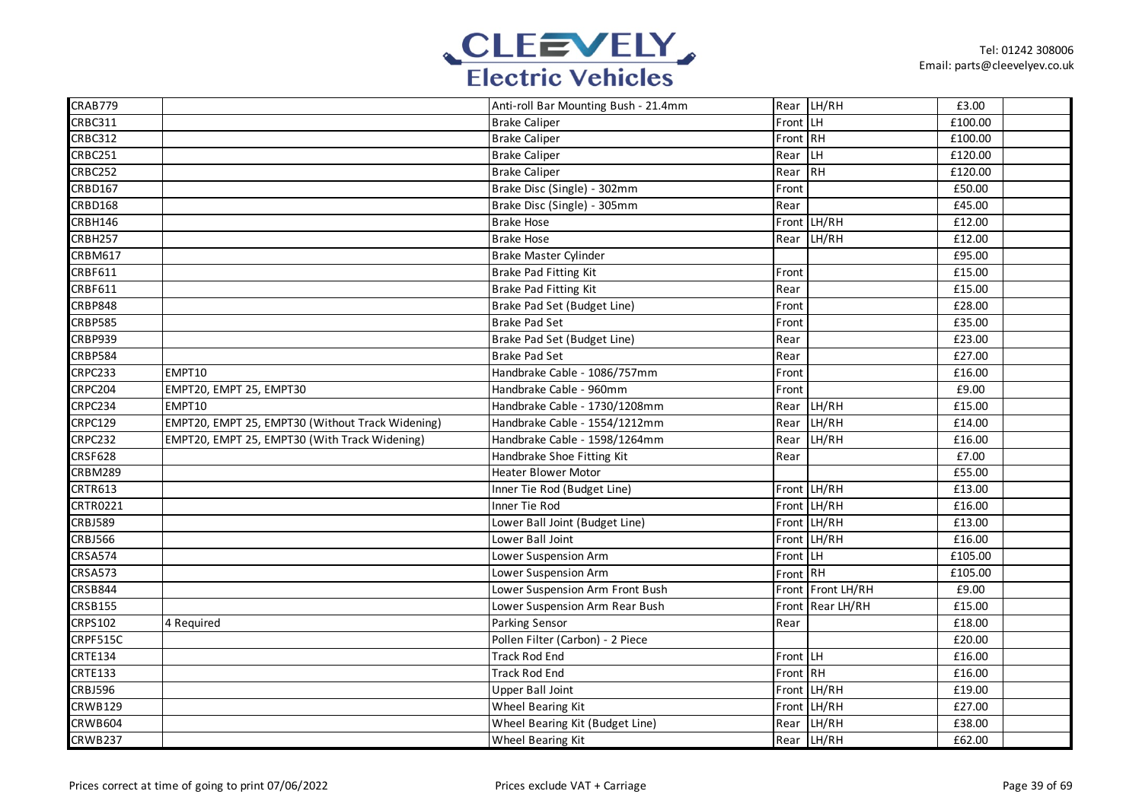

| CRAB779         |                                                  | Anti-roll Bar Mounting Bush - 21.4mm |          | Rear LH/RH        | £3.00   |  |
|-----------------|--------------------------------------------------|--------------------------------------|----------|-------------------|---------|--|
| <b>CRBC311</b>  |                                                  | <b>Brake Caliper</b>                 | Front LH |                   | £100.00 |  |
| <b>CRBC312</b>  |                                                  | <b>Brake Caliper</b>                 | Front RH |                   | £100.00 |  |
| CRBC251         |                                                  | <b>Brake Caliper</b>                 | Rear LH  |                   | £120.00 |  |
| <b>CRBC252</b>  |                                                  | <b>Brake Caliper</b>                 | Rear RH  |                   | £120.00 |  |
| CRBD167         |                                                  | Brake Disc (Single) - 302mm          | Front    |                   | £50.00  |  |
| CRBD168         |                                                  | Brake Disc (Single) - 305mm          | Rear     |                   | £45.00  |  |
| CRBH146         |                                                  | <b>Brake Hose</b>                    |          | Front LH/RH       | £12.00  |  |
| CRBH257         |                                                  | <b>Brake Hose</b>                    |          | Rear LH/RH        | £12.00  |  |
| <b>CRBM617</b>  |                                                  | Brake Master Cylinder                |          |                   | £95.00  |  |
| <b>CRBF611</b>  |                                                  | Brake Pad Fitting Kit                | Front    |                   | £15.00  |  |
| CRBF611         |                                                  | Brake Pad Fitting Kit                | Rear     |                   | £15.00  |  |
| <b>CRBP848</b>  |                                                  | Brake Pad Set (Budget Line)          | Front    |                   | £28.00  |  |
| <b>CRBP585</b>  |                                                  | <b>Brake Pad Set</b>                 | Front    |                   | £35.00  |  |
| CRBP939         |                                                  | Brake Pad Set (Budget Line)          | Rear     |                   | £23.00  |  |
| <b>CRBP584</b>  |                                                  | <b>Brake Pad Set</b>                 | Rear     |                   | £27.00  |  |
| CRPC233         | EMPT10                                           | Handbrake Cable - 1086/757mm         | Front    |                   | £16.00  |  |
| CRPC204         | EMPT20, EMPT 25, EMPT30                          | Handbrake Cable - 960mm              | Front    |                   | £9.00   |  |
| CRPC234         | EMPT10                                           | Handbrake Cable - 1730/1208mm        |          | Rear LH/RH        | £15.00  |  |
| <b>CRPC129</b>  | EMPT20, EMPT 25, EMPT30 (Without Track Widening) | Handbrake Cable - 1554/1212mm        |          | Rear LH/RH        | £14.00  |  |
| CRPC232         | EMPT20, EMPT 25, EMPT30 (With Track Widening)    | Handbrake Cable - 1598/1264mm        |          | Rear LH/RH        | £16.00  |  |
| <b>CRSF628</b>  |                                                  | Handbrake Shoe Fitting Kit           | Rear     |                   | £7.00   |  |
| <b>CRBM289</b>  |                                                  | <b>Heater Blower Motor</b>           |          |                   | £55.00  |  |
| CRTR613         |                                                  | Inner Tie Rod (Budget Line)          |          | Front LH/RH       | £13.00  |  |
| <b>CRTR0221</b> |                                                  | Inner Tie Rod                        |          | Front LH/RH       | £16.00  |  |
| <b>CRBJ589</b>  |                                                  | Lower Ball Joint (Budget Line)       |          | Front LH/RH       | £13.00  |  |
| <b>CRBJ566</b>  |                                                  | Lower Ball Joint                     |          | Front LH/RH       | £16.00  |  |
| <b>CRSA574</b>  |                                                  | Lower Suspension Arm                 | Front LH |                   | £105.00 |  |
| <b>CRSA573</b>  |                                                  | Lower Suspension Arm                 | Front RH |                   | £105.00 |  |
| <b>CRSB844</b>  |                                                  | Lower Suspension Arm Front Bush      |          | Front Front LH/RH | £9.00   |  |
| <b>CRSB155</b>  |                                                  | Lower Suspension Arm Rear Bush       |          | Front Rear LH/RH  | £15.00  |  |
| CRPS102         | 4 Required                                       | Parking Sensor                       | Rear     |                   | £18.00  |  |
| CRPF515C        |                                                  | Pollen Filter (Carbon) - 2 Piece     |          |                   | £20.00  |  |
| <b>CRTE134</b>  |                                                  | <b>Track Rod End</b>                 | Front LH |                   | £16.00  |  |
| <b>CRTE133</b>  |                                                  | <b>Track Rod End</b>                 | Front RH |                   | £16.00  |  |
| <b>CRBJ596</b>  |                                                  | Upper Ball Joint                     |          | Front LH/RH       | £19.00  |  |
| <b>CRWB129</b>  |                                                  | Wheel Bearing Kit                    |          | Front LH/RH       | £27.00  |  |
| <b>CRWB604</b>  |                                                  | Wheel Bearing Kit (Budget Line)      |          | Rear LH/RH        | £38.00  |  |
| CRWB237         |                                                  | Wheel Bearing Kit                    |          | Rear LH/RH        | £62.00  |  |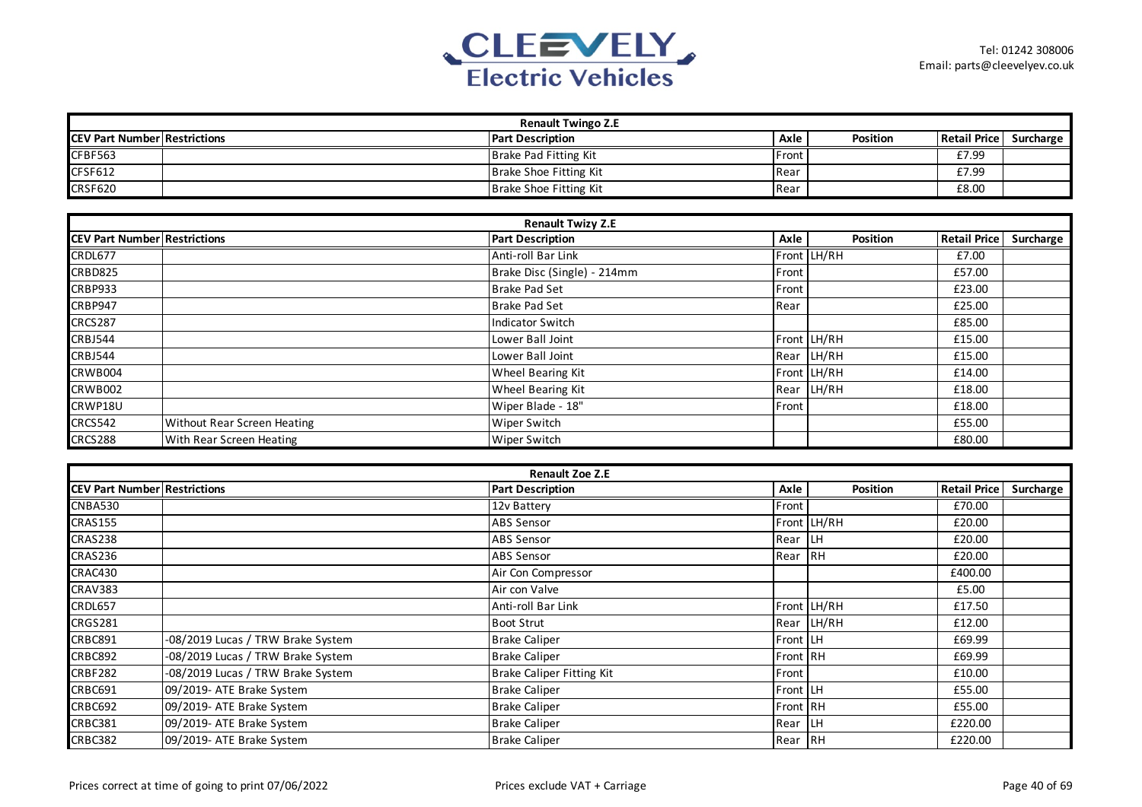

| <b>Renault Twingo Z.E</b>           |  |                                   |                           |             |                     |           |  |  |  |
|-------------------------------------|--|-----------------------------------|---------------------------|-------------|---------------------|-----------|--|--|--|
| <b>CEV Part Number Restrictions</b> |  | <b>Part Description</b>           | Axle                      | Position    | <b>Retail Price</b> | Surcharge |  |  |  |
| CFBF563                             |  | <b>Brake Pad Fitting Kit</b>      | Front                     |             | £7.99               |           |  |  |  |
| CFSF612                             |  | Brake Shoe Fitting Kit            | Rear                      |             | £7.99               |           |  |  |  |
| <b>CRSF620</b>                      |  | Brake Shoe Fitting Kit            | Rear                      |             | £8.00               |           |  |  |  |
|                                     |  |                                   |                           |             |                     |           |  |  |  |
|                                     |  | <b>Renault Twizy Z.E</b>          |                           |             |                     |           |  |  |  |
| <b>CEV Part Number Restrictions</b> |  | <b>Part Description</b>           | Axle                      | Position    | <b>Retail Price</b> | Surcharge |  |  |  |
| CRDL677                             |  | Anti-roll Bar Link                |                           | Front LH/RH | £7.00               |           |  |  |  |
| <b>CRBD825</b>                      |  | Brake Disc (Single) - 214mm       | Front                     |             | £57.00              |           |  |  |  |
| <b>CRBP933</b>                      |  | Brake Pad Set                     | Front                     |             | £23.00              |           |  |  |  |
| CRBP947                             |  | <b>Brake Pad Set</b>              | Rear                      |             | £25.00              |           |  |  |  |
| <b>CRCS287</b>                      |  | <b>Indicator Switch</b>           |                           |             | £85.00              |           |  |  |  |
| CRBJ544                             |  | Lower Ball Joint                  |                           | Front LH/RH | £15.00              |           |  |  |  |
| <b>CRBJ544</b>                      |  | Lower Ball Joint                  |                           | Rear LH/RH  | £15.00              |           |  |  |  |
| CRWB004                             |  | Wheel Bearing Kit                 |                           | Front LH/RH | £14.00              |           |  |  |  |
| <b>CRWB002</b>                      |  | Wheel Bearing Kit                 |                           | Rear LH/RH  | £18.00              |           |  |  |  |
| 0.011104011                         |  | $M1.2.2 \times 10^{14}$ de $1.40$ | $\Gamma$ and an $\Lambda$ |             | 0.000               |           |  |  |  |

| <b>ILK VV DUU4</b> |                                      | <b>TWHEEL DEATHIR MIT</b> |              | IFIUILILO/NO | L14.UU |  |
|--------------------|--------------------------------------|---------------------------|--------------|--------------|--------|--|
| <b>CRWB002</b>     |                                      | Wheel Bearing Kit         |              | Rear LH/RH   | £18.00 |  |
| CRWP18U            |                                      | Wiper Blade - 18"         | <b>Front</b> |              | £18.00 |  |
| <b>CRCS542</b>     | <b>I</b> Without Rear Screen Heating | Wiper Switch              |              |              | £55.00 |  |
| CRCS288            | <b>With Rear Screen Heating</b>      | Wiper Switch              |              |              | £80.00 |  |

| <b>Renault Zoe Z.E</b>              |                                   |                                  |          |             |                     |           |  |  |  |
|-------------------------------------|-----------------------------------|----------------------------------|----------|-------------|---------------------|-----------|--|--|--|
| <b>CEV Part Number Restrictions</b> |                                   | <b>Part Description</b>          | Axle     | Position    | <b>Retail Price</b> | Surcharge |  |  |  |
| <b>CNBA530</b>                      |                                   | 12v Battery                      | Front    |             | £70.00              |           |  |  |  |
| <b>CRAS155</b>                      |                                   | <b>ABS Sensor</b>                |          | Front LH/RH | £20.00              |           |  |  |  |
| <b>CRAS238</b>                      |                                   | <b>ABS Sensor</b>                | Rear LH  |             | £20.00              |           |  |  |  |
| CRAS236                             |                                   | <b>ABS Sensor</b>                | Rear RH  |             | £20.00              |           |  |  |  |
| CRAC430                             |                                   | Air Con Compressor               |          |             | £400.00             |           |  |  |  |
| CRAV383                             |                                   | Air con Valve                    |          |             | £5.00               |           |  |  |  |
| CRDL657                             |                                   | Anti-roll Bar Link               |          | Front LH/RH | £17.50              |           |  |  |  |
| <b>CRGS281</b>                      |                                   | <b>Boot Strut</b>                |          | Rear LH/RH  | £12.00              |           |  |  |  |
| CRBC891                             | -08/2019 Lucas / TRW Brake System | <b>Brake Caliper</b>             | Front LH |             | £69.99              |           |  |  |  |
| <b>CRBC892</b>                      | -08/2019 Lucas / TRW Brake System | <b>Brake Caliper</b>             | Front RH |             | £69.99              |           |  |  |  |
| <b>CRBF282</b>                      | -08/2019 Lucas / TRW Brake System | <b>Brake Caliper Fitting Kit</b> | Front    |             | £10.00              |           |  |  |  |
| CRBC691                             | 09/2019- ATE Brake System         | <b>Brake Caliper</b>             | Front LH |             | £55.00              |           |  |  |  |
| <b>CRBC692</b>                      | 09/2019- ATE Brake System         | <b>Brake Caliper</b>             | Front RH |             | £55.00              |           |  |  |  |
| <b>CRBC381</b>                      | 09/2019- ATE Brake System         | <b>Brake Caliper</b>             | Rear LH  |             | £220.00             |           |  |  |  |
| <b>CRBC382</b>                      | 09/2019- ATE Brake System         | <b>Brake Caliper</b>             | Rear RH  |             | £220.00             |           |  |  |  |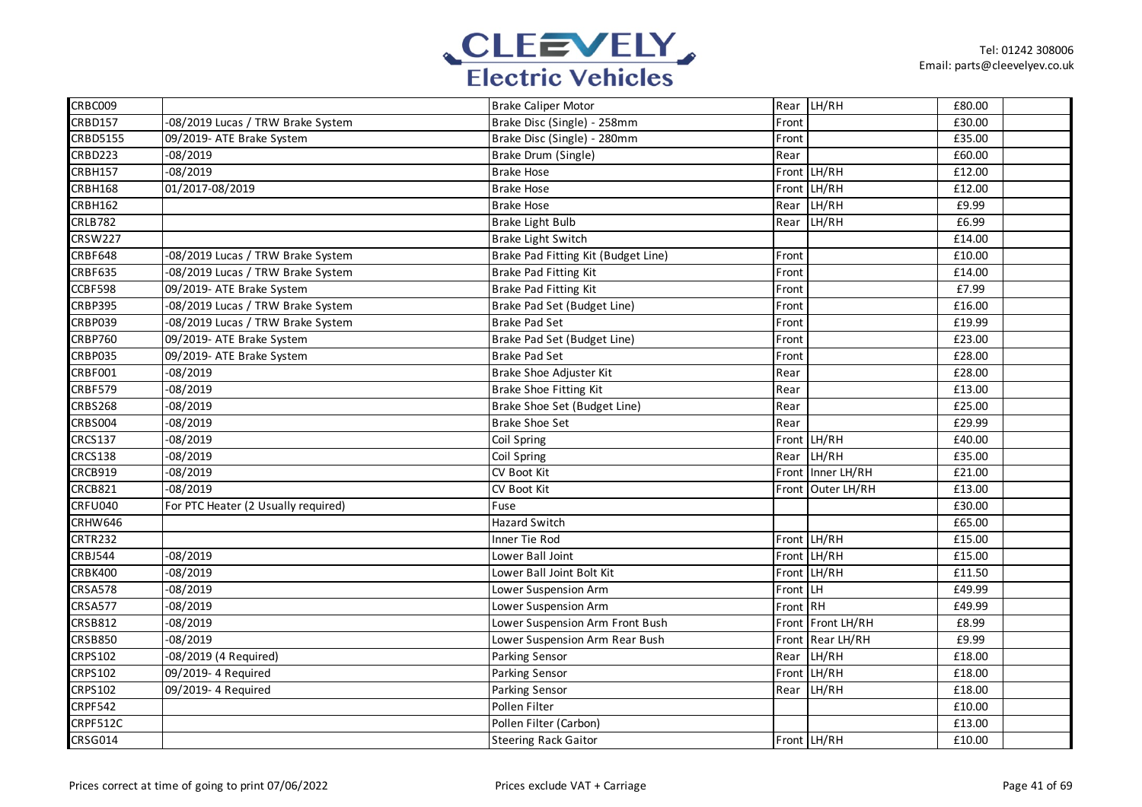

| CRBC009         |                                     | <b>Brake Caliper Motor</b>          |          | Rear LH/RH        | £80.00 |  |
|-----------------|-------------------------------------|-------------------------------------|----------|-------------------|--------|--|
| CRBD157         | -08/2019 Lucas / TRW Brake System   | Brake Disc (Single) - 258mm         | Front    |                   | £30.00 |  |
| <b>CRBD5155</b> | 09/2019- ATE Brake System           | Brake Disc (Single) - 280mm         | Front    |                   | £35.00 |  |
| CRBD223         | $-08/2019$                          | Brake Drum (Single)                 | Rear     |                   | £60.00 |  |
| CRBH157         | $-08/2019$                          | <b>Brake Hose</b>                   |          | Front LH/RH       | £12.00 |  |
| CRBH168         | 01/2017-08/2019                     | <b>Brake Hose</b>                   |          | Front LH/RH       | £12.00 |  |
| <b>CRBH162</b>  |                                     | <b>Brake Hose</b>                   | Rear     | LH/RH             | £9.99  |  |
| <b>CRLB782</b>  |                                     | <b>Brake Light Bulb</b>             | Rear     | LH/RH             | £6.99  |  |
| <b>CRSW227</b>  |                                     | Brake Light Switch                  |          |                   | £14.00 |  |
| CRBF648         | -08/2019 Lucas / TRW Brake System   | Brake Pad Fitting Kit (Budget Line) | Front    |                   | £10.00 |  |
| CRBF635         | -08/2019 Lucas / TRW Brake System   | <b>Brake Pad Fitting Kit</b>        | Front    |                   | £14.00 |  |
| CCBF598         | 09/2019- ATE Brake System           | Brake Pad Fitting Kit               | Front    |                   | £7.99  |  |
| <b>CRBP395</b>  | -08/2019 Lucas / TRW Brake System   | Brake Pad Set (Budget Line)         | Front    |                   | £16.00 |  |
| <b>CRBP039</b>  | -08/2019 Lucas / TRW Brake System   | <b>Brake Pad Set</b>                | Front    |                   | £19.99 |  |
| <b>CRBP760</b>  | 09/2019- ATE Brake System           | Brake Pad Set (Budget Line)         | Front    |                   | £23.00 |  |
| CRBP035         | 09/2019- ATE Brake System           | <b>Brake Pad Set</b>                | Front    |                   | £28.00 |  |
| <b>CRBF001</b>  | $-08/2019$                          | Brake Shoe Adjuster Kit             | Rear     |                   | £28.00 |  |
| <b>CRBF579</b>  | $-08/2019$                          | Brake Shoe Fitting Kit              | Rear     |                   | £13.00 |  |
| <b>CRBS268</b>  | $-08/2019$                          | Brake Shoe Set (Budget Line)        | Rear     |                   | £25.00 |  |
| CRBS004         | $-08/2019$                          | <b>Brake Shoe Set</b>               | Rear     |                   | £29.99 |  |
| <b>CRCS137</b>  | $-08/2019$                          | Coil Spring                         |          | Front LH/RH       | £40.00 |  |
| <b>CRCS138</b>  | $-08/2019$                          | Coil Spring                         | Rear     | LH/RH             | £35.00 |  |
| CRCB919         | $-08/2019$                          | CV Boot Kit                         |          | Front Inner LH/RH | £21.00 |  |
| CRCB821         | $-08/2019$                          | CV Boot Kit                         |          | Front Outer LH/RH | £13.00 |  |
| CRFU040         | For PTC Heater (2 Usually required) | Fuse                                |          |                   | £30.00 |  |
| CRHW646         |                                     | Hazard Switch                       |          |                   | £65.00 |  |
| <b>CRTR232</b>  |                                     | Inner Tie Rod                       |          | Front LH/RH       | £15.00 |  |
| <b>CRBJ544</b>  | $-08/2019$                          | Lower Ball Joint                    |          | Front LH/RH       | £15.00 |  |
| CRBK400         | $-08/2019$                          | Lower Ball Joint Bolt Kit           | Front    | LH/RH             | £11.50 |  |
| <b>CRSA578</b>  | $-08/2019$                          | Lower Suspension Arm                | Front    | LH.               | £49.99 |  |
| <b>CRSA577</b>  | $-08/2019$                          | Lower Suspension Arm                | Front RH |                   | £49.99 |  |
| <b>CRSB812</b>  | $-08/2019$                          | Lower Suspension Arm Front Bush     | Front    | Front LH/RH       | £8.99  |  |
| <b>CRSB850</b>  | $-08/2019$                          | Lower Suspension Arm Rear Bush      |          | Front Rear LH/RH  | £9.99  |  |
| <b>CRPS102</b>  | -08/2019 (4 Required)               | Parking Sensor                      | Rear     | LH/RH             | £18.00 |  |
| <b>CRPS102</b>  | 09/2019- 4 Required                 | Parking Sensor                      |          | Front LH/RH       | £18.00 |  |
| <b>CRPS102</b>  | 09/2019- 4 Required                 | Parking Sensor                      | Rear     | LH/RH             | £18.00 |  |
| <b>CRPF542</b>  |                                     | Pollen Filter                       |          |                   | £10.00 |  |
| CRPF512C        |                                     | Pollen Filter (Carbon)              |          |                   | £13.00 |  |
| <b>CRSG014</b>  |                                     | <b>Steering Rack Gaitor</b>         |          | Front LH/RH       | £10.00 |  |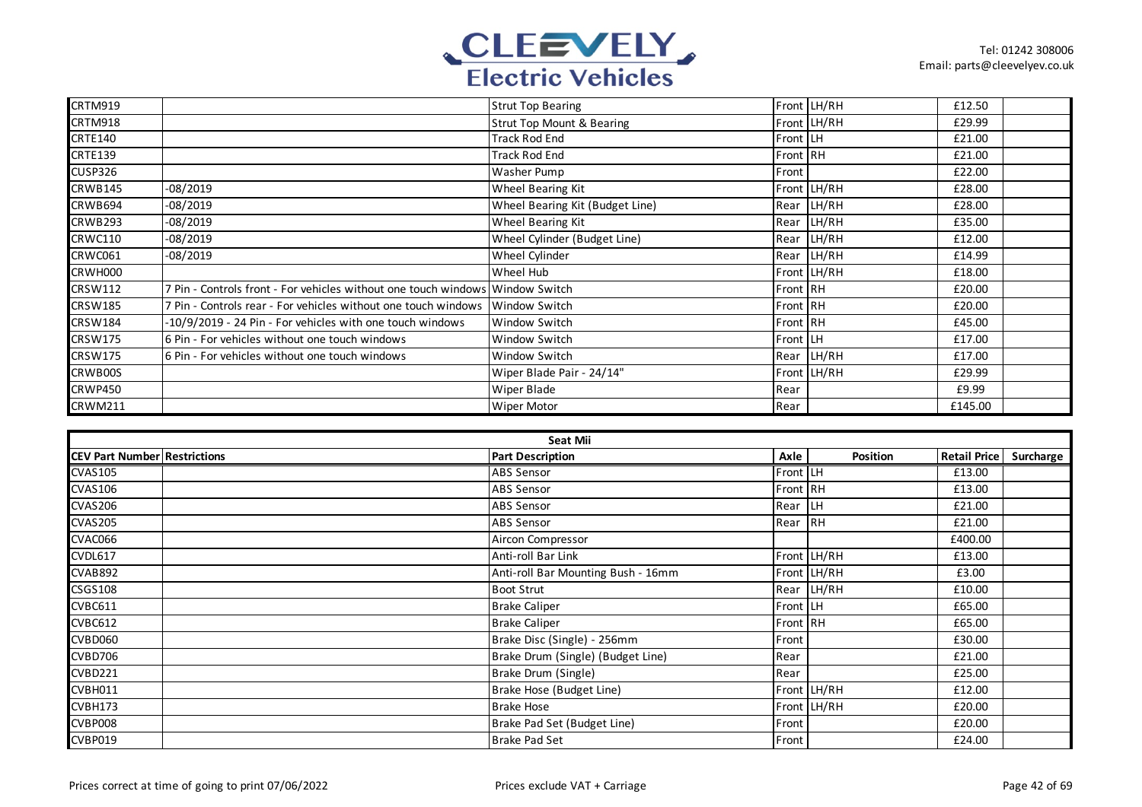

| <b>CRTM919</b> |                                                                               | <b>Strut Top Bearing</b>             |            | Front LH/RH | £12.50  |  |
|----------------|-------------------------------------------------------------------------------|--------------------------------------|------------|-------------|---------|--|
| <b>CRTM918</b> |                                                                               | <b>Strut Top Mount &amp; Bearing</b> |            | Front LH/RH | £29.99  |  |
| <b>CRTE140</b> |                                                                               | Track Rod End                        | Front   LH |             | £21.00  |  |
| <b>CRTE139</b> |                                                                               | <b>Track Rod End</b>                 | Front RH   |             | £21.00  |  |
| CUSP326        |                                                                               | Washer Pump                          | Front      |             | £22.00  |  |
| CRWB145        | $-08/2019$                                                                    | Wheel Bearing Kit                    |            | Front LH/RH | £28.00  |  |
| CRWB694        | $-08/2019$                                                                    | Wheel Bearing Kit (Budget Line)      |            | Rear LH/RH  | £28.00  |  |
| CRWB293        | $-08/2019$                                                                    | Wheel Bearing Kit                    |            | Rear LH/RH  | £35.00  |  |
| <b>CRWC110</b> | $-08/2019$                                                                    | Wheel Cylinder (Budget Line)         |            | Rear LH/RH  | £12.00  |  |
| CRWC061        | $-08/2019$                                                                    | Wheel Cylinder                       |            | Rear LH/RH  | £14.99  |  |
| CRWH000        |                                                                               | Wheel Hub                            |            | Front LH/RH | £18.00  |  |
| <b>CRSW112</b> | 7 Pin - Controls front - For vehicles without one touch windows Window Switch |                                      | Front RH   |             | £20.00  |  |
| <b>CRSW185</b> | 7 Pin - Controls rear - For vehicles without one touch windows                | Window Switch                        | Front RH   |             | £20.00  |  |
| <b>CRSW184</b> | -10/9/2019 - 24 Pin - For vehicles with one touch windows                     | Window Switch                        | Front RH   |             | £45.00  |  |
| <b>CRSW175</b> | 6 Pin - For vehicles without one touch windows                                | Window Switch                        | Front LH   |             | £17.00  |  |
| <b>CRSW175</b> | 6 Pin - For vehicles without one touch windows                                | Window Switch                        |            | Rear LH/RH  | £17.00  |  |
| CRWB00S        |                                                                               | Wiper Blade Pair - 24/14"            |            | Front LH/RH | £29.99  |  |
| <b>CRWP450</b> |                                                                               | Wiper Blade                          | Rear       |             | £9.99   |  |
| <b>CRWM211</b> |                                                                               | <b>Wiper Motor</b>                   | Rear       |             | £145.00 |  |

| Seat Mii                            |  |                                    |          |             |                     |           |  |  |
|-------------------------------------|--|------------------------------------|----------|-------------|---------------------|-----------|--|--|
| <b>CEV Part Number Restrictions</b> |  | <b>Part Description</b>            | Axle     | Position    | <b>Retail Price</b> | Surcharge |  |  |
| $CVA\overline{S105}$                |  | <b>ABS Sensor</b>                  | Front LH |             | £13.00              |           |  |  |
| <b>CVAS106</b>                      |  | <b>ABS Sensor</b>                  | Front RH |             | £13.00              |           |  |  |
| <b>CVAS206</b>                      |  | <b>ABS Sensor</b>                  | Rear LH  |             | £21.00              |           |  |  |
| <b>CVAS205</b>                      |  | <b>ABS Sensor</b>                  | Rear RH  |             | £21.00              |           |  |  |
| CVAC066                             |  | Aircon Compressor                  |          |             | £400.00             |           |  |  |
| <b>CVDL617</b>                      |  | Anti-roll Bar Link                 |          | Front LH/RH | £13.00              |           |  |  |
| CVAB892                             |  | Anti-roll Bar Mounting Bush - 16mm |          | Front LH/RH | £3.00               |           |  |  |
| <b>CSGS108</b>                      |  | <b>Boot Strut</b>                  |          | Rear LH/RH  | £10.00              |           |  |  |
| CVBC611                             |  | <b>Brake Caliper</b>               | Front LH |             | £65.00              |           |  |  |
| CVBC612                             |  | <b>Brake Caliper</b>               | Front RH |             | £65.00              |           |  |  |
| CVBD060                             |  | Brake Disc (Single) - 256mm        | Front    |             | £30.00              |           |  |  |
| <b>CVBD706</b>                      |  | Brake Drum (Single) (Budget Line)  | Rear     |             | £21.00              |           |  |  |
| <b>CVBD221</b>                      |  | Brake Drum (Single)                | Rear     |             | £25.00              |           |  |  |
| CVBH011                             |  | Brake Hose (Budget Line)           |          | Front LH/RH | £12.00              |           |  |  |
| CVBH173                             |  | <b>Brake Hose</b>                  |          | Front LH/RH | £20.00              |           |  |  |
| CVBP008                             |  | Brake Pad Set (Budget Line)        | Front    |             | £20.00              |           |  |  |
| <b>CVBP019</b>                      |  | Brake Pad Set                      | Front    |             | £24.00              |           |  |  |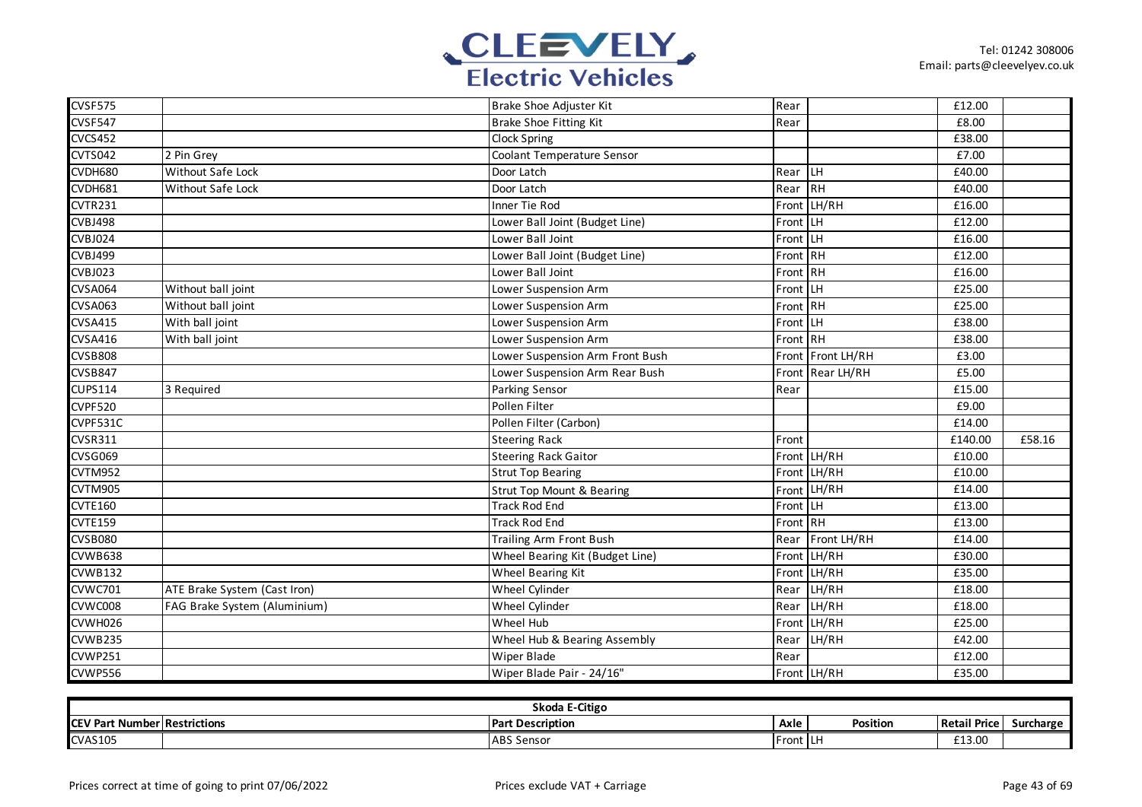

| CVSF575        |                              | Brake Shoe Adjuster Kit              | Rear     |                   | £12.00  |        |
|----------------|------------------------------|--------------------------------------|----------|-------------------|---------|--------|
| CVSF547        |                              | Brake Shoe Fitting Kit               | Rear     |                   | £8.00   |        |
| <b>CVCS452</b> |                              | Clock Spring                         |          |                   | £38.00  |        |
| CVTS042        | 2 Pin Grey                   | Coolant Temperature Sensor           |          |                   | £7.00   |        |
| CVDH680        | Without Safe Lock            | Door Latch                           | Rear LH  |                   | £40.00  |        |
| CVDH681        | <b>Without Safe Lock</b>     | Door Latch                           | Rear     | IRH               | £40.00  |        |
| <b>CVTR231</b> |                              | Inner Tie Rod                        | Front    | LH/RH             | £16.00  |        |
| CVBJ498        |                              | Lower Ball Joint (Budget Line)       | Front LH |                   | £12.00  |        |
| CVBJ024        |                              | Lower Ball Joint                     | Front LH |                   | £16.00  |        |
| CVBJ499        |                              | Lower Ball Joint (Budget Line)       | Front RH |                   | £12.00  |        |
| <b>CVBJ023</b> |                              | Lower Ball Joint                     | Front RH |                   | £16.00  |        |
| <b>CVSA064</b> | Without ball joint           | Lower Suspension Arm                 | Front LH |                   | £25.00  |        |
| <b>CVSA063</b> | Without ball joint           | Lower Suspension Arm                 | Front RH |                   | £25.00  |        |
| <b>CVSA415</b> | With ball joint              | Lower Suspension Arm                 | Front LH |                   | £38.00  |        |
| <b>CVSA416</b> | With ball joint              | Lower Suspension Arm                 | Front RH |                   | £38.00  |        |
| <b>CVSB808</b> |                              | Lower Suspension Arm Front Bush      |          | Front Front LH/RH | £3.00   |        |
| <b>CVSB847</b> |                              | Lower Suspension Arm Rear Bush       |          | Front Rear LH/RH  | £5.00   |        |
| <b>CUPS114</b> | 3 Required                   | <b>Parking Sensor</b>                | Rear     |                   | £15.00  |        |
| <b>CVPF520</b> |                              | Pollen Filter                        |          |                   | £9.00   |        |
| CVPF531C       |                              | Pollen Filter (Carbon)               |          |                   | £14.00  |        |
| <b>CVSR311</b> |                              | <b>Steering Rack</b>                 | Front    |                   | £140.00 | £58.16 |
| <b>CVSG069</b> |                              | <b>Steering Rack Gaitor</b>          |          | Front LH/RH       | £10.00  |        |
| CVTM952        |                              | <b>Strut Top Bearing</b>             |          | Front LH/RH       | £10.00  |        |
| CVTM905        |                              | <b>Strut Top Mount &amp; Bearing</b> | Front    | LH/RH             | £14.00  |        |
| <b>CVTE160</b> |                              | <b>Track Rod End</b>                 | Front LH |                   | £13.00  |        |
| <b>CVTE159</b> |                              | <b>Track Rod End</b>                 | Front RH |                   | £13.00  |        |
| <b>CVSB080</b> |                              | Trailing Arm Front Bush              | Rear     | Front LH/RH       | £14.00  |        |
| CVWB638        |                              | Wheel Bearing Kit (Budget Line)      |          | Front LH/RH       | £30.00  |        |
| <b>CVWB132</b> |                              | Wheel Bearing Kit                    |          | Front LH/RH       | £35.00  |        |
| <b>CVWC701</b> | ATE Brake System (Cast Iron) | Wheel Cylinder                       | Rear     | LH/RH             | £18.00  |        |
| CVWC008        | FAG Brake System (Aluminium) | Wheel Cylinder                       |          | Rear LH/RH        | £18.00  |        |
| CVWH026        |                              | Wheel Hub                            |          | Front LH/RH       | £25.00  |        |
| CVWB235        |                              | Wheel Hub & Bearing Assembly         |          | Rear LH/RH        | £42.00  |        |
| <b>CVWP251</b> |                              | Wiper Blade                          | Rear     |                   | £12.00  |        |
| CVWP556        |                              | Wiper Blade Pair - 24/16"            |          | Front LH/RH       | £35.00  |        |

| Skoda E-Citigo |                       |                          |            |          |                     |           |  |  |
|----------------|-----------------------|--------------------------|------------|----------|---------------------|-----------|--|--|
| <b>ICEV Pa</b> | t Number Restrictions | <b>IPart Description</b> | Axle       | Position | <b>Retail Price</b> | Surcharge |  |  |
| <b>CVAS105</b> |                       | $I$ ABS $S$<br>. Sensor  | IFront ILF |          | £13.00              |           |  |  |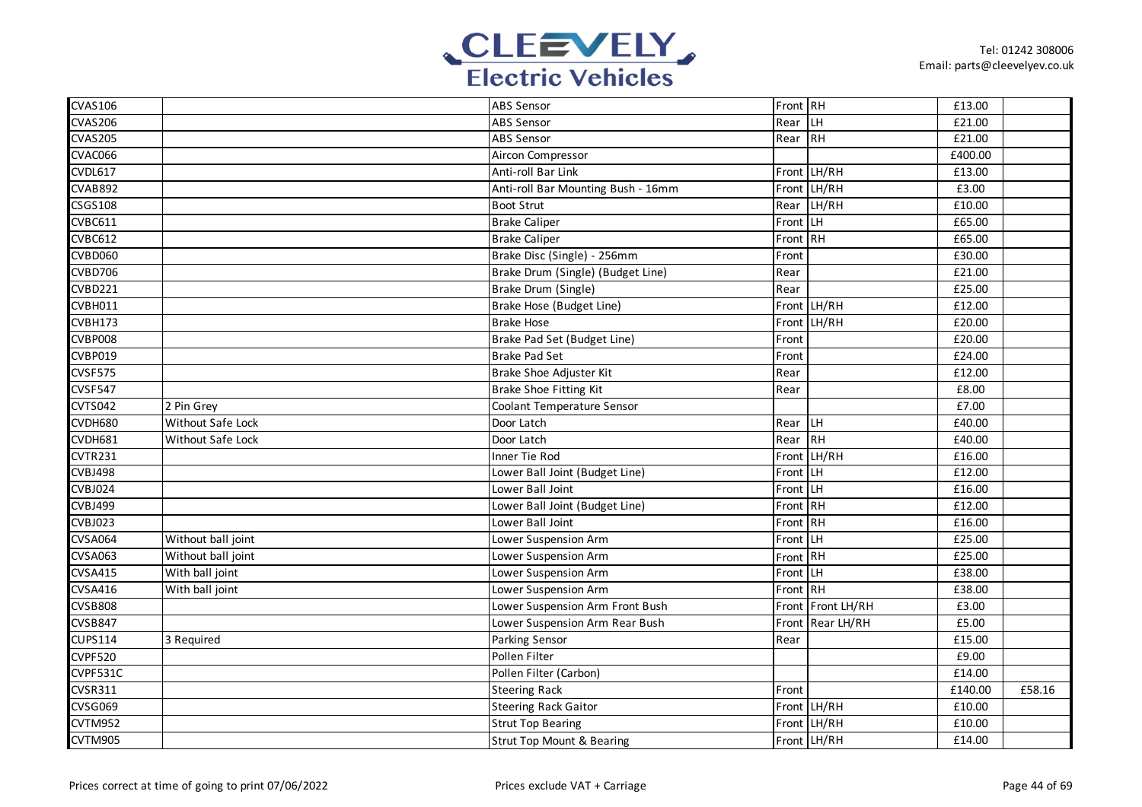

| <b>CVAS106</b> |                    | <b>ABS Sensor</b>                  | Front RH |             | £13.00  |        |
|----------------|--------------------|------------------------------------|----------|-------------|---------|--------|
| <b>CVAS206</b> |                    | <b>ABS Sensor</b>                  | Rear     | <b>LH</b>   | £21.00  |        |
| <b>CVAS205</b> |                    | <b>ABS Sensor</b>                  | Rear RH  |             | £21.00  |        |
| CVAC066        |                    | Aircon Compressor                  |          |             | £400.00 |        |
| <b>CVDL617</b> |                    | Anti-roll Bar Link                 |          | Front LH/RH | £13.00  |        |
| <b>CVAB892</b> |                    | Anti-roll Bar Mounting Bush - 16mm |          | Front LH/RH | £3.00   |        |
| CSG5108        |                    | <b>Boot Strut</b>                  | Rear     | LH/RH       | £10.00  |        |
| <b>CVBC611</b> |                    | <b>Brake Caliper</b>               | Front    | LH          | £65.00  |        |
| <b>CVBC612</b> |                    | <b>Brake Caliper</b>               | Front RH |             | £65.00  |        |
| <b>CVBD060</b> |                    | Brake Disc (Single) - 256mm        | Front    |             | £30.00  |        |
| CVBD706        |                    | Brake Drum (Single) (Budget Line)  | Rear     |             | £21.00  |        |
| <b>CVBD221</b> |                    | Brake Drum (Single)                | Rear     |             | £25.00  |        |
| CVBH011        |                    | Brake Hose (Budget Line)           |          | Front LH/RH | £12.00  |        |
| CVBH173        |                    | <b>Brake Hose</b>                  | Front    | LH/RH       | £20.00  |        |
| CVBP008        |                    | Brake Pad Set (Budget Line)        | Front    |             | £20.00  |        |
| <b>CVBP019</b> |                    | <b>Brake Pad Set</b>               | Front    |             | £24.00  |        |
| CVSF575        |                    | Brake Shoe Adjuster Kit            | Rear     |             | £12.00  |        |
| CVSF547        |                    | Brake Shoe Fitting Kit             | Rear     |             | £8.00   |        |
| <b>CVTS042</b> | 2 Pin Grey         | Coolant Temperature Sensor         |          |             | £7.00   |        |
| CVDH680        | Without Safe Lock  | Door Latch                         | Rear LH  |             | £40.00  |        |
| CVDH681        | Without Safe Lock  | Door Latch                         | Rear RH  |             | £40.00  |        |
| <b>CVTR231</b> |                    | Inner Tie Rod                      |          | Front LH/RH | £16.00  |        |
| CVBJ498        |                    | Lower Ball Joint (Budget Line)     | Front LH |             | £12.00  |        |
| <b>CVBJ024</b> |                    | Lower Ball Joint                   | Front LH |             | £16.00  |        |
| CVBJ499        |                    | Lower Ball Joint (Budget Line)     | Front RH |             | £12.00  |        |
| <b>CVBJ023</b> |                    | Lower Ball Joint                   | Front RH |             | £16.00  |        |
| <b>CVSA064</b> | Without ball joint | Lower Suspension Arm               | Front    | <b>LH</b>   | £25.00  |        |
| <b>CVSA063</b> | Without ball joint | Lower Suspension Arm               | Front    | RH          | £25.00  |        |
| <b>CVSA415</b> | With ball joint    | Lower Suspension Arm               | Front    | llh.        | £38.00  |        |
| <b>CVSA416</b> | With ball joint    | Lower Suspension Arm               | Front RH |             | £38.00  |        |
| <b>CVSB808</b> |                    | Lower Suspension Arm Front Bush    | Front    | Front LH/RH | £3.00   |        |
| <b>CVSB847</b> |                    | Lower Suspension Arm Rear Bush     | Front    | Rear LH/RH  | £5.00   |        |
| <b>CUPS114</b> | 3 Required         | Parking Sensor                     | Rear     |             | £15.00  |        |
| CVPF520        |                    | Pollen Filter                      |          |             | £9.00   |        |
| CVPF531C       |                    | Pollen Filter (Carbon)             |          |             | £14.00  |        |
| <b>CVSR311</b> |                    | <b>Steering Rack</b>               | Front    |             | £140.00 | £58.16 |
| <b>CVSG069</b> |                    | <b>Steering Rack Gaitor</b>        |          | Front LH/RH | £10.00  |        |
| <b>CVTM952</b> |                    | <b>Strut Top Bearing</b>           |          | Front LH/RH | £10.00  |        |
| CVTM905        |                    | Strut Top Mount & Bearing          |          | Front LH/RH | £14.00  |        |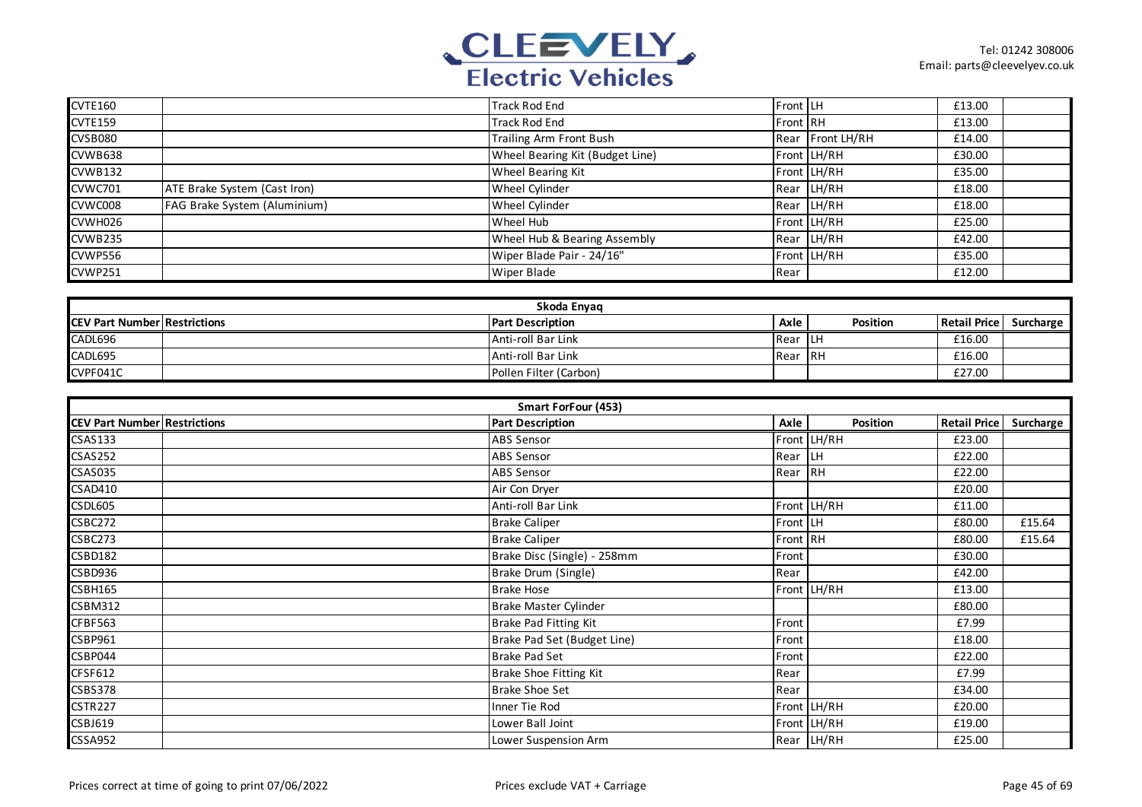

| CVTE160        |                              | <b>Track Rod End</b>            | <b>Front LH</b> |                  | £13.00 |  |
|----------------|------------------------------|---------------------------------|-----------------|------------------|--------|--|
| <b>CVTE159</b> |                              | <b>Track Rod End</b>            | Front RH        |                  | £13.00 |  |
| <b>CVSB080</b> |                              | Trailing Arm Front Bush         |                 | Rear Front LH/RH | £14.00 |  |
| CVWB638        |                              | Wheel Bearing Kit (Budget Line) |                 | Front LH/RH      | £30.00 |  |
| <b>CVWB132</b> |                              | Wheel Bearing Kit               |                 | Front LH/RH      | £35.00 |  |
| CVWC701        | ATE Brake System (Cast Iron) | Wheel Cylinder                  |                 | Rear LH/RH       | £18.00 |  |
| CVWC008        | FAG Brake System (Aluminium) | Wheel Cylinder                  |                 | Rear LH/RH       | £18.00 |  |
| CVWH026        |                              | Wheel Hub                       |                 | Front LH/RH      | £25.00 |  |
| CVWB235        |                              | Wheel Hub & Bearing Assembly    |                 | Rear LH/RH       | £42.00 |  |
| <b>CVWP556</b> |                              | Wiper Blade Pair - 24/16"       |                 | Front LH/RH      | £35.00 |  |
| CVWP251        |                              | <b>Wiper Blade</b>              | Rear            |                  | £12.00 |  |

|                                      | Skoda Envag |                         |         |          |                     |           |  |  |
|--------------------------------------|-------------|-------------------------|---------|----------|---------------------|-----------|--|--|
| <b>ICEV Part Number Restrictions</b> |             | <b>Part Description</b> | Axle    | Position | <b>Retail Price</b> | Surcharge |  |  |
| CADL696                              |             | Anti-roll Bar Link      | Rear LH |          | £16.00              |           |  |  |
| CADL695                              |             | Anti-roll Bar Link      | 1Rear   | - IRH    | £16.00              |           |  |  |
| CVPF041C                             |             | Pollen Filter (Carbon)  |         |          | £27.00              |           |  |  |

| Smart ForFour (453)                 |  |                              |          |             |                     |           |  |  |
|-------------------------------------|--|------------------------------|----------|-------------|---------------------|-----------|--|--|
| <b>CEV Part Number Restrictions</b> |  | <b>Part Description</b>      | Axle     | Position    | <b>Retail Price</b> | Surcharge |  |  |
| <b>CSAS133</b>                      |  | ABS Sensor                   |          | Front LH/RH | £23.00              |           |  |  |
| <b>CSAS252</b>                      |  | <b>ABS Sensor</b>            | Rear     | <b>ILH</b>  | £22.00              |           |  |  |
| <b>CSAS035</b>                      |  | <b>ABS Sensor</b>            | Rear     | RH          | £22.00              |           |  |  |
| CSAD410                             |  | Air Con Dryer                |          |             | £20.00              |           |  |  |
| <b>CSDL605</b>                      |  | Anti-roll Bar Link           |          | Front LH/RH | £11.00              |           |  |  |
| CSBC272                             |  | <b>Brake Caliper</b>         | Front LH |             | £80.00              | £15.64    |  |  |
| CSBC273                             |  | <b>Brake Caliper</b>         | Front RH |             | £80.00              | £15.64    |  |  |
| <b>CSBD182</b>                      |  | Brake Disc (Single) - 258mm  | Front    |             | £30.00              |           |  |  |
| CSBD936                             |  | Brake Drum (Single)          | Rear     |             | £42.00              |           |  |  |
| <b>CSBH165</b>                      |  | <b>Brake Hose</b>            |          | Front LH/RH | £13.00              |           |  |  |
| <b>CSBM312</b>                      |  | Brake Master Cylinder        |          |             | £80.00              |           |  |  |
| <b>CFBF563</b>                      |  | <b>Brake Pad Fitting Kit</b> | Front    |             | £7.99               |           |  |  |
| CSBP961                             |  | Brake Pad Set (Budget Line)  | Front    |             | £18.00              |           |  |  |
| CSBP044                             |  | <b>Brake Pad Set</b>         | Front    |             | £22.00              |           |  |  |
| CFSF612                             |  | Brake Shoe Fitting Kit       | Rear     |             | £7.99               |           |  |  |
| CSBS378                             |  | <b>Brake Shoe Set</b>        | Rear     |             | £34.00              |           |  |  |
| <b>CSTR227</b>                      |  | Inner Tie Rod                |          | Front LH/RH | £20.00              |           |  |  |
| <b>CSBJ619</b>                      |  | Lower Ball Joint             |          | Front LH/RH | £19.00              |           |  |  |
| <b>CSSA952</b>                      |  | Lower Suspension Arm         |          | Rear LH/RH  | £25.00              |           |  |  |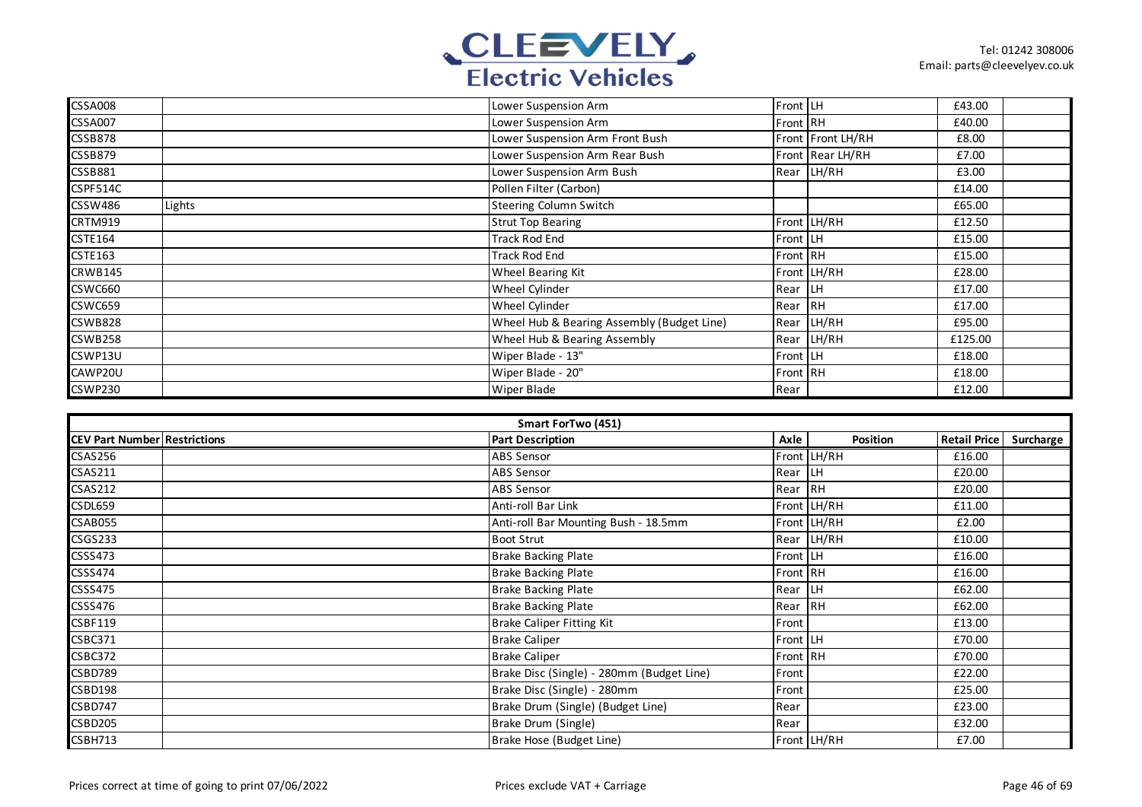

| <b>CSSA008</b> |        | Lower Suspension Arm                       | Front LH |                   | £43.00  |  |
|----------------|--------|--------------------------------------------|----------|-------------------|---------|--|
| <b>CSSA007</b> |        | Lower Suspension Arm                       | Front RH |                   | £40.00  |  |
| <b>CSSB878</b> |        | Lower Suspension Arm Front Bush            |          | Front Front LH/RH | £8.00   |  |
| <b>CSSB879</b> |        | Lower Suspension Arm Rear Bush             |          | Front Rear LH/RH  | £7.00   |  |
| CSSB881        |        | Lower Suspension Arm Bush                  |          | Rear LH/RH        | £3.00   |  |
| CSPF514C       |        | Pollen Filter (Carbon)                     |          |                   | £14.00  |  |
| <b>CSSW486</b> | Lights | <b>Steering Column Switch</b>              |          |                   | £65.00  |  |
| CRTM919        |        | <b>Strut Top Bearing</b>                   |          | Front LH/RH       | £12.50  |  |
| <b>CSTE164</b> |        | Track Rod End                              | Front LH |                   | £15.00  |  |
| <b>CSTE163</b> |        | Track Rod End                              | Front RH |                   | £15.00  |  |
| CRWB145        |        | Wheel Bearing Kit                          |          | Front LH/RH       | £28.00  |  |
| <b>CSWC660</b> |        | Wheel Cylinder                             | Rear LH  |                   | £17.00  |  |
| <b>CSWC659</b> |        | Wheel Cylinder                             | Rear     | <b>RH</b>         | £17.00  |  |
| <b>CSWB828</b> |        | Wheel Hub & Bearing Assembly (Budget Line) | Rear     | LH/RH             | £95.00  |  |
| <b>CSWB258</b> |        | Wheel Hub & Bearing Assembly               | Rear     | LH/RH             | £125.00 |  |
| CSWP13U        |        | Wiper Blade - 13"                          | Front LH |                   | £18.00  |  |
| CAWP20U        |        | Wiper Blade - 20"                          | Front RH |                   | £18.00  |  |
| <b>CSWP230</b> |        | Wiper Blade                                | Rear     |                   | £12.00  |  |

| Smart ForTwo (451)                  |                                           |          |             |                     |           |  |  |  |
|-------------------------------------|-------------------------------------------|----------|-------------|---------------------|-----------|--|--|--|
| <b>CEV Part Number Restrictions</b> | <b>Part Description</b>                   | Axle     | Position    | <b>Retail Price</b> | Surcharge |  |  |  |
| CSAS256                             | ABS Sensor                                |          | Front LH/RH | £16.00              |           |  |  |  |
| <b>CSAS211</b>                      | ABS Sensor                                | Rear LH  |             | £20.00              |           |  |  |  |
| <b>CSAS212</b>                      | <b>ABS Sensor</b>                         | Rear RH  |             | £20.00              |           |  |  |  |
| CSDL659                             | Anti-roll Bar Link                        |          | Front LH/RH | £11.00              |           |  |  |  |
| CSAB055                             | Anti-roll Bar Mounting Bush - 18.5mm      |          | Front LH/RH | £2.00               |           |  |  |  |
| <b>CSGS233</b>                      | <b>Boot Strut</b>                         |          | Rear LH/RH  | £10.00              |           |  |  |  |
| <b>CSSS473</b>                      | <b>Brake Backing Plate</b>                | Front LH |             | £16.00              |           |  |  |  |
| <b>CSSS474</b>                      | <b>Brake Backing Plate</b>                | Front RH |             | £16.00              |           |  |  |  |
| <b>CSSS475</b>                      | <b>Brake Backing Plate</b>                | Rear LH  |             | £62.00              |           |  |  |  |
| CSSS476                             | <b>Brake Backing Plate</b>                | Rear RH  |             | £62.00              |           |  |  |  |
| <b>CSBF119</b>                      | <b>Brake Caliper Fitting Kit</b>          | Front    |             | £13.00              |           |  |  |  |
| CSBC371                             | <b>Brake Caliper</b>                      | Front LH |             | £70.00              |           |  |  |  |
| CSBC372                             | <b>Brake Caliper</b>                      | Front RH |             | £70.00              |           |  |  |  |
| <b>CSBD789</b>                      | Brake Disc (Single) - 280mm (Budget Line) | Front    |             | £22.00              |           |  |  |  |
| CSBD198                             | Brake Disc (Single) - 280mm               | Front    |             | £25.00              |           |  |  |  |
| <b>CSBD747</b>                      | Brake Drum (Single) (Budget Line)         | Rear     |             | £23.00              |           |  |  |  |
| <b>CSBD205</b>                      | Brake Drum (Single)                       | Rear     |             | £32.00              |           |  |  |  |
| <b>CSBH713</b>                      | Brake Hose (Budget Line)                  |          | Front LH/RH | £7.00               |           |  |  |  |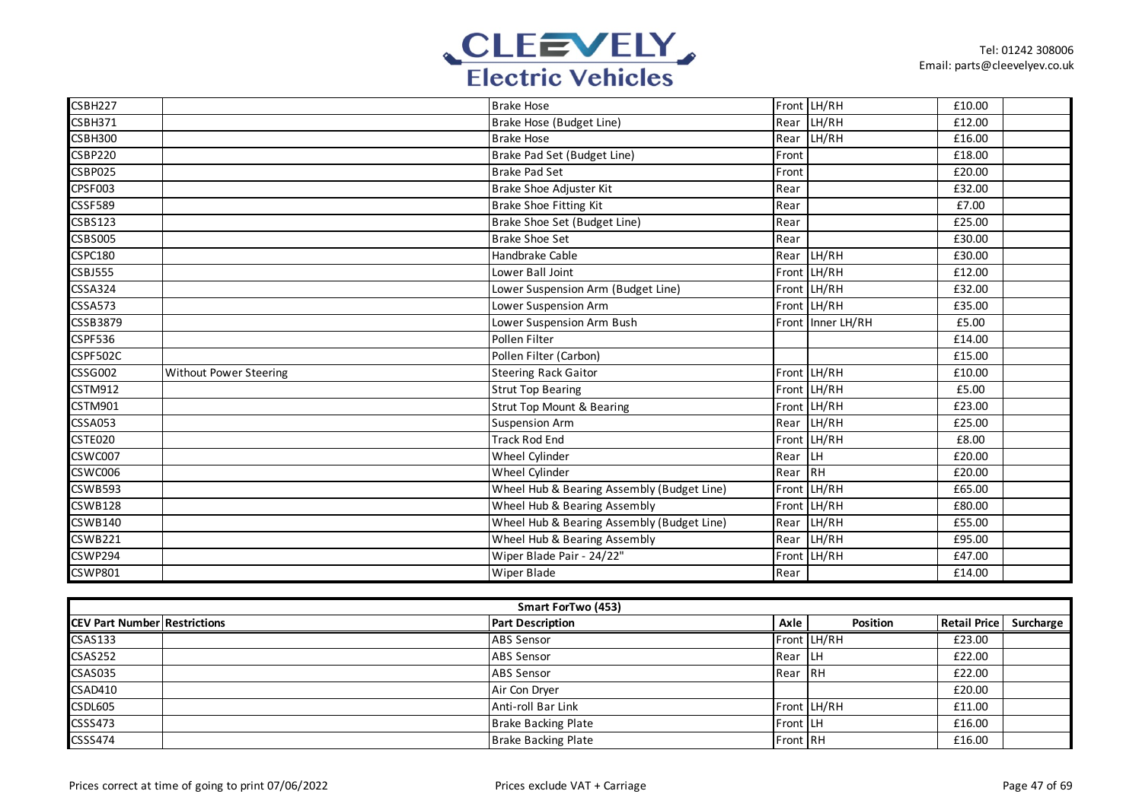

| CSBH227                     |                        | <b>Brake Hose</b>                          |         | Front LH/RH       | £10.00 |  |
|-----------------------------|------------------------|--------------------------------------------|---------|-------------------|--------|--|
| <b>CSBH371</b>              |                        | Brake Hose (Budget Line)                   | Rear    | LH/RH             | £12.00 |  |
| <b>CSBH300</b>              |                        | <b>Brake Hose</b>                          | Rear    | LH/RH             | £16.00 |  |
| <b>CSBP220</b>              |                        | Brake Pad Set (Budget Line)                | Front   |                   | £18.00 |  |
| <b>CSBP025</b>              |                        | <b>Brake Pad Set</b>                       | Front   |                   | £20.00 |  |
| CPSF003                     |                        | Brake Shoe Adjuster Kit                    | Rear    |                   | £32.00 |  |
| <b>CSSF589</b>              |                        | <b>Brake Shoe Fitting Kit</b>              | Rear    |                   | £7.00  |  |
| CSBS123                     |                        | Brake Shoe Set (Budget Line)               | Rear    |                   | £25.00 |  |
| <b>CSBS005</b>              |                        | <b>Brake Shoe Set</b>                      | Rear    |                   | £30.00 |  |
| <b>CSPC180</b>              |                        | Handbrake Cable                            | Rear    | LH/RH             | £30.00 |  |
| <b>CSBJ555</b>              |                        | Lower Ball Joint                           |         | Front LH/RH       | £12.00 |  |
| <b>CSSA324</b>              |                        | Lower Suspension Arm (Budget Line)         |         | Front LH/RH       | £32.00 |  |
| <b>CSSA573</b>              |                        | Lower Suspension Arm                       |         | Front LH/RH       | £35.00 |  |
| <b>CSSB3879</b>             |                        | Lower Suspension Arm Bush                  |         | Front Inner LH/RH | £5.00  |  |
| <b>CSPF536</b>              |                        | Pollen Filter                              |         |                   | £14.00 |  |
| CSPF502C                    |                        | Pollen Filter (Carbon)                     |         |                   | £15.00 |  |
| <b>CSSG002</b>              | Without Power Steering | <b>Steering Rack Gaitor</b>                |         | Front LH/RH       | £10.00 |  |
| <b>CSTM912</b>              |                        | <b>Strut Top Bearing</b>                   |         | Front LH/RH       | £5.00  |  |
| $\overline{\text{CSTM901}}$ |                        | <b>Strut Top Mount &amp; Bearing</b>       |         | Front LH/RH       | £23.00 |  |
| <b>CSSA053</b>              |                        | <b>Suspension Arm</b>                      | Rear    | LH/RH             | £25.00 |  |
| CSTE020                     |                        | <b>Track Rod End</b>                       |         | Front LH/RH       | £8.00  |  |
| CSWC007                     |                        | Wheel Cylinder                             | Rear LH |                   | £20.00 |  |
| CSWC006                     |                        | Wheel Cylinder                             | Rear RH |                   | £20.00 |  |
| <b>CSWB593</b>              |                        | Wheel Hub & Bearing Assembly (Budget Line) | Front   | LH/RH             | £65.00 |  |
| <b>CSWB128</b>              |                        | Wheel Hub & Bearing Assembly               |         | Front LH/RH       | £80.00 |  |
| <b>CSWB140</b>              |                        | Wheel Hub & Bearing Assembly (Budget Line) | Rear    | LH/RH             | £55.00 |  |
| <b>CSWB221</b>              |                        | Wheel Hub & Bearing Assembly               |         | Rear LH/RH        | £95.00 |  |
| <b>CSWP294</b>              |                        | Wiper Blade Pair - 24/22"                  |         | Front LH/RH       | £47.00 |  |
| <b>CSWP801</b>              |                        | <b>Wiper Blade</b>                         | Rear    |                   | £14.00 |  |

| Smart ForTwo (453)                  |  |                            |                 |             |                     |           |  |  |
|-------------------------------------|--|----------------------------|-----------------|-------------|---------------------|-----------|--|--|
| <b>CEV Part Number Restrictions</b> |  | <b>Part Description</b>    | Axle            | Position    | <b>Retail Price</b> | Surcharge |  |  |
| <b>CSAS133</b>                      |  | <b>ABS Sensor</b>          |                 | Front LH/RH | £23.00              |           |  |  |
| <b>CSAS252</b>                      |  | <b>ABS Sensor</b>          | Rear LH         |             | £22.00              |           |  |  |
| <b>CSAS035</b>                      |  | <b>ABS Sensor</b>          | <b>IRear</b>    | <b>IRH</b>  | £22.00              |           |  |  |
| <b>CSAD410</b>                      |  | Air Con Dryer              |                 |             | £20.00              |           |  |  |
| <b>CSDL605</b>                      |  | Anti-roll Bar Link         |                 | Front LH/RH | £11.00              |           |  |  |
| <b>CSSS473</b>                      |  | <b>Brake Backing Plate</b> | <b>Front LH</b> |             | £16.00              |           |  |  |
| <b>CSSS474</b>                      |  | <b>Brake Backing Plate</b> | <b>Front RH</b> |             | £16.00              |           |  |  |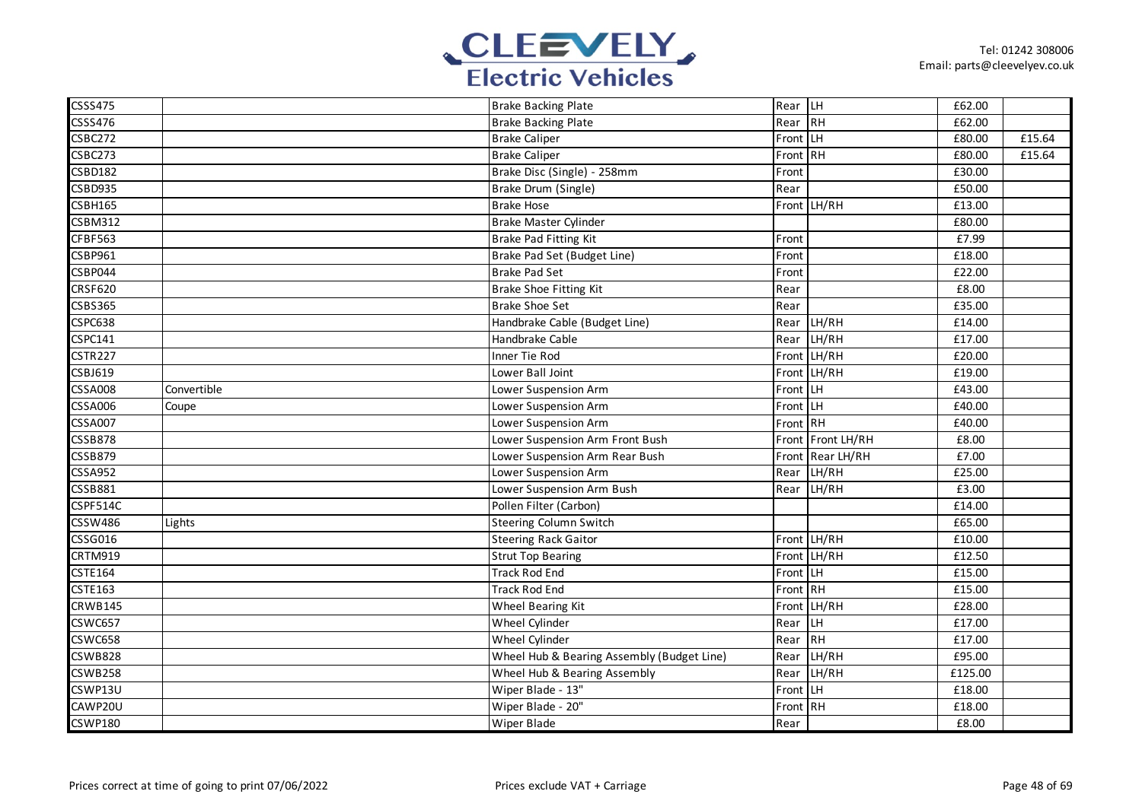

| <b>CSSS475</b> |             | <b>Brake Backing Plate</b>                 | Rear LH  |                   | £62.00  |        |
|----------------|-------------|--------------------------------------------|----------|-------------------|---------|--------|
| CSSS476        |             | <b>Brake Backing Plate</b>                 | Rear RH  |                   | £62.00  |        |
| <b>CSBC272</b> |             | <b>Brake Caliper</b>                       | Front LH |                   | £80.00  | £15.64 |
| CSBC273        |             | <b>Brake Caliper</b>                       | Front RH |                   | £80.00  | £15.64 |
| <b>CSBD182</b> |             | Brake Disc (Single) - 258mm                | Front    |                   | £30.00  |        |
| <b>CSBD935</b> |             | Brake Drum (Single)                        | Rear     |                   | £50.00  |        |
| <b>CSBH165</b> |             | <b>Brake Hose</b>                          |          | Front LH/RH       | £13.00  |        |
| <b>CSBM312</b> |             | Brake Master Cylinder                      |          |                   | £80.00  |        |
| CFBF563        |             | <b>Brake Pad Fitting Kit</b>               | Front    |                   | £7.99   |        |
| <b>CSBP961</b> |             | Brake Pad Set (Budget Line)                | Front    |                   | £18.00  |        |
| CSBP044        |             | <b>Brake Pad Set</b>                       | Front    |                   | £22.00  |        |
| <b>CRSF620</b> |             | Brake Shoe Fitting Kit                     | Rear     |                   | £8.00   |        |
| <b>CSBS365</b> |             | <b>Brake Shoe Set</b>                      | Rear     |                   | £35.00  |        |
| CSPC638        |             | Handbrake Cable (Budget Line)              |          | Rear LH/RH        | £14.00  |        |
| <b>CSPC141</b> |             | Handbrake Cable                            | Rear     | LH/RH             | £17.00  |        |
| <b>CSTR227</b> |             | Inner Tie Rod                              |          | Front LH/RH       | £20.00  |        |
| <b>CSBJ619</b> |             | Lower Ball Joint                           |          | Front LH/RH       | £19.00  |        |
| <b>CSSA008</b> | Convertible | Lower Suspension Arm                       | Front LH |                   | £43.00  |        |
| <b>CSSA006</b> | Coupe       | Lower Suspension Arm                       | Front LH |                   | £40.00  |        |
| <b>CSSA007</b> |             | Lower Suspension Arm                       | Front RH |                   | £40.00  |        |
| <b>CSSB878</b> |             | Lower Suspension Arm Front Bush            |          | Front Front LH/RH | £8.00   |        |
| <b>CSSB879</b> |             | Lower Suspension Arm Rear Bush             |          | Front Rear LH/RH  | £7.00   |        |
| <b>CSSA952</b> |             | Lower Suspension Arm                       | Rear     | LH/RH             | £25.00  |        |
| <b>CSSB881</b> |             | Lower Suspension Arm Bush                  | Rear     | LH/RH             | £3.00   |        |
| CSPF514C       |             | Pollen Filter (Carbon)                     |          |                   | £14.00  |        |
| <b>CSSW486</b> | Lights      | Steering Column Switch                     |          |                   | £65.00  |        |
| <b>CSSG016</b> |             | <b>Steering Rack Gaitor</b>                |          | Front LH/RH       | £10.00  |        |
| <b>CRTM919</b> |             | <b>Strut Top Bearing</b>                   |          | Front LH/RH       | £12.50  |        |
| <b>CSTE164</b> |             | <b>Track Rod End</b>                       | Front LH |                   | £15.00  |        |
| <b>CSTE163</b> |             | <b>Track Rod End</b>                       | Front RH |                   | £15.00  |        |
| <b>CRWB145</b> |             | Wheel Bearing Kit                          |          | Front LH/RH       | £28.00  |        |
| <b>CSWC657</b> |             | Wheel Cylinder                             | Rear LH  |                   | £17.00  |        |
| <b>CSWC658</b> |             | Wheel Cylinder                             | Rear     | RH                | £17.00  |        |
| <b>CSWB828</b> |             | Wheel Hub & Bearing Assembly (Budget Line) | Rear     | LH/RH             | £95.00  |        |
| <b>CSWB258</b> |             | Wheel Hub & Bearing Assembly               | Rear     | LH/RH             | £125.00 |        |
| CSWP13U        |             | Wiper Blade - 13"                          | Front LH |                   | £18.00  |        |
| CAWP20U        |             | Wiper Blade - 20"                          | Front RH |                   | £18.00  |        |
| <b>CSWP180</b> |             | Wiper Blade                                | Rear     |                   | £8.00   |        |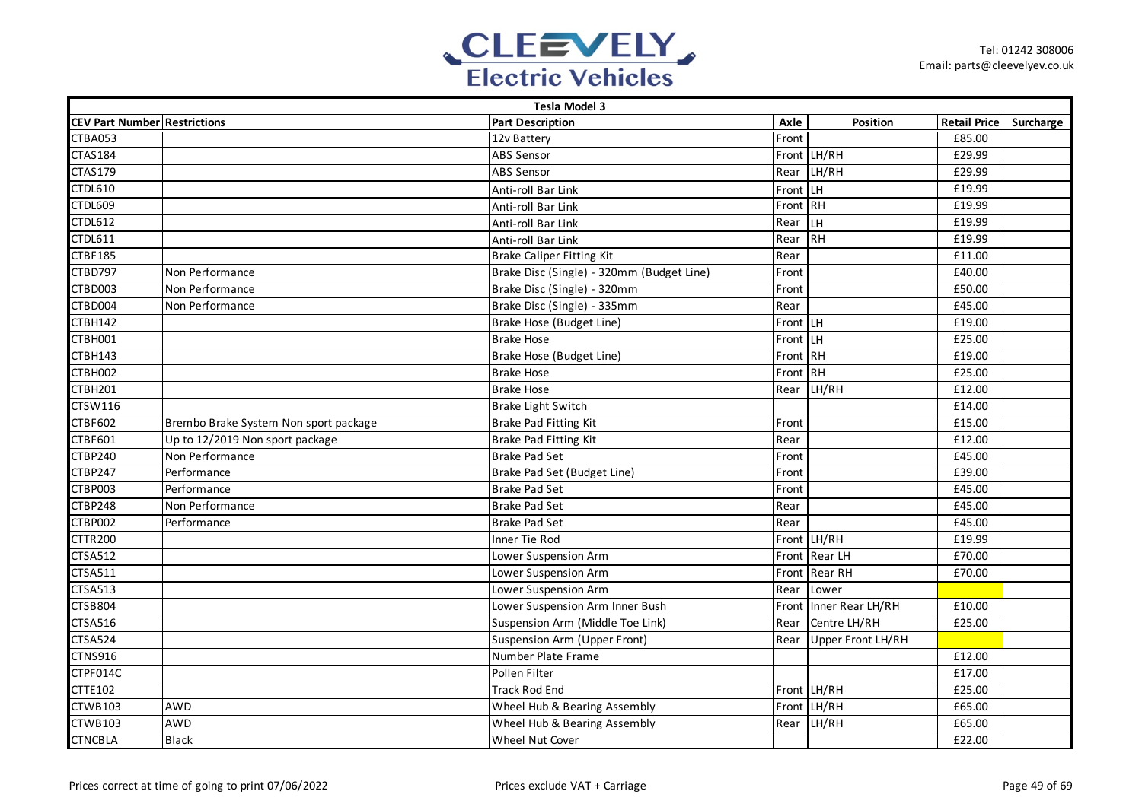

|                                     | <b>Tesla Model 3</b>                  |                                           |           |                   |                        |  |  |  |  |
|-------------------------------------|---------------------------------------|-------------------------------------------|-----------|-------------------|------------------------|--|--|--|--|
| <b>CEV Part Number Restrictions</b> |                                       | <b>Part Description</b>                   | Axle      | Position          | Retail Price Surcharge |  |  |  |  |
| CTBA053                             |                                       | 12v Battery                               | Front     |                   | £85.00                 |  |  |  |  |
| <b>CTAS184</b>                      |                                       | <b>ABS Sensor</b>                         |           | Front LH/RH       | £29.99                 |  |  |  |  |
| <b>CTAS179</b>                      |                                       | <b>ABS Sensor</b>                         |           | Rear LH/RH        | £29.99                 |  |  |  |  |
| <b>CTDL610</b>                      |                                       | Anti-roll Bar Link                        | Front LH  |                   | £19.99                 |  |  |  |  |
| CTDL609                             |                                       | Anti-roll Bar Link                        | Front RH  |                   | £19.99                 |  |  |  |  |
| <b>CTDL612</b>                      |                                       | Anti-roll Bar Link                        | Rear      | LН                | £19.99                 |  |  |  |  |
| <b>CTDL611</b>                      |                                       | Anti-roll Bar Link                        | Rear      | <b>IRH</b>        | £19.99                 |  |  |  |  |
| <b>CTBF185</b>                      |                                       | <b>Brake Caliper Fitting Kit</b>          | Rear      |                   | £11.00                 |  |  |  |  |
| CTBD797                             | Non Performance                       | Brake Disc (Single) - 320mm (Budget Line) | Front     |                   | £40.00                 |  |  |  |  |
| CTBD003                             | Non Performance                       | Brake Disc (Single) - 320mm               | Front     |                   | £50.00                 |  |  |  |  |
| CTBD004                             | Non Performance                       | Brake Disc (Single) - 335mm               | Rear      |                   | £45.00                 |  |  |  |  |
| CTBH142                             |                                       | Brake Hose (Budget Line)                  | Front LLH |                   | £19.00                 |  |  |  |  |
| CTBH001                             |                                       | <b>Brake Hose</b>                         | Front LH  |                   | £25.00                 |  |  |  |  |
| CTBH143                             |                                       | Brake Hose (Budget Line)                  | Front RH  |                   | £19.00                 |  |  |  |  |
| CTBH002                             |                                       | <b>Brake Hose</b>                         | Front RH  |                   | £25.00                 |  |  |  |  |
| <b>CTBH201</b>                      |                                       | <b>Brake Hose</b>                         | Rear      | LH/RH             | $\overline{f12.00}$    |  |  |  |  |
| CTSW116                             |                                       | <b>Brake Light Switch</b>                 |           |                   | £14.00                 |  |  |  |  |
| <b>CTBF602</b>                      | Brembo Brake System Non sport package | Brake Pad Fitting Kit                     | Front     |                   | £15.00                 |  |  |  |  |
| CTBF601                             | Up to 12/2019 Non sport package       | <b>Brake Pad Fitting Kit</b>              | Rear      |                   | £12.00                 |  |  |  |  |
| CTBP240                             | Non Performance                       | <b>Brake Pad Set</b>                      | Front     |                   | £45.00                 |  |  |  |  |
| <b>CTBP247</b>                      | Performance                           | Brake Pad Set (Budget Line)               | Front     |                   | £39.00                 |  |  |  |  |
| CTBP003                             | Performance                           | <b>Brake Pad Set</b>                      | Front     |                   | £45.00                 |  |  |  |  |
| CTBP248                             | Non Performance                       | <b>Brake Pad Set</b>                      | Rear      |                   | £45.00                 |  |  |  |  |
| CTBP002                             | Performance                           | <b>Brake Pad Set</b>                      | Rear      |                   | £45.00                 |  |  |  |  |
| <b>CTTR200</b>                      |                                       | Inner Tie Rod                             |           | Front LH/RH       | £19.99                 |  |  |  |  |
| <b>CTSA512</b>                      |                                       | Lower Suspension Arm                      |           | Front Rear LH     | £70.00                 |  |  |  |  |
| <b>CTSA511</b>                      |                                       | Lower Suspension Arm                      |           | Front Rear RH     | £70.00                 |  |  |  |  |
| <b>CTSA513</b>                      |                                       | Lower Suspension Arm                      | Rear      | Lower             |                        |  |  |  |  |
| <b>CTSB804</b>                      |                                       | Lower Suspension Arm Inner Bush           | Front     | Inner Rear LH/RH  | $\overline{f}$ 10.00   |  |  |  |  |
| <b>CTSA516</b>                      |                                       | Suspension Arm (Middle Toe Link)          | Rear      | Centre LH/RH      | £25.00                 |  |  |  |  |
| <b>CTSA524</b>                      |                                       | Suspension Arm (Upper Front)              | Rear      | Upper Front LH/RH |                        |  |  |  |  |
| <b>CTNS916</b>                      |                                       | Number Plate Frame                        |           |                   | £12.00                 |  |  |  |  |
| CTPF014C                            |                                       | Pollen Filter                             |           |                   | £17.00                 |  |  |  |  |
| <b>CTTE102</b>                      |                                       | <b>Track Rod End</b>                      |           | Front LH/RH       | £25.00                 |  |  |  |  |
| CTWB103                             | <b>AWD</b>                            | Wheel Hub & Bearing Assembly              |           | Front LH/RH       | £65.00                 |  |  |  |  |
| <b>CTWB103</b>                      | <b>AWD</b>                            | Wheel Hub & Bearing Assembly              | Rear      | LH/RH             | £65.00                 |  |  |  |  |
| <b>CTNCBLA</b>                      | <b>Black</b>                          | Wheel Nut Cover                           |           |                   | £22.00                 |  |  |  |  |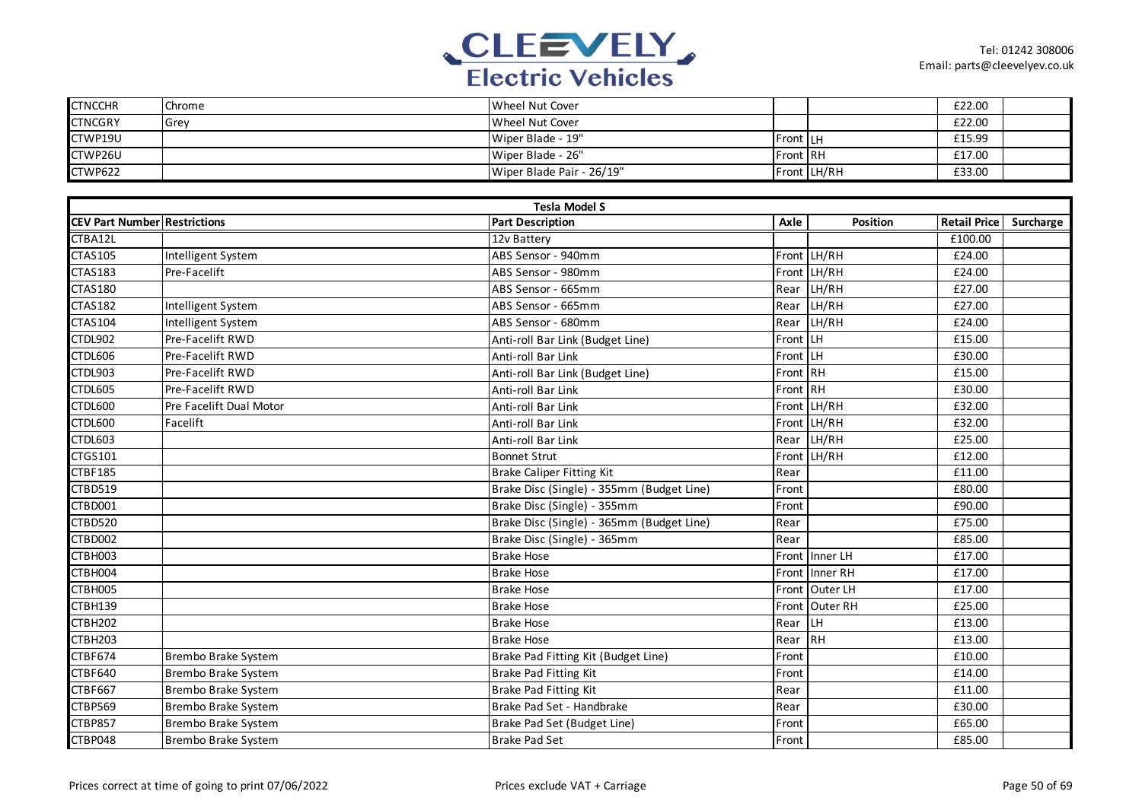

| <b>CTNCCHR</b> | Chrome | Wheel Nut Cover           |                 |             | £22.00 |  |
|----------------|--------|---------------------------|-----------------|-------------|--------|--|
| <b>CTNCGRY</b> | Grev   | Wheel Nut Cover           |                 |             | £22.00 |  |
| CTWP19U        |        | Wiper Blade - 19"         | <b>Front LH</b> |             | £15.99 |  |
| CTWP26U        |        | Wiper Blade - 26"         | <b>Front RH</b> |             | £17.00 |  |
| CTWP622        |        | Wiper Blade Pair - 26/19" |                 | Front LH/RH | £33.00 |  |

|                                     |                         | <b>Tesla Model S</b>                      |          |                |                     |           |
|-------------------------------------|-------------------------|-------------------------------------------|----------|----------------|---------------------|-----------|
| <b>CEV Part Number Restrictions</b> |                         | <b>Part Description</b>                   | Axle     | Position       | <b>Retail Price</b> | Surcharge |
| CTBA12L                             |                         | 12v Battery                               |          |                | £100.00             |           |
| <b>CTAS105</b>                      | Intelligent System      | ABS Sensor - 940mm                        |          | Front LH/RH    | £24.00              |           |
| <b>CTAS183</b>                      | Pre-Facelift            | ABS Sensor - 980mm                        | Front    | LH/RH          | £24.00              |           |
| <b>CTAS180</b>                      |                         | ABS Sensor - 665mm                        | Rear     | LH/RH          | £27.00              |           |
| <b>CTAS182</b>                      | Intelligent System      | ABS Sensor - 665mm                        | Rear     | LH/RH          | £27.00              |           |
| <b>CTAS104</b>                      | Intelligent System      | ABS Sensor - 680mm                        | Rear     | LH/RH          | £24.00              |           |
| CTDL902                             | Pre-Facelift RWD        | Anti-roll Bar Link (Budget Line)          | Front LH |                | £15.00              |           |
| CTDL606                             | Pre-Facelift RWD        | Anti-roll Bar Link                        | Front LH |                | £30.00              |           |
| CTDL903                             | <b>Pre-Facelift RWD</b> | Anti-roll Bar Link (Budget Line)          | Front RH |                | £15.00              |           |
| CTDL605                             | <b>Pre-Facelift RWD</b> | Anti-roll Bar Link                        | Front RH |                | £30.00              |           |
| CTDL600                             | Pre Facelift Dual Motor | Anti-roll Bar Link                        |          | Front LH/RH    | £32.00              |           |
| CTDL600                             | Facelift                | Anti-roll Bar Link                        |          | Front LH/RH    | £32.00              |           |
| CTDL603                             |                         | Anti-roll Bar Link                        | Rear     | LH/RH          | £25.00              |           |
| CTGS101                             |                         | <b>Bonnet Strut</b>                       |          | Front LH/RH    | £12.00              |           |
| <b>CTBF185</b>                      |                         | <b>Brake Caliper Fitting Kit</b>          | Rear     |                | £11.00              |           |
| CTBD519                             |                         | Brake Disc (Single) - 355mm (Budget Line) | Front    |                | £80.00              |           |
| CTBD001                             |                         | Brake Disc (Single) - 355mm               | Front    |                | £90.00              |           |
| <b>CTBD520</b>                      |                         | Brake Disc (Single) - 365mm (Budget Line) | Rear     |                | £75.00              |           |
| CTBD002                             |                         | Brake Disc (Single) - 365mm               | Rear     |                | £85.00              |           |
| CTBH003                             |                         | <b>Brake Hose</b>                         |          | Front Inner LH | £17.00              |           |
| CTBH004                             |                         | <b>Brake Hose</b>                         |          | Front Inner RH | £17.00              |           |
| CTBH005                             |                         | <b>Brake Hose</b>                         |          | Front Outer LH | £17.00              |           |
| CTBH139                             |                         | <b>Brake Hose</b>                         |          | Front Outer RH | £25.00              |           |
| <b>CTBH202</b>                      |                         | <b>Brake Hose</b>                         | Rear     | LH             | £13.00              |           |
| <b>CTBH203</b>                      |                         | <b>Brake Hose</b>                         | Rear     | <b>RH</b>      | £13.00              |           |
| CTBF674                             | Brembo Brake System     | Brake Pad Fitting Kit (Budget Line)       | Front    |                | £10.00              |           |
| CTBF640                             | Brembo Brake System     | Brake Pad Fitting Kit                     | Front    |                | £14.00              |           |
| CTBF667                             | Brembo Brake System     | Brake Pad Fitting Kit                     | Rear     |                | £11.00              |           |
| CTBP569                             | Brembo Brake System     | Brake Pad Set - Handbrake                 | Rear     |                | £30.00              |           |
| <b>CTBP857</b>                      | Brembo Brake System     | Brake Pad Set (Budget Line)               | Front    |                | £65.00              |           |
| CTBP048                             | Brembo Brake System     | <b>Brake Pad Set</b>                      | Front    |                | £85.00              |           |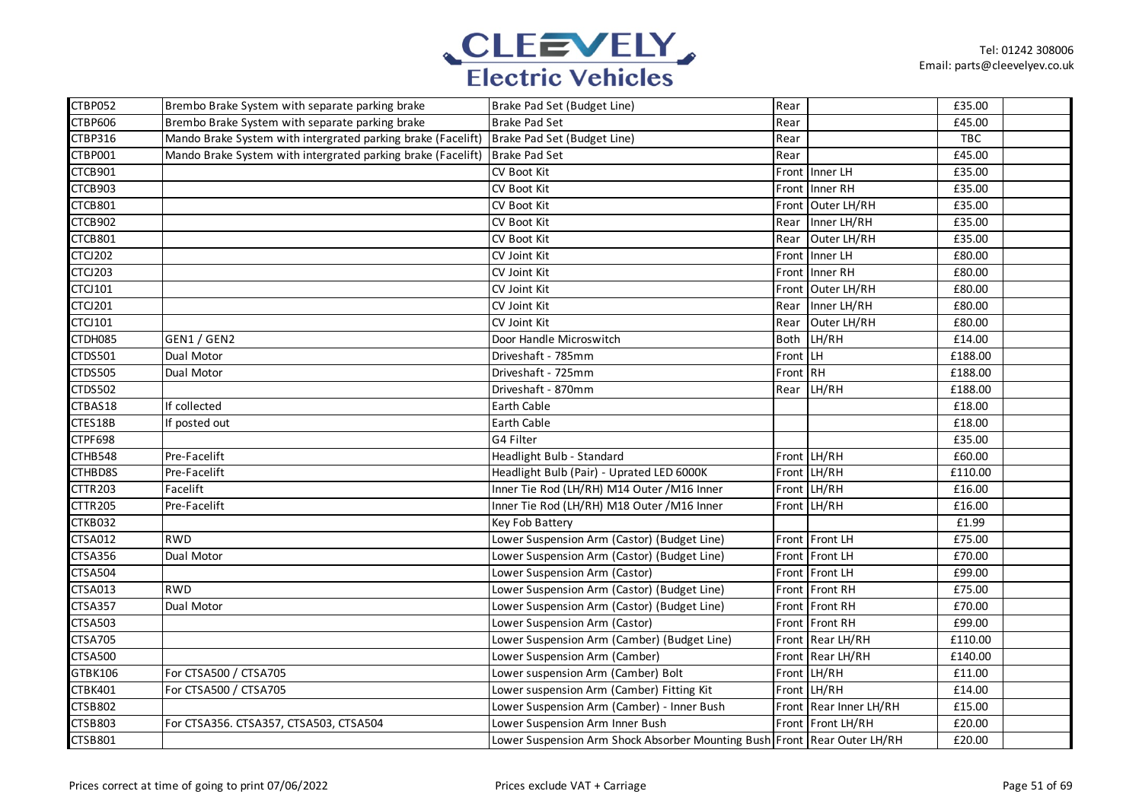

| CTBP052        | Brembo Brake System with separate parking brake                                          | Brake Pad Set (Budget Line)                                                | Rear     |                        | £35.00     |  |
|----------------|------------------------------------------------------------------------------------------|----------------------------------------------------------------------------|----------|------------------------|------------|--|
| <b>CTBP606</b> | Brembo Brake System with separate parking brake                                          | <b>Brake Pad Set</b>                                                       | Rear     |                        | £45.00     |  |
| CTBP316        | Mando Brake System with intergrated parking brake (Facelift) Brake Pad Set (Budget Line) |                                                                            | Rear     |                        | <b>TBC</b> |  |
| CTBP001        | Mando Brake System with intergrated parking brake (Facelift) Brake Pad Set               |                                                                            | Rear     |                        | £45.00     |  |
| CTCB901        |                                                                                          | CV Boot Kit                                                                |          | Front Inner LH         | £35.00     |  |
| CTCB903        |                                                                                          | CV Boot Kit                                                                |          | Front Inner RH         | £35.00     |  |
| CTCB801        |                                                                                          | CV Boot Kit                                                                |          | Front Outer LH/RH      | £35.00     |  |
| CTCB902        |                                                                                          | CV Boot Kit                                                                | Rear     | Inner LH/RH            | £35.00     |  |
| CTCB801        |                                                                                          | CV Boot Kit                                                                | Rear     | Outer LH/RH            | £35.00     |  |
| <b>CTCJ202</b> |                                                                                          | CV Joint Kit                                                               | Front    | Inner LH               | £80.00     |  |
| <b>CTCJ203</b> |                                                                                          | CV Joint Kit                                                               | Front    | Inner RH               | £80.00     |  |
| <b>CTCJ101</b> |                                                                                          | CV Joint Kit                                                               | Front    | Outer LH/RH            | £80.00     |  |
| <b>CTCJ201</b> |                                                                                          | CV Joint Kit                                                               | Rear     | Inner LH/RH            | £80.00     |  |
| <b>CTCJ101</b> |                                                                                          | CV Joint Kit                                                               | Rear     | Outer LH/RH            | £80.00     |  |
| CTDH085        | GEN1 / GEN2                                                                              | Door Handle Microswitch                                                    |          | Both LH/RH             | £14.00     |  |
| CTDS501        | Dual Motor                                                                               | Driveshaft - 785mm                                                         | Front LH |                        | £188.00    |  |
| <b>CTDS505</b> | Dual Motor                                                                               | Driveshaft - 725mm                                                         | Front RH |                        | £188.00    |  |
| <b>CTDS502</b> |                                                                                          | Driveshaft - 870mm                                                         |          | Rear LH/RH             | £188.00    |  |
| CTBAS18        | If collected                                                                             | <b>Earth Cable</b>                                                         |          |                        | £18.00     |  |
| CTES18B        | If posted out                                                                            | Earth Cable                                                                |          |                        | £18.00     |  |
| <b>CTPF698</b> |                                                                                          | G4 Filter                                                                  |          |                        | £35.00     |  |
| CTHB548        | Pre-Facelift                                                                             | Headlight Bulb - Standard                                                  |          | Front LH/RH            | £60.00     |  |
| CTHBD8S        | Pre-Facelift                                                                             | Headlight Bulb (Pair) - Uprated LED 6000K                                  |          | Front LH/RH            | £110.00    |  |
| <b>CTTR203</b> | Facelift                                                                                 | Inner Tie Rod (LH/RH) M14 Outer / M16 Inner                                |          | Front LH/RH            | £16.00     |  |
| <b>CTTR205</b> | Pre-Facelift                                                                             | Inner Tie Rod (LH/RH) M18 Outer / M16 Inner                                |          | Front LH/RH            | £16.00     |  |
| CTKB032        |                                                                                          | Key Fob Battery                                                            |          |                        | £1.99      |  |
| <b>CTSA012</b> | <b>RWD</b>                                                                               | Lower Suspension Arm (Castor) (Budget Line)                                |          | Front Front LH         | £75.00     |  |
| CTSA356        | Dual Motor                                                                               | Lower Suspension Arm (Castor) (Budget Line)                                |          | Front Front LH         | £70.00     |  |
| <b>CTSA504</b> |                                                                                          | Lower Suspension Arm (Castor)                                              |          | Front Front LH         | £99.00     |  |
| CTSA013        | <b>RWD</b>                                                                               | Lower Suspension Arm (Castor) (Budget Line)                                |          | Front Front RH         | £75.00     |  |
| <b>CTSA357</b> | Dual Motor                                                                               | Lower Suspension Arm (Castor) (Budget Line)                                |          | Front Front RH         | £70.00     |  |
| <b>CTSA503</b> |                                                                                          | Lower Suspension Arm (Castor)                                              |          | Front Front RH         | £99.00     |  |
| <b>CTSA705</b> |                                                                                          | Lower Suspension Arm (Camber) (Budget Line)                                |          | Front Rear LH/RH       | £110.00    |  |
| <b>CTSA500</b> |                                                                                          | Lower Suspension Arm (Camber)                                              |          | Front Rear LH/RH       | £140.00    |  |
| GTBK106        | For CTSA500 / CTSA705                                                                    | Lower suspension Arm (Camber) Bolt                                         |          | Front LH/RH            | £11.00     |  |
| CTBK401        | For CTSA500 / CTSA705                                                                    | Lower suspension Arm (Camber) Fitting Kit                                  |          | Front LH/RH            | £14.00     |  |
| <b>CTSB802</b> |                                                                                          | Lower Suspension Arm (Camber) - Inner Bush                                 |          | Front Rear Inner LH/RH | £15.00     |  |
| <b>CTSB803</b> | For CTSA356. CTSA357, CTSA503, CTSA504                                                   | Lower Suspension Arm Inner Bush                                            |          | Front Front LH/RH      | £20.00     |  |
| <b>CTSB801</b> |                                                                                          | Lower Suspension Arm Shock Absorber Mounting Bush Front   Rear Outer LH/RH |          |                        | £20.00     |  |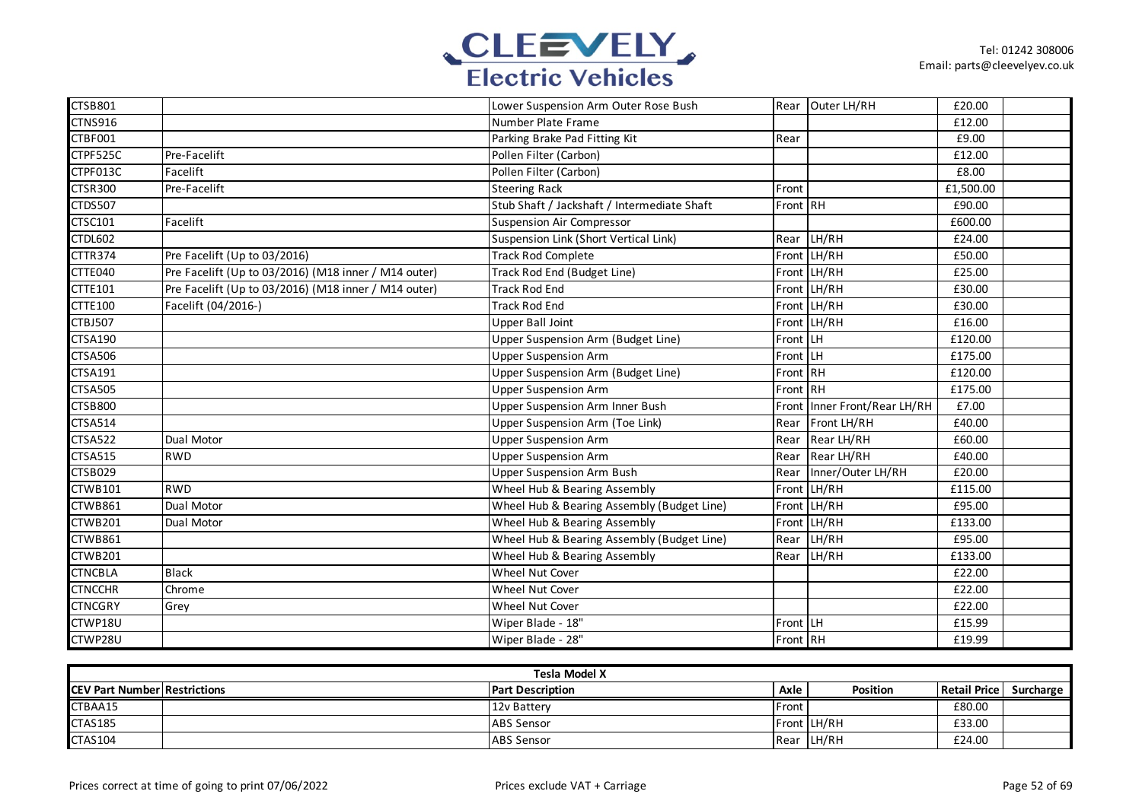

| <b>CTSB801</b> |                                                      | Lower Suspension Arm Outer Rose Bush        |          | Rear Outer LH/RH             | £20.00    |  |
|----------------|------------------------------------------------------|---------------------------------------------|----------|------------------------------|-----------|--|
| <b>CTNS916</b> |                                                      | Number Plate Frame                          |          |                              | £12.00    |  |
| CTBF001        |                                                      | Parking Brake Pad Fitting Kit               | Rear     |                              | £9.00     |  |
| CTPF525C       | Pre-Facelift                                         | Pollen Filter (Carbon)                      |          |                              | £12.00    |  |
| CTPF013C       | Facelift                                             | Pollen Filter (Carbon)                      |          |                              | £8.00     |  |
| <b>CTSR300</b> | Pre-Facelift                                         | <b>Steering Rack</b>                        | Front    |                              | £1,500.00 |  |
| <b>CTDS507</b> |                                                      | Stub Shaft / Jackshaft / Intermediate Shaft | Front RH |                              | £90.00    |  |
| <b>CTSC101</b> | Facelift                                             | <b>Suspension Air Compressor</b>            |          |                              | £600.00   |  |
| CTDL602        |                                                      | Suspension Link (Short Vertical Link)       |          | Rear LH/RH                   | £24.00    |  |
| CTTR374        | Pre Facelift (Up to 03/2016)                         | <b>Track Rod Complete</b>                   |          | Front LH/RH                  | £50.00    |  |
| CTTE040        | Pre Facelift (Up to 03/2016) (M18 inner / M14 outer) | Track Rod End (Budget Line)                 |          | Front LH/RH                  | £25.00    |  |
| <b>CTTE101</b> | Pre Facelift (Up to 03/2016) (M18 inner / M14 outer) | <b>Track Rod End</b>                        |          | Front LH/RH                  | £30.00    |  |
| <b>CTTE100</b> | Facelift (04/2016-)                                  | <b>Track Rod End</b>                        |          | Front LH/RH                  | £30.00    |  |
| <b>CTBJ507</b> |                                                      | <b>Upper Ball Joint</b>                     |          | Front LH/RH                  | £16.00    |  |
| <b>CTSA190</b> |                                                      | Upper Suspension Arm (Budget Line)          | Front LH |                              | £120.00   |  |
| <b>CTSA506</b> |                                                      | <b>Upper Suspension Arm</b>                 | Front LH |                              | £175.00   |  |
| <b>CTSA191</b> |                                                      | Upper Suspension Arm (Budget Line)          | Front RH |                              | £120.00   |  |
| <b>CTSA505</b> |                                                      | <b>Upper Suspension Arm</b>                 | Front RH |                              | £175.00   |  |
| <b>CTSB800</b> |                                                      | Upper Suspension Arm Inner Bush             |          | Front Inner Front/Rear LH/RH | £7.00     |  |
| <b>CTSA514</b> |                                                      | Upper Suspension Arm (Toe Link)             |          | Rear Front LH/RH             | £40.00    |  |
| <b>CTSA522</b> | Dual Motor                                           | <b>Upper Suspension Arm</b>                 |          | Rear Rear LH/RH              | £60.00    |  |
| <b>CTSA515</b> | <b>RWD</b>                                           | <b>Upper Suspension Arm</b>                 |          | Rear Rear LH/RH              | £40.00    |  |
| <b>CTSB029</b> |                                                      | <b>Upper Suspension Arm Bush</b>            | Rear     | Inner/Outer LH/RH            | £20.00    |  |
| <b>CTWB101</b> | <b>RWD</b>                                           | Wheel Hub & Bearing Assembly                |          | Front LH/RH                  | £115.00   |  |
| CTWB861        | Dual Motor                                           | Wheel Hub & Bearing Assembly (Budget Line)  |          | Front LH/RH                  | £95.00    |  |
| CTWB201        | Dual Motor                                           | Wheel Hub & Bearing Assembly                |          | Front LH/RH                  | £133.00   |  |
| CTWB861        |                                                      | Wheel Hub & Bearing Assembly (Budget Line)  |          | Rear LH/RH                   | £95.00    |  |
| CTWB201        |                                                      | Wheel Hub & Bearing Assembly                | Rear     | LH/RH                        | £133.00   |  |
| <b>CTNCBLA</b> | <b>Black</b>                                         | <b>Wheel Nut Cover</b>                      |          |                              | £22.00    |  |
| <b>CTNCCHR</b> | Chrome                                               | <b>Wheel Nut Cover</b>                      |          |                              | £22.00    |  |
| <b>CTNCGRY</b> | Grey                                                 | Wheel Nut Cover                             |          |                              | £22.00    |  |
| CTWP18U        |                                                      | Wiper Blade - 18"                           | Front LH |                              | £15.99    |  |
| CTWP28U        |                                                      | Wiper Blade - 28"                           | Front RH |                              | £19.99    |  |

| Tesla Model X                       |  |                         |              |             |              |           |  |  |  |
|-------------------------------------|--|-------------------------|--------------|-------------|--------------|-----------|--|--|--|
| <b>CEV Part Number Restrictions</b> |  | <b>Part Description</b> | Axle         | Position    | Retail Price | Surcharge |  |  |  |
| CTBAA15                             |  | 12v Battery             | <b>Front</b> |             | £80.00       |           |  |  |  |
| <b>CTAS185</b>                      |  | <b>ABS</b> Sensor       |              | Front LH/RH | £33.00       |           |  |  |  |
| <b>CTAS104</b>                      |  | <b>ABS</b> Sensor       |              | Rear LH/RH  | £24.00       |           |  |  |  |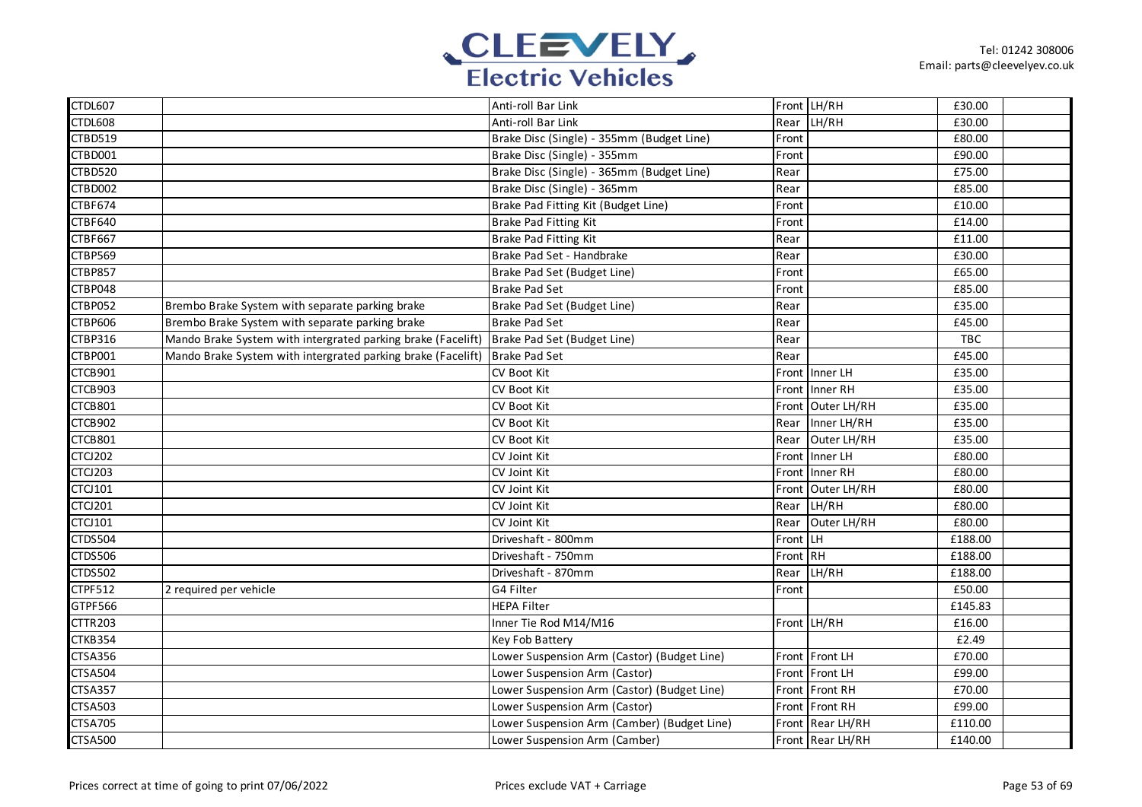

| <b>CTDL607</b> |                                                              | Anti-roll Bar Link                          |          | Front LH/RH      | £30.00  |  |
|----------------|--------------------------------------------------------------|---------------------------------------------|----------|------------------|---------|--|
| CTDL608        |                                                              | Anti-roll Bar Link                          | Rear     | LH/RH            | £30.00  |  |
| CTBD519        |                                                              | Brake Disc (Single) - 355mm (Budget Line)   | Front    |                  | £80.00  |  |
| CTBD001        |                                                              | Brake Disc (Single) - 355mm                 | Front    |                  | £90.00  |  |
| <b>CTBD520</b> |                                                              | Brake Disc (Single) - 365mm (Budget Line)   | Rear     |                  | £75.00  |  |
| CTBD002        |                                                              | Brake Disc (Single) - 365mm                 | Rear     |                  | £85.00  |  |
| CTBF674        |                                                              | Brake Pad Fitting Kit (Budget Line)         | Front    |                  | £10.00  |  |
| <b>CTBF640</b> |                                                              | Brake Pad Fitting Kit                       | Front    |                  | £14.00  |  |
| CTBF667        |                                                              | Brake Pad Fitting Kit                       | Rear     |                  | £11.00  |  |
| CTBP569        |                                                              | Brake Pad Set - Handbrake                   | Rear     |                  | £30.00  |  |
| <b>CTBP857</b> |                                                              | Brake Pad Set (Budget Line)                 | Front    |                  | £65.00  |  |
| CTBP048        |                                                              | <b>Brake Pad Set</b>                        | Front    |                  | £85.00  |  |
| CTBP052        | Brembo Brake System with separate parking brake              | Brake Pad Set (Budget Line)                 | Rear     |                  | £35.00  |  |
| <b>CTBP606</b> | Brembo Brake System with separate parking brake              | <b>Brake Pad Set</b>                        | Rear     |                  | £45.00  |  |
| CTBP316        | Mando Brake System with intergrated parking brake (Facelift) | Brake Pad Set (Budget Line)                 | Rear     |                  | TBC     |  |
| CTBP001        | Mando Brake System with intergrated parking brake (Facelift) | <b>Brake Pad Set</b>                        | Rear     |                  | £45.00  |  |
| CTCB901        |                                                              | <b>CV Boot Kit</b>                          |          | Front Inner LH   | £35.00  |  |
| CTCB903        |                                                              | CV Boot Kit                                 | Front    | Inner RH         | £35.00  |  |
| CTCB801        |                                                              | CV Boot Kit                                 | Front    | Outer LH/RH      | £35.00  |  |
| CTCB902        |                                                              | <b>CV Boot Kit</b>                          | Rear     | Inner LH/RH      | £35.00  |  |
| CTCB801        |                                                              | CV Boot Kit                                 | Rear     | Outer LH/RH      | £35.00  |  |
| <b>CTCJ202</b> |                                                              | CV Joint Kit                                | Front    | Inner LH         | £80.00  |  |
| <b>CTCJ203</b> |                                                              | CV Joint Kit                                | Front    | Inner RH         | £80.00  |  |
| <b>CTCJ101</b> |                                                              | CV Joint Kit                                | Front    | Outer LH/RH      | £80.00  |  |
| <b>CTCJ201</b> |                                                              | CV Joint Kit                                | Rear     | LH/RH            | £80.00  |  |
| <b>CTCJ101</b> |                                                              | CV Joint Kit                                | Rear     | Outer LH/RH      | £80.00  |  |
| <b>CTDS504</b> |                                                              | Driveshaft - 800mm                          | Front LH |                  | £188.00 |  |
| <b>CTDS506</b> |                                                              | Driveshaft - 750mm                          | Front    | <b>RH</b>        | £188.00 |  |
| <b>CTDS502</b> |                                                              | Driveshaft - 870mm                          | Rear     | LH/RH            | £188.00 |  |
| CTPF512        | 2 required per vehicle                                       | G4 Filter                                   | Front    |                  | £50.00  |  |
| GTPF566        |                                                              | <b>HEPA Filter</b>                          |          |                  | £145.83 |  |
| <b>CTTR203</b> |                                                              | Inner Tie Rod M14/M16                       |          | Front LH/RH      | £16.00  |  |
| CTKB354        |                                                              | Key Fob Battery                             |          |                  | £2.49   |  |
| <b>CTSA356</b> |                                                              | Lower Suspension Arm (Castor) (Budget Line) |          | Front Front LH   | £70.00  |  |
| <b>CTSA504</b> |                                                              | Lower Suspension Arm (Castor)               |          | Front Front LH   | £99.00  |  |
| CTSA357        |                                                              | Lower Suspension Arm (Castor) (Budget Line) |          | Front Front RH   | £70.00  |  |
| <b>CTSA503</b> |                                                              | Lower Suspension Arm (Castor)               |          | Front Front RH   | £99.00  |  |
| <b>CTSA705</b> |                                                              | Lower Suspension Arm (Camber) (Budget Line) |          | Front Rear LH/RH | £110.00 |  |
| <b>CTSA500</b> |                                                              | Lower Suspension Arm (Camber)               |          | Front Rear LH/RH | £140.00 |  |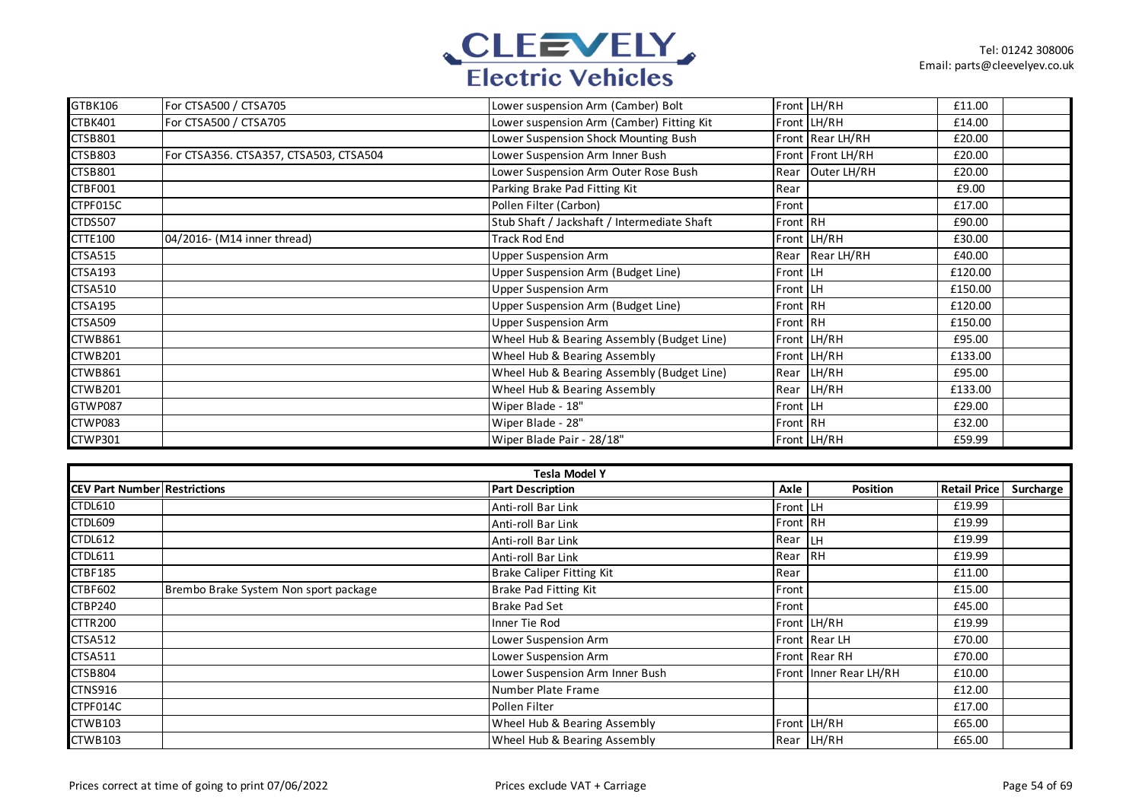

| GTBK106        | For CTSA500 / CTSA705                  | Lower suspension Arm (Camber) Bolt          |          | Front LH/RH       | £11.00  |  |
|----------------|----------------------------------------|---------------------------------------------|----------|-------------------|---------|--|
| CTBK401        | For CTSA500 / CTSA705                  | Lower suspension Arm (Camber) Fitting Kit   |          | Front LH/RH       | £14.00  |  |
| <b>CTSB801</b> |                                        | Lower Suspension Shock Mounting Bush        |          | Front Rear LH/RH  | £20.00  |  |
| CTSB803        | For CTSA356. CTSA357, CTSA503, CTSA504 | Lower Suspension Arm Inner Bush             |          | Front Front LH/RH | £20.00  |  |
| <b>CTSB801</b> |                                        | Lower Suspension Arm Outer Rose Bush        |          | Rear Outer LH/RH  | £20.00  |  |
| CTBF001        |                                        | Parking Brake Pad Fitting Kit               | Rear     |                   | £9.00   |  |
| CTPF015C       |                                        | Pollen Filter (Carbon)                      | Front    |                   | £17.00  |  |
| <b>CTDS507</b> |                                        | Stub Shaft / Jackshaft / Intermediate Shaft | Front RH |                   | £90.00  |  |
| <b>CTTE100</b> | 04/2016- (M14 inner thread)            | <b>Track Rod End</b>                        |          | Front LH/RH       | £30.00  |  |
| <b>CTSA515</b> |                                        | <b>Upper Suspension Arm</b>                 |          | Rear Rear LH/RH   | £40.00  |  |
| <b>CTSA193</b> |                                        | Upper Suspension Arm (Budget Line)          | Front LH |                   | £120.00 |  |
| <b>CTSA510</b> |                                        | <b>Upper Suspension Arm</b>                 | Front LH |                   | £150.00 |  |
| <b>CTSA195</b> |                                        | Upper Suspension Arm (Budget Line)          | Front RH |                   | £120.00 |  |
| <b>CTSA509</b> |                                        | <b>Upper Suspension Arm</b>                 | Front RH |                   | £150.00 |  |
| CTWB861        |                                        | Wheel Hub & Bearing Assembly (Budget Line)  |          | Front LH/RH       | £95.00  |  |
| CTWB201        |                                        | Wheel Hub & Bearing Assembly                |          | Front LH/RH       | £133.00 |  |
| CTWB861        |                                        | Wheel Hub & Bearing Assembly (Budget Line)  |          | Rear LH/RH        | £95.00  |  |
| CTWB201        |                                        | Wheel Hub & Bearing Assembly                | Rear     | LH/RH             | £133.00 |  |
| GTWP087        |                                        | Wiper Blade - 18"                           | Front LH |                   | £29.00  |  |
| CTWP083        |                                        | Wiper Blade - 28"                           | Front RH |                   | £32.00  |  |
| CTWP301        |                                        | Wiper Blade Pair - 28/18"                   |          | Front LH/RH       | £59.99  |  |

| Tesla Model Y                       |                                       |                                  |          |                        |                     |           |  |  |
|-------------------------------------|---------------------------------------|----------------------------------|----------|------------------------|---------------------|-----------|--|--|
| <b>CEV Part Number Restrictions</b> |                                       | <b>Part Description</b>          | Axle     | Position               | <b>Retail Price</b> | Surcharge |  |  |
| CTDL610                             |                                       | Anti-roll Bar Link               | Front LH |                        | £19.99              |           |  |  |
| CTDL609                             |                                       | Anti-roll Bar Link               | Front RH |                        | £19.99              |           |  |  |
| <b>CTDL612</b>                      |                                       | Anti-roll Bar Link               | Rear LH  |                        | £19.99              |           |  |  |
| <b>CTDL611</b>                      |                                       | Anti-roll Bar Link               | Rear RH  |                        | £19.99              |           |  |  |
| <b>CTBF185</b>                      |                                       | <b>Brake Caliper Fitting Kit</b> | Rear     |                        | £11.00              |           |  |  |
| <b>CTBF602</b>                      | Brembo Brake System Non sport package | Brake Pad Fitting Kit            | Front    |                        | £15.00              |           |  |  |
| CTBP240                             |                                       | <b>Brake Pad Set</b>             | Front    |                        | £45.00              |           |  |  |
| <b>CTTR200</b>                      |                                       | Inner Tie Rod                    |          | Front LH/RH            | £19.99              |           |  |  |
| <b>CTSA512</b>                      |                                       | Lower Suspension Arm             |          | Front Rear LH          | £70.00              |           |  |  |
| <b>CTSA511</b>                      |                                       | Lower Suspension Arm             |          | Front Rear RH          | £70.00              |           |  |  |
| CTSB804                             |                                       | Lower Suspension Arm Inner Bush  |          | Front Inner Rear LH/RH | £10.00              |           |  |  |
| <b>CTNS916</b>                      |                                       | Number Plate Frame               |          |                        | £12.00              |           |  |  |
| CTPF014C                            |                                       | Pollen Filter                    |          |                        | £17.00              |           |  |  |
| CTWB103                             |                                       | Wheel Hub & Bearing Assembly     |          | Front LH/RH            | £65.00              |           |  |  |
| CTWB103                             |                                       | Wheel Hub & Bearing Assembly     |          | Rear LH/RH             | £65.00              |           |  |  |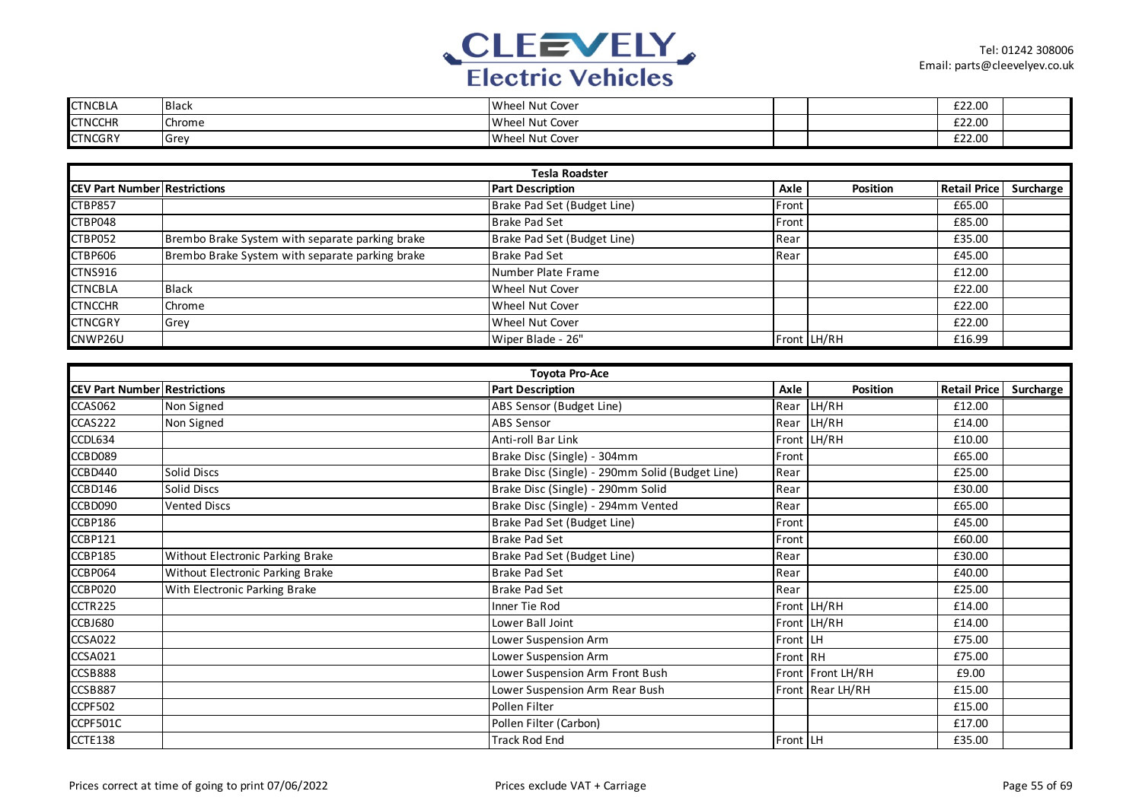

| <b>CTNCBLA</b> | <b>Black</b>  | Wheel Nut Cover |  | £22.00 |  |
|----------------|---------------|-----------------|--|--------|--|
| <b>CTNCCHR</b> | <b>Chrome</b> | Wheel Nut Cover |  | £22.00 |  |
| <b>CTNCGRY</b> | Grey          | Wheel Nut Cover |  | £22.00 |  |

| <b>Tesla Roadster</b>               |                                                 |                             |       |                 |                     |           |  |
|-------------------------------------|-------------------------------------------------|-----------------------------|-------|-----------------|---------------------|-----------|--|
| <b>CEV Part Number Restrictions</b> |                                                 | <b>Part Description</b>     | Axle  | <b>Position</b> | <b>Retail Price</b> | Surcharge |  |
| <b>CTBP857</b>                      |                                                 | Brake Pad Set (Budget Line) | Front |                 | £65.00              |           |  |
| CTBP048                             |                                                 | <b>Brake Pad Set</b>        | Front |                 | £85.00              |           |  |
| CTBP052                             | Brembo Brake System with separate parking brake | Brake Pad Set (Budget Line) | Rear  |                 | £35.00              |           |  |
| <b>CTBP606</b>                      | Brembo Brake System with separate parking brake | <b>Brake Pad Set</b>        | Rear  |                 | £45.00              |           |  |
| <b>CTNS916</b>                      |                                                 | Number Plate Frame          |       |                 | £12.00              |           |  |
| <b>CTNCBLA</b>                      | <b>Black</b>                                    | <b>Wheel Nut Cover</b>      |       |                 | £22.00              |           |  |
| <b>CTNCCHR</b>                      | Chrome                                          | <b>Wheel Nut Cover</b>      |       |                 | £22.00              |           |  |
| <b>CTNCGRY</b>                      | Grey                                            | Wheel Nut Cover             |       |                 | £22.00              |           |  |
| CNWP26U                             |                                                 | Wiper Blade - 26"           |       | Front LH/RH     | £16.99              |           |  |

|                                     | <b>Toyota Pro-Ace</b>            |                                                 |          |                   |                     |           |  |  |  |
|-------------------------------------|----------------------------------|-------------------------------------------------|----------|-------------------|---------------------|-----------|--|--|--|
| <b>CEV Part Number Restrictions</b> |                                  | <b>Part Description</b>                         | Axle     | Position          | <b>Retail Price</b> | Surcharge |  |  |  |
| CCAS062                             | Non Signed                       | ABS Sensor (Budget Line)                        |          | Rear LH/RH        | £12.00              |           |  |  |  |
| CCAS222                             | Non Signed                       | <b>ABS Sensor</b>                               |          | Rear LH/RH        | £14.00              |           |  |  |  |
| CCDL634                             |                                  | Anti-roll Bar Link                              |          | Front LH/RH       | £10.00              |           |  |  |  |
| CCBD089                             |                                  | Brake Disc (Single) - 304mm                     | Front    |                   | £65.00              |           |  |  |  |
| CCBD440                             | <b>Solid Discs</b>               | Brake Disc (Single) - 290mm Solid (Budget Line) | Rear     |                   | £25.00              |           |  |  |  |
| CCBD146                             | Solid Discs                      | Brake Disc (Single) - 290mm Solid               | Rear     |                   | £30.00              |           |  |  |  |
| CCBD090                             | <b>Vented Discs</b>              | Brake Disc (Single) - 294mm Vented              | Rear     |                   | £65.00              |           |  |  |  |
| CCBP186                             |                                  | Brake Pad Set (Budget Line)                     | Front    |                   | £45.00              |           |  |  |  |
| <b>CCBP121</b>                      |                                  | <b>Brake Pad Set</b>                            | Front    |                   | £60.00              |           |  |  |  |
| CCBP185                             | Without Electronic Parking Brake | Brake Pad Set (Budget Line)                     | Rear     |                   | £30.00              |           |  |  |  |
| CCBP064                             | Without Electronic Parking Brake | <b>Brake Pad Set</b>                            | Rear     |                   | £40.00              |           |  |  |  |
| CCBP020                             | With Electronic Parking Brake    | <b>Brake Pad Set</b>                            | Rear     |                   | £25.00              |           |  |  |  |
| CCTR225                             |                                  | Inner Tie Rod                                   |          | Front LH/RH       | £14.00              |           |  |  |  |
| CCBJ680                             |                                  | Lower Ball Joint                                |          | Front LH/RH       | £14.00              |           |  |  |  |
| CCSA022                             |                                  | Lower Suspension Arm                            | Front LH |                   | £75.00              |           |  |  |  |
| <b>CCSA021</b>                      |                                  | Lower Suspension Arm                            | Front RH |                   | £75.00              |           |  |  |  |
| CCSB888                             |                                  | Lower Suspension Arm Front Bush                 |          | Front Front LH/RH | £9.00               |           |  |  |  |
| CCSB887                             |                                  | Lower Suspension Arm Rear Bush                  |          | Front Rear LH/RH  | £15.00              |           |  |  |  |
| CCPF502                             |                                  | Pollen Filter                                   |          |                   | £15.00              |           |  |  |  |
| CCPF501C                            |                                  | Pollen Filter (Carbon)                          |          |                   | £17.00              |           |  |  |  |
| CCTE138                             |                                  | <b>Track Rod End</b>                            | Front LH |                   | £35.00              |           |  |  |  |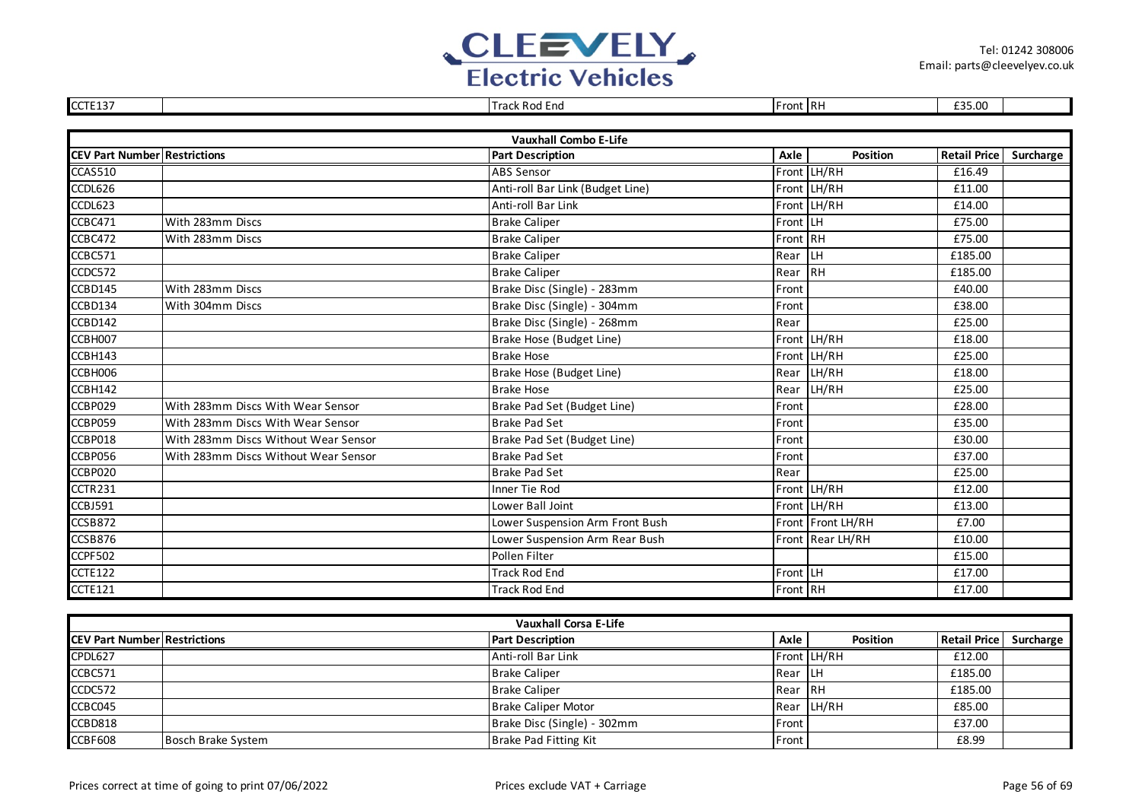

| CCTE137                             |                                      | <b>Track Rod End</b>             | Front RH |                   | £35.00              |           |
|-------------------------------------|--------------------------------------|----------------------------------|----------|-------------------|---------------------|-----------|
|                                     |                                      |                                  |          |                   |                     |           |
|                                     |                                      | <b>Vauxhall Combo E-Life</b>     |          |                   |                     |           |
| <b>CEV Part Number Restrictions</b> |                                      | <b>Part Description</b>          | Axle     | <b>Position</b>   | <b>Retail Price</b> | Surcharge |
| CCAS510                             |                                      | <b>ABS Sensor</b>                |          | Front LH/RH       | £16.49              |           |
| CCDL626                             |                                      | Anti-roll Bar Link (Budget Line) |          | Front LH/RH       | £11.00              |           |
| CCDL623                             |                                      | Anti-roll Bar Link               |          | Front LH/RH       | £14.00              |           |
| CCBC471                             | With 283mm Discs                     | <b>Brake Caliper</b>             | Front LH |                   | £75.00              |           |
| CCBC472                             | With 283mm Discs                     | <b>Brake Caliper</b>             | Front RH |                   | £75.00              |           |
| CCBC571                             |                                      | <b>Brake Caliper</b>             | Rear     | LH                | £185.00             |           |
| CCDC572                             |                                      | <b>Brake Caliper</b>             | Rear     | $R$ H             | £185.00             |           |
| CCBD145                             | With 283mm Discs                     | Brake Disc (Single) - 283mm      | Front    |                   | £40.00              |           |
| CCBD134                             | With 304mm Discs                     | Brake Disc (Single) - 304mm      | Front    |                   | £38.00              |           |
| CCBD142                             |                                      | Brake Disc (Single) - 268mm      | Rear     |                   | £25.00              |           |
| CCBH007                             |                                      | Brake Hose (Budget Line)         |          | Front LH/RH       | £18.00              |           |
| CCBH143                             |                                      | <b>Brake Hose</b>                |          | Front LH/RH       | £25.00              |           |
| CCBH006                             |                                      | Brake Hose (Budget Line)         |          | Rear LH/RH        | £18.00              |           |
| CCBH142                             |                                      | <b>Brake Hose</b>                | Rear     | LH/RH             | £25.00              |           |
| CCBP029                             | With 283mm Discs With Wear Sensor    | Brake Pad Set (Budget Line)      | Front    |                   | £28.00              |           |
| CCBP059                             | With 283mm Discs With Wear Sensor    | <b>Brake Pad Set</b>             | Front    |                   | £35.00              |           |
| CCBP018                             | With 283mm Discs Without Wear Sensor | Brake Pad Set (Budget Line)      | Front    |                   | £30.00              |           |
| CCBP056                             | With 283mm Discs Without Wear Sensor | <b>Brake Pad Set</b>             | Front    |                   | £37.00              |           |
| CCBP020                             |                                      | <b>Brake Pad Set</b>             | Rear     |                   | £25.00              |           |
| CCTR231                             |                                      | Inner Tie Rod                    |          | Front LH/RH       | £12.00              |           |
| CCBJ591                             |                                      | Lower Ball Joint                 |          | Front LH/RH       | £13.00              |           |
| CCSB872                             |                                      | Lower Suspension Arm Front Bush  |          | Front Front LH/RH | £7.00               |           |
| CCSB876                             |                                      | Lower Suspension Arm Rear Bush   |          | Front Rear LH/RH  | £10.00              |           |
| <b>CCPF502</b>                      |                                      | Pollen Filter                    |          |                   | £15.00              |           |
| CCTE122                             |                                      | <b>Track Rod End</b>             | Front LH |                   | £17.00              |           |
| CCTE121                             |                                      | <b>Track Rod End</b>             | Front RH |                   | £17.00              |           |
|                                     |                                      |                                  |          |                   |                     |           |

| <b>Vauxhall Corsa E-Life</b>        |                    |                             |                |                 |              |           |  |
|-------------------------------------|--------------------|-----------------------------|----------------|-----------------|--------------|-----------|--|
| <b>CEV Part Number Restrictions</b> |                    | <b>Part Description</b>     | Axle           | <b>Position</b> | Retail Price | Surcharge |  |
| CPDL627                             |                    | Anti-roll Bar Link          |                | Front LH/RH     | £12.00       |           |  |
| CCBC571                             |                    | <b>Brake Caliper</b>        | <b>Rear LH</b> |                 | £185.00      |           |  |
| CCDC572                             |                    | <b>Brake Caliper</b>        | Rear IRH       |                 | £185.00      |           |  |
| CCBC045                             |                    | <b>Brake Caliper Motor</b>  |                | Rear LH/RH      | £85.00       |           |  |
| CCBD818                             |                    | Brake Disc (Single) - 302mm | <b>IFront</b>  |                 | £37.00       |           |  |
| CCBF608                             | Bosch Brake System | Brake Pad Fitting Kit       | <b>Front</b>   |                 | £8.99        |           |  |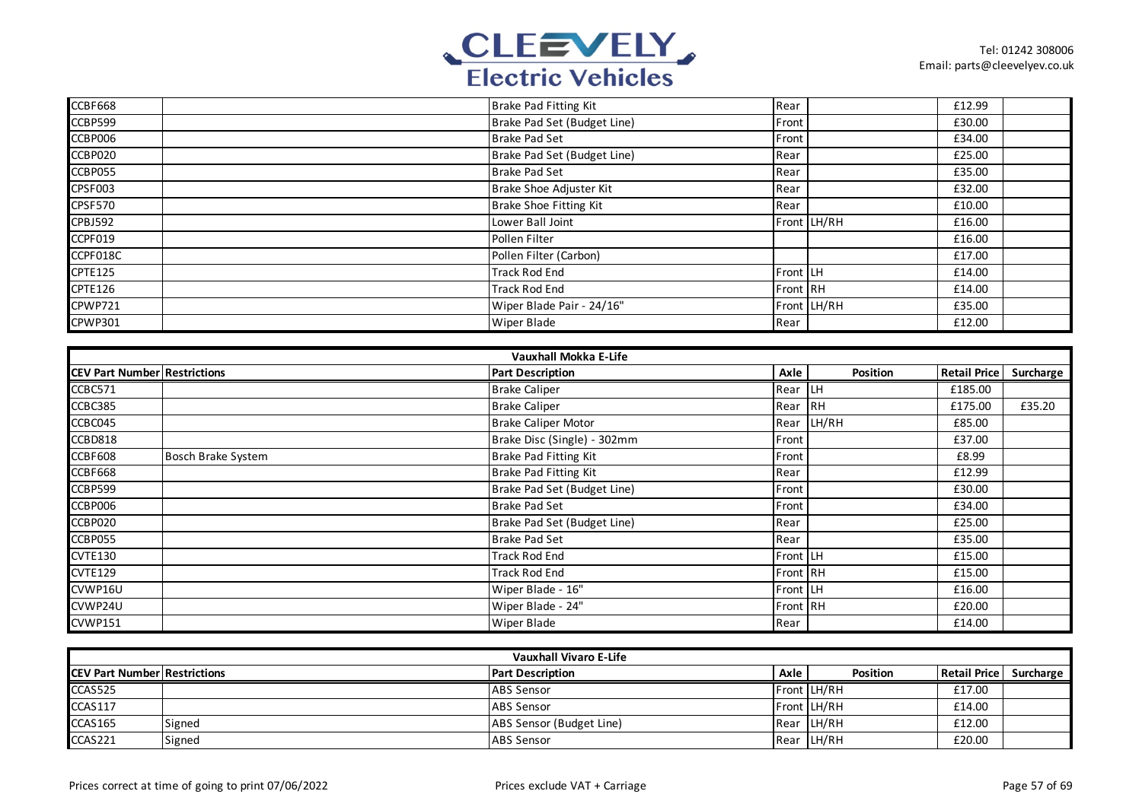

| CCBF668        | Brake Pad Fitting Kit       | Rear        | £12.99 |
|----------------|-----------------------------|-------------|--------|
| CCBP599        | Brake Pad Set (Budget Line) | Front       | £30.00 |
| CCBP006        | <b>Brake Pad Set</b>        | Front       | £34.00 |
| CCBP020        | Brake Pad Set (Budget Line) | Rear        | £25.00 |
| CCBP055        | <b>Brake Pad Set</b>        | Rear        | £35.00 |
| CPSF003        | Brake Shoe Adjuster Kit     | Rear        | £32.00 |
| CPSF570        | Brake Shoe Fitting Kit      | Rear        | £10.00 |
| <b>CPBJ592</b> | Lower Ball Joint            | Front LH/RH | £16.00 |
| CCPF019        | Pollen Filter               |             | £16.00 |
| CCPF018C       | Pollen Filter (Carbon)      |             | £17.00 |
| CPTE125        | <b>Track Rod End</b>        | Front LH    | £14.00 |
| CPTE126        | <b>Track Rod End</b>        | Front RH    | £14.00 |
| CPWP721        | Wiper Blade Pair - 24/16"   | Front LH/RH | £35.00 |
| CPWP301        | <b>Wiper Blade</b>          | Rear        | £12.00 |

|                                     | Vauxhall Mokka E-Life     |  |                             |               |            |                     |           |  |
|-------------------------------------|---------------------------|--|-----------------------------|---------------|------------|---------------------|-----------|--|
| <b>CEV Part Number Restrictions</b> |                           |  | <b>Part Description</b>     | Axle          | Position   | <b>Retail Price</b> | Surcharge |  |
| CCBC571                             |                           |  | <b>Brake Caliper</b>        | Rear LH       |            | £185.00             |           |  |
| CCBC385                             |                           |  | <b>Brake Caliper</b>        | Rear RH       |            | £175.00             | £35.20    |  |
| CCBC045                             |                           |  | <b>Brake Caliper Motor</b>  |               | Rear LH/RH | £85.00              |           |  |
| CCBD818                             |                           |  | Brake Disc (Single) - 302mm | Front         |            | £37.00              |           |  |
| CCBF608                             | <b>Bosch Brake System</b> |  | Brake Pad Fitting Kit       | <b>IFront</b> |            | £8.99               |           |  |
| CCBF668                             |                           |  | Brake Pad Fitting Kit       | Rear          |            | £12.99              |           |  |
| CCBP599                             |                           |  | Brake Pad Set (Budget Line) | Front         |            | £30.00              |           |  |
| CCBP006                             |                           |  | <b>Brake Pad Set</b>        | Front         |            | £34.00              |           |  |
| CCBP020                             |                           |  | Brake Pad Set (Budget Line) | Rear          |            | £25.00              |           |  |
| CCBP055                             |                           |  | <b>Brake Pad Set</b>        | Rear          |            | £35.00              |           |  |
| <b>CVTE130</b>                      |                           |  | <b>Track Rod End</b>        | Front LH      |            | £15.00              |           |  |
| <b>CVTE129</b>                      |                           |  | Track Rod End               | Front RH      |            | £15.00              |           |  |
| CVWP16U                             |                           |  | Wiper Blade - 16"           | Front LH      |            | £16.00              |           |  |
| CVWP24U                             |                           |  | Wiper Blade - 24"           | Front RH      |            | £20.00              |           |  |
| <b>CVWP151</b>                      |                           |  | <b>Wiper Blade</b>          | Rear          |            | £14.00              |           |  |

|                                     | <b>Vauxhall Vivaro E-Life</b> |                          |      |                    |              |           |  |  |
|-------------------------------------|-------------------------------|--------------------------|------|--------------------|--------------|-----------|--|--|
| <b>CEV Part Number Restrictions</b> |                               | <b>Part Description</b>  | Axle | <b>Position</b>    | Retail Price | Surcharge |  |  |
| CCAS525                             |                               | <b>ABS Sensor</b>        |      | <b>Front LH/RH</b> | £17.00       |           |  |  |
| <b>CCAS117</b>                      |                               | <b>ABS</b> Sensor        |      | Front LH/RH        | £14.00       |           |  |  |
| <b>CCAS165</b>                      | Signed                        | ABS Sensor (Budget Line) |      | Rear LH/RH         | £12.00       |           |  |  |
| CCAS221                             | Signed                        | <b>ABS Sensor</b>        |      | Rear LH/RH         | £20.00       |           |  |  |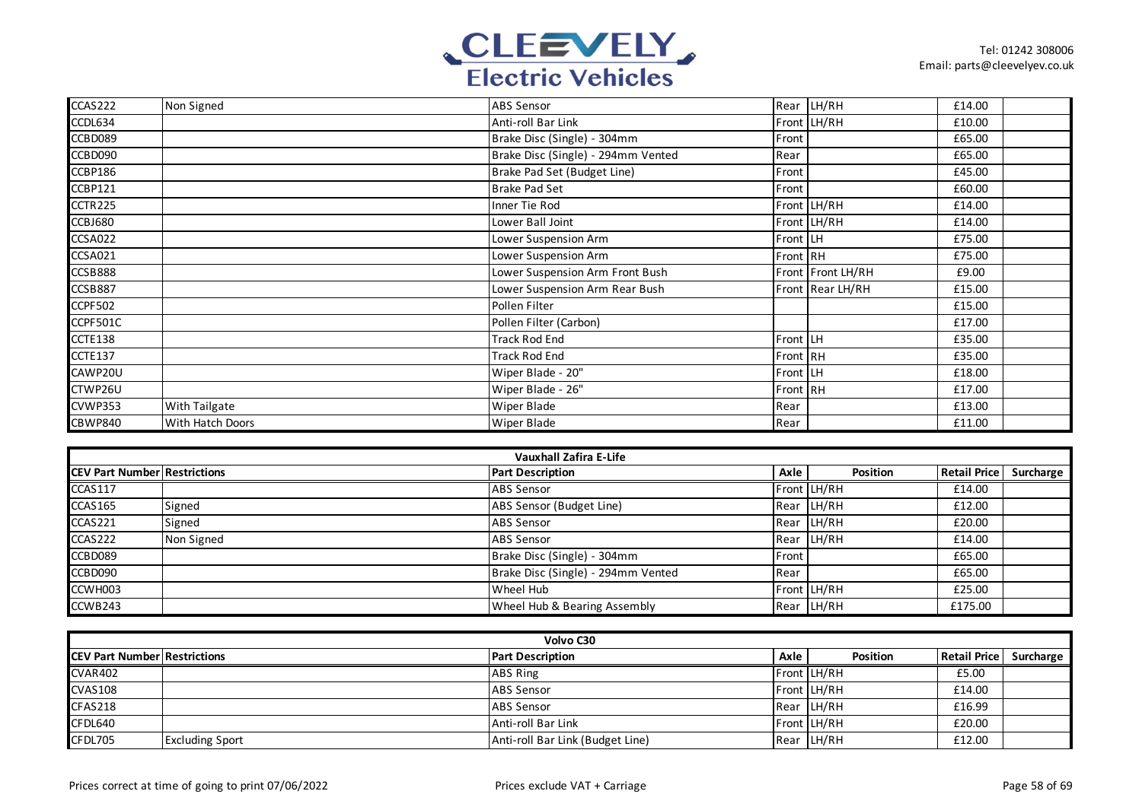

| CCAS222  | Non Signed           | ABS Sensor                         |          | Rear LH/RH        | £14.00 |  |
|----------|----------------------|------------------------------------|----------|-------------------|--------|--|
| CCDL634  |                      | Anti-roll Bar Link                 |          | Front LH/RH       | £10.00 |  |
| CCBD089  |                      | Brake Disc (Single) - 304mm        | Front    |                   | £65.00 |  |
| CCBD090  |                      | Brake Disc (Single) - 294mm Vented | Rear     |                   | £65.00 |  |
| CCBP186  |                      | Brake Pad Set (Budget Line)        | Front    |                   | £45.00 |  |
| CCBP121  |                      | <b>Brake Pad Set</b>               | Front    |                   | £60.00 |  |
| CCTR225  |                      | Inner Tie Rod                      |          | Front LH/RH       | £14.00 |  |
| CCBJ680  |                      | Lower Ball Joint                   |          | Front LH/RH       | £14.00 |  |
| CCSA022  |                      | Lower Suspension Arm               | Front LH |                   | £75.00 |  |
| CCSA021  |                      | Lower Suspension Arm               | Front RH |                   | £75.00 |  |
| CCSB888  |                      | Lower Suspension Arm Front Bush    |          | Front Front LH/RH | £9.00  |  |
| CCSB887  |                      | Lower Suspension Arm Rear Bush     |          | Front Rear LH/RH  | £15.00 |  |
| CCPF502  |                      | Pollen Filter                      |          |                   | £15.00 |  |
| CCPF501C |                      | Pollen Filter (Carbon)             |          |                   | £17.00 |  |
| CCTE138  |                      | Track Rod End                      | Front LH |                   | £35.00 |  |
| CCTE137  |                      | <b>Track Rod End</b>               | Front RH |                   | £35.00 |  |
| CAWP20U  |                      | Wiper Blade - 20"                  | Front LH |                   | £18.00 |  |
| CTWP26U  |                      | Wiper Blade - 26"                  | Front RH |                   | £17.00 |  |
| CVWP353  | <b>With Tailgate</b> | Wiper Blade                        | Rear     |                   | £13.00 |  |
| CBWP840  | With Hatch Doors     | <b>Wiper Blade</b>                 | Rear     |                   | £11.00 |  |

| <b>Vauxhall Zafira E-Life</b>       |            |                                    |       |                 |                        |  |  |
|-------------------------------------|------------|------------------------------------|-------|-----------------|------------------------|--|--|
| <b>CEV Part Number Restrictions</b> |            | <b>Part Description</b>            | Axle  | <b>Position</b> | Retail Price Surcharge |  |  |
| <b>CCAS117</b>                      |            | <b>ABS Sensor</b>                  |       | Front LH/RH     | £14.00                 |  |  |
| CCAS165                             | Signed     | ABS Sensor (Budget Line)           |       | Rear LH/RH      | £12.00                 |  |  |
| CCAS221                             | Signed     | <b>ABS Sensor</b>                  |       | Rear LH/RH      | £20.00                 |  |  |
| CCAS222                             | Non Signed | <b>ABS Sensor</b>                  |       | Rear LH/RH      | £14.00                 |  |  |
| CCBD089                             |            | Brake Disc (Single) - 304mm        | Front |                 | £65.00                 |  |  |
| CCBD090                             |            | Brake Disc (Single) - 294mm Vented | Rear  |                 | £65.00                 |  |  |
| CCWH003                             |            | Wheel Hub                          |       | Front LH/RH     | £25.00                 |  |  |
| CCWB243                             |            | Wheel Hub & Bearing Assembly       |       | Rear LH/RH      | £175.00                |  |  |

| Volvo C30                            |                        |                                  |      |                 |                     |           |  |
|--------------------------------------|------------------------|----------------------------------|------|-----------------|---------------------|-----------|--|
| <b>ICEV Part Number Restrictions</b> |                        | <b>Part Description</b>          | Axle | <b>Position</b> | <b>Retail Price</b> | Surcharge |  |
| <b>CVAR402</b>                       |                        | ABS Ring                         |      | Front LH/RH     | £5.00               |           |  |
| <b>CVAS108</b>                       |                        | <b>ABS</b> Sensor                |      | Front LH/RH     | £14.00              |           |  |
| CFAS218                              |                        | <b>ABS</b> Sensor                |      | Rear LH/RH      | £16.99              |           |  |
| CFDL640                              |                        | Anti-roll Bar Link               |      | Front LH/RH     | £20.00              |           |  |
| CFDL705                              | <b>Excluding Sport</b> | Anti-roll Bar Link (Budget Line) |      | Rear LH/RH      | £12.00              |           |  |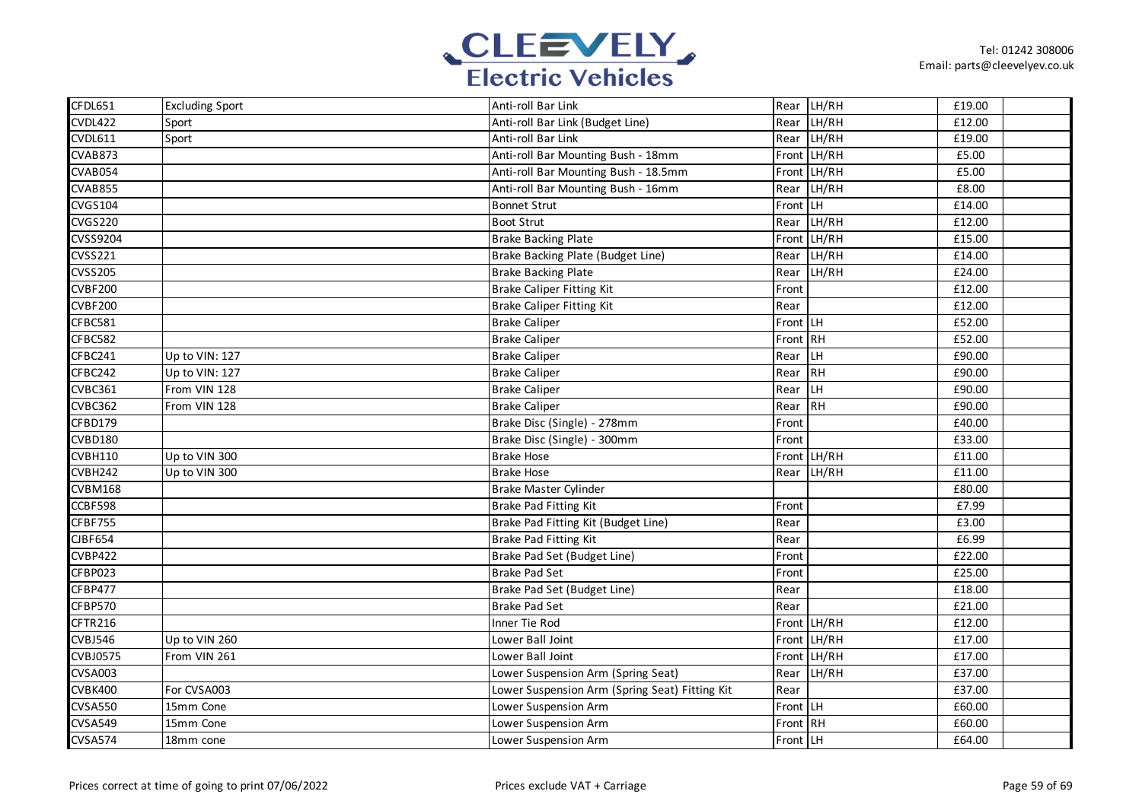

| CFDL651         | <b>Excluding Sport</b> | Anti-roll Bar Link                             |          | Rear LH/RH  | £19.00 |
|-----------------|------------------------|------------------------------------------------|----------|-------------|--------|
| <b>CVDL422</b>  | Sport                  | Anti-roll Bar Link (Budget Line)               | Rear     | LH/RH       | £12.00 |
| CVDL611         | Sport                  | Anti-roll Bar Link                             |          | Rear LH/RH  | £19.00 |
| CVAB873         |                        | Anti-roll Bar Mounting Bush - 18mm             |          | Front LH/RH | £5.00  |
| CVAB054         |                        | Anti-roll Bar Mounting Bush - 18.5mm           |          | Front LH/RH | £5.00  |
| CVAB855         |                        | Anti-roll Bar Mounting Bush - 16mm             |          | Rear LH/RH  | £8.00  |
| <b>CVGS104</b>  |                        | <b>Bonnet Strut</b>                            | Front LH |             | £14.00 |
| <b>CVGS220</b>  |                        | <b>Boot Strut</b>                              | Rear     | LH/RH       | £12.00 |
| CVSS9204        |                        | <b>Brake Backing Plate</b>                     |          | Front LH/RH | £15.00 |
| CVSS221         |                        | Brake Backing Plate (Budget Line)              | Rear     | LH/RH       | £14.00 |
| <b>CVSS205</b>  |                        | <b>Brake Backing Plate</b>                     | Rear     | LH/RH       | £24.00 |
| <b>CVBF200</b>  |                        | <b>Brake Caliper Fitting Kit</b>               | Front    |             | £12.00 |
| <b>CVBF200</b>  |                        | <b>Brake Caliper Fitting Kit</b>               | Rear     |             | £12.00 |
| CFBC581         |                        | <b>Brake Caliper</b>                           | Front LH |             | £52.00 |
| CFBC582         |                        | <b>Brake Caliper</b>                           | Front RH |             | £52.00 |
| CFBC241         | Up to VIN: 127         | <b>Brake Caliper</b>                           | Rear LH  |             | £90.00 |
| CFBC242         | Up to VIN: 127         | <b>Brake Caliper</b>                           | Rear     | <b>RH</b>   | £90.00 |
| CVBC361         | From VIN 128           | <b>Brake Caliper</b>                           | Rear     | LH          | £90.00 |
| CVBC362         | From VIN 128           | <b>Brake Caliper</b>                           | Rear     | <b>RH</b>   | £90.00 |
| CFBD179         |                        | Brake Disc (Single) - 278mm                    | Front    |             | £40.00 |
| CVBD180         |                        | Brake Disc (Single) - 300mm                    | Front    |             | £33.00 |
| <b>CVBH110</b>  | Up to VIN 300          | <b>Brake Hose</b>                              |          | Front LH/RH | £11.00 |
| CVBH242         | Up to VIN 300          | <b>Brake Hose</b>                              | Rear     | LH/RH       | £11.00 |
| <b>CVBM168</b>  |                        | Brake Master Cylinder                          |          |             | £80.00 |
| CCBF598         |                        | Brake Pad Fitting Kit                          | Front    |             | £7.99  |
| CFBF755         |                        | Brake Pad Fitting Kit (Budget Line)            | Rear     |             | £3.00  |
| <b>CIBF654</b>  |                        | <b>Brake Pad Fitting Kit</b>                   | Rear     |             | £6.99  |
| CVBP422         |                        | Brake Pad Set (Budget Line)                    | Front    |             | £22.00 |
| CFBP023         |                        | <b>Brake Pad Set</b>                           | Front    |             | £25.00 |
| CFBP477         |                        | Brake Pad Set (Budget Line)                    | Rear     |             | £18.00 |
| CFBP570         |                        | <b>Brake Pad Set</b>                           | Rear     |             | £21.00 |
| CFTR216         |                        | Inner Tie Rod                                  |          | Front LH/RH | £12.00 |
| <b>CVBJ546</b>  | Up to VIN 260          | Lower Ball Joint                               |          | Front LH/RH | £17.00 |
| <b>CVBJ0575</b> | From VIN 261           | Lower Ball Joint                               |          | Front LH/RH | £17.00 |
| <b>CVSA003</b>  |                        | Lower Suspension Arm (Spring Seat)             |          | Rear LH/RH  | £37.00 |
| CVBK400         | For CVSA003            | Lower Suspension Arm (Spring Seat) Fitting Kit | Rear     |             | £37.00 |
| <b>CVSA550</b>  | 15mm Cone              | Lower Suspension Arm                           | Front LH |             | £60.00 |
| CVSA549         | 15mm Cone              | Lower Suspension Arm                           | Front RH |             | £60.00 |
| <b>CVSA574</b>  | 18mm cone              | Lower Suspension Arm                           | Front LH |             | £64.00 |
|                 |                        |                                                |          |             |        |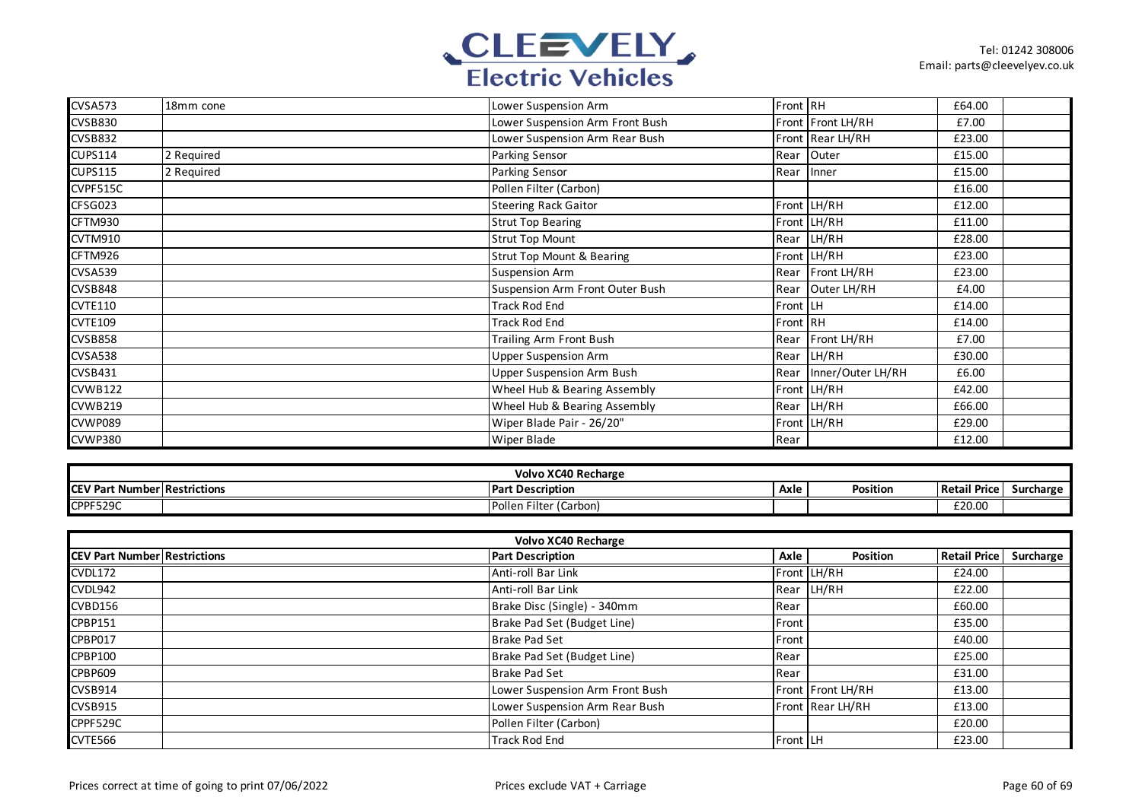

| CVSA573        | 18mm cone  | Lower Suspension Arm                 | Front RH |                   | £64.00 |  |
|----------------|------------|--------------------------------------|----------|-------------------|--------|--|
| <b>CVSB830</b> |            | Lower Suspension Arm Front Bush      |          | Front Front LH/RH | £7.00  |  |
| <b>CVSB832</b> |            | Lower Suspension Arm Rear Bush       |          | Front Rear LH/RH  | £23.00 |  |
| <b>CUPS114</b> | 2 Required | <b>Parking Sensor</b>                | Rear     | Outer             | £15.00 |  |
| <b>CUPS115</b> | 2 Required | <b>Parking Sensor</b>                | Rear     | Inner             | £15.00 |  |
| CVPF515C       |            | Pollen Filter (Carbon)               |          |                   | £16.00 |  |
| CFSG023        |            | <b>Steering Rack Gaitor</b>          |          | Front LH/RH       | £12.00 |  |
| CFTM930        |            | <b>Strut Top Bearing</b>             |          | Front LH/RH       | £11.00 |  |
| CVTM910        |            | <b>Strut Top Mount</b>               |          | Rear LH/RH        | £28.00 |  |
| CFTM926        |            | <b>Strut Top Mount &amp; Bearing</b> |          | Front LH/RH       | £23.00 |  |
| CVSA539        |            | <b>Suspension Arm</b>                | Rear     | Front LH/RH       | £23.00 |  |
| CVSB848        |            | Suspension Arm Front Outer Bush      | Rear     | Outer LH/RH       | £4.00  |  |
| <b>CVTE110</b> |            | <b>Track Rod End</b>                 | Front LH |                   | £14.00 |  |
| <b>CVTE109</b> |            | <b>Track Rod End</b>                 | Front RH |                   | £14.00 |  |
| <b>CVSB858</b> |            | Trailing Arm Front Bush              | Rear     | Front LH/RH       | £7.00  |  |
| <b>CVSA538</b> |            | <b>Upper Suspension Arm</b>          | Rear     | LH/RH             | £30.00 |  |
| <b>CVSB431</b> |            | Upper Suspension Arm Bush            | Rear     | Inner/Outer LH/RH | £6.00  |  |
| <b>CVWB122</b> |            | Wheel Hub & Bearing Assembly         |          | Front LH/RH       | £42.00 |  |
| CVWB219        |            | Wheel Hub & Bearing Assembly         | Rear     | LH/RH             | £66.00 |  |
| CVWP089        |            | Wiper Blade Pair - 26/20"            |          | Front LH/RH       | £29.00 |  |
| <b>CVWP380</b> |            | Wiper Blade                          | Rear     |                   | £12.00 |  |

| Volvo XC40 Recharge |                       |                           |      |           |                   |           |  |
|---------------------|-----------------------|---------------------------|------|-----------|-------------------|-----------|--|
| <b>ICEV Par</b>     | t Number Restrictions | <b>Part Description</b>   | Axle | Position. | Retail<br>  Price | Surcharge |  |
| CPPF529C            |                       | Filter (Carbon)<br>Pollen |      |           | £20.00            |           |  |

| <b>Volvo XC40 Recharge</b>          |                                 |                 |                   |                     |           |  |  |  |
|-------------------------------------|---------------------------------|-----------------|-------------------|---------------------|-----------|--|--|--|
| <b>CEV Part Number Restrictions</b> | <b>Part Description</b>         | Axle            | Position          | <b>Retail Price</b> | Surcharge |  |  |  |
| CVDL172                             | Anti-roll Bar Link              |                 | Front LH/RH       | £24.00              |           |  |  |  |
| CVDL942                             | Anti-roll Bar Link              |                 | Rear LH/RH        | £22.00              |           |  |  |  |
| CVBD156                             | Brake Disc (Single) - 340mm     | Rear            |                   | £60.00              |           |  |  |  |
| CPBP151                             | Brake Pad Set (Budget Line)     | Front           |                   | £35.00              |           |  |  |  |
| CPBP017                             | <b>Brake Pad Set</b>            | Front           |                   | £40.00              |           |  |  |  |
| CPBP100                             | Brake Pad Set (Budget Line)     | Rear            |                   | £25.00              |           |  |  |  |
| <b>CPBP609</b>                      | <b>Brake Pad Set</b>            | Rear            |                   | £31.00              |           |  |  |  |
| <b>CVSB914</b>                      | Lower Suspension Arm Front Bush |                 | Front Front LH/RH | £13.00              |           |  |  |  |
| <b>CVSB915</b>                      | Lower Suspension Arm Rear Bush  |                 | Front Rear LH/RH  | £13.00              |           |  |  |  |
| CPPF529C                            | Pollen Filter (Carbon)          |                 |                   | £20.00              |           |  |  |  |
| CVTE566                             | <b>Track Rod End</b>            | <b>Front LH</b> |                   | £23.00              |           |  |  |  |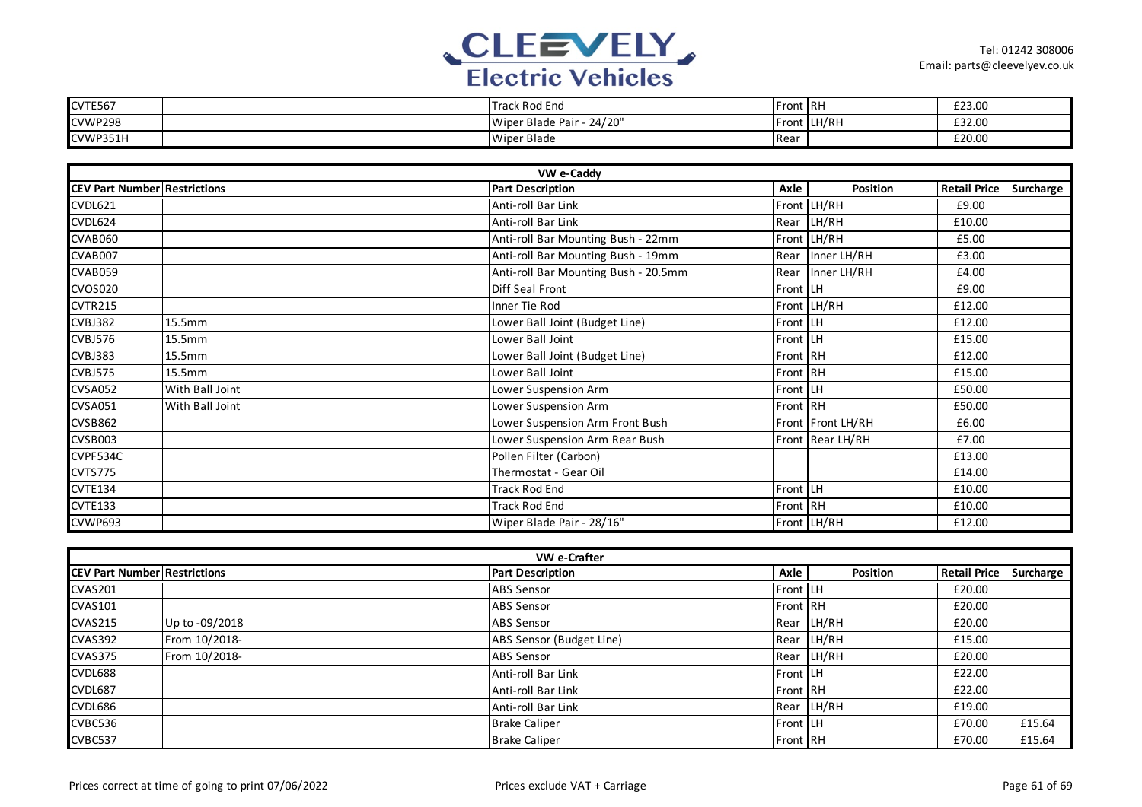

| CVTE567  | Track Rod End              | <b>Front RH</b> |             | £23.00 |  |
|----------|----------------------------|-----------------|-------------|--------|--|
| CVWP298  | 24/20"<br>Wiper Blade Pair |                 | Front LH/RH | £32.00 |  |
| CVWP351H | Wiper Blade                | Rear            |             | £20.00 |  |

| VW e-Caddy                          |                 |  |                                      |          |                   |                     |           |  |
|-------------------------------------|-----------------|--|--------------------------------------|----------|-------------------|---------------------|-----------|--|
| <b>CEV Part Number Restrictions</b> |                 |  | <b>Part Description</b>              | Axle     | Position          | <b>Retail Price</b> | Surcharge |  |
| CVDL621                             |                 |  | Anti-roll Bar Link                   |          | Front LH/RH       | £9.00               |           |  |
| CVDL624                             |                 |  | Anti-roll Bar Link                   |          | Rear LH/RH        | £10.00              |           |  |
| CVAB060                             |                 |  | Anti-roll Bar Mounting Bush - 22mm   |          | Front LH/RH       | £5.00               |           |  |
| CVAB007                             |                 |  | Anti-roll Bar Mounting Bush - 19mm   |          | Rear Inner LH/RH  | £3.00               |           |  |
| CVAB059                             |                 |  | Anti-roll Bar Mounting Bush - 20.5mm |          | Rear Inner LH/RH  | £4.00               |           |  |
| <b>CVOS020</b>                      |                 |  | Diff Seal Front                      | Front LH |                   | £9.00               |           |  |
| <b>CVTR215</b>                      |                 |  | Inner Tie Rod                        |          | Front LH/RH       | £12.00              |           |  |
| CVBJ382                             | 15.5mm          |  | Lower Ball Joint (Budget Line)       | Front LH |                   | £12.00              |           |  |
| CVBJ576                             | 15.5mm          |  | Lower Ball Joint                     | Front LH |                   | £15.00              |           |  |
| CVBJ383                             | 15.5mm          |  | Lower Ball Joint (Budget Line)       | Front RH |                   | £12.00              |           |  |
| CVBJ575                             | 15.5mm          |  | Lower Ball Joint                     | Front RH |                   | £15.00              |           |  |
| CVSA052                             | With Ball Joint |  | Lower Suspension Arm                 | Front LH |                   | £50.00              |           |  |
| <b>CVSA051</b>                      | With Ball Joint |  | Lower Suspension Arm                 | Front RH |                   | £50.00              |           |  |
| <b>CVSB862</b>                      |                 |  | Lower Suspension Arm Front Bush      |          | Front Front LH/RH | £6.00               |           |  |
| CVSB003                             |                 |  | Lower Suspension Arm Rear Bush       |          | Front Rear LH/RH  | £7.00               |           |  |
| CVPF534C                            |                 |  | Pollen Filter (Carbon)               |          |                   | £13.00              |           |  |
| CVTS775                             |                 |  | Thermostat - Gear Oil                |          |                   | £14.00              |           |  |
| <b>CVTE134</b>                      |                 |  | <b>Track Rod End</b>                 | Front LH |                   | £10.00              |           |  |
| <b>CVTE133</b>                      |                 |  | <b>Track Rod End</b>                 | Front RH |                   | £10.00              |           |  |
| CVWP693                             |                 |  | Wiper Blade Pair - 28/16"            |          | Front LH/RH       | £12.00              |           |  |

| VW e-Crafter                        |                |                          |                 |            |                     |           |  |  |
|-------------------------------------|----------------|--------------------------|-----------------|------------|---------------------|-----------|--|--|
| <b>CEV Part Number Restrictions</b> |                | <b>Part Description</b>  | Axle            | Position   | <b>Retail Price</b> | Surcharge |  |  |
| <b>CVAS201</b>                      |                | <b>ABS Sensor</b>        | <b>Front LH</b> |            | £20.00              |           |  |  |
| <b>CVAS101</b>                      |                | <b>ABS Sensor</b>        | <b>Front RH</b> |            | £20.00              |           |  |  |
| <b>CVAS215</b>                      | Up to -09/2018 | <b>ABS Sensor</b>        |                 | Rear LH/RH | £20.00              |           |  |  |
| <b>CVAS392</b>                      | From 10/2018-  | ABS Sensor (Budget Line) |                 | Rear LH/RH | £15.00              |           |  |  |
| <b>CVAS375</b>                      | From 10/2018-  | <b>ABS Sensor</b>        |                 | Rear LH/RH | £20.00              |           |  |  |
| CVDL688                             |                | Anti-roll Bar Link       | Front LH        |            | £22.00              |           |  |  |
| CVDL687                             |                | Anti-roll Bar Link       | Front RH        |            | £22.00              |           |  |  |
| CVDL686                             |                | Anti-roll Bar Link       |                 | Rear LH/RH | £19.00              |           |  |  |
| CVBC536                             |                | <b>Brake Caliper</b>     | Front LH        |            | £70.00              | £15.64    |  |  |
| CVBC537                             |                | <b>Brake Caliper</b>     | <b>Front RH</b> |            | £70.00              | £15.64    |  |  |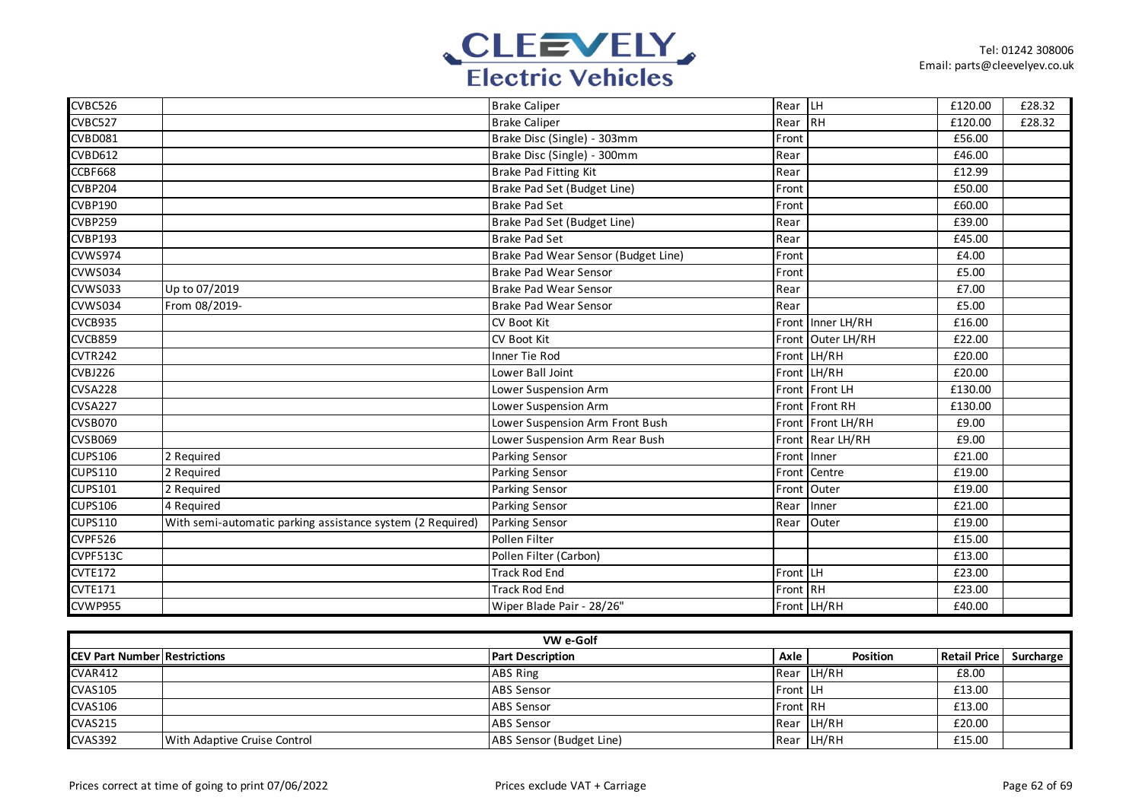

| CVBC526        |                                                            | <b>Brake Caliper</b>                | Rear LH  |                   | £120.00 | £28.32 |
|----------------|------------------------------------------------------------|-------------------------------------|----------|-------------------|---------|--------|
| CVBC527        |                                                            | <b>Brake Caliper</b>                | Rear     | <b>IRH</b>        | £120.00 | £28.32 |
| CVBD081        |                                                            | Brake Disc (Single) - 303mm         | Front    |                   | £56.00  |        |
| <b>CVBD612</b> |                                                            | Brake Disc (Single) - 300mm         | Rear     |                   | £46.00  |        |
| <b>CCBF668</b> |                                                            | Brake Pad Fitting Kit               | Rear     |                   | £12.99  |        |
| <b>CVBP204</b> |                                                            | Brake Pad Set (Budget Line)         | Front    |                   | £50.00  |        |
| CVBP190        |                                                            | <b>Brake Pad Set</b>                | Front    |                   | £60.00  |        |
| <b>CVBP259</b> |                                                            | Brake Pad Set (Budget Line)         | Rear     |                   | £39.00  |        |
| <b>CVBP193</b> |                                                            | <b>Brake Pad Set</b>                | Rear     |                   | £45.00  |        |
| CVWS974        |                                                            | Brake Pad Wear Sensor (Budget Line) | Front    |                   | £4.00   |        |
| CVWS034        |                                                            | <b>Brake Pad Wear Sensor</b>        | Front    |                   | £5.00   |        |
| <b>CVWS033</b> | Up to 07/2019                                              | <b>Brake Pad Wear Sensor</b>        | Rear     |                   | £7.00   |        |
| CVWS034        | From 08/2019-                                              | <b>Brake Pad Wear Sensor</b>        | Rear     |                   | £5.00   |        |
| CVCB935        |                                                            | <b>CV Boot Kit</b>                  |          | Front Inner LH/RH | £16.00  |        |
| <b>CVCB859</b> |                                                            | CV Boot Kit                         |          | Front Outer LH/RH | £22.00  |        |
| CVTR242        |                                                            | Inner Tie Rod                       |          | Front LH/RH       | £20.00  |        |
| CVBJ226        |                                                            | Lower Ball Joint                    |          | Front LH/RH       | £20.00  |        |
| CVSA228        |                                                            | Lower Suspension Arm                |          | Front Front LH    | £130.00 |        |
| <b>CVSA227</b> |                                                            | Lower Suspension Arm                |          | Front Front RH    | £130.00 |        |
| CVSB070        |                                                            | Lower Suspension Arm Front Bush     |          | Front Front LH/RH | £9.00   |        |
| CVSB069        |                                                            | Lower Suspension Arm Rear Bush      |          | Front Rear LH/RH  | £9.00   |        |
| <b>CUPS106</b> | 2 Required                                                 | Parking Sensor                      |          | Front Inner       | £21.00  |        |
| <b>CUPS110</b> | 2 Required                                                 | Parking Sensor                      | Front    | Centre            | £19.00  |        |
| <b>CUPS101</b> | 2 Required                                                 | Parking Sensor                      | Front    | Outer             | £19.00  |        |
| <b>CUPS106</b> | 4 Required                                                 | Parking Sensor                      | Rear     | Inner             | £21.00  |        |
| <b>CUPS110</b> | With semi-automatic parking assistance system (2 Required) | Parking Sensor                      | Rear     | Outer             | £19.00  |        |
| CVPF526        |                                                            | Pollen Filter                       |          |                   | £15.00  |        |
| CVPF513C       |                                                            | Pollen Filter (Carbon)              |          |                   | £13.00  |        |
| <b>CVTE172</b> |                                                            | <b>Track Rod End</b>                | Front LH |                   | £23.00  |        |
| <b>CVTE171</b> |                                                            | <b>Track Rod End</b>                | Front RH |                   | £23.00  |        |
| CVWP955        |                                                            | Wiper Blade Pair - 28/26"           |          | Front LH/RH       | £40.00  |        |

| VW e-Golf                            |                              |                          |                 |                 |                     |           |  |  |
|--------------------------------------|------------------------------|--------------------------|-----------------|-----------------|---------------------|-----------|--|--|
| <b>ICEV Part Number Restrictions</b> |                              | <b>Part Description</b>  | Axle            | <b>Position</b> | <b>Retail Price</b> | Surcharge |  |  |
| CVAR412                              |                              | <b>ABS Ring</b>          |                 | Rear LH/RH      | £8.00               |           |  |  |
| <b>CVAS105</b>                       |                              | <b>ABS</b> Sensor        | Front LH        |                 | £13.00              |           |  |  |
| <b>CVAS106</b>                       |                              | <b>ABS</b> Sensor        | <b>Front RH</b> |                 | £13.00              |           |  |  |
| <b>CVAS215</b>                       |                              | <b>ABS</b> Sensor        |                 | Rear LH/RH      | £20.00              |           |  |  |
| <b>CVAS392</b>                       | With Adaptive Cruise Control | ABS Sensor (Budget Line) |                 | Rear LH/RH      | £15.00              |           |  |  |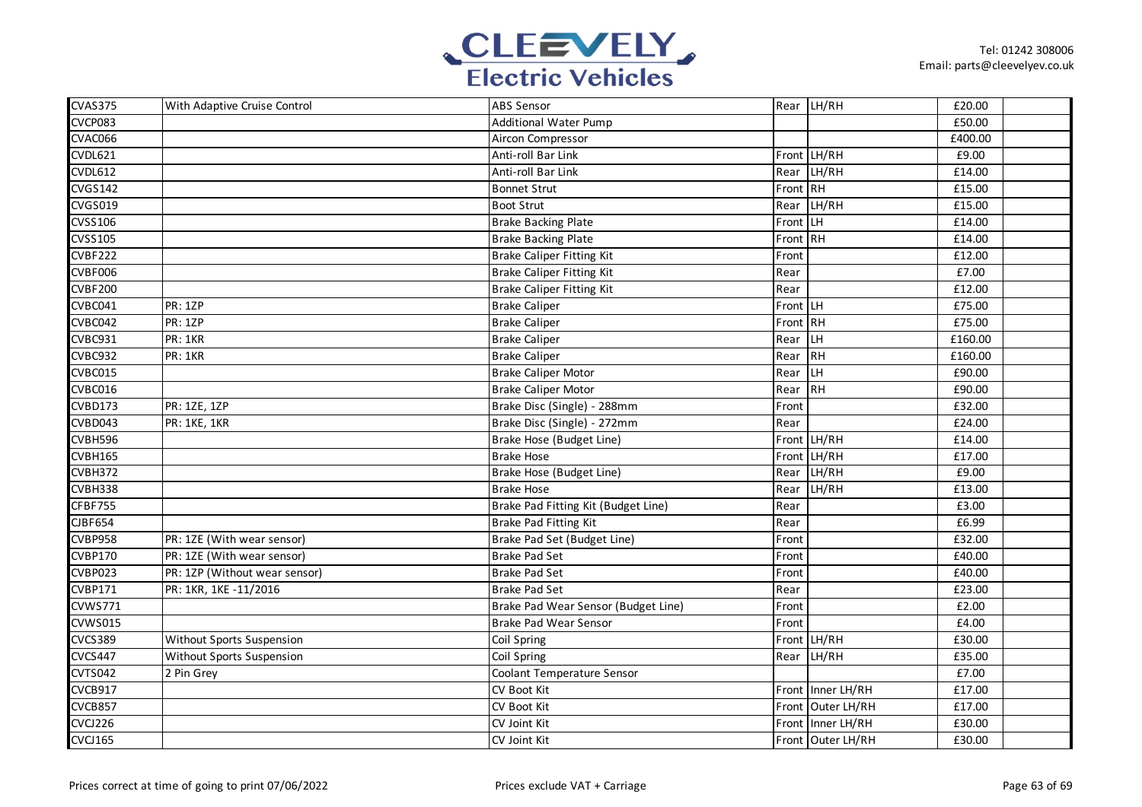

| <b>CVAS375</b> | With Adaptive Cruise Control  | <b>ABS Sensor</b>                   |          | Rear LH/RH        | £20.00  |  |
|----------------|-------------------------------|-------------------------------------|----------|-------------------|---------|--|
| CVCP083        |                               | <b>Additional Water Pump</b>        |          |                   | £50.00  |  |
| CVAC066        |                               | Aircon Compressor                   |          |                   | £400.00 |  |
| <b>CVDL621</b> |                               | Anti-roll Bar Link                  |          | Front LH/RH       | £9.00   |  |
| <b>CVDL612</b> |                               | Anti-roll Bar Link                  | Rear     | LH/RH             | £14.00  |  |
| <b>CVGS142</b> |                               | <b>Bonnet Strut</b>                 | Front RH |                   | £15.00  |  |
| CVGS019        |                               | <b>Boot Strut</b>                   | Rear     | LH/RH             | £15.00  |  |
| <b>CVSS106</b> |                               | <b>Brake Backing Plate</b>          | Front    | LH                | £14.00  |  |
| <b>CVSS105</b> |                               | <b>Brake Backing Plate</b>          | Front RH |                   | £14.00  |  |
| <b>CVBF222</b> |                               | <b>Brake Caliper Fitting Kit</b>    | Front    |                   | £12.00  |  |
| CVBF006        |                               | <b>Brake Caliper Fitting Kit</b>    | Rear     |                   | £7.00   |  |
| <b>CVBF200</b> |                               | <b>Brake Caliper Fitting Kit</b>    | Rear     |                   | £12.00  |  |
| CVBC041        | <b>PR: 1ZP</b>                | <b>Brake Caliper</b>                | Front LH |                   | £75.00  |  |
| CVBC042        | <b>PR: 1ZP</b>                | <b>Brake Caliper</b>                | Front RH |                   | £75.00  |  |
| CVBC931        | PR: 1KR                       | <b>Brake Caliper</b>                | Rear     | LH                | £160.00 |  |
| <b>CVBC932</b> | PR: 1KR                       | <b>Brake Caliper</b>                | Rear     | $R$ H             | £160.00 |  |
| CVBC015        |                               | <b>Brake Caliper Motor</b>          | Rear     | LH                | £90.00  |  |
| CVBC016        |                               | <b>Brake Caliper Motor</b>          | Rear     | RH                | £90.00  |  |
| CVBD173        | PR: 1ZE, 1ZP                  | Brake Disc (Single) - 288mm         | Front    |                   | £32.00  |  |
| CVBD043        | PR: 1KE, 1KR                  | Brake Disc (Single) - 272mm         | Rear     |                   | £24.00  |  |
| CVBH596        |                               | Brake Hose (Budget Line)            |          | Front LH/RH       | £14.00  |  |
| CVBH165        |                               | <b>Brake Hose</b>                   |          | Front LH/RH       | £17.00  |  |
| CVBH372        |                               | Brake Hose (Budget Line)            | Rear     | LH/RH             | £9.00   |  |
| CVBH338        |                               | <b>Brake Hose</b>                   | Rear     | LH/RH             | £13.00  |  |
| CFBF755        |                               | Brake Pad Fitting Kit (Budget Line) | Rear     |                   | £3.00   |  |
| <b>CIBF654</b> |                               | Brake Pad Fitting Kit               | Rear     |                   | £6.99   |  |
| <b>CVBP958</b> | PR: 1ZE (With wear sensor)    | Brake Pad Set (Budget Line)         | Front    |                   | £32.00  |  |
| <b>CVBP170</b> | PR: 1ZE (With wear sensor)    | <b>Brake Pad Set</b>                | Front    |                   | £40.00  |  |
| <b>CVBP023</b> | PR: 1ZP (Without wear sensor) | <b>Brake Pad Set</b>                | Front    |                   | £40.00  |  |
| <b>CVBP171</b> | PR: 1KR, 1KE -11/2016         | <b>Brake Pad Set</b>                | Rear     |                   | £23.00  |  |
| <b>CVWS771</b> |                               | Brake Pad Wear Sensor (Budget Line) | Front    |                   | £2.00   |  |
| CVWS015        |                               | Brake Pad Wear Sensor               | Front    |                   | £4.00   |  |
| <b>CVCS389</b> | Without Sports Suspension     | Coil Spring                         |          | Front LH/RH       | £30.00  |  |
| <b>CVCS447</b> | Without Sports Suspension     | Coil Spring                         | Rear     | LH/RH             | £35.00  |  |
| CVTS042        | 2 Pin Grey                    | Coolant Temperature Sensor          |          |                   | £7.00   |  |
| CVCB917        |                               | CV Boot Kit                         |          | Front Inner LH/RH | £17.00  |  |
| CVCB857        |                               | CV Boot Kit                         |          | Front Outer LH/RH | £17.00  |  |
| CVCJ226        |                               | CV Joint Kit                        |          | Front Inner LH/RH | £30.00  |  |
| <b>CVCJ165</b> |                               | CV Joint Kit                        |          | Front Outer LH/RH | £30.00  |  |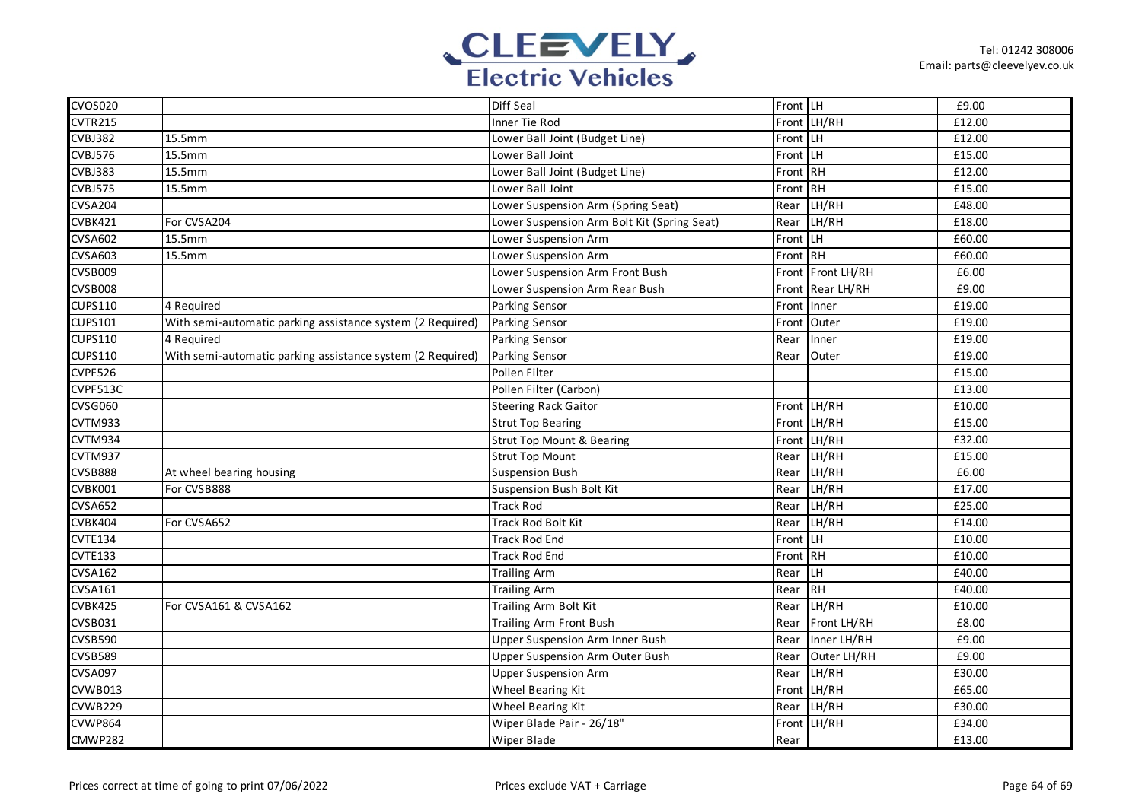

| <b>CVOS020</b> |                                                            | Diff Seal                                   | Front LH |             | £9.00  |  |
|----------------|------------------------------------------------------------|---------------------------------------------|----------|-------------|--------|--|
| <b>CVTR215</b> |                                                            | Inner Tie Rod                               |          | Front LH/RH | £12.00 |  |
| <b>CVBJ382</b> | 15.5mm                                                     | Lower Ball Joint (Budget Line)              | Front LH |             | £12.00 |  |
| <b>CVBJ576</b> | 15.5mm                                                     | Lower Ball Joint                            | Front LH |             | £15.00 |  |
| <b>CVBJ383</b> | 15.5mm                                                     | Lower Ball Joint (Budget Line)              | Front RH |             | £12.00 |  |
| CVBJ575        | 15.5mm                                                     | Lower Ball Joint                            | Front RH |             | £15.00 |  |
| <b>CVSA204</b> |                                                            | Lower Suspension Arm (Spring Seat)          | Rear     | LH/RH       | £48.00 |  |
| CVBK421        | For CVSA204                                                | Lower Suspension Arm Bolt Kit (Spring Seat) | Rear     | LH/RH       | £18.00 |  |
| <b>CVSA602</b> | 15.5mm                                                     | Lower Suspension Arm                        | Front    | LH.         | £60.00 |  |
| <b>CVSA603</b> | 15.5mm                                                     | Lower Suspension Arm                        | Front RH |             | £60.00 |  |
| CVSB009        |                                                            | Lower Suspension Arm Front Bush             | Front    | Front LH/RH | £6.00  |  |
| CVSB008        |                                                            | Lower Suspension Arm Rear Bush              | Front    | Rear LH/RH  | £9.00  |  |
| <b>CUPS110</b> | 4 Required                                                 | Parking Sensor                              | Front    | Inner       | £19.00 |  |
| <b>CUPS101</b> | With semi-automatic parking assistance system (2 Required) | Parking Sensor                              | Front    | Outer       | £19.00 |  |
| <b>CUPS110</b> | 4 Required                                                 | Parking Sensor                              | Rear     | Inner       | £19.00 |  |
| <b>CUPS110</b> | With semi-automatic parking assistance system (2 Required) | <b>Parking Sensor</b>                       | Rear     | Outer       | £19.00 |  |
| CVPF526        |                                                            | Pollen Filter                               |          |             | £15.00 |  |
| CVPF513C       |                                                            | Pollen Filter (Carbon)                      |          |             | £13.00 |  |
| <b>CVSG060</b> |                                                            | <b>Steering Rack Gaitor</b>                 |          | Front LH/RH | £10.00 |  |
| CVTM933        |                                                            | <b>Strut Top Bearing</b>                    |          | Front LH/RH | £15.00 |  |
| CVTM934        |                                                            | <b>Strut Top Mount &amp; Bearing</b>        |          | Front LH/RH | £32.00 |  |
| CVTM937        |                                                            | <b>Strut Top Mount</b>                      | Rear     | LH/RH       | £15.00 |  |
| <b>CVSB888</b> | At wheel bearing housing                                   | Suspension Bush                             | Rear     | LH/RH       | £6.00  |  |
| CVBK001        | For CVSB888                                                | Suspension Bush Bolt Kit                    | Rear     | LH/RH       | £17.00 |  |
| <b>CVSA652</b> |                                                            | <b>Track Rod</b>                            | Rear     | LH/RH       | £25.00 |  |
| CVBK404        | For CVSA652                                                | <b>Track Rod Bolt Kit</b>                   | Rear     | LH/RH       | £14.00 |  |
| <b>CVTE134</b> |                                                            | <b>Track Rod End</b>                        | Front LH |             | £10.00 |  |
| <b>CVTE133</b> |                                                            | <b>Track Rod End</b>                        | Front RH |             | £10.00 |  |
| <b>CVSA162</b> |                                                            | <b>Trailing Arm</b>                         | Rear     | LH          | £40.00 |  |
| <b>CVSA161</b> |                                                            | <b>Trailing Arm</b>                         | Rear     | RH          | £40.00 |  |
| CVBK425        | For CVSA161 & CVSA162                                      | Trailing Arm Bolt Kit                       | Rear     | LH/RH       | £10.00 |  |
| CVSB031        |                                                            | Trailing Arm Front Bush                     | Rear     | Front LH/RH | £8.00  |  |
| <b>CVSB590</b> |                                                            | Upper Suspension Arm Inner Bush             | Rear     | Inner LH/RH | £9.00  |  |
| <b>CVSB589</b> |                                                            | <b>Upper Suspension Arm Outer Bush</b>      | Rear     | Outer LH/RH | £9.00  |  |
| <b>CVSA097</b> |                                                            | <b>Upper Suspension Arm</b>                 | Rear     | LH/RH       | £30.00 |  |
| <b>CVWB013</b> |                                                            | Wheel Bearing Kit                           | Front    | LH/RH       | £65.00 |  |
| CVWB229        |                                                            | Wheel Bearing Kit                           | Rear     | LH/RH       | £30.00 |  |
| CVWP864        |                                                            | Wiper Blade Pair - 26/18"                   | Front    | LH/RH       | £34.00 |  |
| CMWP282        |                                                            | <b>Wiper Blade</b>                          | Rear     |             | £13.00 |  |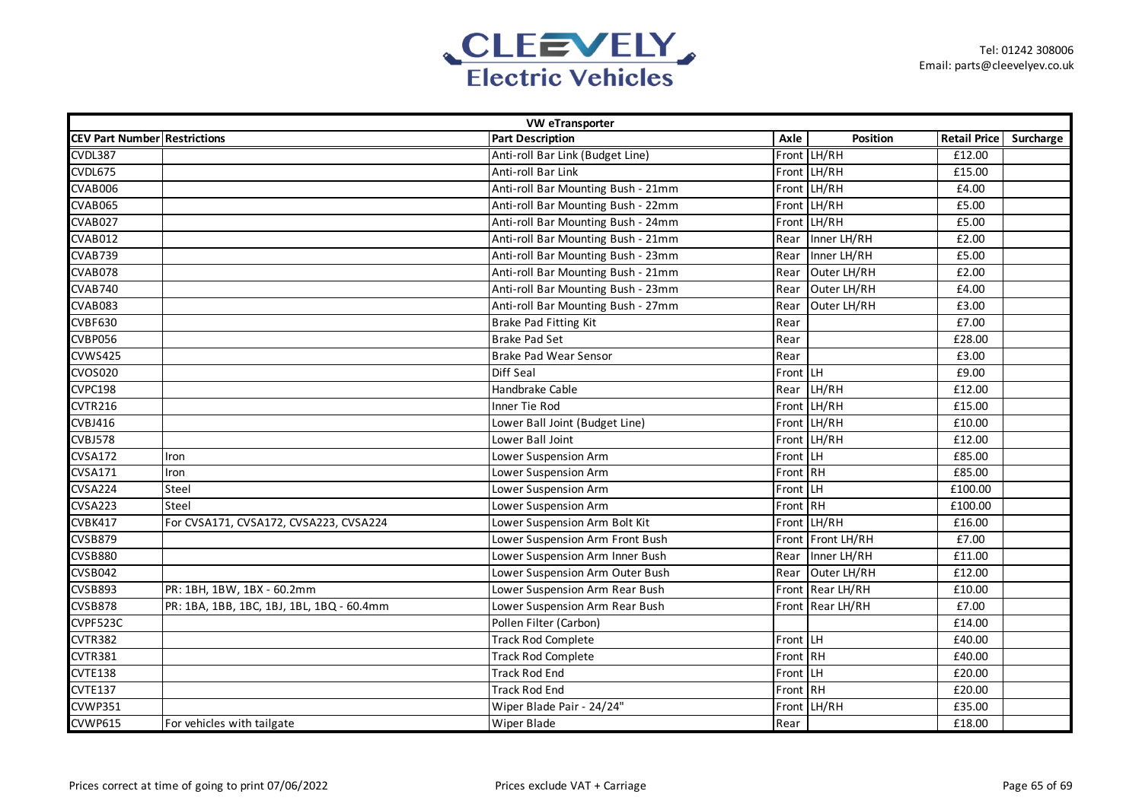

| <b>VW eTransporter</b>              |                                           |                                    |          |                   |                     |           |  |  |
|-------------------------------------|-------------------------------------------|------------------------------------|----------|-------------------|---------------------|-----------|--|--|
| <b>CEV Part Number Restrictions</b> |                                           | <b>Part Description</b>            | Axle     | Position          | <b>Retail Price</b> | Surcharge |  |  |
| CVDL387                             |                                           | Anti-roll Bar Link (Budget Line)   |          | Front LH/RH       | £12.00              |           |  |  |
| CVDL675                             |                                           | Anti-roll Bar Link                 |          | Front LH/RH       | £15.00              |           |  |  |
| CVAB006                             |                                           | Anti-roll Bar Mounting Bush - 21mm |          | Front LH/RH       | £4.00               |           |  |  |
| CVAB065                             |                                           | Anti-roll Bar Mounting Bush - 22mm |          | Front LH/RH       | £5.00               |           |  |  |
| CVAB027                             |                                           | Anti-roll Bar Mounting Bush - 24mm |          | Front LH/RH       | £5.00               |           |  |  |
| CVAB012                             |                                           | Anti-roll Bar Mounting Bush - 21mm | Rear     | Inner LH/RH       | £2.00               |           |  |  |
| CVAB739                             |                                           | Anti-roll Bar Mounting Bush - 23mm | Rear     | Inner LH/RH       | £5.00               |           |  |  |
| CVAB078                             |                                           | Anti-roll Bar Mounting Bush - 21mm | Rear     | Outer LH/RH       | £2.00               |           |  |  |
| <b>CVAB740</b>                      |                                           | Anti-roll Bar Mounting Bush - 23mm | Rear     | Outer LH/RH       | £4.00               |           |  |  |
| CVAB083                             |                                           | Anti-roll Bar Mounting Bush - 27mm | Rear     | Outer LH/RH       | £3.00               |           |  |  |
| CVBF630                             |                                           | Brake Pad Fitting Kit              | Rear     |                   | £7.00               |           |  |  |
| CVBP056                             |                                           | <b>Brake Pad Set</b>               | Rear     |                   | £28.00              |           |  |  |
| <b>CVWS425</b>                      |                                           | <b>Brake Pad Wear Sensor</b>       | Rear     |                   | £3.00               |           |  |  |
| <b>CVOS020</b>                      |                                           | Diff Seal                          | Front LH |                   | £9.00               |           |  |  |
| CVPC198                             |                                           | Handbrake Cable                    |          | Rear LH/RH        | £12.00              |           |  |  |
| CVTR216                             |                                           | Inner Tie Rod                      |          | Front LH/RH       | £15.00              |           |  |  |
| CVBJ416                             |                                           | Lower Ball Joint (Budget Line)     |          | Front LH/RH       | £10.00              |           |  |  |
| <b>CVBJ578</b>                      |                                           | Lower Ball Joint                   |          | Front LH/RH       | £12.00              |           |  |  |
| <b>CVSA172</b>                      | Iron                                      | Lower Suspension Arm               | Front LH |                   | £85.00              |           |  |  |
| <b>CVSA171</b>                      | Iron                                      | Lower Suspension Arm               | Front RH |                   | £85.00              |           |  |  |
| CVSA224                             | Steel                                     | Lower Suspension Arm               | Front LH |                   | £100.00             |           |  |  |
| <b>CVSA223</b>                      | Steel                                     | Lower Suspension Arm               | Front RH |                   | £100.00             |           |  |  |
| CVBK417                             | For CVSA171, CVSA172, CVSA223, CVSA224    | Lower Suspension Arm Bolt Kit      |          | Front LH/RH       | £16.00              |           |  |  |
| <b>CVSB879</b>                      |                                           | Lower Suspension Arm Front Bush    |          | Front Front LH/RH | £7.00               |           |  |  |
| <b>CVSB880</b>                      |                                           | Lower Suspension Arm Inner Bush    | Rear     | Inner LH/RH       | £11.00              |           |  |  |
| <b>CVSB042</b>                      |                                           | Lower Suspension Arm Outer Bush    | Rear     | Outer LH/RH       | £12.00              |           |  |  |
| <b>CVSB893</b>                      | PR: 1BH, 1BW, 1BX - 60.2mm                | Lower Suspension Arm Rear Bush     |          | Front Rear LH/RH  | £10.00              |           |  |  |
| <b>CVSB878</b>                      | PR: 1BA, 1BB, 1BC, 1BJ, 1BL, 1BQ - 60.4mm | Lower Suspension Arm Rear Bush     |          | Front Rear LH/RH  | £7.00               |           |  |  |
| CVPF523C                            |                                           | Pollen Filter (Carbon)             |          |                   | £14.00              |           |  |  |
| CVTR382                             |                                           | <b>Track Rod Complete</b>          | Front LH |                   | £40.00              |           |  |  |
| CVTR381                             |                                           | <b>Track Rod Complete</b>          | Front RH |                   | £40.00              |           |  |  |
| CVTE138                             |                                           | <b>Track Rod End</b>               | Front LH |                   | £20.00              |           |  |  |
| CVTE137                             |                                           | <b>Track Rod End</b>               | Front RH |                   | £20.00              |           |  |  |
| CVWP351                             |                                           | Wiper Blade Pair - 24/24"          |          | Front LH/RH       | £35.00              |           |  |  |
| CVWP615                             | For vehicles with tailgate                | Wiper Blade                        | Rear     |                   | £18.00              |           |  |  |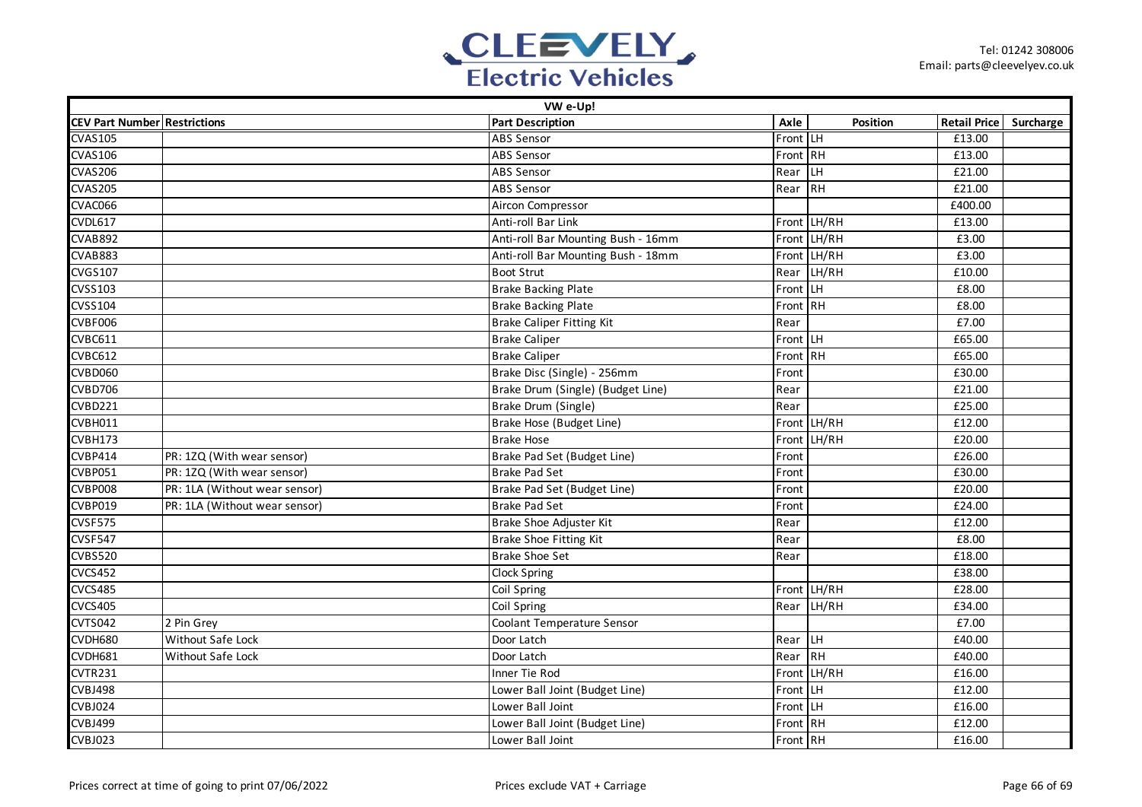

| VW e-Up!                            |                               |                                    |          |                 |                        |  |  |  |
|-------------------------------------|-------------------------------|------------------------------------|----------|-----------------|------------------------|--|--|--|
| <b>CEV Part Number Restrictions</b> |                               | <b>Part Description</b>            | Axle     | <b>Position</b> | Retail Price Surcharge |  |  |  |
| <b>CVAS105</b>                      |                               | <b>ABS Sensor</b>                  | Front LH |                 | £13.00                 |  |  |  |
| <b>CVAS106</b>                      |                               | <b>ABS Sensor</b>                  | Front RH |                 | £13.00                 |  |  |  |
| <b>CVAS206</b>                      |                               | <b>ABS Sensor</b>                  | Rear     | <b>LH</b>       | £21.00                 |  |  |  |
| <b>CVAS205</b>                      |                               | <b>ABS Sensor</b>                  | Rear     | RH              | £21.00                 |  |  |  |
| CVAC066                             |                               | Aircon Compressor                  |          |                 | £400.00                |  |  |  |
| CVDL617                             |                               | Anti-roll Bar Link                 |          | Front LH/RH     | £13.00                 |  |  |  |
| <b>CVAB892</b>                      |                               | Anti-roll Bar Mounting Bush - 16mm |          | Front LH/RH     | £3.00                  |  |  |  |
| CVAB883                             |                               | Anti-roll Bar Mounting Bush - 18mm |          | Front LH/RH     | £3.00                  |  |  |  |
| <b>CVGS107</b>                      |                               | <b>Boot Strut</b>                  | Rear     | LH/RH           | £10.00                 |  |  |  |
| CVSS103                             |                               | <b>Brake Backing Plate</b>         | Front LH |                 | £8.00                  |  |  |  |
| <b>CVSS104</b>                      |                               | <b>Brake Backing Plate</b>         | Front RH |                 | £8.00                  |  |  |  |
| CVBF006                             |                               | <b>Brake Caliper Fitting Kit</b>   | Rear     |                 | £7.00                  |  |  |  |
| <b>CVBC611</b>                      |                               | <b>Brake Caliper</b>               | Front LH |                 | £65.00                 |  |  |  |
| <b>CVBC612</b>                      |                               | <b>Brake Caliper</b>               | Front RH |                 | £65.00                 |  |  |  |
| CVBD060                             |                               | Brake Disc (Single) - 256mm        | Front    |                 | £30.00                 |  |  |  |
| <b>CVBD706</b>                      |                               | Brake Drum (Single) (Budget Line)  | Rear     |                 | $\overline{£21.00}$    |  |  |  |
| <b>CVBD221</b>                      |                               | Brake Drum (Single)                | Rear     |                 | £25.00                 |  |  |  |
| CVBH011                             |                               | Brake Hose (Budget Line)           |          | Front LH/RH     | £12.00                 |  |  |  |
| CVBH173                             |                               | <b>Brake Hose</b>                  |          | Front LH/RH     | £20.00                 |  |  |  |
| <b>CVBP414</b>                      | PR: 1ZQ (With wear sensor)    | Brake Pad Set (Budget Line)        | Front    |                 | £26.00                 |  |  |  |
| <b>CVBP051</b>                      | PR: 1ZQ (With wear sensor)    | <b>Brake Pad Set</b>               | Front    |                 | £30.00                 |  |  |  |
| CVBP008                             | PR: 1LA (Without wear sensor) | Brake Pad Set (Budget Line)        | Front    |                 | £20.00                 |  |  |  |
| CVBP019                             | PR: 1LA (Without wear sensor) | <b>Brake Pad Set</b>               | Front    |                 | £24.00                 |  |  |  |
| CVSF575                             |                               | Brake Shoe Adjuster Kit            | Rear     |                 | £12.00                 |  |  |  |
| CVSF547                             |                               | <b>Brake Shoe Fitting Kit</b>      | Rear     |                 | £8.00                  |  |  |  |
| <b>CVBS520</b>                      |                               | <b>Brake Shoe Set</b>              | Rear     |                 | £18.00                 |  |  |  |
| <b>CVCS452</b>                      |                               | Clock Spring                       |          |                 | £38.00                 |  |  |  |
| <b>CVCS485</b>                      |                               | Coil Spring                        |          | Front LH/RH     | £28.00                 |  |  |  |
| <b>CVCS405</b>                      |                               | Coil Spring                        | Rear     | LH/RH           | £34.00                 |  |  |  |
| <b>CVTS042</b>                      | 2 Pin Grey                    | Coolant Temperature Sensor         |          |                 | £7.00                  |  |  |  |
| CVDH680                             | Without Safe Lock             | Door Latch                         | Rear     | ILН             | £40.00                 |  |  |  |
| CVDH681                             | <b>Without Safe Lock</b>      | Door Latch                         | Rear     | RH              | £40.00                 |  |  |  |
| CVTR231                             |                               | Inner Tie Rod                      |          | Front LH/RH     | £16.00                 |  |  |  |
| CVBJ498                             |                               | Lower Ball Joint (Budget Line)     | Front LH |                 | £12.00                 |  |  |  |
| <b>CVBJ024</b>                      |                               | Lower Ball Joint                   | Front LH |                 | £16.00                 |  |  |  |
| <b>CVBJ499</b>                      |                               | Lower Ball Joint (Budget Line)     | Front RH |                 | £12.00                 |  |  |  |
| <b>CVBJ023</b>                      |                               | Lower Ball Joint                   | Front RH |                 | £16.00                 |  |  |  |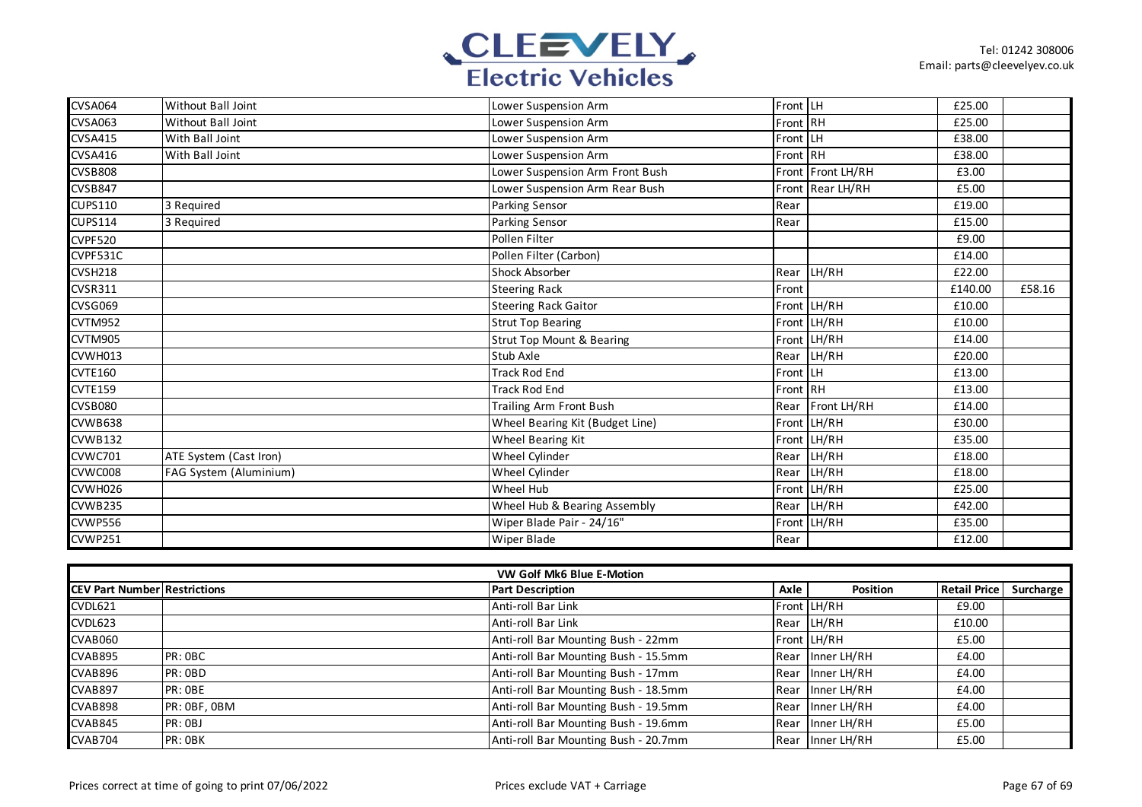

| <b>CVSA064</b> | Without Ball Joint        | Lower Suspension Arm                 | Front LH |                   | £25.00  |        |
|----------------|---------------------------|--------------------------------------|----------|-------------------|---------|--------|
| <b>CVSA063</b> | <b>Without Ball Joint</b> | Lower Suspension Arm                 | Front RH |                   | £25.00  |        |
| <b>CVSA415</b> | With Ball Joint           | Lower Suspension Arm                 | Front LH |                   | £38.00  |        |
| <b>CVSA416</b> | With Ball Joint           | Lower Suspension Arm                 | Front RH |                   | £38.00  |        |
| <b>CVSB808</b> |                           | Lower Suspension Arm Front Bush      |          | Front Front LH/RH | £3.00   |        |
| <b>CVSB847</b> |                           | Lower Suspension Arm Rear Bush       |          | Front Rear LH/RH  | £5.00   |        |
| <b>CUPS110</b> | 3 Required                | Parking Sensor                       | Rear     |                   | £19.00  |        |
| <b>CUPS114</b> | 3 Required                | <b>Parking Sensor</b>                | Rear     |                   | £15.00  |        |
| CVPF520        |                           | Pollen Filter                        |          |                   | £9.00   |        |
| CVPF531C       |                           | Pollen Filter (Carbon)               |          |                   | £14.00  |        |
| CVSH218        |                           | <b>Shock Absorber</b>                | Rear     | LH/RH             | £22.00  |        |
| <b>CVSR311</b> |                           | <b>Steering Rack</b>                 | Front    |                   | £140.00 | £58.16 |
| CVSG069        |                           | <b>Steering Rack Gaitor</b>          |          | Front LH/RH       | £10.00  |        |
| CVTM952        |                           | <b>Strut Top Bearing</b>             |          | Front LH/RH       | £10.00  |        |
| CVTM905        |                           | <b>Strut Top Mount &amp; Bearing</b> | Front    | LH/RH             | £14.00  |        |
| CVWH013        |                           | Stub Axle                            | Rear     | LH/RH             | £20.00  |        |
| <b>CVTE160</b> |                           | <b>Track Rod End</b>                 | Front LH |                   | £13.00  |        |
| <b>CVTE159</b> |                           | <b>Track Rod End</b>                 | Front RH |                   | £13.00  |        |
| CVSB080        |                           | Trailing Arm Front Bush              |          | Rear Front LH/RH  | £14.00  |        |
| CVWB638        |                           | Wheel Bearing Kit (Budget Line)      |          | Front LH/RH       | £30.00  |        |
| <b>CVWB132</b> |                           | Wheel Bearing Kit                    |          | Front LH/RH       | £35.00  |        |
| <b>CVWC701</b> | ATE System (Cast Iron)    | Wheel Cylinder                       | Rear     | LH/RH             | £18.00  |        |
| CVWC008        | FAG System (Aluminium)    | Wheel Cylinder                       | Rear     | LH/RH             | £18.00  |        |
| CVWH026        |                           | Wheel Hub                            |          | Front LH/RH       | £25.00  |        |
| CVWB235        |                           | Wheel Hub & Bearing Assembly         | Rear     | LH/RH             | £42.00  |        |
| CVWP556        |                           | Wiper Blade Pair - 24/16"            | Front    | LH/RH             | £35.00  |        |
| CVWP251        |                           | <b>Wiper Blade</b>                   | Rear     |                   | £12.00  |        |

| VW Golf Mk6 Blue E-Motion           |              |                                      |      |                  |                     |           |  |
|-------------------------------------|--------------|--------------------------------------|------|------------------|---------------------|-----------|--|
| <b>CEV Part Number Restrictions</b> |              | <b>Part Description</b>              | Axle | Position         | <b>Retail Price</b> | Surcharge |  |
| CVDL621                             |              | Anti-roll Bar Link                   |      | Front LH/RH      | £9.00               |           |  |
| CVDL623                             |              | Anti-roll Bar Link                   |      | Rear LH/RH       | £10.00              |           |  |
| CVAB060                             |              | Anti-roll Bar Mounting Bush - 22mm   |      | Front LH/RH      | £5.00               |           |  |
| CVAB895                             | PR: OBC      | Anti-roll Bar Mounting Bush - 15.5mm |      | Rear Inner LH/RH | £4.00               |           |  |
| CVAB896                             | PR: OBD      | Anti-roll Bar Mounting Bush - 17mm   |      | Rear Inner LH/RH | £4.00               |           |  |
| <b>CVAB897</b>                      | PR: OBE      | Anti-roll Bar Mounting Bush - 18.5mm |      | Rear Inner LH/RH | £4.00               |           |  |
| <b>CVAB898</b>                      | PR: OBF, OBM | Anti-roll Bar Mounting Bush - 19.5mm |      | Rear Inner LH/RH | £4.00               |           |  |
| CVAB845                             | PR:OBJ       | Anti-roll Bar Mounting Bush - 19.6mm |      | Rear Inner LH/RH | £5.00               |           |  |
| CVAB704                             | PR: OBK      | Anti-roll Bar Mounting Bush - 20.7mm |      | Rear Inner LH/RH | £5.00               |           |  |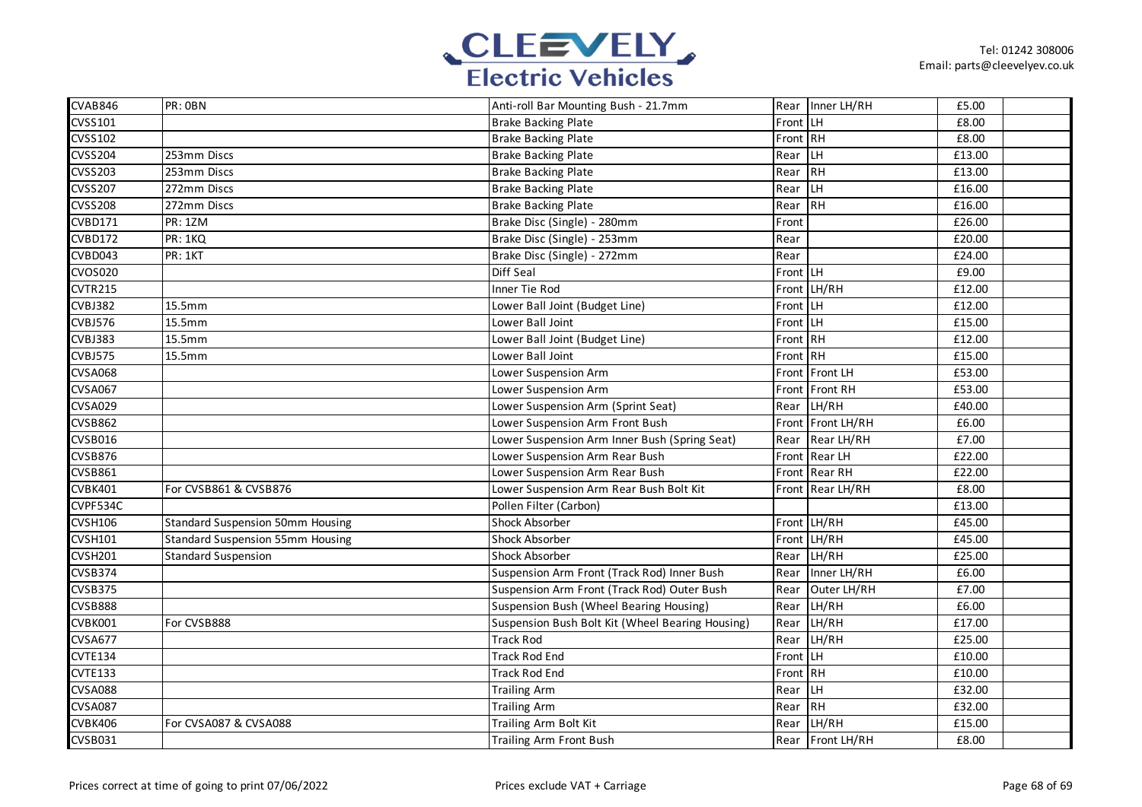

| CVAB846        | PR: OBN                                 | Anti-roll Bar Mounting Bush - 21.7mm             |          | Rear Inner LH/RH  | £5.00  |
|----------------|-----------------------------------------|--------------------------------------------------|----------|-------------------|--------|
| CVSS101        |                                         | <b>Brake Backing Plate</b>                       | Front LH |                   | £8.00  |
| <b>CVSS102</b> |                                         | <b>Brake Backing Plate</b>                       | Front RH |                   | £8.00  |
| <b>CVSS204</b> | 253mm Discs                             | <b>Brake Backing Plate</b>                       | Rear     | H                 | £13.00 |
| <b>CVSS203</b> | 253mm Discs                             | <b>Brake Backing Plate</b>                       | Rear     | <b>IRH</b>        | £13.00 |
| <b>CVSS207</b> | 272mm Discs                             | <b>Brake Backing Plate</b>                       | Rear     | <b>LH</b>         | £16.00 |
| <b>CVSS208</b> | 272mm Discs                             | <b>Brake Backing Plate</b>                       | Rear     | RH                | £16.00 |
| CVBD171        | <b>PR: 1ZM</b>                          | Brake Disc (Single) - 280mm                      | Front    |                   | £26.00 |
| <b>CVBD172</b> | PR: 1KQ                                 | Brake Disc (Single) - 253mm                      | Rear     |                   | £20.00 |
| CVBD043        | PR: 1KT                                 | Brake Disc (Single) - 272mm                      | Rear     |                   | £24.00 |
| CVOS020        |                                         | Diff Seal                                        | Front LH |                   | £9.00  |
| <b>CVTR215</b> |                                         | Inner Tie Rod                                    |          | Front LH/RH       | £12.00 |
| CVBJ382        | 15.5mm                                  | Lower Ball Joint (Budget Line)                   | Front LH |                   | £12.00 |
| <b>CVBJ576</b> | 15.5mm                                  | Lower Ball Joint                                 | Front LH |                   | £15.00 |
| <b>CVBJ383</b> | 15.5mm                                  | Lower Ball Joint (Budget Line)                   | Front RH |                   | £12.00 |
| <b>CVBJ575</b> | 15.5mm                                  | Lower Ball Joint                                 | Front RH |                   | £15.00 |
| <b>CVSA068</b> |                                         | Lower Suspension Arm                             |          | Front Front LH    | £53.00 |
| <b>CVSA067</b> |                                         | Lower Suspension Arm                             |          | Front Front RH    | £53.00 |
| <b>CVSA029</b> |                                         | Lower Suspension Arm (Sprint Seat)               | Rear     | LH/RH             | £40.00 |
| <b>CVSB862</b> |                                         | Lower Suspension Arm Front Bush                  |          | Front Front LH/RH | £6.00  |
| <b>CVSB016</b> |                                         | Lower Suspension Arm Inner Bush (Spring Seat)    | Rear     | Rear LH/RH        | £7.00  |
| <b>CVSB876</b> |                                         | Lower Suspension Arm Rear Bush                   |          | Front Rear LH     | £22.00 |
| <b>CVSB861</b> |                                         | Lower Suspension Arm Rear Bush                   |          | Front Rear RH     | £22.00 |
| CVBK401        | For CVSB861 & CVSB876                   | Lower Suspension Arm Rear Bush Bolt Kit          |          | Front Rear LH/RH  | £8.00  |
| CVPF534C       |                                         | Pollen Filter (Carbon)                           |          |                   | £13.00 |
| <b>CVSH106</b> | <b>Standard Suspension 50mm Housing</b> | Shock Absorber                                   |          | Front LH/RH       | £45.00 |
| <b>CVSH101</b> | <b>Standard Suspension 55mm Housing</b> | <b>Shock Absorber</b>                            |          | Front LH/RH       | £45.00 |
| CVSH201        | <b>Standard Suspension</b>              | Shock Absorber                                   | Rear     | LH/RH             | £25.00 |
| CVSB374        |                                         | Suspension Arm Front (Track Rod) Inner Bush      | Rear     | Inner LH/RH       | £6.00  |
| <b>CVSB375</b> |                                         | Suspension Arm Front (Track Rod) Outer Bush      | Rear     | Outer LH/RH       | £7.00  |
| <b>CVSB888</b> |                                         | Suspension Bush (Wheel Bearing Housing)          | Rear     | LH/RH             | £6.00  |
| CVBK001        | For CVSB888                             | Suspension Bush Bolt Kit (Wheel Bearing Housing) | Rear     | LH/RH             | £17.00 |
| CVSA677        |                                         | <b>Track Rod</b>                                 | Rear     | LH/RH             | £25.00 |
| <b>CVTE134</b> |                                         | <b>Track Rod End</b>                             | Front LH |                   | £10.00 |
| CVTE133        |                                         | <b>Track Rod End</b>                             | Front RH |                   | £10.00 |
| <b>CVSA088</b> |                                         | <b>Trailing Arm</b>                              | Rear     | <b>LH</b>         | £32.00 |
| <b>CVSA087</b> |                                         | <b>Trailing Arm</b>                              | Rear     | RH                | £32.00 |
| CVBK406        | For CVSA087 & CVSA088                   | Trailing Arm Bolt Kit                            | Rear     | LH/RH             | £15.00 |
| CVSB031        |                                         | Trailing Arm Front Bush                          |          | Rear Front LH/RH  | £8.00  |